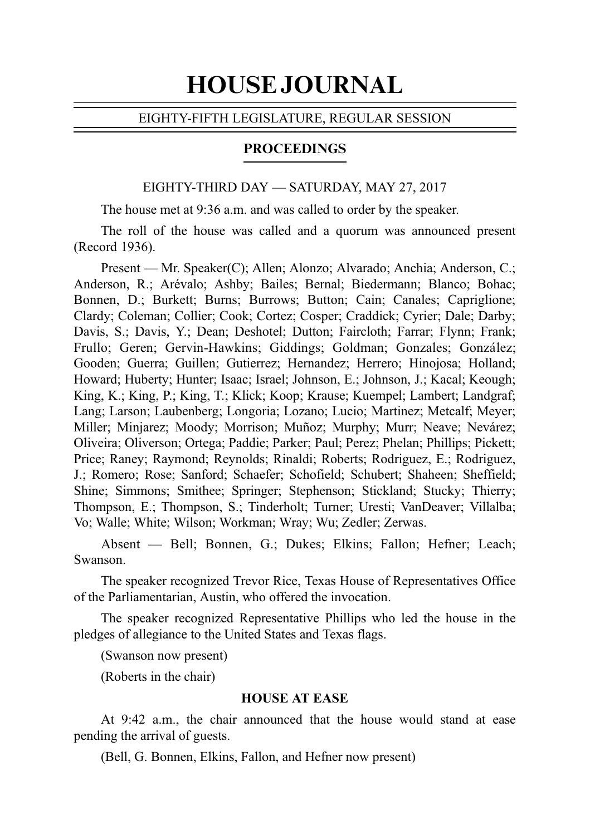# HOUSE JOURNAL

## EIGHTY-FIFTH LEGISLATURE, REGULAR SESSION

## PROCEEDINGS

#### EIGHTY-THIRD DAY — SATURDAY, MAY 27, 2017

The house met at 9:36 a.m. and was called to order by the speaker.

The roll of the house was called and a quorum was announced present (Record 1936).

Present — Mr. Speaker(C); Allen; Alonzo; Alvarado; Anchia; Anderson, C.; Anderson, R.; Arévalo; Ashby; Bailes; Bernal; Biedermann; Blanco; Bohac; Bonnen, D.; Burkett; Burns; Burrows; Button; Cain; Canales; Capriglione; Clardy; Coleman; Collier; Cook; Cortez; Cosper; Craddick; Cyrier; Dale; Darby; Davis, S.; Davis, Y.; Dean; Deshotel; Dutton; Faircloth; Farrar; Flynn; Frank; Frullo; Geren; Gervin-Hawkins; Giddings; Goldman; Gonzales; González; Gooden; Guerra; Guillen; Gutierrez; Hernandez; Herrero; Hinojosa; Holland; Howard; Huberty; Hunter; Isaac; Israel; Johnson, E.; Johnson, J.; Kacal; Keough; King, K.; King, P.; King, T.; Klick; Koop; Krause; Kuempel; Lambert; Landgraf; Lang; Larson; Laubenberg; Longoria; Lozano; Lucio; Martinez; Metcalf; Meyer; Miller; Minjarez; Moody; Morrison; Muñoz; Murphy; Murr; Neave; Nevárez; Oliveira; Oliverson; Ortega; Paddie; Parker; Paul; Perez; Phelan; Phillips; Pickett; Price; Raney; Raymond; Reynolds; Rinaldi; Roberts; Rodriguez, E.; Rodriguez, J.; Romero; Rose; Sanford; Schaefer; Schofield; Schubert; Shaheen; Sheffield; Shine; Simmons; Smithee; Springer; Stephenson; Stickland; Stucky; Thierry; Thompson, E.; Thompson, S.; Tinderholt; Turner; Uresti; VanDeaver; Villalba; Vo; Walle; White; Wilson; Workman; Wray; Wu; Zedler; Zerwas.

Absent — Bell; Bonnen, G.; Dukes; Elkins; Fallon; Hefner; Leach; Swanson.

The speaker recognized Trevor Rice, Texas House of Representatives Office of the Parliamentarian, Austin, who offered the invocation.

The speaker recognized Representative Phillips who led the house in the pledges of allegiance to the United States and Texas flags.

(Swanson now present)

(Roberts in the chair)

#### **HOUSE AT EASE**

At 9:42 a.m., the chair announced that the house would stand at ease pending the arrival of guests.

(Bell, G. Bonnen, Elkins, Fallon, and Hefner now present)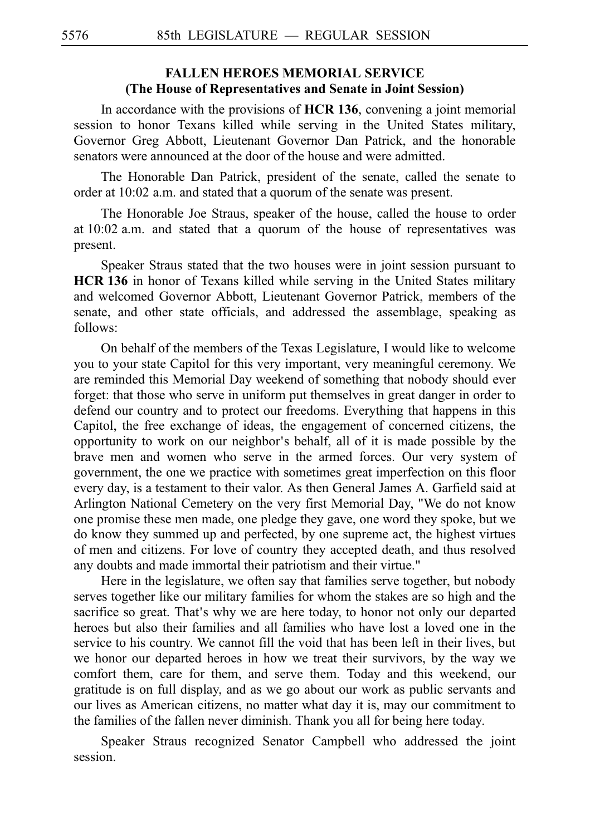# **FALLEN HEROES MEMORIAL SERVICE (The House of Representatives and Senate in Joint Session)**

In accordance with the provisions of HCR 136, convening a joint memorial session to honor Texans killed while serving in the United States military, Governor Greg Abbott, Lieutenant Governor Dan Patrick, and the honorable senators were announced at the door of the house and were admitted.

The Honorable Dan Patrick, president of the senate, called the senate to order at 10:02 a.m. and stated that a quorum of the senate was present.

The Honorable Joe Straus, speaker of the house, called the house to order at  $10:02$  a.m. and stated that a quorum of the house of representatives was present.

Speaker Straus stated that the two houses were in joint session pursuant to **HCR 136** in honor of Texans killed while serving in the United States military and welcomed Governor Abbott, Lieutenant Governor Patrick, members of the senate, and other state officials, and addressed the assemblage, speaking as follows:

On behalf of the members of the Texas Legislature, I would like to welcome you to your state Capitol for this very important, very meaningful ceremony. We are reminded this Memorial Day weekend of something that nobody should ever forget: that those who serve in uniform put themselves in great danger in order to defend our country and to protect our freedoms. Everything that happens in this Capitol, the free exchange of ideas, the engagement of concerned citizens, the opportunity to work on our neighbor's behalf, all of it is made possible by the brave men and women who serve in the armed forces. Our very system of government, the one we practice with sometimes great imperfection on this floor every day, is a testament to their valor. As then General James A. Garfield said at Arlington National Cemetery on the very first Memorial Day, "We do not know one promise these men made, one pledge they gave, one word they spoke, but we do know they summed up and perfected, by one supreme act, the highest virtues of men and citizens. For love of country they accepted death, and thus resolved any doubts and made immortal their patriotism and their virtue."

Here in the legislature, we often say that families serve together, but nobody serves together like our military families for whom the stakes are so high and the sacrifice so great. That's why we are here today, to honor not only our departed heroes but also their families and all families who have lost a loved one in the service to his country. We cannot fill the void that has been left in their lives, but we honor our departed heroes in how we treat their survivors, by the way we comfort them, care for them, and serve them. Today and this weekend, our gratitude is on full display, and as we go about our work as public servants and our lives as American citizens, no matter what day it is, may our commitment to the families of the fallen never diminish. Thank you all for being here today.

Speaker Straus recognized Senator Campbell who addressed the joint session.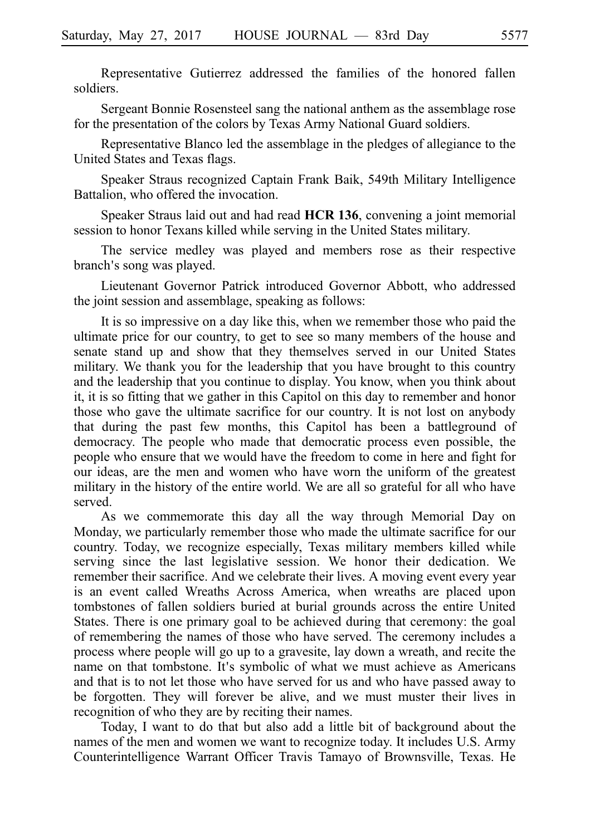Representative Gutierrez addressed the families of the honored fallen soldiers.

Sergeant Bonnie Rosensteel sang the national anthem as the assemblage rose for the presentation of the colors by Texas Army National Guard soldiers.

Representative Blanco led the assemblage in the pledges of allegiance to the United States and Texas flags.

Speaker Straus recognized Captain Frank Baik, 549th Military Intelligence Battalion, who offered the invocation.

Speaker Straus laid out and had read HCR 136, convening a joint memorial session to honor Texans killed while serving in the United States military.

The service medley was played and members rose as their respective branch's song was played.

Lieutenant Governor Patrick introduced Governor Abbott, who addressed the joint session and assemblage, speaking as follows:

It is so impressive on a day like this, when we remember those who paid the ultimate price for our country, to get to see so many members of the house and senate stand up and show that they themselves served in our United States military. We thank you for the leadership that you have brought to this country and the leadership that you continue to display. You know, when you think about it, it is so fitting that we gather in this Capitol on this day to remember and honor those who gave the ultimate sacrifice for our country. It is not lost on anybody that during the past few months, this Capitol has been a battleground of democracy. The people who made that democratic process even possible, the people who ensure that we would have the freedom to come in here and fight for our ideas, are the men and women who have worn the uniform of the greatest military in the history of the entire world. We are all so grateful for all who have served.

As we commemorate this day all the way through Memorial Day on Monday, we particularly remember those who made the ultimate sacrifice for our country. Today, we recognize especially, Texas military members killed while serving since the last legislative session. We honor their dedication. We remember their sacrifice. And we celebrate their lives. A moving event every year is an event called Wreaths Across America, when wreaths are placed upon tombstones of fallen soldiers buried at burial grounds across the entire United States. There is one primary goal to be achieved during that ceremony: the goal of remembering the names of those who have served. The ceremony includes a process where people will go up to a gravesite, lay down a wreath, and recite the name on that tombstone. It's symbolic of what we must achieve as Americans and that is to not let those who have served for us and who have passed away to be forgotten. They will forever be alive, and we must muster their lives in recognition of who they are by reciting their names.

Today, I want to do that but also add a little bit of background about the names of the men and women we want to recognize today. It includes U.S. Army Counterintelligence Warrant Officer Travis Tamayo of Brownsville, Texas. He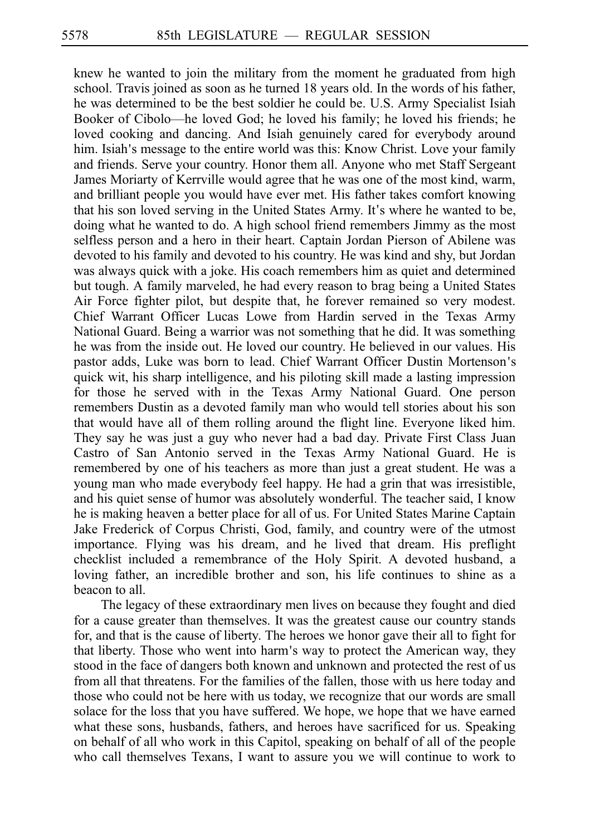knew he wanted to join the military from the moment he graduated from high school. Travis joined as soon as he turned 18 years old. In the words of his father, he was determined to be the best soldier he could be. U.S. Army Specialist Isiah Booker of Cibolo––he loved God; he loved his family; he loved his friends; he loved cooking and dancing. And Isiah genuinely cared for everybody around him. Isiah's message to the entire world was this: Know Christ. Love your family and friends. Serve your country. Honor them all. Anyone who met Staff Sergeant James Moriarty of Kerrville would agree that he was one of the most kind, warm, and brilliant people you would have ever met. His father takes comfort knowing that his son loved serving in the United States Army. It's where he wanted to be, doing what he wanted to do. A high school friend remembers Jimmy as the most selfless person and a hero in their heart. Captain Jordan Pierson of Abilene was devoted to his family and devoted to his country. He was kind and shy, but Jordan was always quick with a joke. His coach remembers him as quiet and determined but tough. A family marveled, he had every reason to brag being a United States Air Force fighter pilot, but despite that, he forever remained so very modest. Chief Warrant Officer Lucas Lowe from Hardin served in the Texas Army National Guard. Being a warrior was not something that he did. It was something he was from the inside out. He loved our country. He believed in our values. His pastor adds, Luke was born to lead. Chief Warrant Officer Dustin Mortenson's quick wit, his sharp intelligence, and his piloting skill made a lasting impression for those he served with in the Texas Army National Guard. One person remembers Dustin as a devoted family man who would tell stories about his son that would have all of them rolling around the flight line. Everyone liked him. They say he was just a guy who never had a bad day. Private First Class Juan Castro of San Antonio served in the Texas Army National Guard. He is remembered by one of his teachers as more than just a great student. He was a young man who made everybody feel happy. He had a grin that was irresistible, and his quiet sense of humor was absolutely wonderful. The teacher said, I know he is making heaven a better place for all of us. For United States Marine Captain Jake Frederick of Corpus Christi, God, family, and country were of the utmost importance. Flying was his dream, and he lived that dream. His preflight checklist included a remembrance of the Holy Spirit. A devoted husband, a loving father, an incredible brother and son, his life continues to shine as a beacon to all.

The legacy of these extraordinary men lives on because they fought and died for a cause greater than themselves. It was the greatest cause our country stands for, and that is the cause of liberty. The heroes we honor gave their all to fight for that liberty. Those who went into harm's way to protect the American way, they stood in the face of dangers both known and unknown and protected the rest of us from all that threatens. For the families of the fallen, those with us here today and those who could not be here with us today, we recognize that our words are small solace for the loss that you have suffered. We hope, we hope that we have earned what these sons, husbands, fathers, and heroes have sacrificed for us. Speaking on behalf of all who work in this Capitol, speaking on behalf of all of the people who call themselves Texans, I want to assure you we will continue to work to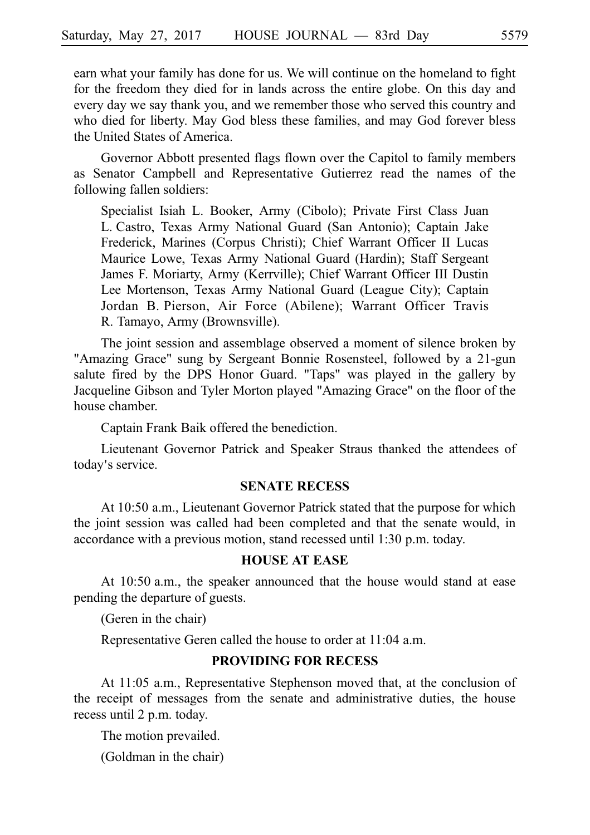earn what your family has done for us. We will continue on the homeland to fight for the freedom they died for in lands across the entire globe. On this day and every day we say thank you, and we remember those who served this country and who died for liberty. May God bless these families, and may God forever bless the United States of America.

Governor Abbott presented flags flown over the Capitol to family members as Senator Campbell and Representative Gutierrez read the names of the following fallen soldiers:

Specialist Isiah L. Booker, Army (Cibolo); Private First Class Juan L. Castro, Texas Army National Guard (San Antonio); Captain Jake Frederick, Marines (Corpus Christi); Chief Warrant Officer II Lucas Maurice Lowe, Texas Army National Guard (Hardin); Staff Sergeant James F. Moriarty, Army (Kerrville); Chief Warrant Officer III Dustin Lee Mortenson, Texas Army National Guard (League City); Captain Jordan B. Pierson, Air Force (Abilene); Warrant Officer Travis R. Tamayo, Army (Brownsville).

The joint session and assemblage observed a moment of silence broken by "Amazing Grace" sung by Sergeant Bonnie Rosensteel, followed by a 21-gun salute fired by the DPS Honor Guard. "Taps" was played in the gallery by Jacqueline Gibson and Tyler Morton played "Amazing Grace" on the floor of the house chamber.

Captain Frank Baik offered the benediction.

Lieutenant Governor Patrick and Speaker Straus thanked the attendees of today's service.

#### **SENATE RECESS**

At 10:50 a.m., Lieutenant Governor Patrick stated that the purpose for which the joint session was called had been completed and that the senate would, in accordance with a previous motion, stand recessed until 1:30 p.m. today.

# **HOUSE AT EASE**

At 10:50 a.m., the speaker announced that the house would stand at ease pending the departure of guests.

(Geren in the chair)

Representative Geren called the house to order at 11:04 a.m.

## **PROVIDING FOR RECESS**

At 11:05 a.m., Representative Stephenson moved that, at the conclusion of the receipt of messages from the senate and administrative duties, the house recess until 2 p.m. today.

The motion prevailed.

(Goldman in the chair)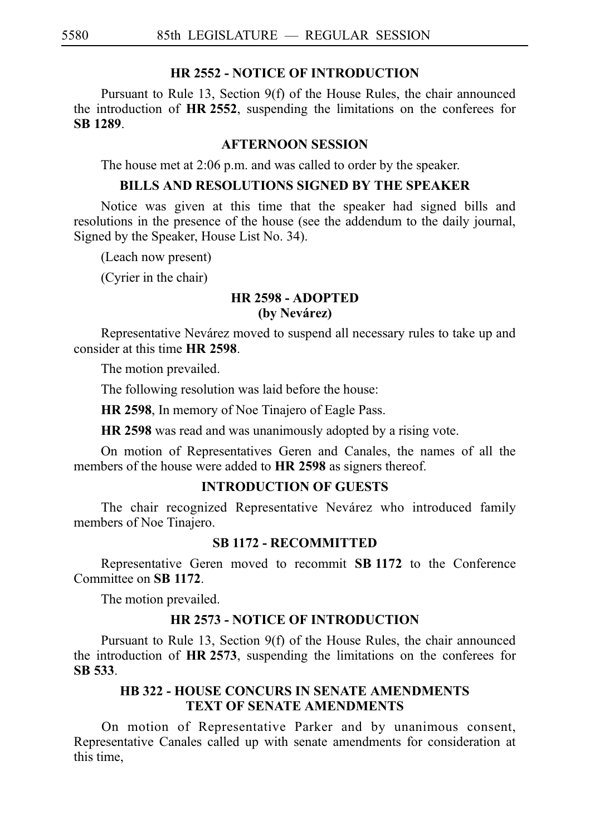## **HR 2552 - NOTICE OF INTRODUCTION**

Pursuant to Rule 13, Section 9(f) of the House Rules, the chair announced the introduction of HR 2552, suspending the limitations on the conferees for **SBi1289**.

#### **AFTERNOON SESSION**

The house met at 2:06 p.m. and was called to order by the speaker.

#### **BILLS AND RESOLUTIONS SIGNED BY THE SPEAKER**

Notice was given at this time that the speaker had signed bills and resolutions in the presence of the house (see the addendum to the daily journal, Signed by the Speaker, House List No. 34).

(Leach now present)

(Cyrier in the chair)

# **HR 2598 - ADOPTED (by Neva´rez)**

Representative Nevárez moved to suspend all necessary rules to take up and consider at this time **HR 2598**.

The motion prevailed.

The following resolution was laid before the house:

**HR 2598**, In memory of Noe Tinajero of Eagle Pass.

**HR 2598** was read and was unanimously adopted by a rising vote.

On motion of Representatives Geren and Canales, the names of all the members of the house were added to **HR 2598** as signers thereof.

# **INTRODUCTION OF GUESTS**

The chair recognized Representative Nevárez who introduced family members of Noe Tinajero.

#### **SB 1172 - RECOMMITTED**

Representative Geren moved to recommit **SBi1172** to the Conference Committee on **SBi1172**.

The motion prevailed.

#### **HR 2573 - NOTICE OF INTRODUCTION**

Pursuant to Rule 13, Section 9(f) of the House Rules, the chair announced the introduction of **HR 2573**, suspending the limitations on the conferees for **SBi533**.

## **HB 322 - HOUSE CONCURS IN SENATE AMENDMENTS TEXT OF SENATE AMENDMENTS**

On motion of Representative Parker and by unanimous consent, Representative Canales called up with senate amendments for consideration at this time,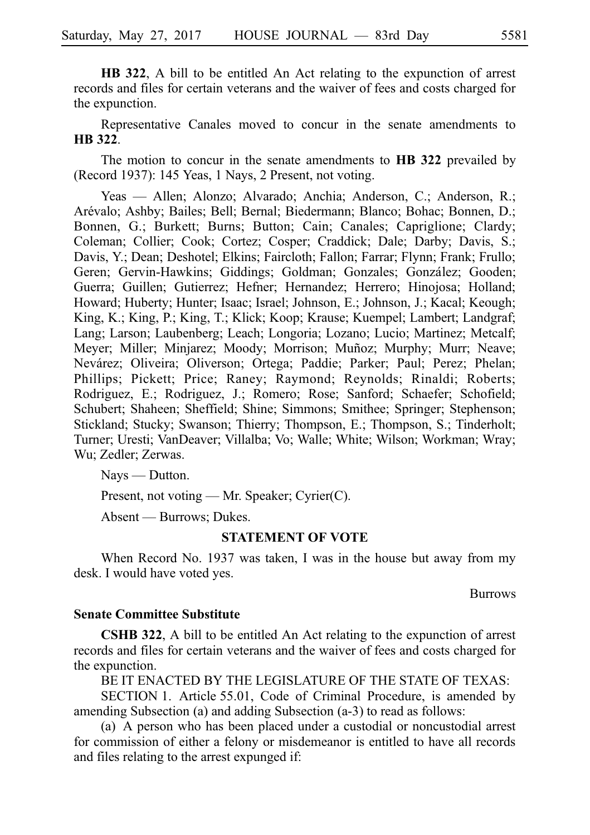**HB 322**, A bill to be entitled An Act relating to the expunction of arrest records and files for certain veterans and the waiver of fees and costs charged for the expunction.

Representative Canales moved to concur in the senate amendments to **HB** 322.

The motion to concur in the senate amendments to **HB 322** prevailed by (Record 1937): 145 Yeas, 1 Nays, 2 Present, not voting.

Yeas — Allen; Alonzo; Alvarado; Anchia; Anderson, C.; Anderson, R.; Arévalo; Ashby; Bailes; Bell; Bernal; Biedermann; Blanco; Bohac; Bonnen, D.; Bonnen, G.; Burkett; Burns; Button; Cain; Canales; Capriglione; Clardy; Coleman; Collier; Cook; Cortez; Cosper; Craddick; Dale; Darby; Davis, S.; Davis, Y.; Dean; Deshotel; Elkins; Faircloth; Fallon; Farrar; Flynn; Frank; Frullo; Geren; Gervin-Hawkins; Giddings; Goldman; Gonzales; González; Gooden; Guerra; Guillen; Gutierrez; Hefner; Hernandez; Herrero; Hinojosa; Holland; Howard; Huberty; Hunter; Isaac; Israel; Johnson, E.; Johnson, J.; Kacal; Keough; King, K.; King, P.; King, T.; Klick; Koop; Krause; Kuempel; Lambert; Landgraf; Lang; Larson; Laubenberg; Leach; Longoria; Lozano; Lucio; Martinez; Metcalf; Meyer; Miller; Minjarez; Moody; Morrison; Muñoz; Murphy; Murr; Neave; Nevárez; Oliveira; Oliverson; Ortega; Paddie; Parker; Paul; Perez; Phelan; Phillips; Pickett; Price; Raney; Raymond; Reynolds; Rinaldi; Roberts; Rodriguez, E.; Rodriguez, J.; Romero; Rose; Sanford; Schaefer; Schofield; Schubert; Shaheen; Sheffield; Shine; Simmons; Smithee; Springer; Stephenson; Stickland; Stucky; Swanson; Thierry; Thompson, E.; Thompson, S.; Tinderholt; Turner; Uresti; VanDeaver; Villalba; Vo; Walle; White; Wilson; Workman; Wray; Wu; Zedler; Zerwas.

Nays — Dutton.

Present, not voting — Mr. Speaker; Cyrier(C).

Absent — Burrows; Dukes.

#### **STATEMENT OF VOTE**

When Record No. 1937 was taken, I was in the house but away from my desk. I would have voted yes.

Burrows

#### **Senate Committee Substitute**

**CSHB 322**, A bill to be entitled An Act relating to the expunction of arrest records and files for certain veterans and the waiver of fees and costs charged for the expunction.

BE IT ENACTED BY THE LEGISLATURE OF THE STATE OF TEXAS:

SECTION 1. Article 55.01, Code of Criminal Procedure, is amended by amending Subsection (a) and adding Subsection  $(a-3)$  to read as follows:

(a) A person who has been placed under a custodial or noncustodial arrest for commission of either a felony or misdemeanor is entitled to have all records and files relating to the arrest expunged if: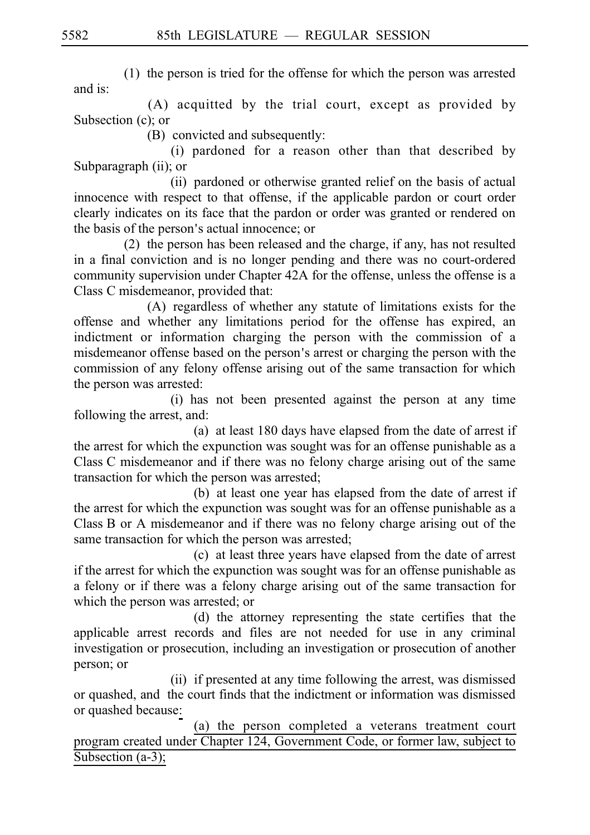$(1)$  the person is tried for the offense for which the person was arrested and is:

 $(A)$  acquitted by the trial court, except as provided by Subsection  $(c)$ ; or

(B) convicted and subsequently:

(i) pardoned for a reason other than that described by Subparagraph  $(ii)$ ; or

(ii) pardoned or otherwise granted relief on the basis of actual innocence with respect to that offense, if the applicable pardon or court order clearly indicates on its face that the pardon or order was granted or rendered on the basis of the person's actual innocence; or

 $(2)$  the person has been released and the charge, if any, has not resulted in a final conviction and is no longer pending and there was no court-ordered community supervision under Chapter 42A for the offense, unless the offense is a Class C misdemeanor, provided that:

(A) regardless of whether any statute of limitations exists for the offense and whether any limitations period for the offense has expired, an indictment or information charging the person with the commission of a misdemeanor offense based on the person's arrest or charging the person with the commission of any felony offense arising out of the same transaction for which the person was arrested:

(i) has not been presented against the person at any time following the arrest, and:

(a) at least 180 days have elapsed from the date of arrest if the arrest for which the expunction was sought was for an offense punishable as a Class C misdemeanor and if there was no felony charge arising out of the same transaction for which the person was arrested;

(b) at least one year has elapsed from the date of arrest if the arrest for which the expunction was sought was for an offense punishable as a Class B or A misdemeanor and if there was no felony charge arising out of the same transaction for which the person was arrested;

(c) at least three years have elapsed from the date of arrest if the arrest for which the expunction was sought was for an offense punishable as a felony or if there was a felony charge arising out of the same transaction for which the person was arrested; or

(d) the attorney representing the state certifies that the applicable arrest records and files are not needed for use in any criminal investigation or prosecution, including an investigation or prosecution of another person; or

(ii) if presented at any time following the arrest, was dismissed or quashed, and the court finds that the indictment or information was dismissed or quashed because:

(a) the person completed a veterans treatment court program created under Chapter 124, Government Code, or former law, subject to Subsection (a-3);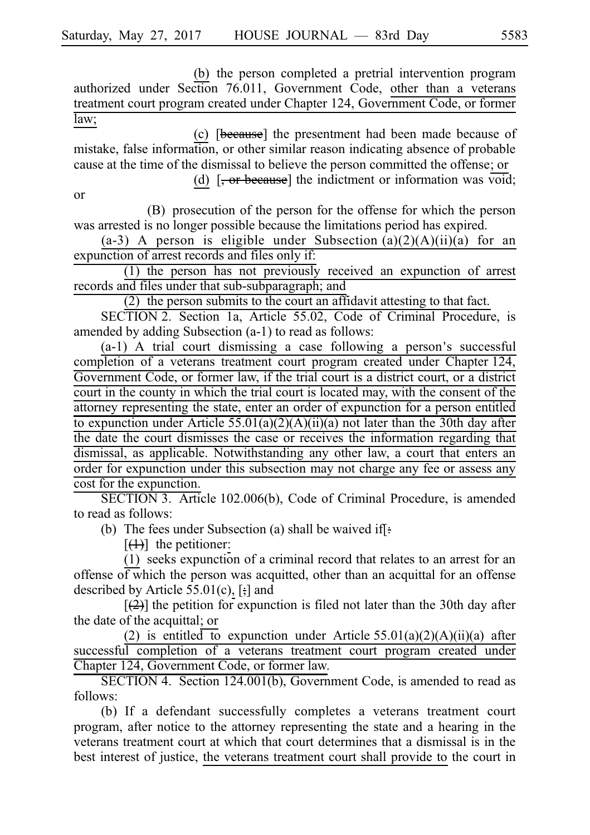(b) the person completed a pretrial intervention program authorized under Section 76.011, Government Code, other than a veterans treatment court program created under Chapter 124, Government Code, or former law;

(c) [because] the presentment had been made because of mistake, false information, or other similar reason indicating absence of probable cause at the time of the dismissal to believe the person committed the offense; or

(d)  $\overline{z}$ , or because] the indictment or information was void; or

(B) prosecution of the person for the offense for which the person was arrested is no longer possible because the limitations period has expired.

(a-3) A person is eligible under Subsection (a)(2)(A)(ii)(a) for an expunction of arrest records and files only if:

 $(1)$  the person has not previously received an expunction of arrest records and files under that sub-subparagraph; and

 $(2)$  the person submits to the court an affidavit attesting to that fact.

SECTION 2. Section 1a, Article 55.02, Code of Criminal Procedure, is amended by adding Subsection  $(a-1)$  to read as follows:

 $(a-1)$  A trial court dismissing a case following a person's successful completion of a veterans treatment court program created under Chapter 124, Government Code, or former law, if the trial court is a district court, or a district court in the county in which the trial court is located may, with the consent of the attorney representing the state, enter an order of expunction for a person entitled to expunction under Article  $55.01(a)(2)(A)(ii)(a)$  not later than the 30th day after the date the court dismisses the case or receives the information regarding that dismissal, as applicable. Notwithstanding any other law, a court that enters an order for expunction under this subsection may not charge any fee or assess any cost for the expunction.

SECTION 3. Article 102.006(b), Code of Criminal Procedure, is amended to read as follows:

(b) The fees under Subsection (a) shall be waived if.

 $[\frac{(1)}{1}]$  the petitioner:

 $(1)$  seeks expunction of a criminal record that relates to an arrest for an offense of which the person was acquitted, other than an acquittal for an offense described by Article  $55.01(c)$ , [ $\frac{1}{2}$ ] and

 $[2]$  the petition for expunction is filed not later than the 30th day after the date of the acquittal; or

(2) is entitled to expunction under Article  $55.01(a)(2)(A)(ii)(a)$  after successful completion of a veterans treatment court program created under Chapter 124, Government Code, or former law.

SECTION 4. Section 124.001(b), Government Code, is amended to read as follows:

(b) If a defendant successfully completes a veterans treatment court program, after notice to the attorney representing the state and a hearing in the veterans treatment court at which that court determines that a dismissal is in the best interest of justice, the veterans treatment court shall provide to the court in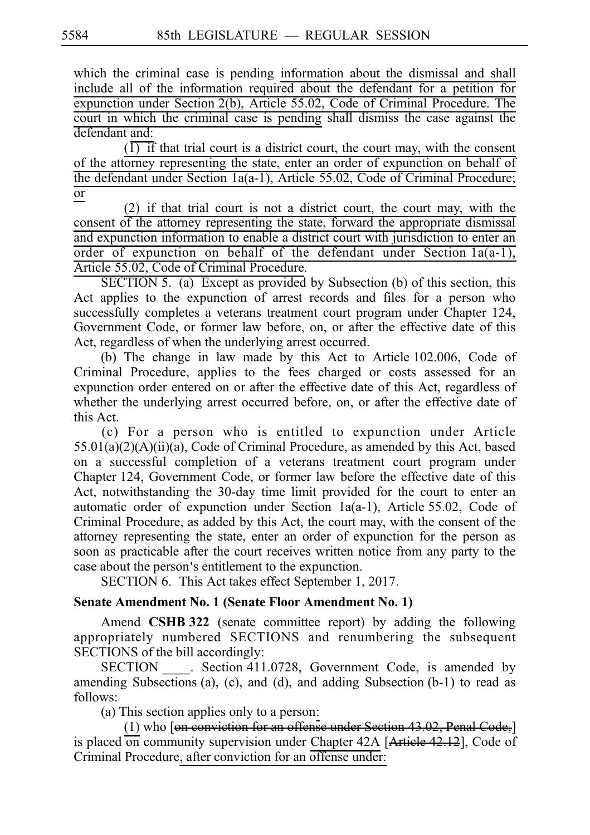which the criminal case is pending information about the dismissal and shall include all of the information required about the defendant for a petition for expunction under Section  $2(b)$ , Article 55.02, Code of Criminal Procedure. The court in which the criminal case is pending shall dismiss the case against the defendant and:

 $\overline{(1)}$  if that trial court is a district court, the court may, with the consent of the attorney representing the state, enter an order of expunction on behalf of the defendant under Section 1a(a-1), Article 55.02, Code of Criminal Procedure; or

 $(2)$  if that trial court is not a district court, the court may, with the consent of the attorney representing the state, forward the appropriate dismissal and expunction information to enable a district court with jurisdiction to enter an order of expunction on behalf of the defendant under Section  $1a(a-1)$ , Article 55.02, Code of Criminal Procedure.

SECTION 5. (a) Except as provided by Subsection (b) of this section, this Act applies to the expunction of arrest records and files for a person who successfully completes a veterans treatment court program under Chapter 124, Government Code, or former law before, on, or after the effective date of this Act, regardless of when the underlying arrest occurred.

(b) The change in law made by this Act to Article  $102.006$ , Code of Criminal Procedure, applies to the fees charged or costs assessed for an expunction order entered on or after the effective date of this Act, regardless of whether the underlying arrest occurred before, on, or after the effective date of this Act.

(c) For a person who is entitled to expunction under Article  $55.01(a)(2)(A)(ii)(a)$ , Code of Criminal Procedure, as amended by this Act, based on a successful completion of a veterans treatment court program under Chapter 124, Government Code, or former law before the effective date of this Act, notwithstanding the 30-day time limit provided for the court to enter an automatic order of expunction under Section  $1a(a-1)$ , Article 55.02, Code of Criminal Procedure, as added by this Act, the court may, with the consent of the attorney representing the state, enter an order of expunction for the person as soon as practicable after the court receives written notice from any party to the case about the person's entitlement to the expunction.

SECTION 6. This Act takes effect September 1, 2017.

# **Senate Amendment No. 1 (Senate Floor Amendment No. 1)**

Amend CSHB 322 (senate committee report) by adding the following appropriately numbered SECTIONS and renumbering the subsequent SECTIONS of the bill accordingly:

SECTION . Section 411.0728, Government Code, is amended by amending Subsections (a), (c), and (d), and adding Subsection  $(b-1)$  to read as follows:

(a) This section applies only to a person:

(1) who  $[*on*$  conviction for an offense under Section 43.02, Penal Code, $]$ is placed on community supervision under Chapter  $42A$  [Article  $42.12$ ], Code of Criminal Procedure, after conviction for an offense under: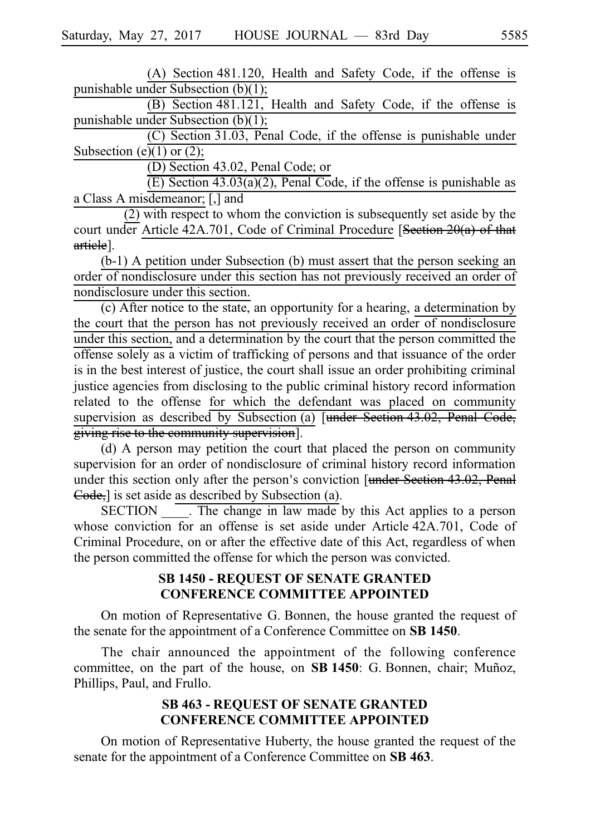$(A)$  Section 481.120, Health and Safety Code, if the offense is punishable under Subsection  $(b)(1);$ 

 $(B)$  Section 481.121, Health and Safety Code, if the offense is punishable under Subsection  $(b)(1)$ ;

 $(C)$  Section 31.03, Penal Code, if the offense is punishable under Subsection (e)(1) or (2);

 $(D)$  Section 43.02, Penal Code; or

 $(E)$  Section 43.03(a)(2), Penal Code, if the offense is punishable as a Class A misdemeanor; [,] and

(2) with respect to whom the conviction is subsequently set aside by the court under Article 42A.701, Code of Criminal Procedure [Section 20(a) of that article].

 $(b-1)$  A petition under Subsection  $(b)$  must assert that the person seeking an order of nondisclosure under this section has not previously received an order of nondisclosure under this section.

(c) After notice to the state, an opportunity for a hearing, a determination by the court that the person has not previously received an order of nondisclosure under this section, and a determination by the court that the person committed the offense solely as a victim of trafficking of persons and that issuance of the order is in the best interest of justice, the court shall issue an order prohibiting criminal justice agencies from disclosing to the public criminal history record information related to the offense for which the defendant was placed on community supervision as described by Subsection (a) [under Section 43.02, Penal Code, giving rise to the community supervision].

(d) A person may petition the court that placed the person on community supervision for an order of nondisclosure of criminal history record information under this section only after the person's conviction [under Section 43.02, Penal  $\epsilon$  Gode, is set aside as described by Subsection (a).

SECTION The change in law made by this Act applies to a person whose conviction for an offense is set aside under Article 42A.701, Code of Criminal Procedure, on or after the effective date of this Act, regardless of when the person committed the offense for which the person was convicted.

## **SB 1450 - REQUEST OF SENATE GRANTED CONFERENCE COMMITTEE APPOINTED**

On motion of Representative G. Bonnen, the house granted the request of the senate for the appointment of a Conference Committee on **SBi1450**.

The chair announced the appointment of the following conference committee, on the part of the house, on **SB 1450**: G. Bonnen, chair; Munoz, Phillips, Paul, and Frullo.

## **SB 463 - REQUEST OF SENATE GRANTED CONFERENCE COMMITTEE APPOINTED**

On motion of Representative Huberty, the house granted the request of the senate for the appointment of a Conference Committee on **SB 463**.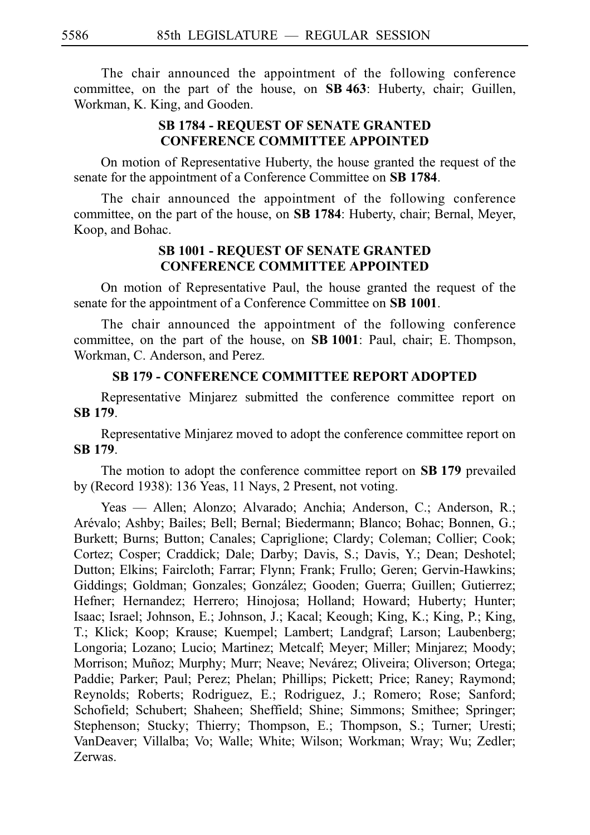The chair announced the appointment of the following conference committee, on the part of the house, on SB 463: Huberty, chair; Guillen, Workman, K. King, and Gooden.

# **SB 1784 - REQUEST OF SENATE GRANTED CONFERENCE COMMITTEE APPOINTED**

On motion of Representative Huberty, the house granted the request of the senate for the appointment of a Conference Committee on **SB 1784**.

The chair announced the appointment of the following conference committee, on the part of the house, on **SBi1784**: Huberty, chair; Bernal, Meyer, Koop, and Bohac.

## **SB 1001 - REQUEST OF SENATE GRANTED CONFERENCE COMMITTEE APPOINTED**

On motion of Representative Paul, the house granted the request of the senate for the appointment of a Conference Committee on **SB 1001**.

The chair announced the appointment of the following conference committee, on the part of the house, on **SB 1001**: Paul, chair; E. Thompson, Workman, C. Anderson, and Perez.

# **SB 179 - CONFERENCE COMMITTEE REPORT ADOPTED**

Representative Minjarez submitted the conference committee report on **SBi179**.

Representative Minjarez moved to adopt the conference committee report on **SBi179**.

The motion to adopt the conference committee report on **SB 179** prevailed by (Record 1938): 136 Yeas, 11 Nays, 2 Present, not voting.

Yeas — Allen; Alonzo; Alvarado; Anchia; Anderson, C.; Anderson, R.; Are´valo; Ashby; Bailes; Bell; Bernal; Biedermann; Blanco; Bohac; Bonnen, G.; Burkett; Burns; Button; Canales; Capriglione; Clardy; Coleman; Collier; Cook; Cortez; Cosper; Craddick; Dale; Darby; Davis, S.; Davis, Y.; Dean; Deshotel; Dutton; Elkins; Faircloth; Farrar; Flynn; Frank; Frullo; Geren; Gervin-Hawkins; Giddings; Goldman; Gonzales; González; Gooden; Guerra; Guillen; Gutierrez; Hefner; Hernandez; Herrero; Hinojosa; Holland; Howard; Huberty; Hunter; Isaac; Israel; Johnson, E.; Johnson, J.; Kacal; Keough; King, K.; King, P.; King, T.; Klick; Koop; Krause; Kuempel; Lambert; Landgraf; Larson; Laubenberg; Longoria; Lozano; Lucio; Martinez; Metcalf; Meyer; Miller; Minjarez; Moody; Morrison; Muñoz; Murphy; Murr; Neave; Nevárez; Oliveira; Oliverson; Ortega; Paddie; Parker; Paul; Perez; Phelan; Phillips; Pickett; Price; Raney; Raymond; Reynolds; Roberts; Rodriguez, E.; Rodriguez, J.; Romero; Rose; Sanford; Schofield; Schubert; Shaheen; Sheffield; Shine; Simmons; Smithee; Springer; Stephenson; Stucky; Thierry; Thompson, E.; Thompson, S.; Turner; Uresti; VanDeaver; Villalba; Vo; Walle; White; Wilson; Workman; Wray; Wu; Zedler; Zerwas.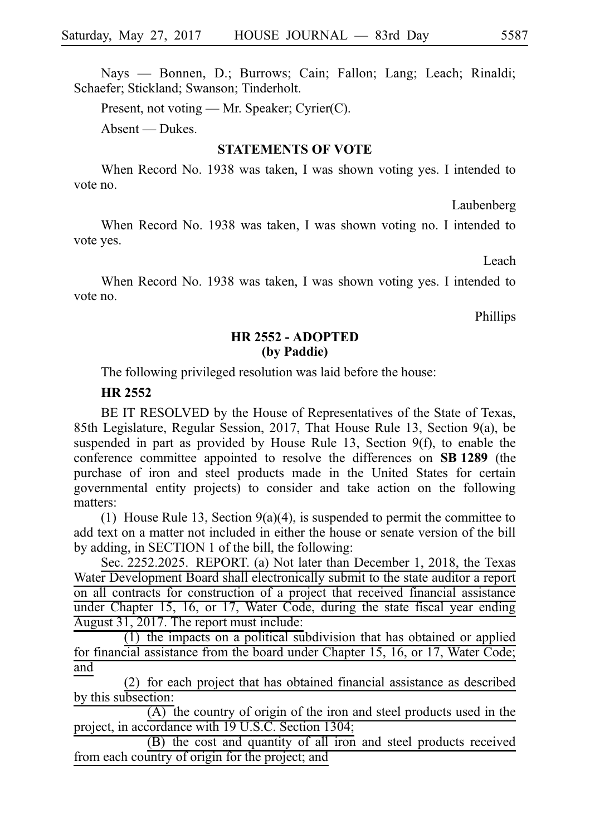Nays — Bonnen, D.; Burrows; Cain; Fallon; Lang; Leach; Rinaldi; Schaefer; Stickland; Swanson; Tinderholt.

Present, not voting — Mr. Speaker; Cyrier(C).

Absent — Dukes.

#### **STATEMENTS OF VOTE**

When Record No. 1938 was taken, I was shown voting yes. I intended to vote no.

Laubenberg

When Record No. 1938 was taken, I was shown voting no. I intended to vote yes.

Leach

When Record No. 1938 was taken, I was shown voting yes. I intended to vote no.

Phillips

## **HR 2552 - ADOPTED (by Paddie)**

The following privileged resolution was laid before the house:

#### **HR 2552**

BE IT RESOLVED by the House of Representatives of the State of Texas, 85th Legislature, Regular Session, 2017, That House Rule 13, Section 9(a), be suspended in part as provided by House Rule 13, Section 9(f), to enable the conference committee appointed to resolve the differences on **SBi1289** (the purchase of iron and steel products made in the United States for certain governmental entity projects) to consider and take action on the following matters:

(1) House Rule 13, Section 9(a)(4), is suspended to permit the committee to add text on a matter not included in either the house or senate version of the bill by adding, in SECTION 1 of the bill, the following:

Sec. 2252.2025. REPORT. (a) Not later than December 1, 2018, the Texas Water Development Board shall electronically submit to the state auditor a report on all contracts for construction of a project that received financial assistance under Chapter 15, 16, or 17, Water Code, during the state fiscal year ending August 31, 2017. The report must include:

 $(1)$  the impacts on a political subdivision that has obtained or applied for financial assistance from the board under Chapter 15, 16, or 17, Water Code; and

 $(2)$  for each project that has obtained financial assistance as described by this subsection:

 $\overline{(A)}$  the country of origin of the iron and steel products used in the project, in accordance with 19 U.S.C. Section 1304;

(B) the cost and quantity of all iron and steel products received from each country of origin for the project; and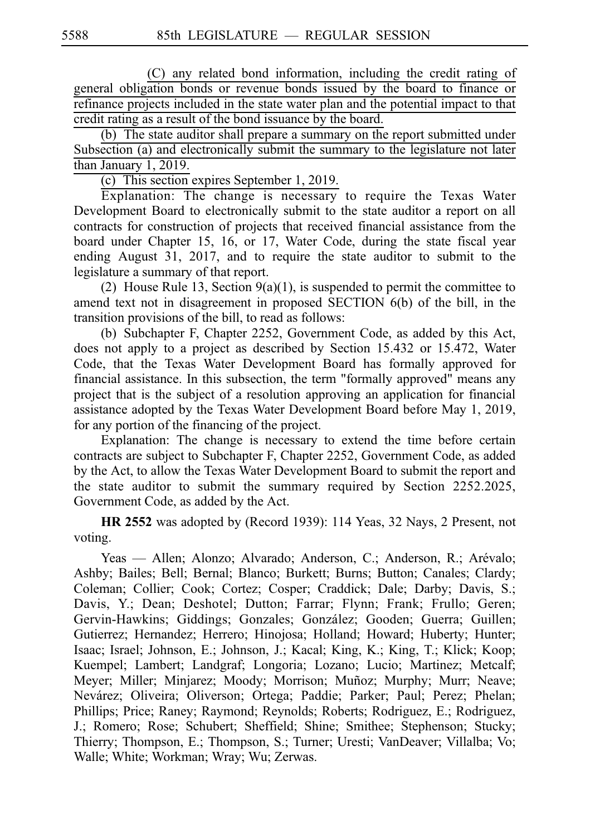(C) any related bond information, including the credit rating of general obligation bonds or revenue bonds issued by the board to finance or refinance projects included in the state water plan and the potential impact to that credit rating as a result of the bond issuance by the board.

(b) The state auditor shall prepare a summary on the report submitted under Subsection (a) and electronically submit the summary to the legislature not later than January 1, 2019.

(c) This section expires September 1, 2019.

Explanation: The change is necessary to require the Texas Water Development Board to electronically submit to the state auditor a report on all contracts for construction of projects that received financial assistance from the board under Chapter 15, 16, or 17, Water Code, during the state fiscal year ending August 31, 2017, and to require the state auditor to submit to the legislature a summary of that report.

(2) House Rule 13, Section  $9(a)(1)$ , is suspended to permit the committee to amend text not in disagreement in proposed SECTION 6(b) of the bill, in the transition provisions of the bill, to read as follows:

(b) Subchapter F, Chapter 2252, Government Code, as added by this Act, does not apply to a project as described by Section 15.432 or 15.472, Water Code, that the Texas Water Development Board has formally approved for financial assistance. In this subsection, the term "formally approved" means any project that is the subject of a resolution approving an application for financial assistance adopted by the Texas Water Development Board before May 1, 2019, for any portion of the financing of the project.

Explanation: The change is necessary to extend the time before certain contracts are subject to Subchapter F, Chapter 2252, Government Code, as added by the Act, to allow the Texas Water Development Board to submit the report and the state auditor to submit the summary required by Section 2252.2025, Government Code, as added by the Act.

**HR 2552** was adopted by (Record 1939): 114 Yeas, 32 Nays, 2 Present, not voting.

Yeas — Allen; Alonzo; Alvarado; Anderson, C.; Anderson, R.; Arévalo; Ashby; Bailes; Bell; Bernal; Blanco; Burkett; Burns; Button; Canales; Clardy; Coleman; Collier; Cook; Cortez; Cosper; Craddick; Dale; Darby; Davis, S.; Davis, Y.; Dean; Deshotel; Dutton; Farrar; Flynn; Frank; Frullo; Geren; Gervin-Hawkins; Giddings; Gonzales; González; Gooden; Guerra; Guillen; Gutierrez; Hernandez; Herrero; Hinojosa; Holland; Howard; Huberty; Hunter; Isaac; Israel; Johnson, E.; Johnson, J.; Kacal; King, K.; King, T.; Klick; Koop; Kuempel; Lambert; Landgraf; Longoria; Lozano; Lucio; Martinez; Metcalf; Meyer; Miller; Minjarez; Moody; Morrison; Muñoz; Murphy; Murr; Neave; Nevárez; Oliveira; Oliverson; Ortega; Paddie; Parker; Paul; Perez; Phelan; Phillips; Price; Raney; Raymond; Reynolds; Roberts; Rodriguez, E.; Rodriguez, J.; Romero; Rose; Schubert; Sheffield; Shine; Smithee; Stephenson; Stucky; Thierry; Thompson, E.; Thompson, S.; Turner; Uresti; VanDeaver; Villalba; Vo; Walle; White; Workman; Wray; Wu; Zerwas.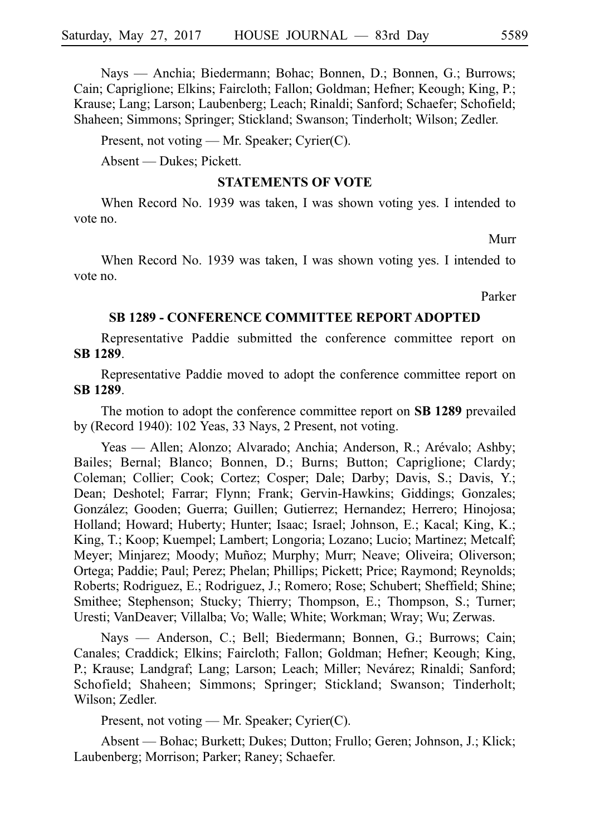Nays — Anchia; Biedermann; Bohac; Bonnen, D.; Bonnen, G.; Burrows; Cain; Capriglione; Elkins; Faircloth; Fallon; Goldman; Hefner; Keough; King, P.; Krause; Lang; Larson; Laubenberg; Leach; Rinaldi; Sanford; Schaefer; Schofield; Shaheen; Simmons; Springer; Stickland; Swanson; Tinderholt; Wilson; Zedler.

Present, not voting — Mr. Speaker; Cyrier(C).

Absent — Dukes; Pickett.

#### **STATEMENTS OF VOTE**

When Record No. 1939 was taken, I was shown voting yes. I intended to vote no.

Murr

When Record No. 1939 was taken, I was shown voting yes. I intended to vote no.

Parker

#### **SB 1289 - CONFERENCE COMMITTEE REPORT ADOPTED**

Representative Paddie submitted the conference committee report on **SBi1289**.

Representative Paddie moved to adopt the conference committee report on **SBi1289**.

The motion to adopt the conference committee report on **SB 1289** prevailed by (Record 1940): 102 Yeas, 33 Nays, 2 Present, not voting.

Yeas — Allen; Alonzo; Alvarado; Anchia; Anderson, R.; Arévalo; Ashby; Bailes; Bernal; Blanco; Bonnen, D.; Burns; Button; Capriglione; Clardy; Coleman; Collier; Cook; Cortez; Cosper; Dale; Darby; Davis, S.; Davis, Y.; Dean; Deshotel; Farrar; Flynn; Frank; Gervin-Hawkins; Giddings; Gonzales; González; Gooden; Guerra; Guillen; Gutierrez; Hernandez; Herrero; Hinojosa; Holland; Howard; Huberty; Hunter; Isaac; Israel; Johnson, E.; Kacal; King, K.; King, T.; Koop; Kuempel; Lambert; Longoria; Lozano; Lucio; Martinez; Metcalf; Meyer; Minjarez; Moody; Muñoz; Murphy; Murr; Neave; Oliveira; Oliverson; Ortega; Paddie; Paul; Perez; Phelan; Phillips; Pickett; Price; Raymond; Reynolds; Roberts; Rodriguez, E.; Rodriguez, J.; Romero; Rose; Schubert; Sheffield; Shine; Smithee; Stephenson; Stucky; Thierry; Thompson, E.; Thompson, S.; Turner; Uresti; VanDeaver; Villalba; Vo; Walle; White; Workman; Wray; Wu; Zerwas.

Nays — Anderson, C.; Bell; Biedermann; Bonnen, G.; Burrows; Cain; Canales; Craddick; Elkins; Faircloth; Fallon; Goldman; Hefner; Keough; King, P.; Krause; Landgraf; Lang; Larson; Leach; Miller; Nevárez; Rinaldi; Sanford; Schofield; Shaheen; Simmons; Springer; Stickland; Swanson; Tinderholt; Wilson; Zedler.

Present, not voting — Mr. Speaker; Cyrier(C).

Absent — Bohac; Burkett; Dukes; Dutton; Frullo; Geren; Johnson, J.; Klick; Laubenberg; Morrison; Parker; Raney; Schaefer.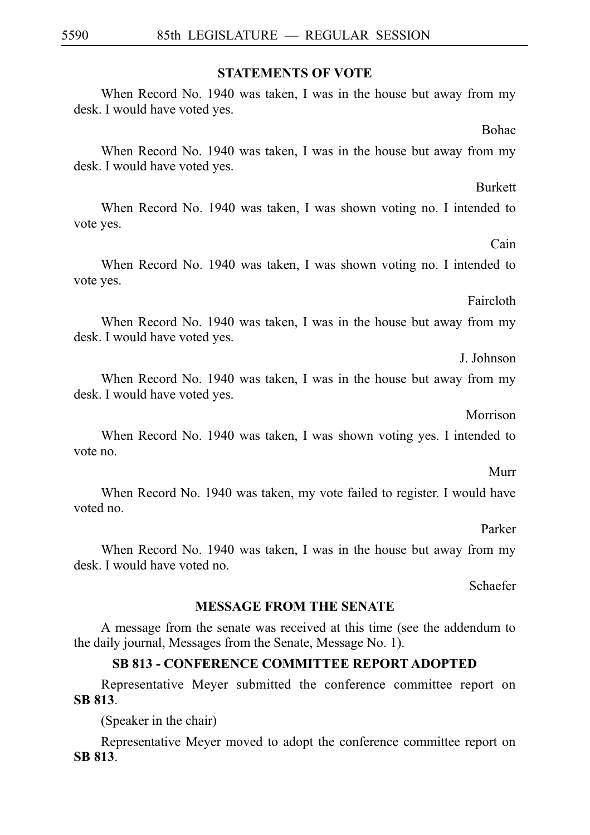#### **STATEMENTS OF VOTE**

When Record No. 1940 was taken, I was in the house but away from my desk. I would have voted yes.

Bohac

Burkett

When Record No. 1940 was taken, I was in the house but away from my desk. I would have voted yes.

When Record No. 1940 was taken, I was shown voting no. I intended to vote yes.

Cain

When Record No. 1940 was taken, I was shown voting no. I intended to vote yes.

Faircloth

When Record No. 1940 was taken, I was in the house but away from my desk. I would have voted yes.

J. Johnson

When Record No. 1940 was taken, I was in the house but away from my desk. I would have voted yes.

Morrison

When Record No. 1940 was taken, I was shown voting yes. I intended to vote no.

Murr

When Record No. 1940 was taken, my vote failed to register. I would have voted no.

Parker

When Record No. 1940 was taken, I was in the house but away from my desk. I would have voted no.

Schaefer

# **MESSAGE FROM THE SENATE**

A message from the senate was received at this time (see the addendum to the daily journal, Messages from the Senate, Message No. 1).

# **SB 813 - CONFERENCE COMMITTEE REPORT ADOPTED**

Representative Meyer submitted the conference committee report on **SBi813**.

(Speaker in the chair)

Representative Meyer moved to adopt the conference committee report on **SBi813**.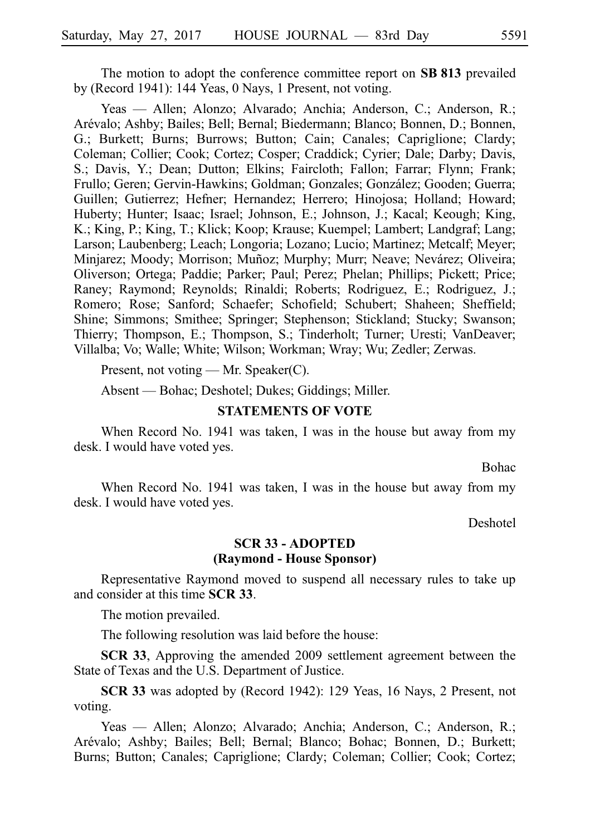The motion to adopt the conference committee report on **SB 813** prevailed by (Record 1941): 144 Yeas, 0 Nays, 1 Present, not voting.

Yeas — Allen; Alonzo; Alvarado; Anchia; Anderson, C.; Anderson, R.; Are´valo; Ashby; Bailes; Bell; Bernal; Biedermann; Blanco; Bonnen, D.; Bonnen, G.; Burkett; Burns; Burrows; Button; Cain; Canales; Capriglione; Clardy; Coleman; Collier; Cook; Cortez; Cosper; Craddick; Cyrier; Dale; Darby; Davis, S.; Davis, Y.; Dean; Dutton; Elkins; Faircloth; Fallon; Farrar; Flynn; Frank; Frullo; Geren; Gervin-Hawkins; Goldman; Gonzales; González; Gooden; Guerra; Guillen; Gutierrez; Hefner; Hernandez; Herrero; Hinojosa; Holland; Howard; Huberty; Hunter; Isaac; Israel; Johnson, E.; Johnson, J.; Kacal; Keough; King, K.; King, P.; King, T.; Klick; Koop; Krause; Kuempel; Lambert; Landgraf; Lang; Larson; Laubenberg; Leach; Longoria; Lozano; Lucio; Martinez; Metcalf; Meyer; Minjarez; Moody; Morrison; Muñoz; Murphy; Murr; Neave; Nevárez; Oliveira; Oliverson; Ortega; Paddie; Parker; Paul; Perez; Phelan; Phillips; Pickett; Price; Raney; Raymond; Reynolds; Rinaldi; Roberts; Rodriguez, E.; Rodriguez, J.; Romero; Rose; Sanford; Schaefer; Schofield; Schubert; Shaheen; Sheffield; Shine; Simmons; Smithee; Springer; Stephenson; Stickland; Stucky; Swanson; Thierry; Thompson, E.; Thompson, S.; Tinderholt; Turner; Uresti; VanDeaver; Villalba; Vo; Walle; White; Wilson; Workman; Wray; Wu; Zedler; Zerwas.

Present, not voting — Mr. Speaker(C).

Absent — Bohac; Deshotel; Dukes; Giddings; Miller.

#### **STATEMENTS OF VOTE**

When Record No. 1941 was taken, I was in the house but away from my desk. I would have voted yes.

Bohac

When Record No. 1941 was taken, I was in the house but away from my desk. I would have voted yes.

Deshotel

#### **SCR 33 - ADOPTED (Raymond - House Sponsor)**

Representative Raymond moved to suspend all necessary rules to take up and consider at this time **SCR 33**.

The motion prevailed.

The following resolution was laid before the house:

**SCR 33**, Approving the amended 2009 settlement agreement between the State of Texas and the U.S. Department of Justice.

**SCR 33** was adopted by (Record 1942): 129 Yeas, 16 Nays, 2 Present, not voting.

Yeas — Allen; Alonzo; Alvarado; Anchia; Anderson, C.; Anderson, R.; Are´valo; Ashby; Bailes; Bell; Bernal; Blanco; Bohac; Bonnen, D.; Burkett; Burns; Button; Canales; Capriglione; Clardy; Coleman; Collier; Cook; Cortez;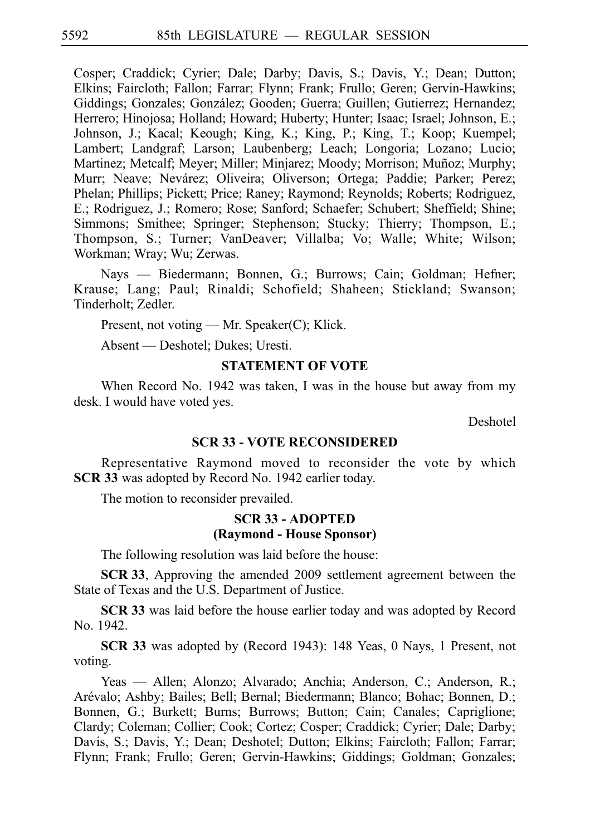Cosper; Craddick; Cyrier; Dale; Darby; Davis, S.; Davis, Y.; Dean; Dutton; Elkins; Faircloth; Fallon; Farrar; Flynn; Frank; Frullo; Geren; Gervin-Hawkins; Giddings; Gonzales; González; Gooden; Guerra; Guillen; Gutierrez; Hernandez; Herrero; Hinojosa; Holland; Howard; Huberty; Hunter; Isaac; Israel; Johnson, E.; Johnson, J.; Kacal; Keough; King, K.; King, P.; King, T.; Koop; Kuempel; Lambert; Landgraf; Larson; Laubenberg; Leach; Longoria; Lozano; Lucio; Martinez; Metcalf; Meyer; Miller; Minjarez; Moody; Morrison; Muñoz; Murphy; Murr; Neave; Nevárez; Oliveira; Oliverson; Ortega; Paddie; Parker; Perez; Phelan; Phillips; Pickett; Price; Raney; Raymond; Reynolds; Roberts; Rodriguez, E.; Rodriguez, J.; Romero; Rose; Sanford; Schaefer; Schubert; Sheffield; Shine; Simmons; Smithee; Springer; Stephenson; Stucky; Thierry; Thompson, E.; Thompson, S.; Turner; VanDeaver; Villalba; Vo; Walle; White; Wilson; Workman; Wray; Wu; Zerwas.

Nays — Biedermann; Bonnen, G.; Burrows; Cain; Goldman; Hefner; Krause; Lang; Paul; Rinaldi; Schofield; Shaheen; Stickland; Swanson; Tinderholt; Zedler.

Present, not voting — Mr. Speaker(C); Klick.

Absent — Deshotel; Dukes; Uresti.

#### **STATEMENT OF VOTE**

When Record No. 1942 was taken, I was in the house but away from my desk. I would have voted yes.

Deshotel

#### **SCR 33 - VOTE RECONSIDERED**

Representative Raymond moved to reconsider the vote by which **SCR 33** was adopted by Record No. 1942 earlier today.

The motion to reconsider prevailed.

#### **SCR 33 - ADOPTED (Raymond - House Sponsor)**

The following resolution was laid before the house:

**SCR 33**, Approving the amended 2009 settlement agreement between the State of Texas and the U.S. Department of Justice.

**SCR 33** was laid before the house earlier today and was adopted by Record No. 1942.

**SCR 33** was adopted by (Record 1943): 148 Yeas, 0 Nays, 1 Present, not voting.

Yeas — Allen; Alonzo; Alvarado; Anchia; Anderson, C.; Anderson, R.; Are´valo; Ashby; Bailes; Bell; Bernal; Biedermann; Blanco; Bohac; Bonnen, D.; Bonnen, G.; Burkett; Burns; Burrows; Button; Cain; Canales; Capriglione; Clardy; Coleman; Collier; Cook; Cortez; Cosper; Craddick; Cyrier; Dale; Darby; Davis, S.; Davis, Y.; Dean; Deshotel; Dutton; Elkins; Faircloth; Fallon; Farrar; Flynn; Frank; Frullo; Geren; Gervin-Hawkins; Giddings; Goldman; Gonzales;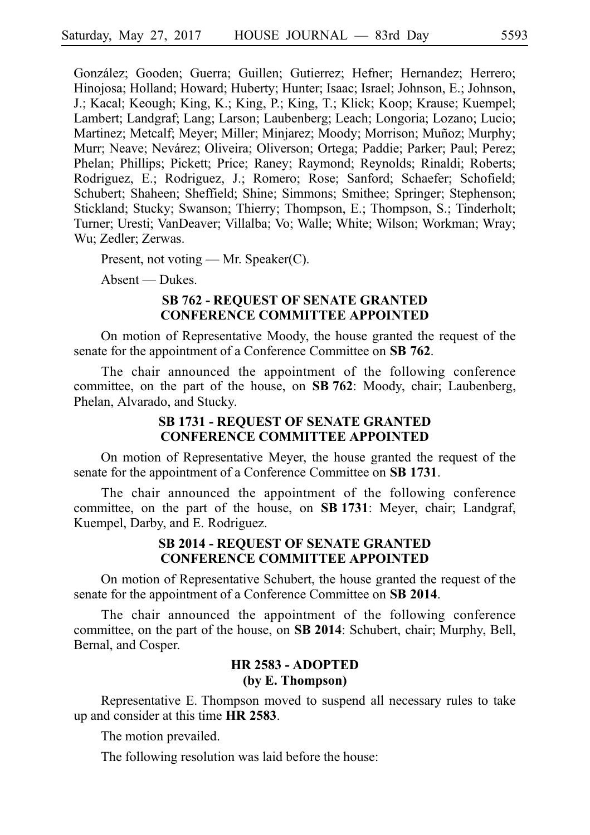González; Gooden; Guerra; Guillen; Gutierrez; Hefner; Hernandez; Herrero; Hinojosa; Holland; Howard; Huberty; Hunter; Isaac; Israel; Johnson, E.; Johnson, J.; Kacal; Keough; King, K.; King, P.; King, T.; Klick; Koop; Krause; Kuempel; Lambert; Landgraf; Lang; Larson; Laubenberg; Leach; Longoria; Lozano; Lucio; Martinez; Metcalf; Meyer; Miller; Minjarez; Moody; Morrison; Muñoz; Murphy; Murr; Neave; Nevárez; Oliveira; Oliverson; Ortega; Paddie; Parker; Paul; Perez; Phelan; Phillips; Pickett; Price; Raney; Raymond; Reynolds; Rinaldi; Roberts; Rodriguez, E.; Rodriguez, J.; Romero; Rose; Sanford; Schaefer; Schofield; Schubert; Shaheen; Sheffield; Shine; Simmons; Smithee; Springer; Stephenson; Stickland; Stucky; Swanson; Thierry; Thompson, E.; Thompson, S.; Tinderholt; Turner; Uresti; VanDeaver; Villalba; Vo; Walle; White; Wilson; Workman; Wray; Wu; Zedler; Zerwas.

Present, not voting — Mr. Speaker(C).

Absent — Dukes.

#### **SB 762 - REQUEST OF SENATE GRANTED CONFERENCE COMMITTEE APPOINTED**

On motion of Representative Moody, the house granted the request of the senate for the appointment of a Conference Committee on SB 762.

The chair announced the appointment of the following conference committee, on the part of the house, on **SB 762**: Moody, chair; Laubenberg, Phelan, Alvarado, and Stucky.

## **SB 1731 - REQUEST OF SENATE GRANTED CONFERENCE COMMITTEE APPOINTED**

On motion of Representative Meyer, the house granted the request of the senate for the appointment of a Conference Committee on **SB 1731**.

The chair announced the appointment of the following conference committee, on the part of the house, on **SBi1731**: Meyer, chair; Landgraf, Kuempel, Darby, and E. Rodriguez.

## **SB 2014 - REQUEST OF SENATE GRANTED CONFERENCE COMMITTEE APPOINTED**

On motion of Representative Schubert, the house granted the request of the senate for the appointment of a Conference Committee on **SB 2014**.

The chair announced the appointment of the following conference committee, on the part of the house, on SB 2014: Schubert, chair; Murphy, Bell, Bernal, and Cosper.

# **HR 2583 - ADOPTED (by E. Thompson)**

Representative E. Thompson moved to suspend all necessary rules to take up and consider at this time **HRi2583**.

The motion prevailed.

The following resolution was laid before the house: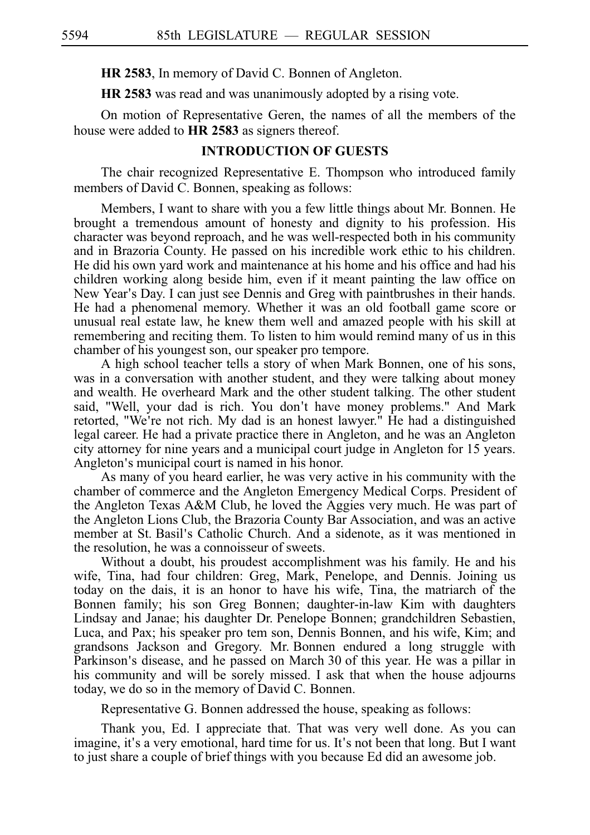**HR 2583**, In memory of David C. Bonnen of Angleton.

**HR 2583** was read and was unanimously adopted by a rising vote.

On motion of Representative Geren, the names of all the members of the house were added to HR 2583 as signers thereof.

#### **INTRODUCTION OF GUESTS**

The chair recognized Representative E. Thompson who introduced family members of David C. Bonnen, speaking as follows:

Members, I want to share with you a few little things about Mr. Bonnen. He brought a tremendous amount of honesty and dignity to his profession. His character was beyond reproach, and he was well-respected both in his community and in Brazoria County. He passed on his incredible work ethic to his children. He did his own yard work and maintenance at his home and his office and had his children working along beside him, even if it meant painting the law office on New Year's Day. I can just see Dennis and Greg with paintbrushes in their hands. He had a phenomenal memory. Whether it was an old football game score or unusual real estate law, he knew them well and amazed people with his skill at remembering and reciting them. To listen to him would remind many of us in this chamber of his youngest son, our speaker pro tempore.

A high school teacher tells a story of when Mark Bonnen, one of his sons, was in a conversation with another student, and they were talking about money and wealth. He overheard Mark and the other student talking. The other student said, "Well, your dad is rich. You don't have money problems." And Mark retorted, "We're not rich. My dad is an honest lawyer." He had a distinguished legal career. He had a private practice there in Angleton, and he was an Angleton city attorney for nine years and a municipal court judge in Angleton for 15 years. Angleton's municipal court is named in his honor.

As many of you heard earlier, he was very active in his community with the chamber of commerce and the Angleton Emergency Medical Corps. President of the Angleton Texas A&M Club, he loved the Aggies very much. He was part of the Angleton Lions Club, the Brazoria County Bar Association, and was an active member at St. Basil's Catholic Church. And a sidenote, as it was mentioned in the resolution, he was a connoisseur of sweets.

Without a doubt, his proudest accomplishment was his family. He and his wife, Tina, had four children: Greg, Mark, Penelope, and Dennis. Joining us today on the dais, it is an honor to have his wife, Tina, the matriarch of the Bonnen family; his son Greg Bonnen; daughter-in-law Kim with daughters Lindsay and Janae; his daughter Dr. Penelope Bonnen; grandchildren Sebastien, Luca, and Pax; his speaker pro tem son, Dennis Bonnen, and his wife, Kim; and grandsons Jackson and Gregory. Mr. Bonnen endured a long struggle with Parkinson's disease, and he passed on March 30 of this year. He was a pillar in his community and will be sorely missed. I ask that when the house adjourns today, we do so in the memory of David C. Bonnen.

Representative G. Bonnen addressed the house, speaking as follows:

Thank you, Ed. I appreciate that. That was very well done. As you can imagine, it's a very emotional, hard time for us. It's not been that long. But I want to just share a couple of brief things with you because Ed did an awesome job.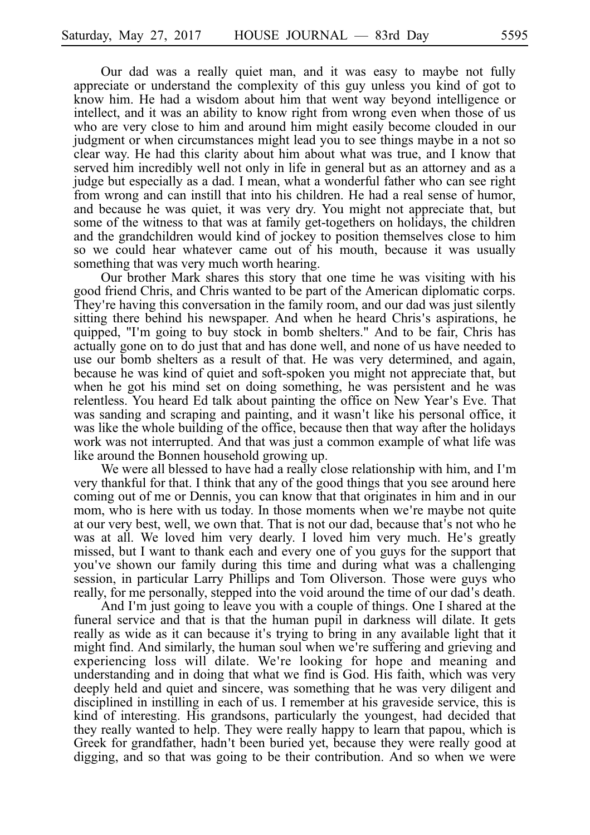Our dad was a really quiet man, and it was easy to maybe not fully appreciate or understand the complexity of this guy unless you kind of got to know him. He had a wisdom about him that went way beyond intelligence or intellect, and it was an ability to know right from wrong even when those of us who are very close to him and around him might easily become clouded in our judgment or when circumstances might lead you to see things maybe in a not so clear way. He had this clarity about him about what was true, and I know that served him incredibly well not only in life in general but as an attorney and as a judge but especially as a dad. I mean, what a wonderful father who can see right from wrong and can instill that into his children. He had a real sense of humor, and because he was quiet, it was very dry. You might not appreciate that, but some of the witness to that was at family get-togethers on holidays, the children and the grandchildren would kind of jockey to position themselves close to him so we could hear whatever came out of his mouth, because it was usually something that was very much worth hearing.

Our brother Mark shares this story that one time he was visiting with his good friend Chris, and Chris wanted to be part of the American diplomatic corps. They're having this conversation in the family room, and our dad was just silently sitting there behind his newspaper. And when he heard Chris's aspirations, he quipped, "I'm going to buy stock in bomb shelters." And to be fair, Chris has actually gone on to do just that and has done well, and none of us have needed to use our bomb shelters as a result of that. He was very determined, and again, because he was kind of quiet and soft-spoken you might not appreciate that, but when he got his mind set on doing something, he was persistent and he was relentless. You heard Ed talk about painting the office on New Year's Eve. That was sanding and scraping and painting, and it wasn't like his personal office, it was like the whole building of the office, because then that way after the holidays work was not interrupted. And that was just a common example of what life was like around the Bonnen household growing up.

We were all blessed to have had a really close relationship with him, and I'm very thankful for that. I think that any of the good things that you see around here coming out of me or Dennis, you can know that that originates in him and in our mom, who is here with us today. In those moments when we're maybe not quite at our very best, well, we own that. That is not our dad, because that's not who he was at all. We loved him very dearly. I loved him very much. He's greatly missed, but I want to thank each and every one of you guys for the support that you've shown our family during this time and during what was a challenging session, in particular Larry Phillips and Tom Oliverson. Those were guys who really, for me personally, stepped into the void around the time of our dad's death.

And I'm just going to leave you with a couple of things. One I shared at the funeral service and that is that the human pupil in darkness will dilate. It gets really as wide as it can because it's trying to bring in any available light that it might find. And similarly, the human soul when we re suffering and grieving and ' experiencing loss will dilate. We're looking for hope and meaning and understanding and in doing that what we find is God. His faith, which was very deeply held and quiet and sincere, was something that he was very diligent and disciplined in instilling in each of us. I remember at his graveside service, this is kind of interesting. His grandsons, particularly the youngest, had decided that they really wanted to help. They were really happy to learn that papou, which is Greek for grandfather, hadn't been buried yet, because they were really good at digging, and so that was going to be their contribution. And so when we were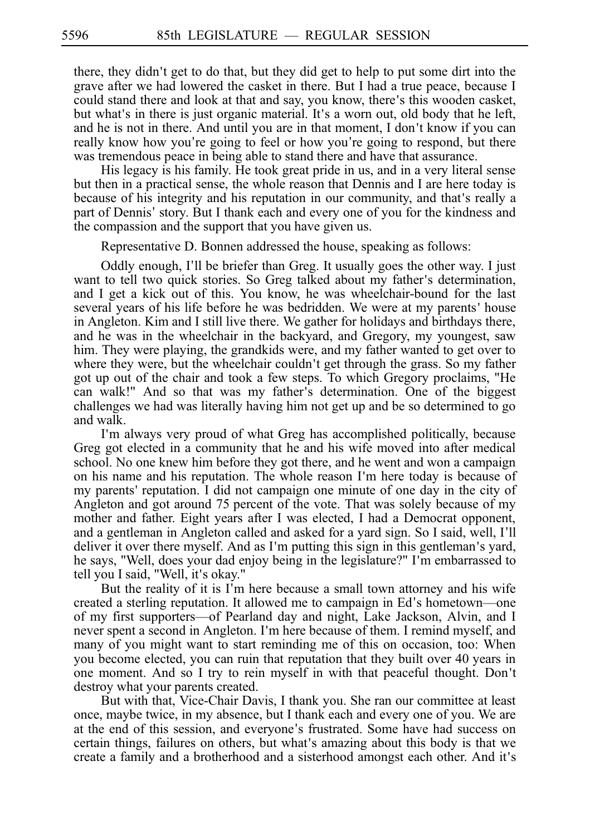there, they didn't get to do that, but they did get to help to put some dirt into the grave after we had lowered the casket in there. But I had a true peace, because I could stand there and look at that and say, you know, there's this wooden casket, but what's in there is just organic material. It's a worn out, old body that he left, and he is not in there. And until you are in that moment, I don't know if you can really know how you're going to feel or how you're going to respond, but there was tremendous peace in being able to stand there and have that assurance.

His legacy is his family. He took great pride in us, and in a very literal sense but then in a practical sense, the whole reason that Dennis and I are here today is because of his integrity and his reputation in our community, and that's really a part of Dennis' story. But I thank each and every one of you for the kindness and the compassion and the support that you have given us.

Representative D. Bonnen addressed the house, speaking as follows:

Oddly enough, I'll be briefer than Greg. It usually goes the other way. I just want to tell two quick stories. So Greg talked about my father's determination, and I get a kick out of this. You know, he was wheelchair-bound for the last several years of his life before he was bedridden. We were at my parents' house in Angleton. Kim and I still live there. We gather for holidays and birthdays there, and he was in the wheelchair in the backyard, and Gregory, my youngest, saw him. They were playing, the grandkids were, and my father wanted to get over to where they were, but the wheelchair couldn't get through the grass. So my father got up out of the chair and took a few steps. To which Gregory proclaims, "He can walk!" And so that was my father's determination. One of the biggest challenges we had was literally having him not get up and be so determined to go and walk.

I'm always very proud of what Greg has accomplished politically, because Greg got elected in a community that he and his wife moved into after medical school. No one knew him before they got there, and he went and won a campaign on his name and his reputation. The whole reason I'm here today is because of my parents' reputation. I did not campaign one minute of one day in the city of Angleton and got around 75 percent of the vote. That was solely because of my mother and father. Eight years after I was elected, I had a Democrat opponent, and a gentleman in Angleton called and asked for a yard sign. So I said, well, I ll' deliver it over there myself. And as I'm putting this sign in this gentleman's yard, he says, "Well, does your dad enjoy being in the legislature?" I'm embarrassed to tell you I said, "Well, it's okay."

But the reality of it is I'm here because a small town attorney and his wife created a sterling reputation. It allowed me to campaign in Ed's hometown—one of my first supporters––of Pearland day and night, Lake Jackson, Alvin, and I never spent a second in Angleton. I'm here because of them. I remind myself, and many of you might want to start reminding me of this on occasion, too: When you become elected, you can ruin that reputation that they built over 40 years in one moment. And so I try to rein myself in with that peaceful thought. Don t' destroy what your parents created.

But with that, Vice-Chair Davis, I thank you. She ran our committee at least once, maybe twice, in my absence, but I thank each and every one of you. We are at the end of this session, and everyone's frustrated. Some have had success on certain things, failures on others, but what's amazing about this body is that we create a family and a brotherhood and a sisterhood amongst each other. And it's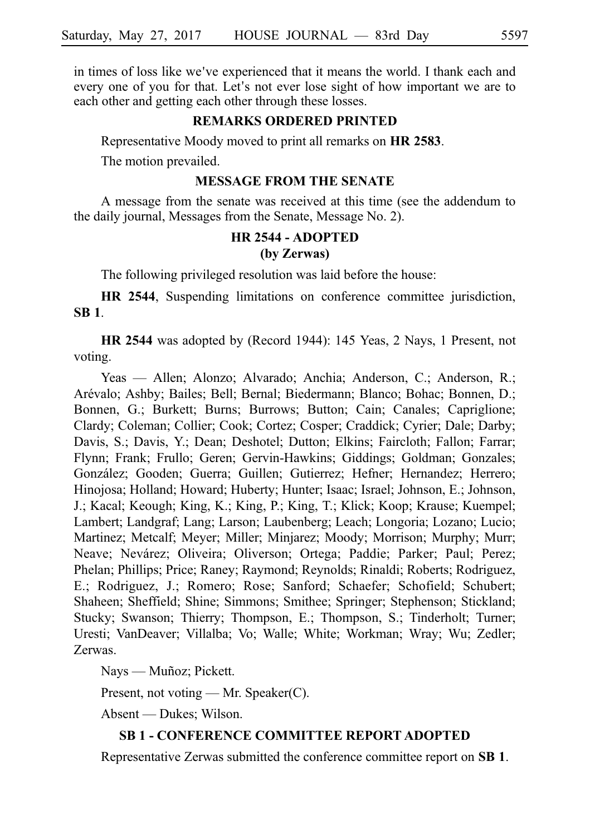in times of loss like we've experienced that it means the world. I thank each and every one of you for that. Let's not ever lose sight of how important we are to each other and getting each other through these losses.

#### **REMARKS ORDERED PRINTED**

Representative Moody moved to print all remarks on **HR 2583**.

The motion prevailed.

#### **MESSAGE FROM THE SENATE**

A message from the senate was received at this time (see the addendum to the daily journal, Messages from the Senate, Message No. 2).

# **HR 2544 - ADOPTED**

#### **(by Zerwas)**

The following privileged resolution was laid before the house:

**HR 2544**, Suspending limitations on conference committee jurisdiction, **SBi1**.

**HR 2544** was adopted by (Record 1944): 145 Yeas, 2 Nays, 1 Present, not voting.

Yeas — Allen; Alonzo; Alvarado; Anchia; Anderson, C.; Anderson, R.; Are´valo; Ashby; Bailes; Bell; Bernal; Biedermann; Blanco; Bohac; Bonnen, D.; Bonnen, G.; Burkett; Burns; Burrows; Button; Cain; Canales; Capriglione; Clardy; Coleman; Collier; Cook; Cortez; Cosper; Craddick; Cyrier; Dale; Darby; Davis, S.; Davis, Y.; Dean; Deshotel; Dutton; Elkins; Faircloth; Fallon; Farrar; Flynn; Frank; Frullo; Geren; Gervin-Hawkins; Giddings; Goldman; Gonzales; González; Gooden; Guerra; Guillen; Gutierrez; Hefner; Hernandez; Herrero; Hinojosa; Holland; Howard; Huberty; Hunter; Isaac; Israel; Johnson, E.; Johnson, J.; Kacal; Keough; King, K.; King, P.; King, T.; Klick; Koop; Krause; Kuempel; Lambert; Landgraf; Lang; Larson; Laubenberg; Leach; Longoria; Lozano; Lucio; Martinez; Metcalf; Meyer; Miller; Minjarez; Moody; Morrison; Murphy; Murr; Neave; Nevárez; Oliveira; Oliverson; Ortega; Paddie; Parker; Paul; Perez; Phelan; Phillips; Price; Raney; Raymond; Reynolds; Rinaldi; Roberts; Rodriguez, E.; Rodriguez, J.; Romero; Rose; Sanford; Schaefer; Schofield; Schubert; Shaheen; Sheffield; Shine; Simmons; Smithee; Springer; Stephenson; Stickland; Stucky; Swanson; Thierry; Thompson, E.; Thompson, S.; Tinderholt; Turner; Uresti; VanDeaver; Villalba; Vo; Walle; White; Workman; Wray; Wu; Zedler; Zerwas.

Nays — Muñoz; Pickett.

Present, not voting — Mr. Speaker(C).

Absent — Dukes; Wilson.

#### **SB 1 - CONFERENCE COMMITTEE REPORT ADOPTED**

Representative Zerwas submitted the conference committee report on **SBi1**.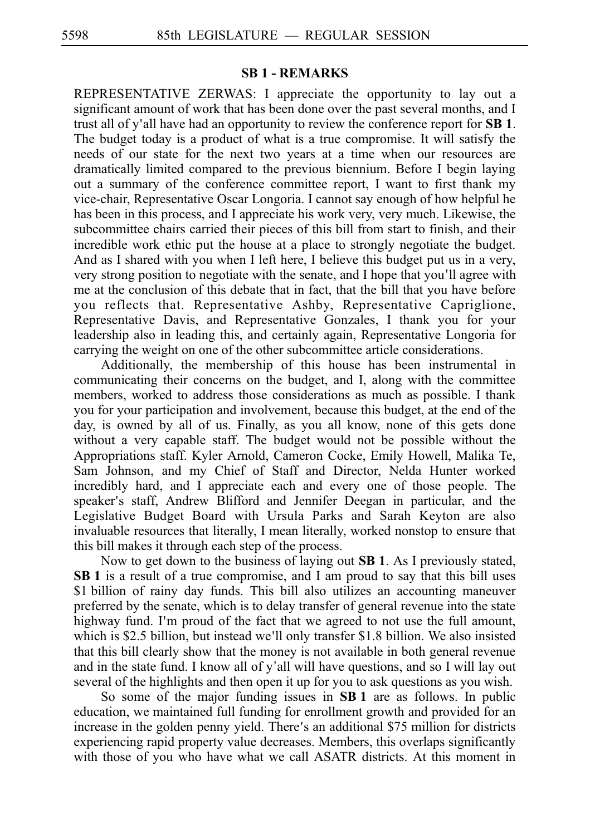#### **SB 1 - REMARKS**

REPRESENTATIVE ZERWAS: I appreciate the opportunity to lay out a significant amount of work that has been done over the past several months, and I trust all of y'all have had an opportunity to review the conference report for  $SB$  1. The budget today is a product of what is a true compromise. It will satisfy the needs of our state for the next two years at a time when our resources are dramatically limited compared to the previous biennium. Before I begin laying out a summary of the conference committee report, I want to first thank my vice-chair, Representative Oscar Longoria. I cannot say enough of how helpful he has been in this process, and I appreciate his work very, very much. Likewise, the subcommittee chairs carried their pieces of this bill from start to finish, and their incredible work ethic put the house at a place to strongly negotiate the budget. And as I shared with you when I left here, I believe this budget put us in a very, very strong position to negotiate with the senate, and I hope that you ll agree with ' me at the conclusion of this debate that in fact, that the bill that you have before you reflects that. Representative Ashby, Representative Capriglione, Representative Davis, and Representative Gonzales, I thank you for your leadership also in leading this, and certainly again, Representative Longoria for carrying the weight on one of the other subcommittee article considerations.

Additionally, the membership of this house has been instrumental in communicating their concerns on the budget, and I, along with the committee members, worked to address those considerations as much as possible. I thank you for your participation and involvement, because this budget, at the end of the day, is owned by all of us. Finally, as you all know, none of this gets done without a very capable staff. The budget would not be possible without the Appropriations staff. Kyler Arnold, Cameron Cocke, Emily Howell, Malika Te, Sam Johnson, and my Chief of Staff and Director, Nelda Hunter worked incredibly hard, and I appreciate each and every one of those people. The speaker's staff, Andrew Blifford and Jennifer Deegan in particular, and the Legislative Budget Board with Ursula Parks and Sarah Keyton are also invaluable resources that literally, I mean literally, worked nonstop to ensure that this bill makes it through each step of the process.

Now to get down to the business of laying out **SBi1**. As I previously stated, **SBi1** is a result of a true compromise, and I am proud to say that this bill uses \$1 billion of rainy day funds. This bill also utilizes an accounting maneuver preferred by the senate, which is to delay transfer of general revenue into the state highway fund. I'm proud of the fact that we agreed to not use the full amount, which is \$2.5 billion, but instead we'll only transfer \$1.8 billion. We also insisted that this bill clearly show that the money is not available in both general revenue and in the state fund. I know all of y'all will have questions, and so I will lay out several of the highlights and then open it up for you to ask questions as you wish.

So some of the major funding issues in **SB 1** are as follows. In public education, we maintained full funding for enrollment growth and provided for an increase in the golden penny yield. There's an additional \$75 million for districts experiencing rapid property value decreases. Members, this overlaps significantly with those of you who have what we call ASATR districts. At this moment in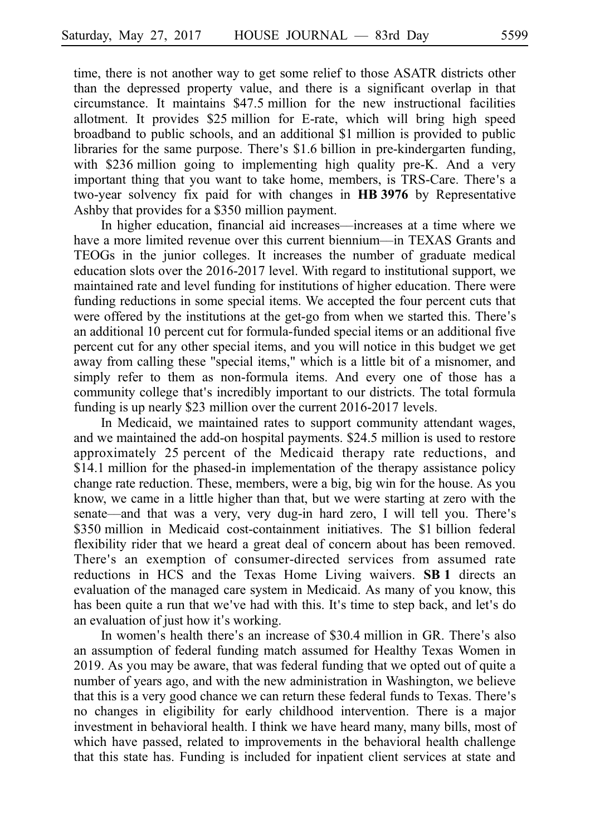time, there is not another way to get some relief to those ASATR districts other than the depressed property value, and there is a significant overlap in that circumstance. It maintains \$47.5 million for the new instructional facilities allotment. It provides \$25 million for E-rate, which will bring high speed broadband to public schools, and an additional \$1 million is provided to public libraries for the same purpose. There's \$1.6 billion in pre-kindergarten funding, with  $$236$  million going to implementing high quality pre-K. And a very important thing that you want to take home, members, is TRS-Care. There's a two-year solvency fix paid for with changes in HB 3976 by Representative Ashby that provides for a \$350 million payment.

In higher education, financial aid increases—increases at a time where we have a more limited revenue over this current biennium—in TEXAS Grants and TEOGs in the junior colleges. It increases the number of graduate medical education slots over the  $2016-2017$  level. With regard to institutional support, we maintained rate and level funding for institutions of higher education. There were funding reductions in some special items. We accepted the four percent cuts that were offered by the institutions at the get-go from when we started this. There's an additional 10 percent cut for formula-funded special items or an additional five percent cut for any other special items, and you will notice in this budget we get away from calling these "special items," which is a little bit of a misnomer, and simply refer to them as non-formula items. And every one of those has a community college that's incredibly important to our districts. The total formula funding is up nearly \$23 million over the current  $2016-2017$  levels.

In Medicaid, we maintained rates to support community attendant wages, and we maintained the add-on hospital payments. \$24.5 million is used to restore approximately 25 percent of the Medicaid therapy rate reductions, and  $$14.1$  million for the phased-in implementation of the therapy assistance policy change rate reduction. These, members, were a big, big win for the house. As you know, we came in a little higher than that, but we were starting at zero with the senate—and that was a very, very dug-in hard zero, I will tell you. There's \$350 million in Medicaid cost-containment initiatives. The \$1 billion federal flexibility rider that we heard a great deal of concern about has been removed. There ' s an exemption of consumer-directed services from assumed rate reductions in HCS and the Texas Home Living waivers. **SB1** directs an evaluation of the managed care system in Medicaid. As many of you know, this has been quite a run that we've had with this. It's time to step back, and let's do an evaluation of just how it's working.

In women's health there's an increase of \$30.4 million in GR. There's also an assumption of federal funding match assumed for Healthy Texas Women in 2019. As you may be aware, that was federal funding that we opted out of quite a number of years ago, and with the new administration in Washington, we believe that this is a very good chance we can return these federal funds to Texas. There's no changes in eligibility for early childhood intervention. There is a major investment in behavioral health. I think we have heard many, many bills, most of which have passed, related to improvements in the behavioral health challenge that this state has. Funding is included for inpatient client services at state and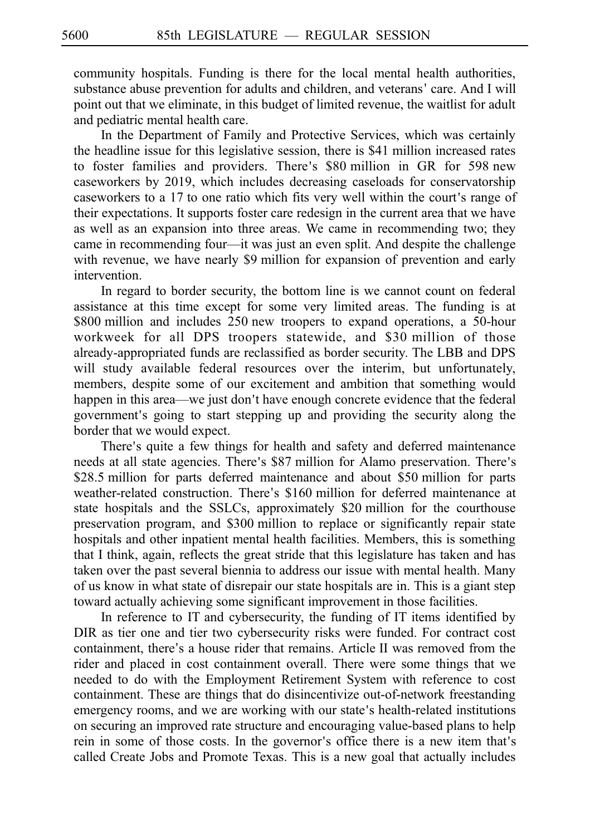community hospitals. Funding is there for the local mental health authorities, substance abuse prevention for adults and children, and veterans' care. And I will point out that we eliminate, in this budget of limited revenue, the waitlist for adult and pediatric mental health care.

In the Department of Family and Protective Services, which was certainly the headline issue for this legislative session, there is \$41 million increased rates to foster families and providers. There's \$80 million in GR for 598 new caseworkers by 2019, which includes decreasing caseloads for conservatorship caseworkers to a 17 to one ratio which fits very well within the court's range of their expectations. It supports foster care redesign in the current area that we have as well as an expansion into three areas. We came in recommending two; they came in recommending four––it was just an even split. And despite the challenge with revenue, we have nearly \$9 million for expansion of prevention and early intervention.

In regard to border security, the bottom line is we cannot count on federal assistance at this time except for some very limited areas. The funding is at  $$800$  million and includes 250 new troopers to expand operations, a 50-hour workweek for all DPS troopers statewide, and \$30 million of those already-appropriated funds are reclassified as border security. The LBB and DPS will study available federal resources over the interim, but unfortunately, members, despite some of our excitement and ambition that something would happen in this area—we just don't have enough concrete evidence that the federal government's going to start stepping up and providing the security along the border that we would expect.

There's quite a few things for health and safety and deferred maintenance needs at all state agencies. There's \$87 million for Alamo preservation. There's \$28.5 million for parts deferred maintenance and about \$50 million for parts weather-related construction. There's \$160 million for deferred maintenance at state hospitals and the SSLCs, approximately \$20 million for the courthouse preservation program, and \$300 million to replace or significantly repair state hospitals and other inpatient mental health facilities. Members, this is something that I think, again, reflects the great stride that this legislature has taken and has taken over the past several biennia to address our issue with mental health. Many of us know in what state of disrepair our state hospitals are in. This is a giant step toward actually achieving some significant improvement in those facilities.

In reference to IT and cybersecurity, the funding of IT items identified by DIR as tier one and tier two cybersecurity risks were funded. For contract cost containment, there's a house rider that remains. Article II was removed from the rider and placed in cost containment overall. There were some things that we needed to do with the Employment Retirement System with reference to cost containment. These are things that do disincentivize out-of-network freestanding emergency rooms, and we are working with our state's health-related institutions on securing an improved rate structure and encouraging value-based plans to help rein in some of those costs. In the governor's office there is a new item that's called Create Jobs and Promote Texas. This is a new goal that actually includes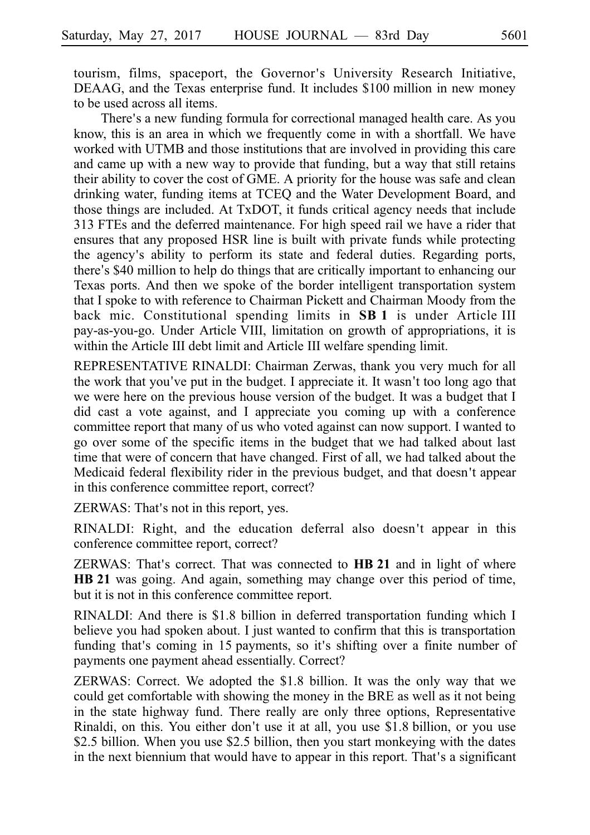tourism, films, spaceport, the Governor's University Research Initiative, DEAAG, and the Texas enterprise fund. It includes \$100 million in new money to be used across all items.

There's a new funding formula for correctional managed health care. As you know, this is an area in which we frequently come in with a shortfall. We have worked with UTMB and those institutions that are involved in providing this care and came up with a new way to provide that funding, but a way that still retains their ability to cover the cost of GME. A priority for the house was safe and clean drinking water, funding items at TCEQ and the Water Development Board, and those things are included. At TxDOT, it funds critical agency needs that include 313 FTEs and the deferred maintenance. For high speed rail we have a rider that ensures that any proposed HSR line is built with private funds while protecting the agency's ability to perform its state and federal duties. Regarding ports, there's \$40 million to help do things that are critically important to enhancing our Texas ports. And then we spoke of the border intelligent transportation system that I spoke to with reference to Chairman Pickett and Chairman Moody from the back mic. Constitutional spending limits in **SB 1** is under Article III pay-as-you-go. Under Article VIII, limitation on growth of appropriations, it is within the Article III debt limit and Article III welfare spending limit.

REPRESENTATIVE RINALDI: Chairman Zerwas, thank you very much for all the work that you've put in the budget. I appreciate it. It wasn't too long ago that we were here on the previous house version of the budget. It was a budget that I did cast a vote against, and I appreciate you coming up with a conference committee report that many of us who voted against can now support. I wanted to go over some of the specific items in the budget that we had talked about last time that were of concern that have changed. First of all, we had talked about the Medicaid federal flexibility rider in the previous budget, and that doesn't appear in this conference committee report, correct?

ZERWAS: That's not in this report, yes.

RINALDI: Right, and the education deferral also doesn ' t appear in this conference committee report, correct?

ZERWAS: That's correct. That was connected to **HB 21** and in light of where **HB** 21 was going. And again, something may change over this period of time, but it is not in this conference committee report.

RINALDI: And there is \$1.8 billion in deferred transportation funding which I believe you had spoken about. I just wanted to confirm that this is transportation funding that's coming in 15 payments, so it's shifting over a finite number of payments one payment ahead essentially. Correct?

ZERWAS: Correct. We adopted the \$1.8 billion. It was the only way that we could get comfortable with showing the money in the BRE as well as it not being in the state highway fund. There really are only three options, Representative Rinaldi, on this. You either don't use it at all, you use \$1.8 billion, or you use \$2.5 billion. When you use \$2.5 billion, then you start monkeying with the dates in the next biennium that would have to appear in this report. That's a significant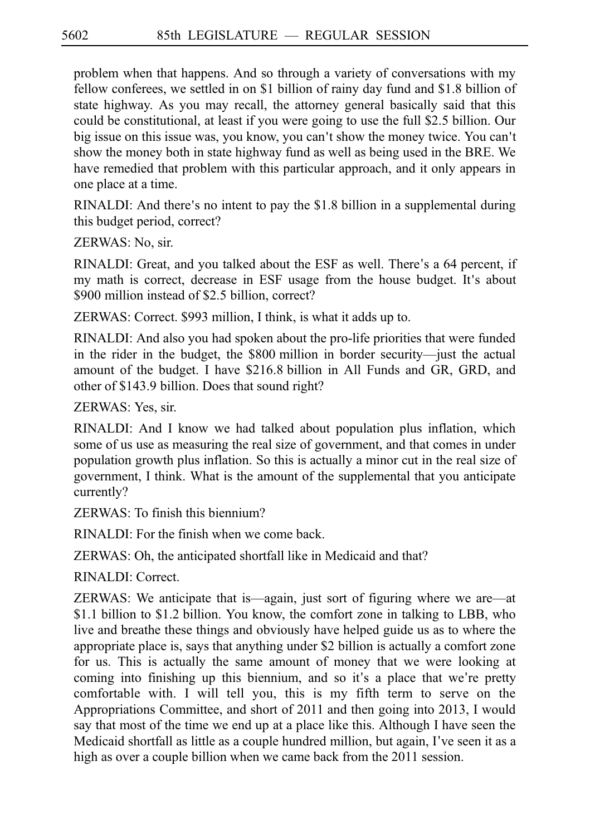problem when that happens. And so through a variety of conversations with my fellow conferees, we settled in on  $$1$  billion of rainy day fund and  $$1.8$  billion of state highway. As you may recall, the attorney general basically said that this could be constitutional, at least if you were going to use the full \$2.5 billion. Our big issue on this issue was, you know, you can't show the money twice. You can't show the money both in state highway fund as well as being used in the BRE. We have remedied that problem with this particular approach, and it only appears in one place at a time.

RINALDI: And there's no intent to pay the  $$1.8$  billion in a supplemental during this budget period, correct?

ZERWAS: No, sir.

RINALDI: Great, and you talked about the ESF as well. There's a 64 percent, if my math is correct, decrease in ESF usage from the house budget. It's about \$900 million instead of \$2.5 billion, correct?

ZERWAS: Correct. \$993 million, I think, is what it adds up to.

RINALDI: And also you had spoken about the pro-life priorities that were funded in the rider in the budget, the \$800 million in border security—just the actual amount of the budget. I have \$216.8 billion in All Funds and GR, GRD, and other of \$143.9 billion. Does that sound right?

ZERWAS: Yes, sir.

RINALDI: And I know we had talked about population plus inflation, which some of us use as measuring the real size of government, and that comes in under population growth plus inflation. So this is actually a minor cut in the real size of government, I think. What is the amount of the supplemental that you anticipate currently?

ZERWAS: To finish this biennium?

RINALDI: For the finish when we come back.

ZERWAS: Oh, the anticipated shortfall like in Medicaid and that?

RINALDI: Correct.

ZERWAS: We anticipate that is––again, just sort of figuring where we are––at \$1.1 billion to \$1.2 billion. You know, the comfort zone in talking to LBB, who live and breathe these things and obviously have helped guide us as to where the appropriate place is, says that anything under \$2 billion is actually a comfort zone for us. This is actually the same amount of money that we were looking at coming into finishing up this biennium, and so it's a place that we're pretty comfortable with. I will tell you, this is my fifth term to serve on the Appropriations Committee, and short of 2011 and then going into 2013, I would say that most of the time we end up at a place like this. Although I have seen the Medicaid shortfall as little as a couple hundred million, but again, I've seen it as a high as over a couple billion when we came back from the 2011 session.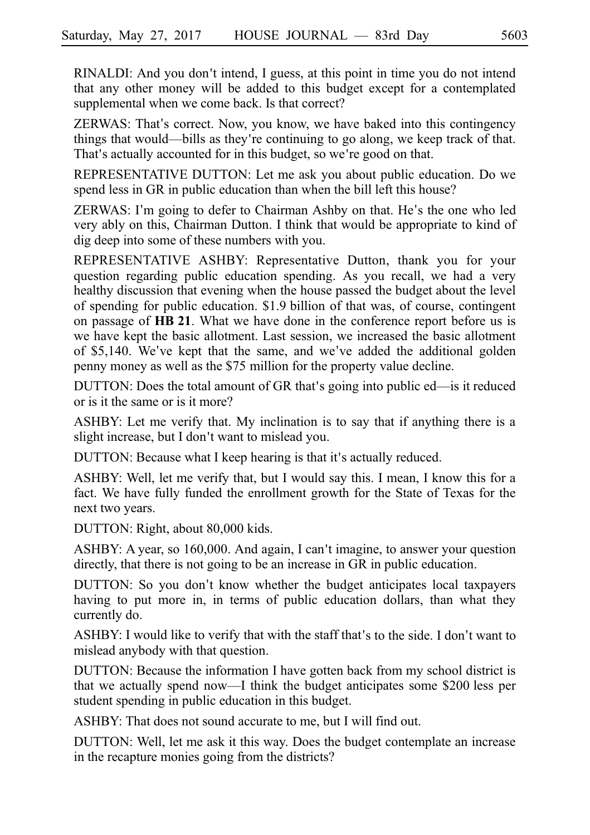RINALDI: And you don't intend, I guess, at this point in time you do not intend that any other money will be added to this budget except for a contemplated supplemental when we come back. Is that correct?

ZERWAS: That's correct. Now, you know, we have baked into this contingency things that would—bills as they're continuing to go along, we keep track of that. That's actually accounted for in this budget, so we're good on that.

REPRESENTATIVE DUTTON: Let me ask you about public education. Do we spend less in GR in public education than when the bill left this house?

ZERWAS: I'm going to defer to Chairman Ashby on that. He's the one who led very ably on this, Chairman Dutton. I think that would be appropriate to kind of dig deep into some of these numbers with you.

REPRESENTATIVE ASHBY: Representative Dutton, thank you for your question regarding public education spending. As you recall, we had a very healthy discussion that evening when the house passed the budget about the level of spending for public education.  $$1.9$  billion of that was, of course, contingent on passage of **HB 21**. What we have done in the conference report before us is we have kept the basic allotment. Last session, we increased the basic allotment of \$5,140. We've kept that the same, and we've added the additional golden penny money as well as the \$75 million for the property value decline.

DUTTON: Does the total amount of GR that's going into public ed—is it reduced or is it the same or is it more?

ASHBY: Let me verify that. My inclination is to say that if anything there is a slight increase, but I don't want to mislead you.

DUTTON: Because what I keep hearing is that it's actually reduced.

ASHBY: Well, let me verify that, but I would say this. I mean, I know this for a fact. We have fully funded the enrollment growth for the State of Texas for the next two years.

DUTTON: Right, about 80,000 kids.

ASHBY: A year, so 160,000. And again, I can t imagine, to answer your question ' directly, that there is not going to be an increase in GR in public education.

DUTTON: So you don't know whether the budget anticipates local taxpayers having to put more in, in terms of public education dollars, than what they currently do.

ASHBY: I would like to verify that with the staff that's to the side. I don't want to mislead anybody with that question.

DUTTON: Because the information I have gotten back from my school district is that we actually spend now—I think the budget anticipates some  $$200$  less per student spending in public education in this budget.

ASHBY: That does not sound accurate to me, but I will find out.

DUTTON: Well, let me ask it this way. Does the budget contemplate an increase in the recapture monies going from the districts?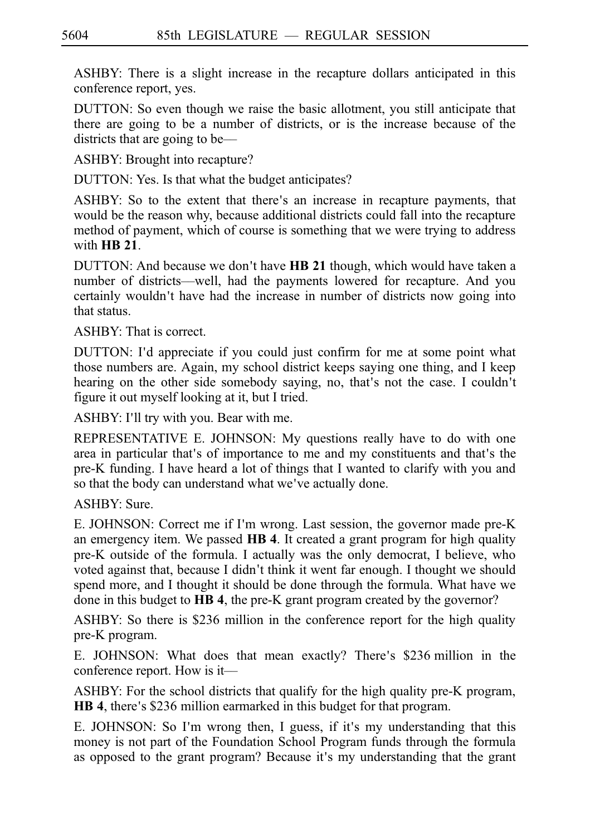ASHBY: There is a slight increase in the recapture dollars anticipated in this conference report, yes.

DUTTON: So even though we raise the basic allotment, you still anticipate that there are going to be a number of districts, or is the increase because of the districts that are going to be—

ASHBY: Brought into recapture?

DUTTON: Yes. Is that what the budget anticipates?

ASHBY: So to the extent that there's an increase in recapture payments, that would be the reason why, because additional districts could fall into the recapture method of payment, which of course is something that we were trying to address with **HBi21**.

DUTTON: And because we don't have **HB 21** though, which would have taken a number of districts––well, had the payments lowered for recapture. And you certainly wouldn't have had the increase in number of districts now going into that status.

ASHBY: That is correct.

DUTTON: I'd appreciate if you could just confirm for me at some point what those numbers are. Again, my school district keeps saying one thing, and I keep hearing on the other side somebody saying, no, that's not the case. I couldn't figure it out myself looking at it, but I tried.

ASHBY: I'll try with you. Bear with me.

REPRESENTATIVE E. JOHNSON: My questions really have to do with one area in particular that's of importance to me and my constituents and that's the pre-K funding. I have heard a lot of things that I wanted to clarify with you and so that the body can understand what we've actually done.

ASHBY: Sure.

E. JOHNSON: Correct me if I'm wrong. Last session, the governor made pre-K an emergency item. We passed **HB 4**. It created a grant program for high quality pre-K outside of the formula. I actually was the only democrat, I believe, who voted against that, because I didn't think it went far enough. I thought we should spend more, and I thought it should be done through the formula. What have we done in this budget to **HB 4**, the pre-K grant program created by the governor?

ASHBY: So there is \$236 million in the conference report for the high quality pre-K program.

E. JOHNSON: What does that mean exactly? There's \$236 million in the conference report. How is it—

ASHBY: For the school districts that qualify for the high quality pre-K program, **HB 4**, there's \$236 million earmarked in this budget for that program.

E. JOHNSON: So I'm wrong then, I guess, if it's my understanding that this money is not part of the Foundation School Program funds through the formula as opposed to the grant program? Because it's my understanding that the grant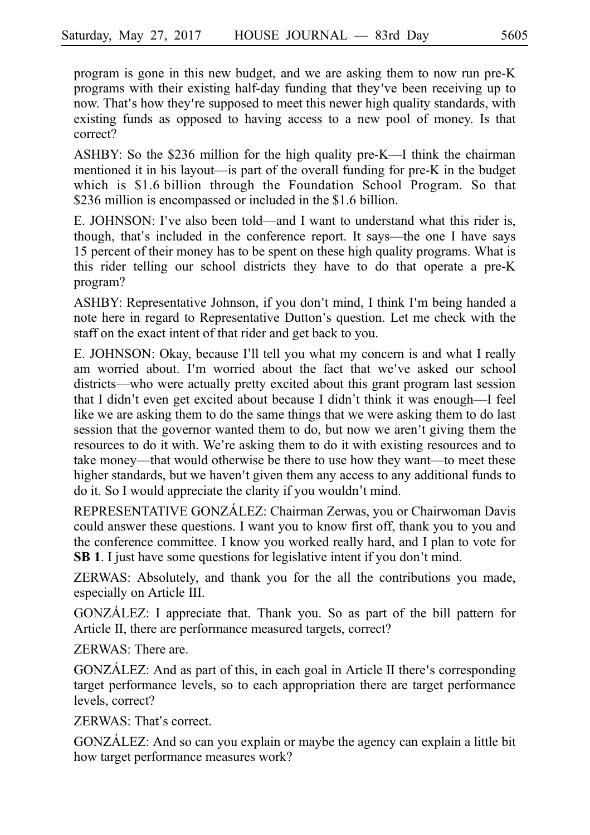program is gone in this new budget, and we are asking them to now run pre-K programs with their existing half-day funding that they ve been receiving up to ' now. That's how they're supposed to meet this newer high quality standards, with existing funds as opposed to having access to a new pool of money. Is that correct?

ASHBY: So the \$236 million for the high quality pre-K––I think the chairman mentioned it in his layout—is part of the overall funding for pre-K in the budget which is  $$1.6$  billion through the Foundation School Program. So that \$236 million is encompassed or included in the \$1.6 billion.

E. JOHNSON: I've also been told—and I want to understand what this rider is, though, that's included in the conference report. It says—the one I have says 15 percent of their money has to be spent on these high quality programs. What is this rider telling our school districts they have to do that operate a pre-K program?

ASHBY: Representative Johnson, if you don't mind, I think I'm being handed a note here in regard to Representative Dutton's question. Let me check with the staff on the exact intent of that rider and get back to you.

E. JOHNSON: Okay, because I'll tell you what my concern is and what I really am worried about. I'm worried about the fact that we've asked our school districts––who were actually pretty excited about this grant program last session that I didn't even get excited about because I didn't think it was enough—I feel like we are asking them to do the same things that we were asking them to do last session that the governor wanted them to do, but now we aren't giving them the resources to do it with. We're asking them to do it with existing resources and to take money––that would otherwise be there to use how they want––to meet these higher standards, but we haven't given them any access to any additional funds to do it. So I would appreciate the clarity if you wouldn't mind.

REPRESENTATIVE GONZÁLEZ: Chairman Zerwas, you or Chairwoman Davis could answer these questions. I want you to know first off, thank you to you and the conference committee. I know you worked really hard, and I plan to vote for **SB 1**. I just have some questions for legislative intent if you don't mind.

ZERWAS: Absolutely, and thank you for the all the contributions you made, especially on Article III.

GONZALEZ: I appreciate that. Thank you. So as part of the bill pattern for Article II, there are performance measured targets, correct?

ZERWAS: There are.

GONZÁLEZ: And as part of this, in each goal in Article II there's corresponding target performance levels, so to each appropriation there are target performance levels, correct?

ZERWAS: That's correct.

GONZALEZ: And so can you explain or maybe the agency can explain a little bit how target performance measures work?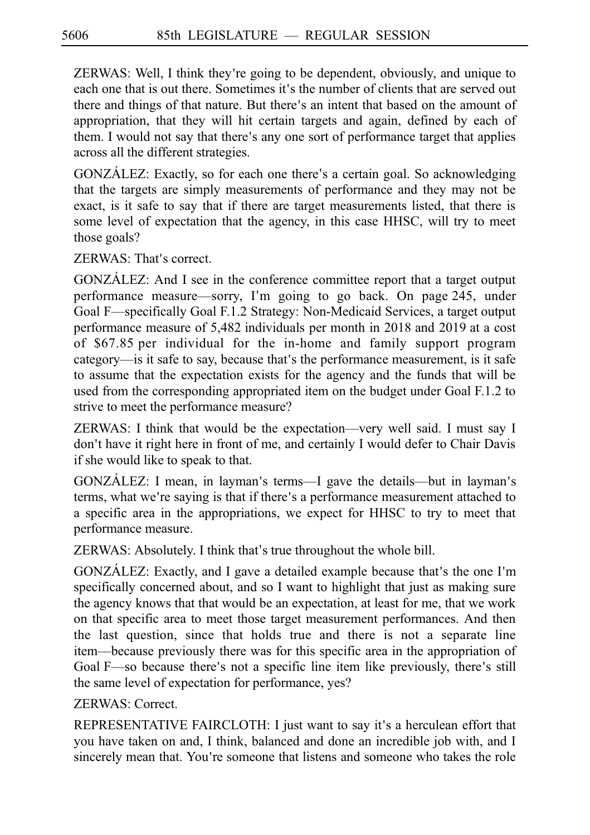ZERWAS: Well, I think they re going to be dependent, obviously, and unique to ' each one that is out there. Sometimes it's the number of clients that are served out there and things of that nature. But there's an intent that based on the amount of appropriation, that they will hit certain targets and again, defined by each of them. I would not say that there's any one sort of performance target that applies across all the different strategies.

GONZÁLEZ: Exactly, so for each one there's a certain goal. So acknowledging that the targets are simply measurements of performance and they may not be exact, is it safe to say that if there are target measurements listed, that there is some level of expectation that the agency, in this case HHSC, will try to meet those goals?

ZERWAS: That's correct.

GONZÁLEZ: And I see in the conference committee report that a target output performance measure—sorry, I'm going to go back. On page 245, under Goal F—specifically Goal F.1.2 Strategy: Non-Medicaid Services, a target output performance measure of 5,482 individuals per month in 2018 and 2019 at a cost of  $$67.85$  per individual for the in-home and family support program category—is it safe to say, because that's the performance measurement, is it safe to assume that the expectation exists for the agency and the funds that will be used from the corresponding appropriated item on the budget under Goal F.1.2 to strive to meet the performance measure?

ZERWAS: I think that would be the expectation––very well said. I must say I don't have it right here in front of me, and certainly I would defer to Chair Davis if she would like to speak to that.

GONZÁLEZ: I mean, in layman's terms—I gave the details—but in layman's terms, what we're saying is that if there's a performance measurement attached to a specific area in the appropriations, we expect for HHSC to try to meet that performance measure.

ZERWAS: Absolutely. I think that's true throughout the whole bill.

GONZÁLEZ: Exactly, and I gave a detailed example because that's the one I'm specifically concerned about, and so I want to highlight that just as making sure the agency knows that that would be an expectation, at least for me, that we work on that specific area to meet those target measurement performances. And then the last question, since that holds true and there is not a separate line item––because previously there was for this specific area in the appropriation of Goal F—so because there's not a specific line item like previously, there's still the same level of expectation for performance, yes?

ZERWAS: Correct.

REPRESENTATIVE FAIRCLOTH: I just want to say it's a herculean effort that you have taken on and, I think, balanced and done an incredible job with, and I sincerely mean that. You're someone that listens and someone who takes the role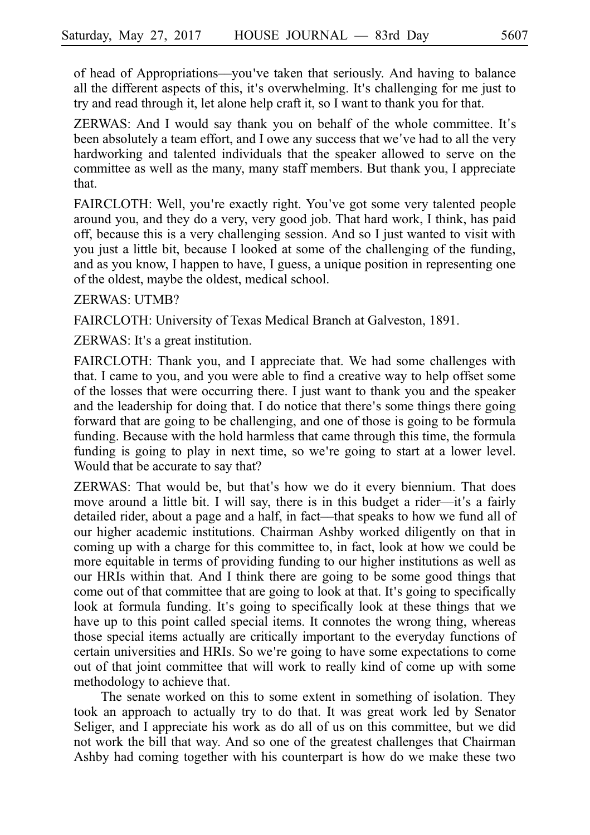of head of Appropriations––you ve taken that seriously. And having to balance ' all the different aspects of this, it's overwhelming. It's challenging for me just to try and read through it, let alone help craft it, so I want to thank you for that.

ZERWAS: And I would say thank you on behalf of the whole committee. It s' been absolutely a team effort, and I owe any success that we've had to all the very hardworking and talented individuals that the speaker allowed to serve on the committee as well as the many, many staff members. But thank you, I appreciate that.

FAIRCLOTH: Well, you're exactly right. You've got some very talented people around you, and they do a very, very good job. That hard work, I think, has paid off, because this is a very challenging session. And so I just wanted to visit with you just a little bit, because I looked at some of the challenging of the funding, and as you know, I happen to have, I guess, a unique position in representing one of the oldest, maybe the oldest, medical school.

#### ZERWAS: UTMB?

FAIRCLOTH: University of Texas Medical Branch at Galveston, 1891.

ZERWAS: It's a great institution.

FAIRCLOTH: Thank you, and I appreciate that. We had some challenges with that. I came to you, and you were able to find a creative way to help offset some of the losses that were occurring there. I just want to thank you and the speaker and the leadership for doing that. I do notice that there's some things there going forward that are going to be challenging, and one of those is going to be formula funding. Because with the hold harmless that came through this time, the formula funding is going to play in next time, so we're going to start at a lower level. Would that be accurate to say that?

ZERWAS: That would be, but that's how we do it every biennium. That does move around a little bit. I will say, there is in this budget a rider—it's a fairly detailed rider, about a page and a half, in fact—that speaks to how we fund all of our higher academic institutions. Chairman Ashby worked diligently on that in coming up with a charge for this committee to, in fact, look at how we could be more equitable in terms of providing funding to our higher institutions as well as our HRIs within that. And I think there are going to be some good things that come out of that committee that are going to look at that. It's going to specifically look at formula funding. It's going to specifically look at these things that we have up to this point called special items. It connotes the wrong thing, whereas those special items actually are critically important to the everyday functions of certain universities and HRIs. So we're going to have some expectations to come out of that joint committee that will work to really kind of come up with some methodology to achieve that.

The senate worked on this to some extent in something of isolation. They took an approach to actually try to do that. It was great work led by Senator Seliger, and I appreciate his work as do all of us on this committee, but we did not work the bill that way. And so one of the greatest challenges that Chairman Ashby had coming together with his counterpart is how do we make these two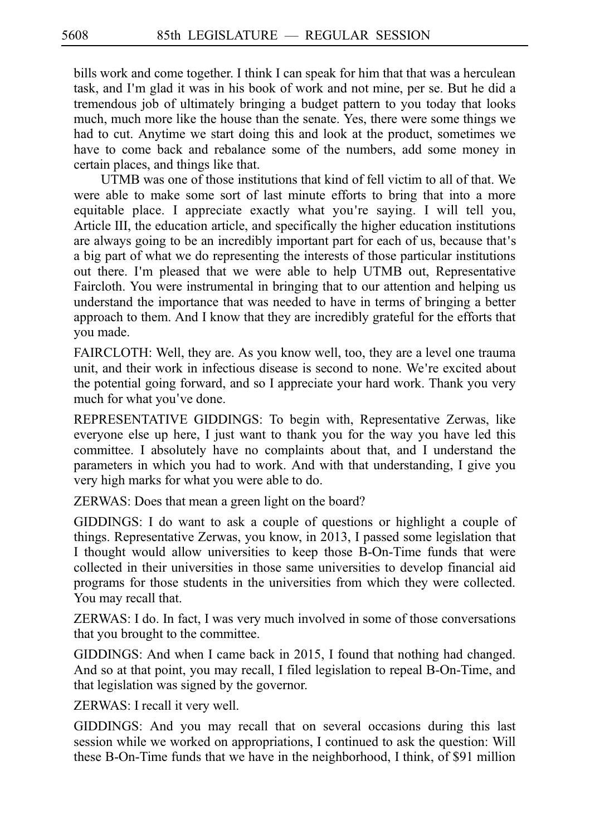bills work and come together. I think I can speak for him that that was a herculean task, and I'm glad it was in his book of work and not mine, per se. But he did a tremendous job of ultimately bringing a budget pattern to you today that looks much, much more like the house than the senate. Yes, there were some things we had to cut. Anytime we start doing this and look at the product, sometimes we have to come back and rebalance some of the numbers, add some money in certain places, and things like that.

UTMB was one of those institutions that kind of fell victim to all of that. We were able to make some sort of last minute efforts to bring that into a more equitable place. I appreciate exactly what you're saying. I will tell you, Article III, the education article, and specifically the higher education institutions are always going to be an incredibly important part for each of us, because that's a big part of what we do representing the interests of those particular institutions out there. I'm pleased that we were able to help UTMB out, Representative Faircloth. You were instrumental in bringing that to our attention and helping us understand the importance that was needed to have in terms of bringing a better approach to them. And I know that they are incredibly grateful for the efforts that you made.

FAIRCLOTH: Well, they are. As you know well, too, they are a level one trauma unit, and their work in infectious disease is second to none. We re excited about ' the potential going forward, and so I appreciate your hard work. Thank you very much for what you've done.

REPRESENTATIVE GIDDINGS: To begin with, Representative Zerwas, like everyone else up here, I just want to thank you for the way you have led this committee. I absolutely have no complaints about that, and I understand the parameters in which you had to work. And with that understanding, I give you very high marks for what you were able to do.

ZERWAS: Does that mean a green light on the board?

GIDDINGS: I do want to ask a couple of questions or highlight a couple of things. Representative Zerwas, you know, in 2013, I passed some legislation that I thought would allow universities to keep those B-On-Time funds that were collected in their universities in those same universities to develop financial aid programs for those students in the universities from which they were collected. You may recall that.

ZERWAS: I do. In fact, I was very much involved in some of those conversations that you brought to the committee.

GIDDINGS: And when I came back in 2015, I found that nothing had changed. And so at that point, you may recall, I filed legislation to repeal B-On-Time, and that legislation was signed by the governor.

ZERWAS: I recall it very well.

GIDDINGS: And you may recall that on several occasions during this last session while we worked on appropriations, I continued to ask the question: Will these B-On-Time funds that we have in the neighborhood, I think, of \$91 million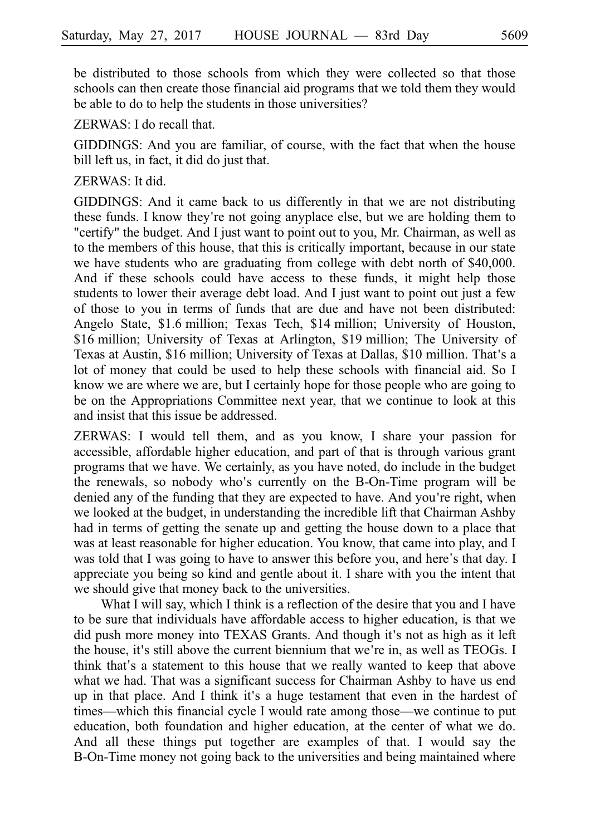be distributed to those schools from which they were collected so that those schools can then create those financial aid programs that we told them they would be able to do to help the students in those universities?

ZERWAS: I do recall that.

GIDDINGS: And you are familiar, of course, with the fact that when the house bill left us, in fact, it did do just that.

#### ZERWAS: It did.

GIDDINGS: And it came back to us differently in that we are not distributing these funds. I know they're not going anyplace else, but we are holding them to "certify" the budget. And I just want to point out to you, Mr. Chairman, as well as to the members of this house, that this is critically important, because in our state we have students who are graduating from college with debt north of \$40,000. And if these schools could have access to these funds, it might help those students to lower their average debt load. And I just want to point out just a few of those to you in terms of funds that are due and have not been distributed: Angelo State, \$1.6 million; Texas Tech, \$14 million; University of Houston, \$16 million; University of Texas at Arlington, \$19 million; The University of Texas at Austin, \$16 million; University of Texas at Dallas, \$10 million. That's a lot of money that could be used to help these schools with financial aid. So I know we are where we are, but I certainly hope for those people who are going to be on the Appropriations Committee next year, that we continue to look at this and insist that this issue be addressed.

ZERWAS: I would tell them, and as you know, I share your passion for accessible, affordable higher education, and part of that is through various grant programs that we have. We certainly, as you have noted, do include in the budget the renewals, so nobody who's currently on the B-On-Time program will be denied any of the funding that they are expected to have. And you're right, when we looked at the budget, in understanding the incredible lift that Chairman Ashby had in terms of getting the senate up and getting the house down to a place that was at least reasonable for higher education. You know, that came into play, and I was told that I was going to have to answer this before you, and here's that day. I appreciate you being so kind and gentle about it. I share with you the intent that we should give that money back to the universities.

What I will say, which I think is a reflection of the desire that you and I have to be sure that individuals have affordable access to higher education, is that we did push more money into TEXAS Grants. And though it's not as high as it left the house, it's still above the current biennium that we're in, as well as TEOGs. I think that's a statement to this house that we really wanted to keep that above what we had. That was a significant success for Chairman Ashby to have us end up in that place. And I think it's a huge testament that even in the hardest of times––which this financial cycle I would rate among those––we continue to put education, both foundation and higher education, at the center of what we do. And all these things put together are examples of that. I would say the B-On-Time money not going back to the universities and being maintained where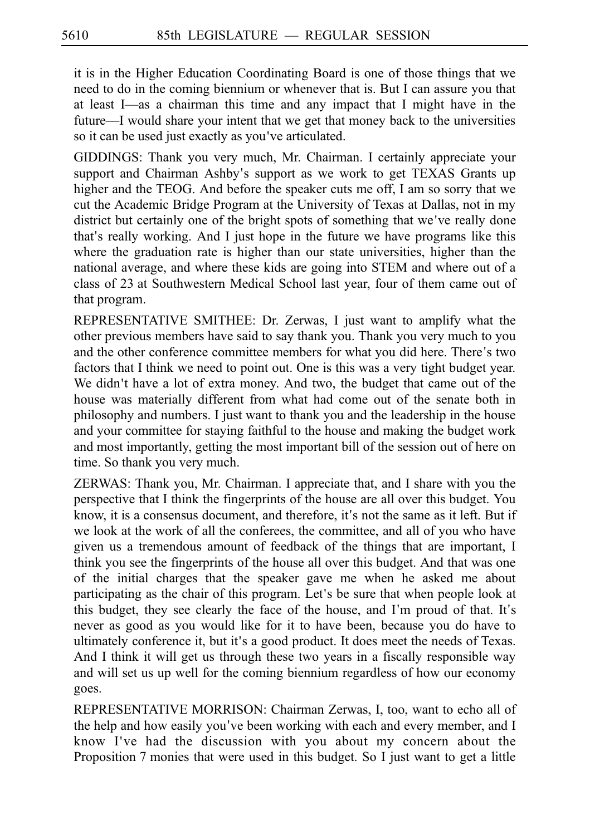it is in the Higher Education Coordinating Board is one of those things that we need to do in the coming biennium or whenever that is. But I can assure you that at least I––as a chairman this time and any impact that I might have in the future––I would share your intent that we get that money back to the universities so it can be used just exactly as you've articulated.

GIDDINGS: Thank you very much, Mr. Chairman. I certainly appreciate your support and Chairman Ashby's support as we work to get TEXAS Grants up higher and the TEOG. And before the speaker cuts me off, I am so sorry that we cut the Academic Bridge Program at the University of Texas at Dallas, not in my district but certainly one of the bright spots of something that we ve really done ' that's really working. And I just hope in the future we have programs like this where the graduation rate is higher than our state universities, higher than the national average, and where these kids are going into STEM and where out of a class of 23 at Southwestern Medical School last year, four of them came out of that program.

REPRESENTATIVE SMITHEE: Dr. Zerwas, I just want to amplify what the other previous members have said to say thank you. Thank you very much to you and the other conference committee members for what you did here. There's two factors that I think we need to point out. One is this was a very tight budget year. We didn't have a lot of extra money. And two, the budget that came out of the house was materially different from what had come out of the senate both in philosophy and numbers. I just want to thank you and the leadership in the house and your committee for staying faithful to the house and making the budget work and most importantly, getting the most important bill of the session out of here on time. So thank you very much.

ZERWAS: Thank you, Mr. Chairman. I appreciate that, and I share with you the perspective that I think the fingerprints of the house are all over this budget. You know, it is a consensus document, and therefore, it's not the same as it left. But if we look at the work of all the conferees, the committee, and all of you who have given us a tremendous amount of feedback of the things that are important, I think you see the fingerprints of the house all over this budget. And that was one of the initial charges that the speaker gave me when he asked me about participating as the chair of this program. Let's be sure that when people look at this budget, they see clearly the face of the house, and I'm proud of that. It's never as good as you would like for it to have been, because you do have to ultimately conference it, but it's a good product. It does meet the needs of Texas. And I think it will get us through these two years in a fiscally responsible way and will set us up well for the coming biennium regardless of how our economy goes.

REPRESENTATIVE MORRISON: Chairman Zerwas, I, too, want to echo all of the help and how easily you've been working with each and every member, and I know I've had the discussion with you about my concern about the Proposition 7 monies that were used in this budget. So I just want to get a little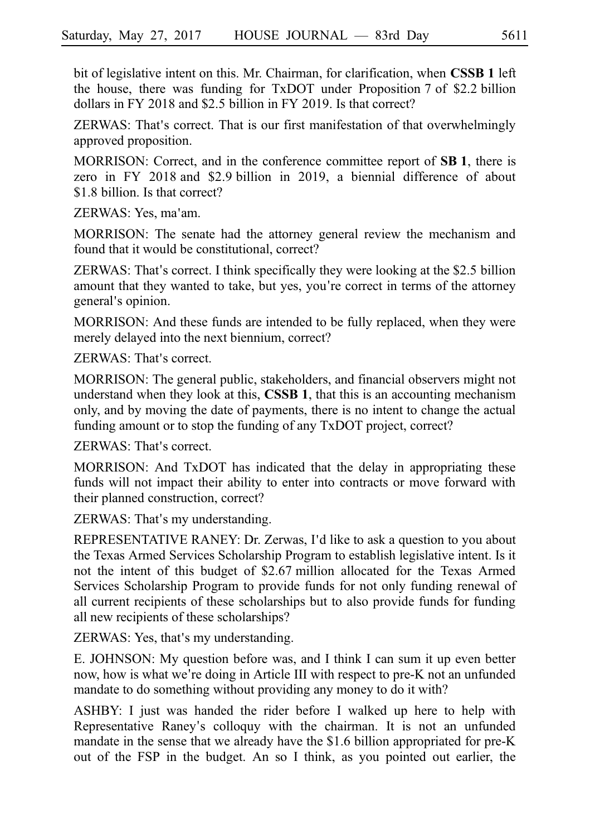bit of legislative intent on this. Mr. Chairman, for clarification, when **CSSB 1** left the house, there was funding for TxDOT under Proposition 7 of \$2.2 billion dollars in FY 2018 and \$2.5 billion in FY 2019. Is that correct?

ZERWAS: That's correct. That is our first manifestation of that overwhelmingly approved proposition.

MORRISON: Correct, and in the conference committee report of **SBi1**, there is zero in FY 2018 and \$2.9 billion in 2019, a biennial difference of about \$1.8 billion. Is that correct?

ZERWAS: Yes, ma'am.

MORRISON: The senate had the attorney general review the mechanism and found that it would be constitutional, correct?

ZERWAS: That's correct. I think specifically they were looking at the  $$2.5$  billion amount that they wanted to take, but yes, you're correct in terms of the attorney general's opinion.

MORRISON: And these funds are intended to be fully replaced, when they were merely delayed into the next biennium, correct?

ZERWAS: That's correct.

MORRISON: The general public, stakeholders, and financial observers might not understand when they look at this, **CSSBi1**, that this is an accounting mechanism only, and by moving the date of payments, there is no intent to change the actual funding amount or to stop the funding of any TxDOT project, correct?

 $ZERWAS$  That's correct.

MORRISON: And TxDOT has indicated that the delay in appropriating these funds will not impact their ability to enter into contracts or move forward with their planned construction, correct?

ZERWAS: That's my understanding.

REPRESENTATIVE RANEY: Dr. Zerwas, I d like to ask a question to you about ' the Texas Armed Services Scholarship Program to establish legislative intent. Is it not the intent of this budget of \$2.67 million allocated for the Texas Armed Services Scholarship Program to provide funds for not only funding renewal of all current recipients of these scholarships but to also provide funds for funding all new recipients of these scholarships?

ZERWAS: Yes, that's my understanding.

E. JOHNSON: My question before was, and I think I can sum it up even better now, how is what we're doing in Article III with respect to pre-K not an unfunded mandate to do something without providing any money to do it with?

ASHBY: I just was handed the rider before I walked up here to help with Representative Raney's colloquy with the chairman. It is not an unfunded mandate in the sense that we already have the  $$1.6$  billion appropriated for pre-K out of the FSP in the budget. An so I think, as you pointed out earlier, the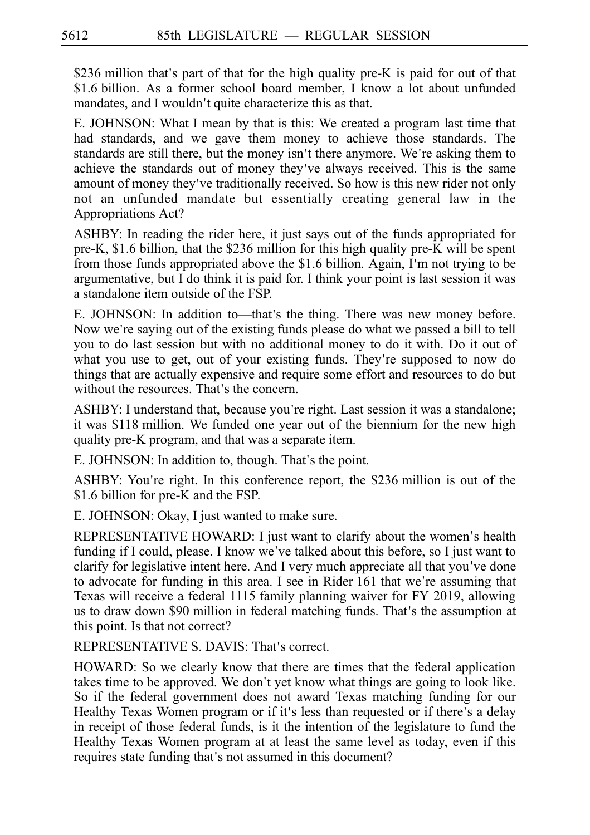$$236$  million that's part of that for the high quality pre-K is paid for out of that \$1.6 billion. As a former school board member, I know a lot about unfunded mandates, and I wouldn't quite characterize this as that.

E. JOHNSON: What I mean by that is this: We created a program last time that had standards, and we gave them money to achieve those standards. The standards are still there, but the money isn't there anymore. We're asking them to achieve the standards out of money they ve always received. This is the same ' amount of money they ve traditionally received. So how is this new rider not only ' not an unfunded mandate but essentially creating general law in the Appropriations Act?

ASHBY: In reading the rider here, it just says out of the funds appropriated for pre-K,  $$1.6$  billion, that the  $$236$  million for this high quality pre-K will be spent from those funds appropriated above the  $$1.6$  billion. Again, I'm not trying to be argumentative, but I do think it is paid for. I think your point is last session it was a standalone item outside of the FSP.

E. JOHNSON: In addition to—that's the thing. There was new money before. Now we're saying out of the existing funds please do what we passed a bill to tell you to do last session but with no additional money to do it with. Do it out of what you use to get, out of your existing funds. They're supposed to now do things that are actually expensive and require some effort and resources to do but without the resources. That's the concern.

ASHBY: I understand that, because you re right. Last session it was a standalone; ' it was \$118 million. We funded one year out of the biennium for the new high quality pre-K program, and that was a separate item.

E. JOHNSON: In addition to, though. That's the point.

ASHBY: You're right. In this conference report, the \$236 million is out of the \$1.6 billion for pre-K and the FSP.

E. JOHNSON: Okay, I just wanted to make sure.

REPRESENTATIVE HOWARD: I just want to clarify about the women's health funding if I could, please. I know we've talked about this before, so I just want to clarify for legislative intent here. And I very much appreciate all that you ve done ' to advocate for funding in this area. I see in Rider 161 that we're assuming that Texas will receive a federal 1115 family planning waiver for FY 2019, allowing us to draw down \$90 million in federal matching funds. That's the assumption at this point. Is that not correct?

REPRESENTATIVE S. DAVIS: That's correct.

HOWARD: So we clearly know that there are times that the federal application takes time to be approved. We don't yet know what things are going to look like. So if the federal government does not award Texas matching funding for our Healthy Texas Women program or if it's less than requested or if there's a delay in receipt of those federal funds, is it the intention of the legislature to fund the Healthy Texas Women program at at least the same level as today, even if this requires state funding that's not assumed in this document?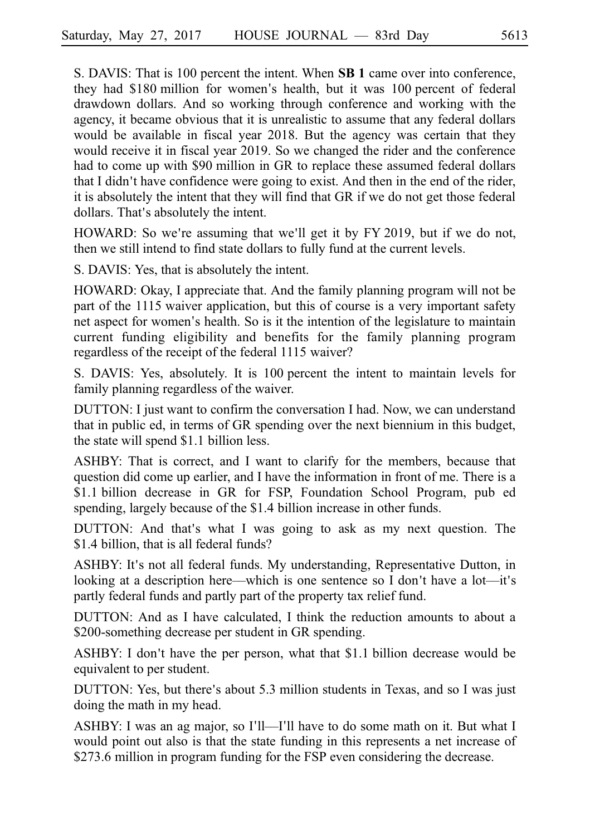S. DAVIS: That is 100 percent the intent. When **SB 1** came over into conference, they had \$180 million for women's health, but it was 100 percent of federal drawdown dollars. And so working through conference and working with the agency, it became obvious that it is unrealistic to assume that any federal dollars would be available in fiscal year 2018. But the agency was certain that they would receive it in fiscal year 2019. So we changed the rider and the conference had to come up with \$90 million in GR to replace these assumed federal dollars that I didn't have confidence were going to exist. And then in the end of the rider, it is absolutely the intent that they will find that GR if we do not get those federal dollars. That's absolutely the intent.

HOWARD: So we're assuming that we'll get it by FY 2019, but if we do not, then we still intend to find state dollars to fully fund at the current levels.

S. DAVIS: Yes, that is absolutely the intent.

HOWARD: Okay, I appreciate that. And the family planning program will not be part of the 1115 waiver application, but this of course is a very important safety net aspect for women's health. So is it the intention of the legislature to maintain current funding eligibility and benefits for the family planning program regardless of the receipt of the federal 1115 waiver?

S. DAVIS: Yes, absolutely. It is 100 percent the intent to maintain levels for family planning regardless of the waiver.

DUTTON: I just want to confirm the conversation I had. Now, we can understand that in public ed, in terms of GR spending over the next biennium in this budget, the state will spend \$1.1 billion less.

ASHBY: That is correct, and I want to clarify for the members, because that question did come up earlier, and I have the information in front of me. There is a \$1.1 billion decrease in GR for FSP, Foundation School Program, pub ed spending, largely because of the \$1.4 billion increase in other funds.

DUTTON: And that's what I was going to ask as my next question. The \$1.4 billion, that is all federal funds?

ASHBY: It's not all federal funds. My understanding, Representative Dutton, in looking at a description here—which is one sentence so I don't have a lot—it's partly federal funds and partly part of the property tax relief fund.

DUTTON: And as I have calculated, I think the reduction amounts to about a \$200-something decrease per student in GR spending.

ASHBY: I don't have the per person, what that \$1.1 billion decrease would be equivalent to per student.

DUTTON: Yes, but there's about 5.3 million students in Texas, and so I was just doing the math in my head.

ASHBY: I was an ag major, so I'll—I'll have to do some math on it. But what I would point out also is that the state funding in this represents a net increase of \$273.6 million in program funding for the FSP even considering the decrease.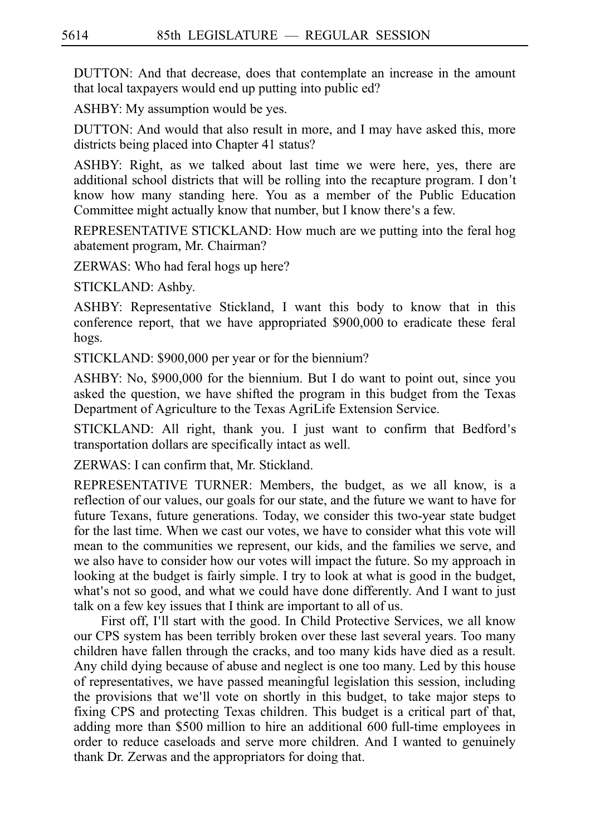DUTTON: And that decrease, does that contemplate an increase in the amount that local taxpayers would end up putting into public ed?

ASHBY: My assumption would be yes.

DUTTON: And would that also result in more, and I may have asked this, more districts being placed into Chapter 41 status?

ASHBY: Right, as we talked about last time we were here, yes, there are additional school districts that will be rolling into the recapture program. I don t' know how many standing here. You as a member of the Public Education Committee might actually know that number, but I know there's a few.

REPRESENTATIVE STICKLAND: How much are we putting into the feral hog abatement program, Mr. Chairman?

ZERWAS: Who had feral hogs up here?

STICKLAND: Ashby.

ASHBY: Representative Stickland, I want this body to know that in this conference report, that we have appropriated \$900,000 to eradicate these feral hogs.

STICKLAND: \$900,000 per year or for the biennium?

ASHBY: No, \$900,000 for the biennium. But I do want to point out, since you asked the question, we have shifted the program in this budget from the Texas Department of Agriculture to the Texas AgriLife Extension Service.

STICKLAND: All right, thank you. I just want to confirm that Bedford s' transportation dollars are specifically intact as well.

ZERWAS: I can confirm that, Mr. Stickland.

REPRESENTATIVE TURNER: Members, the budget, as we all know, is a reflection of our values, our goals for our state, and the future we want to have for future Texans, future generations. Today, we consider this two-year state budget for the last time. When we cast our votes, we have to consider what this vote will mean to the communities we represent, our kids, and the families we serve, and we also have to consider how our votes will impact the future. So my approach in looking at the budget is fairly simple. I try to look at what is good in the budget, what's not so good, and what we could have done differently. And I want to just talk on a few key issues that I think are important to all of us.

First off, I'll start with the good. In Child Protective Services, we all know our CPS system has been terribly broken over these last several years. Too many children have fallen through the cracks, and too many kids have died as a result. Any child dying because of abuse and neglect is one too many. Led by this house of representatives, we have passed meaningful legislation this session, including the provisions that we'll vote on shortly in this budget, to take major steps to fixing CPS and protecting Texas children. This budget is a critical part of that, adding more than \$500 million to hire an additional 600 full-time employees in order to reduce caseloads and serve more children. And I wanted to genuinely thank Dr. Zerwas and the appropriators for doing that.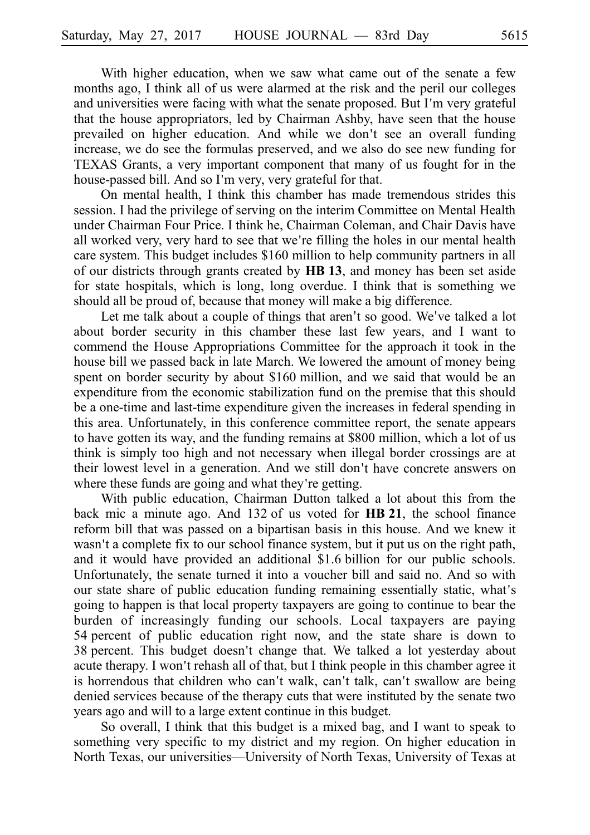With higher education, when we saw what came out of the senate a few months ago, I think all of us were alarmed at the risk and the peril our colleges and universities were facing with what the senate proposed. But I'm very grateful that the house appropriators, led by Chairman Ashby, have seen that the house prevailed on higher education. And while we don't see an overall funding increase, we do see the formulas preserved, and we also do see new funding for TEXAS Grants, a very important component that many of us fought for in the house-passed bill. And so I'm very, very grateful for that.

On mental health, I think this chamber has made tremendous strides this session. I had the privilege of serving on the interim Committee on Mental Health under Chairman Four Price. I think he, Chairman Coleman, and Chair Davis have all worked very, very hard to see that we're filling the holes in our mental health care system. This budget includes \$160 million to help community partners in all of our districts through grants created by **HBi13**, and money has been set aside for state hospitals, which is long, long overdue. I think that is something we should all be proud of, because that money will make a big difference.

Let me talk about a couple of things that aren't so good. We've talked a lot about border security in this chamber these last few years, and I want to commend the House Appropriations Committee for the approach it took in the house bill we passed back in late March. We lowered the amount of money being spent on border security by about \$160 million, and we said that would be an expenditure from the economic stabilization fund on the premise that this should be a one-time and last-time expenditure given the increases in federal spending in this area. Unfortunately, in this conference committee report, the senate appears to have gotten its way, and the funding remains at \$800 million, which a lot of us think is simply too high and not necessary when illegal border crossings are at their lowest level in a generation. And we still don't have concrete answers on where these funds are going and what they're getting.

With public education, Chairman Dutton talked a lot about this from the back mic a minute ago. And 132 of us voted for **HB 21**, the school finance reform bill that was passed on a bipartisan basis in this house. And we knew it wasn't a complete fix to our school finance system, but it put us on the right path, and it would have provided an additional \$1.6 billion for our public schools. Unfortunately, the senate turned it into a voucher bill and said no. And so with our state share of public education funding remaining essentially static, what's going to happen is that local property taxpayers are going to continue to bear the burden of increasingly funding our schools. Local taxpayers are paying 54 percent of public education right now, and the state share is down to 38 percent. This budget doesn't change that. We talked a lot yesterday about acute therapy. I won't rehash all of that, but I think people in this chamber agree it is horrendous that children who can't walk, can't talk, can't swallow are being denied services because of the therapy cuts that were instituted by the senate two years ago and will to a large extent continue in this budget.

So overall, I think that this budget is a mixed bag, and I want to speak to something very specific to my district and my region. On higher education in North Texas, our universities––University of North Texas, University of Texas at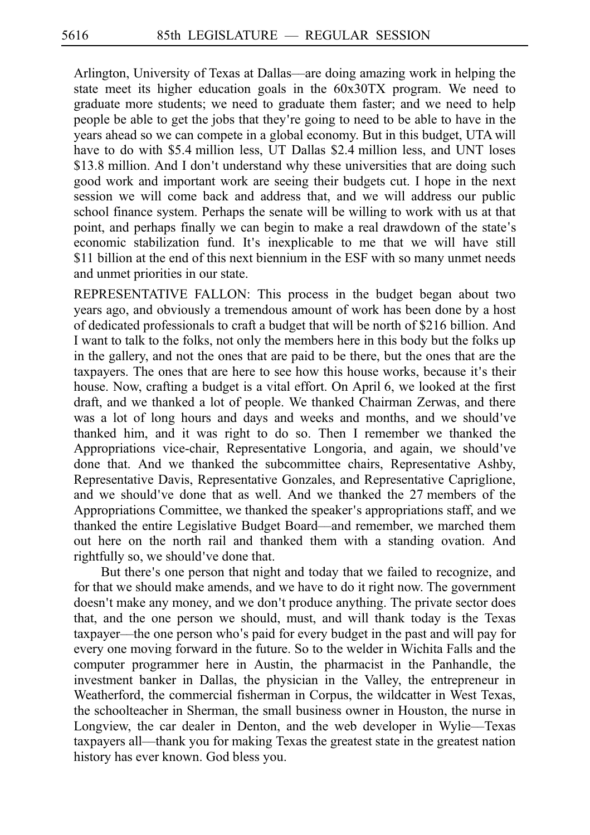Arlington, University of Texas at Dallas––are doing amazing work in helping the state meet its higher education goals in the 60x30TX program. We need to graduate more students; we need to graduate them faster; and we need to help people be able to get the jobs that they're going to need to be able to have in the years ahead so we can compete in a global economy. But in this budget, UTA will have to do with \$5.4 million less, UT Dallas \$2.4 million less, and UNT loses \$13.8 million. And I don't understand why these universities that are doing such good work and important work are seeing their budgets cut. I hope in the next session we will come back and address that, and we will address our public school finance system. Perhaps the senate will be willing to work with us at that point, and perhaps finally we can begin to make a real drawdown of the state's economic stabilization fund. It's inexplicable to me that we will have still \$11 billion at the end of this next biennium in the ESF with so many unmet needs and unmet priorities in our state.

REPRESENTATIVE FALLON: This process in the budget began about two years ago, and obviously a tremendous amount of work has been done by a host of dedicated professionals to craft a budget that will be north of \$216 billion. And I want to talk to the folks, not only the members here in this body but the folks up in the gallery, and not the ones that are paid to be there, but the ones that are the taxpayers. The ones that are here to see how this house works, because it's their house. Now, crafting a budget is a vital effort. On April 6, we looked at the first draft, and we thanked a lot of people. We thanked Chairman Zerwas, and there was a lot of long hours and days and weeks and months, and we should ve' thanked him, and it was right to do so. Then I remember we thanked the Appropriations vice-chair, Representative Longoria, and again, we should ve' done that. And we thanked the subcommittee chairs, Representative Ashby, Representative Davis, Representative Gonzales, and Representative Capriglione, and we should've done that as well. And we thanked the 27 members of the Appropriations Committee, we thanked the speaker's appropriations staff, and we thanked the entire Legislative Budget Board––and remember, we marched them out here on the north rail and thanked them with a standing ovation. And rightfully so, we should've done that.

But there's one person that night and today that we failed to recognize, and for that we should make amends, and we have to do it right now. The government doesn't make any money, and we don't produce anything. The private sector does that, and the one person we should, must, and will thank today is the Texas taxpayer—the one person who's paid for every budget in the past and will pay for every one moving forward in the future. So to the welder in Wichita Falls and the computer programmer here in Austin, the pharmacist in the Panhandle, the investment banker in Dallas, the physician in the Valley, the entrepreneur in Weatherford, the commercial fisherman in Corpus, the wildcatter in West Texas, the schoolteacher in Sherman, the small business owner in Houston, the nurse in Longview, the car dealer in Denton, and the web developer in Wylie––Texas taxpayers all––thank you for making Texas the greatest state in the greatest nation history has ever known. God bless you.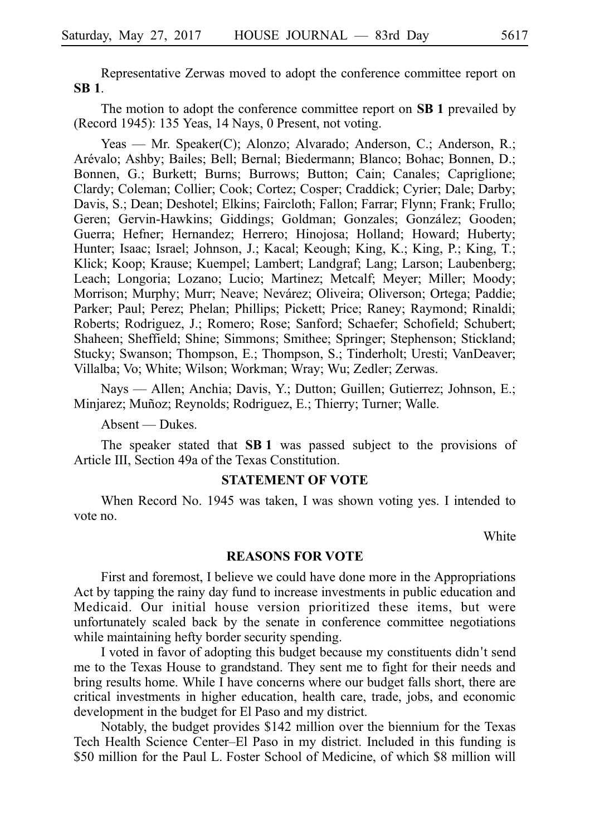Representative Zerwas moved to adopt the conference committee report on **SBi1**.

The motion to adopt the conference committee report on **SB 1** prevailed by (Record 1945): 135 Yeas, 14 Nays, 0 Present, not voting.

Yeas — Mr. Speaker(C); Alonzo; Alvarado; Anderson, C.; Anderson, R.; Are´valo; Ashby; Bailes; Bell; Bernal; Biedermann; Blanco; Bohac; Bonnen, D.; Bonnen, G.; Burkett; Burns; Burrows; Button; Cain; Canales; Capriglione; Clardy; Coleman; Collier; Cook; Cortez; Cosper; Craddick; Cyrier; Dale; Darby; Davis, S.; Dean; Deshotel; Elkins; Faircloth; Fallon; Farrar; Flynn; Frank; Frullo; Geren; Gervin-Hawkins; Giddings; Goldman; Gonzales; González; Gooden; Guerra; Hefner; Hernandez; Herrero; Hinojosa; Holland; Howard; Huberty; Hunter; Isaac; Israel; Johnson, J.; Kacal; Keough; King, K.; King, P.; King, T.; Klick; Koop; Krause; Kuempel; Lambert; Landgraf; Lang; Larson; Laubenberg; Leach; Longoria; Lozano; Lucio; Martinez; Metcalf; Meyer; Miller; Moody; Morrison; Murphy; Murr; Neave; Nevárez; Oliveira; Oliverson; Ortega; Paddie; Parker; Paul; Perez; Phelan; Phillips; Pickett; Price; Raney; Raymond; Rinaldi; Roberts; Rodriguez, J.; Romero; Rose; Sanford; Schaefer; Schofield; Schubert; Shaheen; Sheffield; Shine; Simmons; Smithee; Springer; Stephenson; Stickland; Stucky; Swanson; Thompson, E.; Thompson, S.; Tinderholt; Uresti; VanDeaver; Villalba; Vo; White; Wilson; Workman; Wray; Wu; Zedler; Zerwas.

Nays — Allen; Anchia; Davis, Y.; Dutton; Guillen; Gutierrez; Johnson, E.; Minjarez; Muñoz; Reynolds; Rodriguez, E.; Thierry; Turner; Walle.

Absent — Dukes.

The speaker stated that **SB1** was passed subject to the provisions of Article III, Section 49a of the Texas Constitution.

#### **STATEMENT OF VOTE**

When Record No. 1945 was taken, I was shown voting yes. I intended to vote no.

**White** 

#### **REASONS FOR VOTE**

First and foremost, I believe we could have done more in the Appropriations Act by tapping the rainy day fund to increase investments in public education and Medicaid. Our initial house version prioritized these items, but were unfortunately scaled back by the senate in conference committee negotiations while maintaining hefty border security spending.

I voted in favor of adopting this budget because my constituents didn't send me to the Texas House to grandstand. They sent me to fight for their needs and bring results home. While I have concerns where our budget falls short, there are critical investments in higher education, health care, trade, jobs, and economic development in the budget for El Paso and my district.

Notably, the budget provides \$142 million over the biennium for the Texas Tech Health Science Center–El Paso in my district. Included in this funding is \$50 million for the Paul L. Foster School of Medicine, of which \$8 million will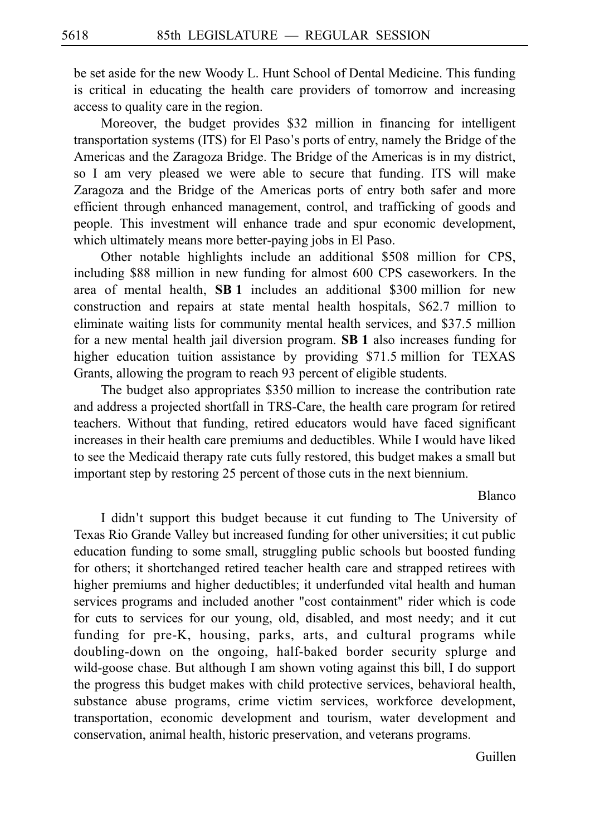be set aside for the new Woody L. Hunt School of Dental Medicine. This funding is critical in educating the health care providers of tomorrow and increasing access to quality care in the region.

Moreover, the budget provides \$32 million in financing for intelligent transportation systems (ITS) for El Paso's ports of entry, namely the Bridge of the Americas and the Zaragoza Bridge. The Bridge of the Americas is in my district, so I am very pleased we were able to secure that funding. ITS will make Zaragoza and the Bridge of the Americas ports of entry both safer and more efficient through enhanced management, control, and trafficking of goods and people. This investment will enhance trade and spur economic development, which ultimately means more better-paying jobs in El Paso.

Other notable highlights include an additional \$508 million for CPS, including \$88 million in new funding for almost 600 CPS caseworkers. In the area of mental health,  $SB1$  includes an additional \$300 million for new construction and repairs at state mental health hospitals, \$62.7 million to eliminate waiting lists for community mental health services, and \$37.5 million for a new mental health jail diversion program. **SBi1** also increases funding for higher education tuition assistance by providing  $$71.5$  million for TEXAS Grants, allowing the program to reach 93 percent of eligible students.

The budget also appropriates \$350 million to increase the contribution rate and address a projected shortfall in TRS-Care, the health care program for retired teachers. Without that funding, retired educators would have faced significant increases in their health care premiums and deductibles. While I would have liked to see the Medicaid therapy rate cuts fully restored, this budget makes a small but important step by restoring 25 percent of those cuts in the next biennium.

#### Blanco

I didn't support this budget because it cut funding to The University of Texas Rio Grande Valley but increased funding for other universities; it cut public education funding to some small, struggling public schools but boosted funding for others; it shortchanged retired teacher health care and strapped retirees with higher premiums and higher deductibles; it underfunded vital health and human services programs and included another "cost containment" rider which is code for cuts to services for our young, old, disabled, and most needy; and it cut funding for pre-K, housing, parks, arts, and cultural programs while doubling-down on the ongoing, half-baked border security splurge and wild-goose chase. But although I am shown voting against this bill, I do support the progress this budget makes with child protective services, behavioral health, substance abuse programs, crime victim services, workforce development, transportation, economic development and tourism, water development and conservation, animal health, historic preservation, and veterans programs.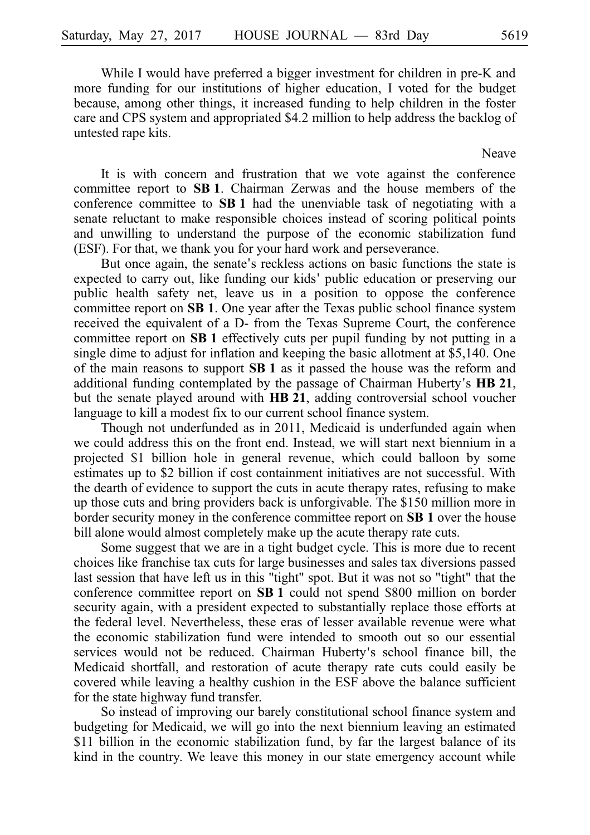While I would have preferred a bigger investment for children in pre-K and more funding for our institutions of higher education, I voted for the budget because, among other things, it increased funding to help children in the foster care and CPS system and appropriated \$4.2 million to help address the backlog of untested rape kits.

Neave

It is with concern and frustration that we vote against the conference committee report to SB 1. Chairman Zerwas and the house members of the conference committee to **SBi1** had the unenviable task of negotiating with a senate reluctant to make responsible choices instead of scoring political points and unwilling to understand the purpose of the economic stabilization fund (ESF). For that, we thank you for your hard work and perseverance.

But once again, the senate's reckless actions on basic functions the state is expected to carry out, like funding our kids' public education or preserving our public health safety net, leave us in a position to oppose the conference committee report on **SB 1**. One year after the Texas public school finance system received the equivalent of a D- from the Texas Supreme Court, the conference committee report on **SB 1** effectively cuts per pupil funding by not putting in a single dime to adjust for inflation and keeping the basic allotment at \$5,140. One of the main reasons to support **SBi1** as it passed the house was the reform and additional funding contemplated by the passage of Chairman Huberty's HB 21, but the senate played around with **HB 21**, adding controversial school voucher language to kill a modest fix to our current school finance system.

Though not underfunded as in 2011, Medicaid is underfunded again when we could address this on the front end. Instead, we will start next biennium in a projected \$1 billion hole in general revenue, which could balloon by some estimates up to \$2 billion if cost containment initiatives are not successful. With the dearth of evidence to support the cuts in acute therapy rates, refusing to make up those cuts and bring providers back is unforgivable. The \$150 million more in border security money in the conference committee report on SB 1 over the house bill alone would almost completely make up the acute therapy rate cuts.

Some suggest that we are in a tight budget cycle. This is more due to recent choices like franchise tax cuts for large businesses and sales tax diversions passed last session that have left us in this "tight" spot. But it was not so "tight" that the conference committee report on **SBi1** could not spend \$800 million on border security again, with a president expected to substantially replace those efforts at the federal level. Nevertheless, these eras of lesser available revenue were what the economic stabilization fund were intended to smooth out so our essential services would not be reduced. Chairman Huberty's school finance bill, the Medicaid shortfall, and restoration of acute therapy rate cuts could easily be covered while leaving a healthy cushion in the ESF above the balance sufficient for the state highway fund transfer.

So instead of improving our barely constitutional school finance system and budgeting for Medicaid, we will go into the next biennium leaving an estimated \$11 billion in the economic stabilization fund, by far the largest balance of its kind in the country. We leave this money in our state emergency account while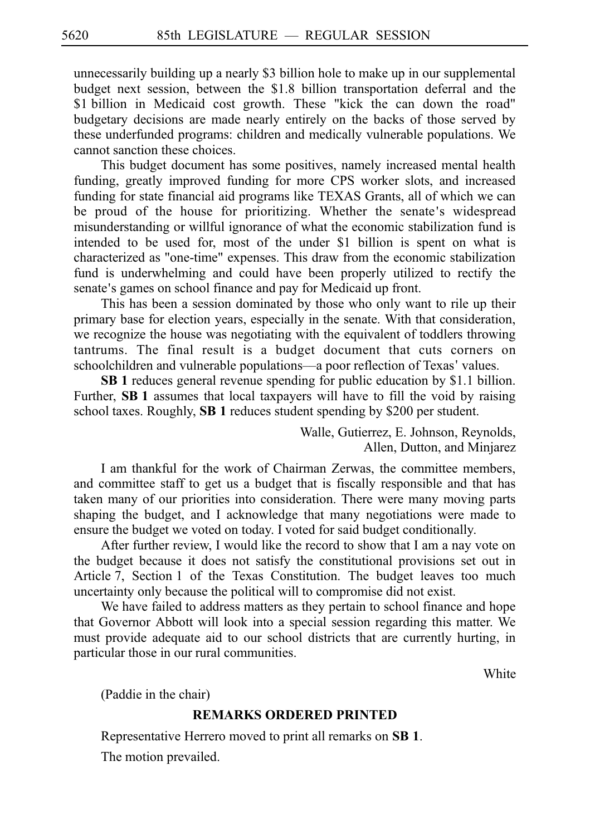unnecessarily building up a nearly \$3 billion hole to make up in our supplemental budget next session, between the \$1.8 billion transportation deferral and the \$1 billion in Medicaid cost growth. These "kick the can down the road" budgetary decisions are made nearly entirely on the backs of those served by these underfunded programs: children and medically vulnerable populations. We cannot sanction these choices.

This budget document has some positives, namely increased mental health funding, greatly improved funding for more CPS worker slots, and increased funding for state financial aid programs like TEXAS Grants, all of which we can be proud of the house for prioritizing. Whether the senate's widespread misunderstanding or willful ignorance of what the economic stabilization fund is intended to be used for, most of the under \$1 billion is spent on what is characterized as "one-time" expenses. This draw from the economic stabilization fund is underwhelming and could have been properly utilized to rectify the senate's games on school finance and pay for Medicaid up front.

This has been a session dominated by those who only want to rile up their primary base for election years, especially in the senate. With that consideration, we recognize the house was negotiating with the equivalent of toddlers throwing tantrums. The final result is a budget document that cuts corners on schoolchildren and vulnerable populations—a poor reflection of Texas' values.

**SB 1** reduces general revenue spending for public education by \$1.1 billion. Further, SB 1 assumes that local taxpayers will have to fill the void by raising school taxes. Roughly, SB 1 reduces student spending by \$200 per student.

> Walle, Gutierrez, E. Johnson, Reynolds, Allen, Dutton, and Minjarez

I am thankful for the work of Chairman Zerwas, the committee members, and committee staff to get us a budget that is fiscally responsible and that has taken many of our priorities into consideration. There were many moving parts shaping the budget, and I acknowledge that many negotiations were made to ensure the budget we voted on today. I voted for said budget conditionally.

After further review, I would like the record to show that I am a nay vote on the budget because it does not satisfy the constitutional provisions set out in Article 7, Section 1 of the Texas Constitution. The budget leaves too much uncertainty only because the political will to compromise did not exist.

We have failed to address matters as they pertain to school finance and hope that Governor Abbott will look into a special session regarding this matter. We must provide adequate aid to our school districts that are currently hurting, in particular those in our rural communities.

White

(Paddie in the chair)

## **REMARKS ORDERED PRINTED**

Representative Herrero moved to print all remarks on **SBi1**.

The motion prevailed.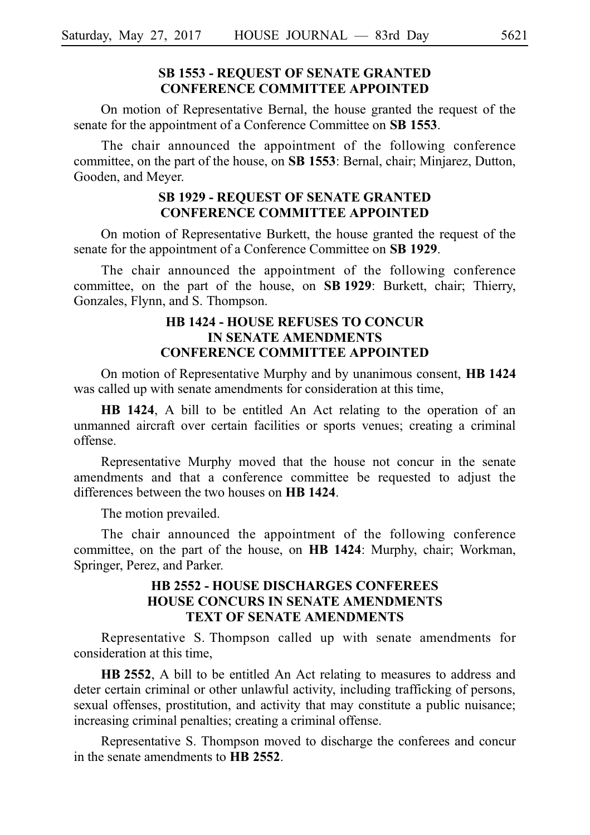# **SB 1553 - REQUEST OF SENATE GRANTED CONFERENCE COMMITTEE APPOINTED**

On motion of Representative Bernal, the house granted the request of the senate for the appointment of a Conference Committee on **SB 1553**.

The chair announced the appointment of the following conference committee, on the part of the house, on **SB 1553**: Bernal, chair; Minjarez, Dutton, Gooden, and Meyer.

## **SB 1929 - REQUEST OF SENATE GRANTED CONFERENCE COMMITTEE APPOINTED**

On motion of Representative Burkett, the house granted the request of the senate for the appointment of a Conference Committee on **SB 1929**.

The chair announced the appointment of the following conference committee, on the part of the house, on **SBi1929**: Burkett, chair; Thierry, Gonzales, Flynn, and S. Thompson.

# **HB 1424 - HOUSE REFUSES TO CONCUR IN SENATE AMENDMENTS CONFERENCE COMMITTEE APPOINTED**

On motion of Representative Murphy and by unanimous consent, **HBi1424** was called up with senate amendments for consideration at this time,

**HB 1424**, A bill to be entitled An Act relating to the operation of an unmanned aircraft over certain facilities or sports venues; creating a criminal offense.

Representative Murphy moved that the house not concur in the senate amendments and that a conference committee be requested to adjust the differences between the two houses on **HB 1424**.

The motion prevailed.

The chair announced the appointment of the following conference committee, on the part of the house, on **HB 1424**: Murphy, chair; Workman, Springer, Perez, and Parker.

## **HB 2552 - HOUSE DISCHARGES CONFEREES HOUSE CONCURS IN SENATE AMENDMENTS TEXT OF SENATE AMENDMENTS**

Representative S. Thompson called up with senate amendments for consideration at this time,

HB 2552, A bill to be entitled An Act relating to measures to address and deter certain criminal or other unlawful activity, including trafficking of persons, sexual offenses, prostitution, and activity that may constitute a public nuisance; increasing criminal penalties; creating a criminal offense.

Representative S. Thompson moved to discharge the conferees and concur in the senate amendments to **HB** 2552.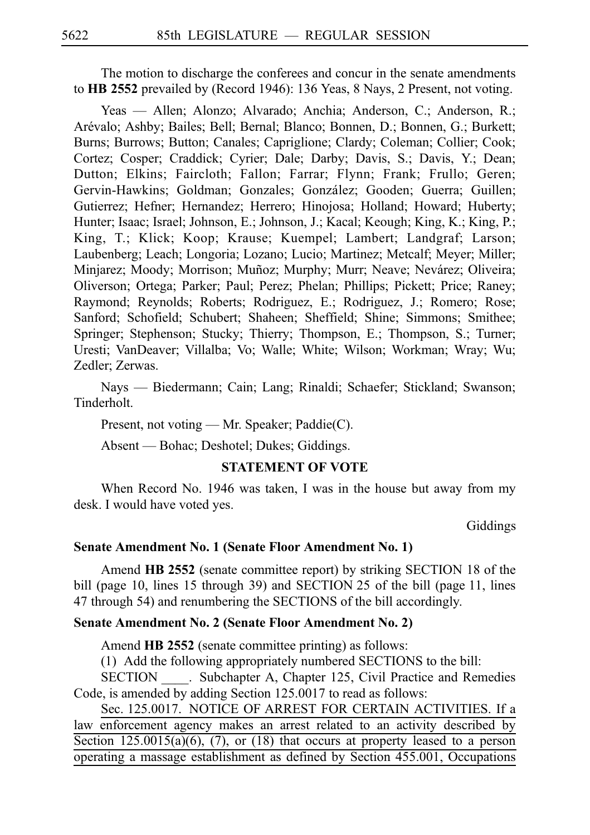The motion to discharge the conferees and concur in the senate amendments to **HB 2552** prevailed by (Record 1946): 136 Yeas, 8 Nays, 2 Present, not voting.

Yeas — Allen; Alonzo; Alvarado; Anchia; Anderson, C.; Anderson, R.; Are´valo; Ashby; Bailes; Bell; Bernal; Blanco; Bonnen, D.; Bonnen, G.; Burkett; Burns; Burrows; Button; Canales; Capriglione; Clardy; Coleman; Collier; Cook; Cortez; Cosper; Craddick; Cyrier; Dale; Darby; Davis, S.; Davis, Y.; Dean; Dutton; Elkins; Faircloth; Fallon; Farrar; Flynn; Frank; Frullo; Geren; Gervin-Hawkins; Goldman; Gonzales; González; Gooden; Guerra; Guillen; Gutierrez; Hefner; Hernandez; Herrero; Hinojosa; Holland; Howard; Huberty; Hunter; Isaac; Israel; Johnson, E.; Johnson, J.; Kacal; Keough; King, K.; King, P.; King, T.; Klick; Koop; Krause; Kuempel; Lambert; Landgraf; Larson; Laubenberg; Leach; Longoria; Lozano; Lucio; Martinez; Metcalf; Meyer; Miller; Minjarez; Moody; Morrison; Muñoz; Murphy; Murr; Neave; Nevárez; Oliveira; Oliverson; Ortega; Parker; Paul; Perez; Phelan; Phillips; Pickett; Price; Raney; Raymond; Reynolds; Roberts; Rodriguez, E.; Rodriguez, J.; Romero; Rose; Sanford; Schofield; Schubert; Shaheen; Sheffield; Shine; Simmons; Smithee; Springer; Stephenson; Stucky; Thierry; Thompson, E.; Thompson, S.; Turner; Uresti; VanDeaver; Villalba; Vo; Walle; White; Wilson; Workman; Wray; Wu; Zedler; Zerwas.

Nays — Biedermann; Cain; Lang; Rinaldi; Schaefer; Stickland; Swanson; Tinderholt.

Present, not voting — Mr. Speaker; Paddie(C).

Absent — Bohac; Deshotel; Dukes; Giddings.

#### **STATEMENT OF VOTE**

When Record No. 1946 was taken, I was in the house but away from my desk. I would have voted yes.

Giddings

#### **Senate Amendment No. 1 (Senate Floor Amendment No. 1)**

Amend **HB 2552** (senate committee report) by striking SECTION 18 of the bill (page 10, lines 15 through 39) and SECTION 25 of the bill (page 11, lines 47 through 54) and renumbering the SECTIONS of the bill accordingly.

## **Senate Amendment No. 2 (Senate Floor Amendment No. 2)**

Amend **HB 2552** (senate committee printing) as follows:

(1) Add the following appropriately numbered SECTIONS to the bill:

SECTION . Subchapter A, Chapter 125, Civil Practice and Remedies Code, is amended by adding Section 125.0017 to read as follows:

Sec. 125.0017. NOTICE OF ARREST FOR CERTAIN ACTIVITIES. If a law enforcement agency makes an arrest related to an activity described by Section  $125.0015(a)(6)$ ,  $(7)$ , or  $(18)$  that occurs at property leased to a person operating a massage establishment as defined by Section 455.001, Occupations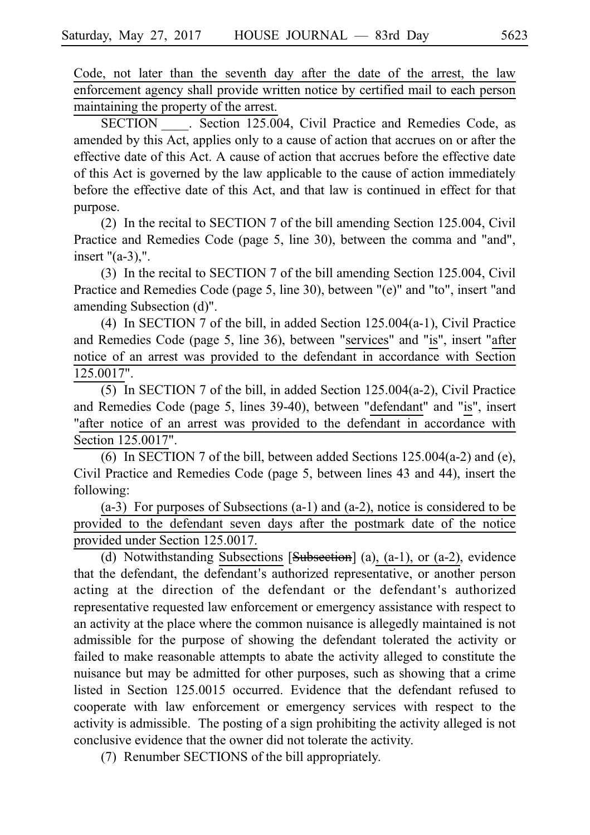Code, not later than the seventh day after the date of the arrest, the law enforcement agency shall provide written notice by certified mail to each person maintaining the property of the arrest.

SECTION Section 125.004, Civil Practice and Remedies Code, as amended by this Act, applies only to a cause of action that accrues on or after the effective date of this Act. A cause of action that accrues before the effective date of this Act is governed by the law applicable to the cause of action immediately before the effective date of this Act, and that law is continued in effect for that purpose.

(2) In the recital to SECTION 7 of the bill amending Section 125.004, Civil Practice and Remedies Code (page 5, line 30), between the comma and "and", insert "(a-3),".

(3) In the recital to SECTION 7 of the bill amending Section 125.004, Civil Practice and Remedies Code (page 5, line 30), between "(e)" and "to", insert "and amending Subsection (d)".

(4) In SECTION 7 of the bill, in added Section  $125.004(a-1)$ , Civil Practice and Remedies Code (page 5, line 36), between "services" and "is", insert "after notice of an arrest was provided to the defendant in accordance with Section 125.0017".

(5) In SECTION 7 of the bill, in added Section  $125.004(a-2)$ , Civil Practice and Remedies Code (page 5, lines 39-40), between "defendant" and "is", insert "after notice of an arrest was provided to the defendant in accordance with Section 125.0017".

(6) In SECTION 7 of the bill, between added Sections  $125.004(a-2)$  and (e), Civil Practice and Remedies Code (page 5, between lines 43 and 44), insert the following:

 $(a-3)$  For purposes of Subsections  $(a-1)$  and  $(a-2)$ , notice is considered to be provided to the defendant seven days after the postmark date of the notice provided under Section 125.0017.

(d) Notwithstanding Subsections  $[Subsection]$  (a), (a-1), or (a-2), evidence that the defendant, the defendant's authorized representative, or another person acting at the direction of the defendant or the defendant ' s authorized representative requested law enforcement or emergency assistance with respect to an activity at the place where the common nuisance is allegedly maintained is not admissible for the purpose of showing the defendant tolerated the activity or failed to make reasonable attempts to abate the activity alleged to constitute the nuisance but may be admitted for other purposes, such as showing that a crime listed in Section  $125.0015$  occurred. Evidence that the defendant refused to cooperate with law enforcement or emergency services with respect to the activity is admissible. The posting of a sign prohibiting the activity alleged is not conclusive evidence that the owner did not tolerate the activity.

(7) Renumber SECTIONS of the bill appropriately.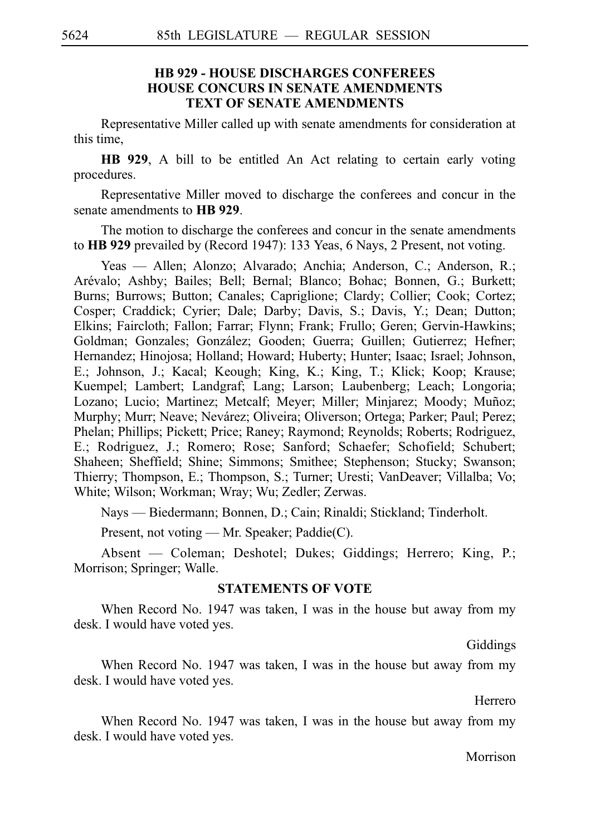## **HB 929 - HOUSE DISCHARGES CONFEREES HOUSE CONCURS IN SENATE AMENDMENTS TEXT OF SENATE AMENDMENTS**

Representative Miller called up with senate amendments for consideration at this time,

**HB 929**, A bill to be entitled An Act relating to certain early voting procedures.

Representative Miller moved to discharge the conferees and concur in the senate amendments to **HB 929**.

The motion to discharge the conferees and concur in the senate amendments to **HB 929** prevailed by (Record 1947): 133 Yeas, 6 Nays, 2 Present, not voting.

Yeas — Allen; Alonzo; Alvarado; Anchia; Anderson, C.; Anderson, R.; Arévalo; Ashby; Bailes; Bell; Bernal; Blanco; Bohac; Bonnen, G.; Burkett; Burns; Burrows; Button; Canales; Capriglione; Clardy; Collier; Cook; Cortez; Cosper; Craddick; Cyrier; Dale; Darby; Davis, S.; Davis, Y.; Dean; Dutton; Elkins; Faircloth; Fallon; Farrar; Flynn; Frank; Frullo; Geren; Gervin-Hawkins; Goldman; Gonzales; González; Gooden; Guerra; Guillen; Gutierrez; Hefner; Hernandez; Hinojosa; Holland; Howard; Huberty; Hunter; Isaac; Israel; Johnson, E.; Johnson, J.; Kacal; Keough; King, K.; King, T.; Klick; Koop; Krause; Kuempel; Lambert; Landgraf; Lang; Larson; Laubenberg; Leach; Longoria; Lozano; Lucio; Martinez; Metcalf; Meyer; Miller; Minjarez; Moody; Muñoz; Murphy; Murr; Neave; Nevárez; Oliveira; Oliverson; Ortega; Parker; Paul; Perez; Phelan; Phillips; Pickett; Price; Raney; Raymond; Reynolds; Roberts; Rodriguez, E.; Rodriguez, J.; Romero; Rose; Sanford; Schaefer; Schofield; Schubert; Shaheen; Sheffield; Shine; Simmons; Smithee; Stephenson; Stucky; Swanson; Thierry; Thompson, E.; Thompson, S.; Turner; Uresti; VanDeaver; Villalba; Vo; White; Wilson; Workman; Wray; Wu; Zedler; Zerwas.

Nays — Biedermann; Bonnen, D.; Cain; Rinaldi; Stickland; Tinderholt.

Present, not voting — Mr. Speaker; Paddie(C).

Absent — Coleman; Deshotel; Dukes; Giddings; Herrero; King, P.; Morrison; Springer; Walle.

### **STATEMENTS OF VOTE**

When Record No. 1947 was taken, I was in the house but away from my desk. I would have voted yes.

Giddings

When Record No. 1947 was taken, I was in the house but away from my desk. I would have voted yes.

**Herrero** 

When Record No. 1947 was taken, I was in the house but away from my desk. I would have voted yes.

Morrison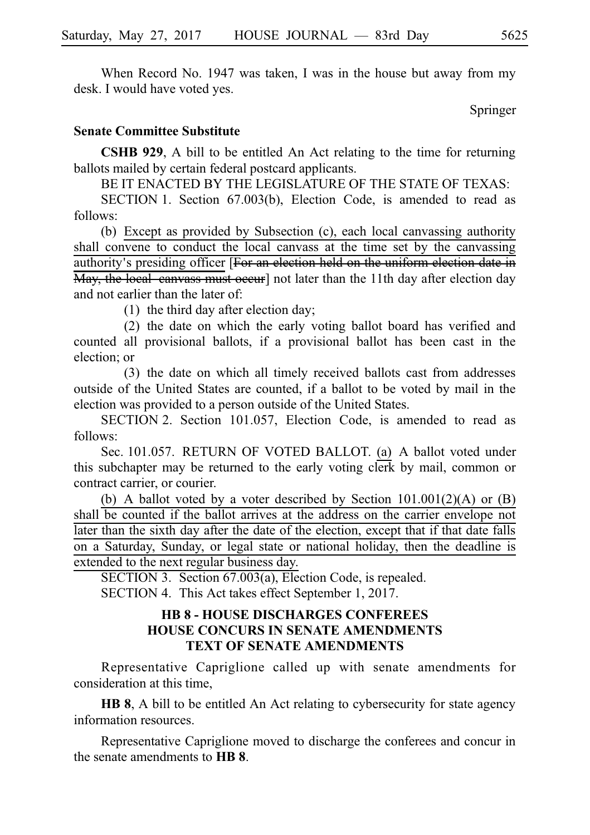When Record No. 1947 was taken, I was in the house but away from my desk. I would have voted yes.

Springer

## **Senate Committee Substitute**

**CSHB 929**, A bill to be entitled An Act relating to the time for returning ballots mailed by certain federal postcard applicants.

BE IT ENACTED BY THE LEGISLATURE OF THE STATE OF TEXAS:

SECTION 1. Section 67.003(b), Election Code, is amended to read as follows:

(b) Except as provided by Subsection  $(c)$ , each local canvassing authority shall convene to conduct the local canvass at the time set by the canvassing authority's presiding officer [For an election held on the uniform election date in May, the local canvass must occur] not later than the 11th day after election day and not earlier than the later of:

(1) the third day after election day;

(2) the date on which the early voting ballot board has verified and counted all provisional ballots, if a provisional ballot has been cast in the election; or

(3) the date on which all timely received ballots cast from addresses outside of the United States are counted, if a ballot to be voted by mail in the election was provided to a person outside of the United States.

SECTION 2. Section 101.057, Election Code, is amended to read as follows:

Sec. 101.057. RETURN OF VOTED BALLOT. (a) A ballot voted under this subchapter may be returned to the early voting clerk by mail, common or contract carrier, or courier.

(b) A ballot voted by a voter described by Section  $101.001(2)(A)$  or (B) shall be counted if the ballot arrives at the address on the carrier envelope not later than the sixth day after the date of the election, except that if that date falls on a Saturday, Sunday, or legal state or national holiday, then the deadline is extended to the next regular business day.

SECTION 3. Section  $67.003(a)$ , Election Code, is repealed. SECTION 4. This Act takes effect September 1, 2017.

# **HB 8 - HOUSE DISCHARGES CONFEREES HOUSE CONCURS IN SENATE AMENDMENTS TEXT OF SENATE AMENDMENTS**

Representative Capriglione called up with senate amendments for consideration at this time,

**HB 8**, A bill to be entitled An Act relating to cybersecurity for state agency information resources.

Representative Capriglione moved to discharge the conferees and concur in the senate amendments to **HB 8**.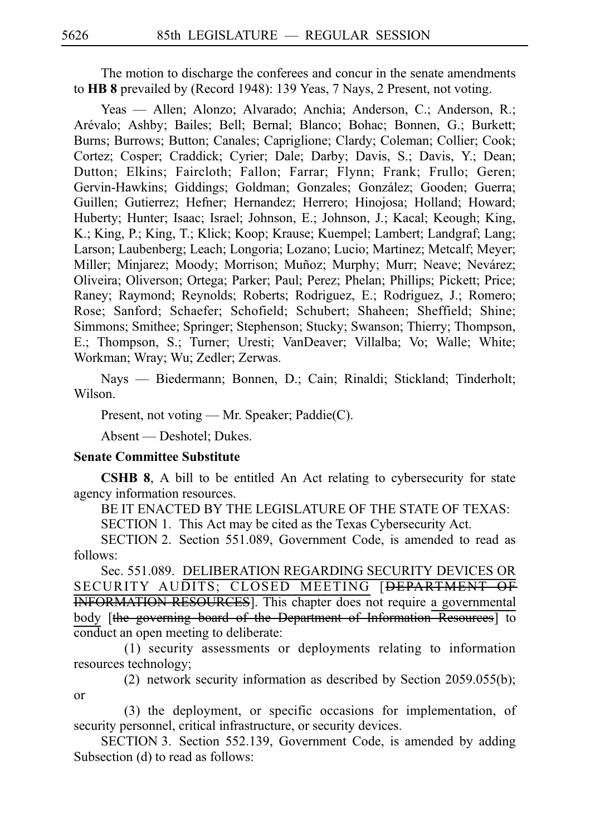The motion to discharge the conferees and concur in the senate amendments to **HB 8** prevailed by (Record 1948): 139 Yeas, 7 Nays, 2 Present, not voting.

Yeas — Allen; Alonzo; Alvarado; Anchia; Anderson, C.; Anderson, R.; Arévalo; Ashby; Bailes; Bell; Bernal; Blanco; Bohac; Bonnen, G.; Burkett; Burns; Burrows; Button; Canales; Capriglione; Clardy; Coleman; Collier; Cook; Cortez; Cosper; Craddick; Cyrier; Dale; Darby; Davis, S.; Davis, Y.; Dean; Dutton; Elkins; Faircloth; Fallon; Farrar; Flynn; Frank; Frullo; Geren; Gervin-Hawkins; Giddings; Goldman; Gonzales; González; Gooden; Guerra; Guillen; Gutierrez; Hefner; Hernandez; Herrero; Hinojosa; Holland; Howard; Huberty; Hunter; Isaac; Israel; Johnson, E.; Johnson, J.; Kacal; Keough; King, K.; King, P.; King, T.; Klick; Koop; Krause; Kuempel; Lambert; Landgraf; Lang; Larson; Laubenberg; Leach; Longoria; Lozano; Lucio; Martinez; Metcalf; Meyer; Miller; Minjarez; Moody; Morrison; Muñoz; Murphy; Murr; Neave; Nevárez; Oliveira; Oliverson; Ortega; Parker; Paul; Perez; Phelan; Phillips; Pickett; Price; Raney; Raymond; Reynolds; Roberts; Rodriguez, E.; Rodriguez, J.; Romero; Rose; Sanford; Schaefer; Schofield; Schubert; Shaheen; Sheffield; Shine; Simmons; Smithee; Springer; Stephenson; Stucky; Swanson; Thierry; Thompson, E.; Thompson, S.; Turner; Uresti; VanDeaver; Villalba; Vo; Walle; White; Workman; Wray; Wu; Zedler; Zerwas.

Nays — Biedermann; Bonnen, D.; Cain; Rinaldi; Stickland; Tinderholt; Wilson.

Present, not voting — Mr. Speaker; Paddie(C).

Absent — Deshotel; Dukes.

#### **Senate Committee Substitute**

**CSHB 8**, A bill to be entitled An Act relating to cybersecurity for state agency information resources.

BE IT ENACTED BY THE LEGISLATURE OF THE STATE OF TEXAS:

SECTION 1. This Act may be cited as the Texas Cybersecurity Act.

SECTION 2. Section 551.089, Government Code, is amended to read as follows:

Sec. 551.089. DELIBERATION REGARDING SECURITY DEVICES OR SECURITY AUDITS; CLOSED MEETING [DEPARTMENT OF INFORMATION RESOURCES]. This chapter does not require a governmental body [the governing board of the Department of Information Resources] to conduct an open meeting to deliberate:

 $(1)$  security assessments or deployments relating to information resources technology;

(2) network security information as described by Section 2059.055(b); or

(3) the deployment, or specific occasions for implementation, of security personnel, critical infrastructure, or security devices.

SECTION 3. Section 552.139, Government Code, is amended by adding Subsection (d) to read as follows: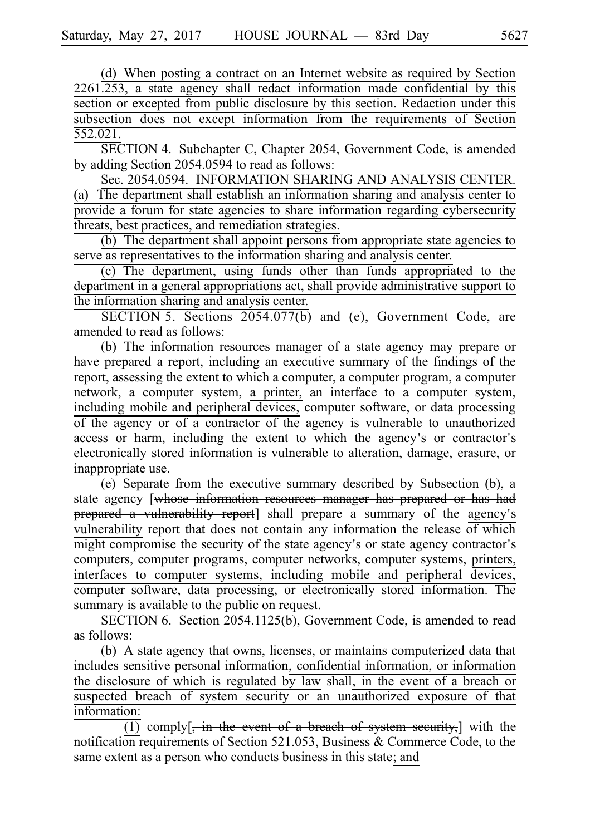(d) When posting a contract on an Internet website as required by Section 2261.253, a state agency shall redact information made confidential by this section or excepted from public disclosure by this section. Redaction under this subsection does not except information from the requirements of Section 552.021.

SECTION 4. Subchapter C, Chapter 2054, Government Code, is amended by adding Section 2054.0594 to read as follows:

Sec. 2054.0594. INFORMATION SHARING AND ANALYSIS CENTER. (a) The department shall establish an information sharing and analysis center to provide a forum for state agencies to share information regarding cybersecurity threats, best practices, and remediation strategies.

 $(b)$  The department shall appoint persons from appropriate state agencies to serve as representatives to the information sharing and analysis center.

(c) The department, using funds other than funds appropriated to the department in a general appropriations act, shall provide administrative support to the information sharing and analysis center.

SECTION 5. Sections  $2054.077(b)$  and (e), Government Code, are amended to read as follows:

(b) The information resources manager of a state agency may prepare or have prepared a report, including an executive summary of the findings of the report, assessing the extent to which a computer, a computer program, a computer network, a computer system, a printer, an interface to a computer system, including mobile and peripheral devices, computer software, or data processing of the agency or of a contractor of the agency is vulnerable to unauthorized access or harm, including the extent to which the agency's or contractor's electronically stored information is vulnerable to alteration, damage, erasure, or inappropriate use.

(e) Separate from the executive summary described by Subsection (b), a state agency [whose information resources manager has prepared or has had prepared a vulnerability report] shall prepare a summary of the agency's vulnerability report that does not contain any information the release of which might compromise the security of the state agency's or state agency contractor's computers, computer programs, computer networks, computer systems, printers, interfaces to computer systems, including mobile and peripheral devices, computer software, data processing, or electronically stored information. The summary is available to the public on request.

SECTION 6. Section 2054.1125(b), Government Code, is amended to read as follows:

(b) A state agency that owns, licenses, or maintains computerized data that includes sensitive personal information, confidential information, or information the disclosure of which is regulated by law shall, in the event of a breach or suspected breach of system security or an unauthorized exposure of that information:

 $\overline{(1)}$  comply[, in the event of a breach of system security,] with the notification requirements of Section 521.053, Business & Commerce Code, to the same extent as a person who conducts business in this state; and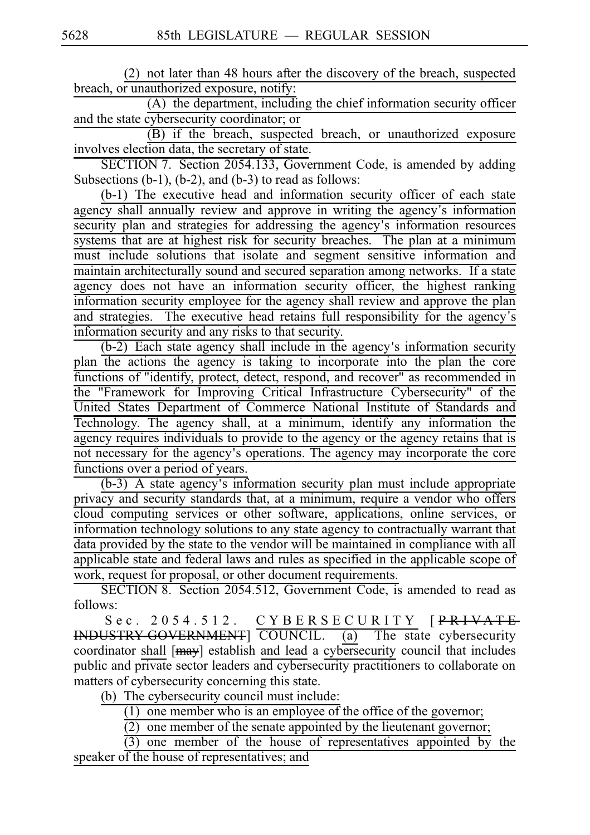(2) not later than 48 hours after the discovery of the breach, suspected breach, or unauthorized exposure, notify:

 $(A)$  the department, including the chief information security officer and the state cybersecurity coordinator; or

(B) if the breach, suspected breach, or unauthorized exposure involves election data, the secretary of state.

SECTION 7. Section 2054.133, Government Code, is amended by adding Subsections (b-1), (b-2), and (b-3) to read as follows:

(b-1) The executive head and information security officer of each state agency shall annually review and approve in writing the agency's information security plan and strategies for addressing the agency's information resources systems that are at highest risk for security breaches. The plan at a minimum must include solutions that isolate and segment sensitive information and maintain architecturally sound and secured separation among networks. If a state agency does not have an information security officer, the highest ranking information security employee for the agency shall review and approve the plan and strategies. The executive head retains full responsibility for the agency's information security and any risks to that security.

 $(b-2)$  Each state agency shall include in the agency's information security plan the actions the agency is taking to incorporate into the plan the core functions of "identify, protect, detect, respond, and recover" as recommended in the "Framework for Improving Critical Infrastructure Cybersecurity" of the United States Department of Commerce National Institute of Standards and Technology. The agency shall, at a minimum, identify any information the agency requires individuals to provide to the agency or the agency retains that is not necessary for the agency's operations. The agency may incorporate the core functions over a period of years.

 $(b-3)$  A state agency's information security plan must include appropriate privacy and security standards that, at a minimum, require a vendor who offers cloud computing services or other software, applications, online services, or information technology solutions to any state agency to contractually warrant that data provided by the state to the vendor will be maintained in compliance with all applicable state and federal laws and rules as specified in the applicable scope of work, request for proposal, or other document requirements.

SECTION 8. Section 2054.512, Government Code, is amended to read as follows:

Sec. 2054.512. CYBERSECURITY [PRIVATE INDUSTRY-GOVERNMENT] COUNCIL. (a) The state cybersecurity coordinator shall [may] establish and lead a cybersecurity council that includes public and private sector leaders and cybersecurity practitioners to collaborate on matters of cybersecurity concerning this state.

(b) The cybersecurity council must include:

 $(1)$  one member who is an employee of the office of the governor;

 $\overline{(2)}$  one member of the senate appointed by the lieutenant governor;

 $\overrightarrow{(3)}$  one member of the house of representatives appointed by the speaker of the house of representatives; and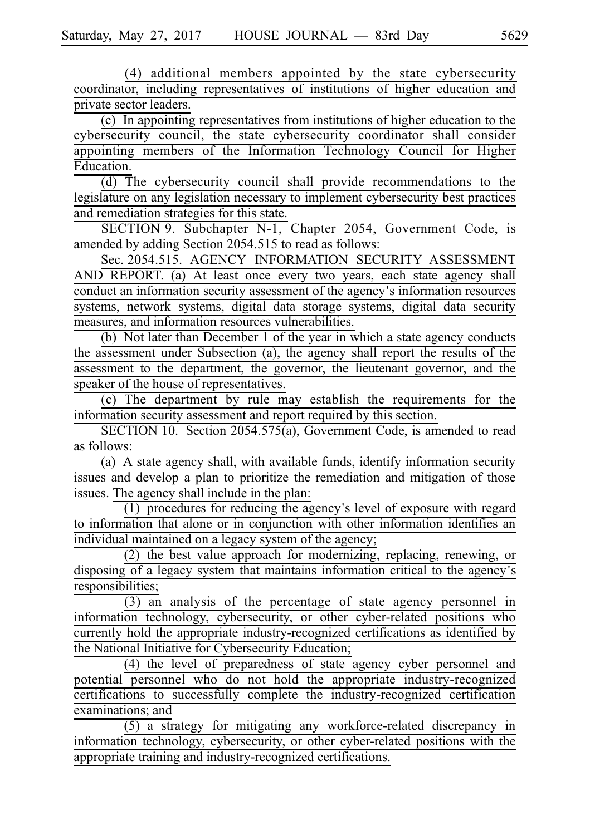(4) additional members appointed by the state cybersecurity coordinator, including representatives of institutions of higher education and private sector leaders.

 $(c)$  In appointing representatives from institutions of higher education to the cybersecurity council, the state cybersecurity coordinator shall consider appointing members of the Information Technology Council for Higher Education.

 $\overline{d}$ ) The cybersecurity council shall provide recommendations to the legislature on any legislation necessary to implement cybersecurity best practices and remediation strategies for this state.

SECTION 9. Subchapter N-1, Chapter 2054, Government Code, is amended by adding Section 2054.515 to read as follows:

Sec. 2054.515. AGENCY INFORMATION SECURITY ASSESSMENT AND REPORT. (a) At least once every two years, each state agency shall conduct an information security assessment of the agency's information resources systems, network systems, digital data storage systems, digital data security measures, and information resources vulnerabilities.

(b) Not later than December 1 of the year in which a state agency conducts the assessment under Subsection (a), the agency shall report the results of the assessment to the department, the governor, the lieutenant governor, and the speaker of the house of representatives.

(c) The department by rule may establish the requirements for the information security assessment and report required by this section.

SECTION 10. Section 2054.575(a), Government Code, is amended to read as follows:

(a) A state agency shall, with available funds, identify information security issues and develop a plan to prioritize the remediation and mitigation of those issues. The agency shall include in the plan:

 $\frac{1}{1}$  procedures for reducing the agency's level of exposure with regard to information that alone or in conjunction with other information identifies an individual maintained on a legacy system of the agency;

 $(2)$  the best value approach for modernizing, replacing, renewing, or disposing of a legacy system that maintains information critical to the agency's responsibilities;

 $\overline{(3)}$  an analysis of the percentage of state agency personnel in information technology, cybersecurity, or other cyber-related positions who currently hold the appropriate industry-recognized certifications as identified by the National Initiative for Cybersecurity Education;

 $(4)$  the level of preparedness of state agency cyber personnel and potential personnel who do not hold the appropriate industry-recognized certifications to successfully complete the industry-recognized certification examinations; and

 $(5)$  a strategy for mitigating any workforce-related discrepancy in information technology, cybersecurity, or other cyber-related positions with the appropriate training and industry-recognized certifications.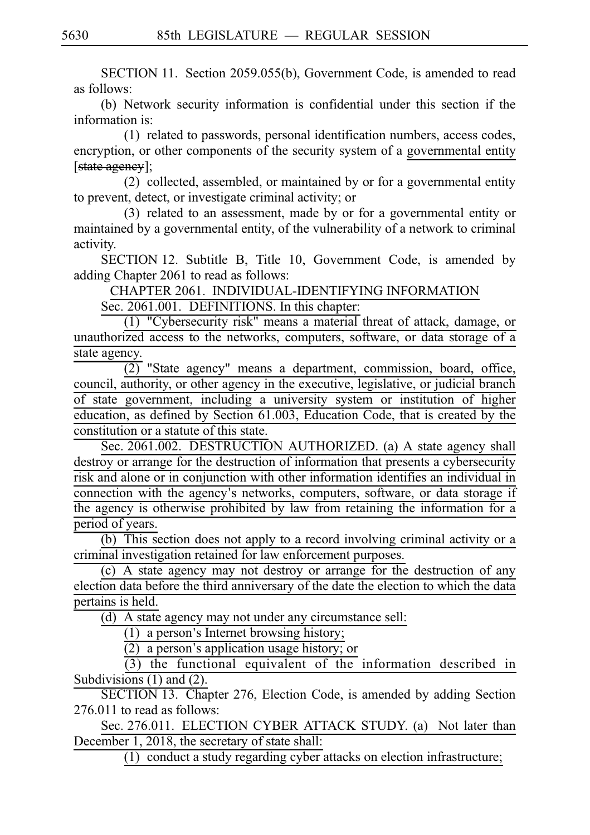SECTION 11. Section 2059.055(b), Government Code, is amended to read as follows:

(b) Network security information is confidential under this section if the information is:

(1) related to passwords, personal identification numbers, access codes, encryption, or other components of the security system of a governmental entity [state ageney];

(2) collected, assembled, or maintained by or for a governmental entity to prevent, detect, or investigate criminal activity; or

(3) related to an assessment, made by or for a governmental entity or maintained by a governmental entity, of the vulnerability of a network to criminal activity.

SECTION 12. Subtitle B, Title 10, Government Code, is amended by adding Chapter 2061 to read as follows:

CHAPTER 2061. INDIVIDUAL-IDENTIFYING INFORMATION

Sec. 2061.001. DEFINITIONS. In this chapter:

(1) "Cybersecurity risk" means a material threat of attack, damage, or unauthorized access to the networks, computers, software, or data storage of a state agency.

 $\overline{(2)}$  "State agency" means a department, commission, board, office, council, authority, or other agency in the executive, legislative, or judicial branch of state government, including a university system or institution of higher education, as defined by Section 61.003, Education Code, that is created by the constitution or a statute of this state.

Sec. 2061.002. DESTRUCTION AUTHORIZED. (a) A state agency shall destroy or arrange for the destruction of information that presents a cybersecurity risk and alone or in conjunction with other information identifies an individual in connection with the agency's networks, computers, software, or data storage if the agency is otherwise prohibited by law from retaining the information for a period of years.

(b) This section does not apply to a record involving criminal activity or a criminal investigation retained for law enforcement purposes.

(c) A state agency may not destroy or arrange for the destruction of any election data before the third anniversary of the date the election to which the data pertains is held.

 $(d)$  A state agency may not under any circumstance sell:

 $(1)$  a person's Internet browsing history;

 $(2)$  a person's application usage history; or

 $(3)$  the functional equivalent of the information described in Subdivisions (1) and (2).

SECTION 13. Chapter 276, Election Code, is amended by adding Section 276.011 to read as follows:

Sec. 276.011. ELECTION CYBER ATTACK STUDY. (a) Not later than December 1, 2018, the secretary of state shall:

 $\overline{(1)}$  conduct a study regarding cyber attacks on election infrastructure;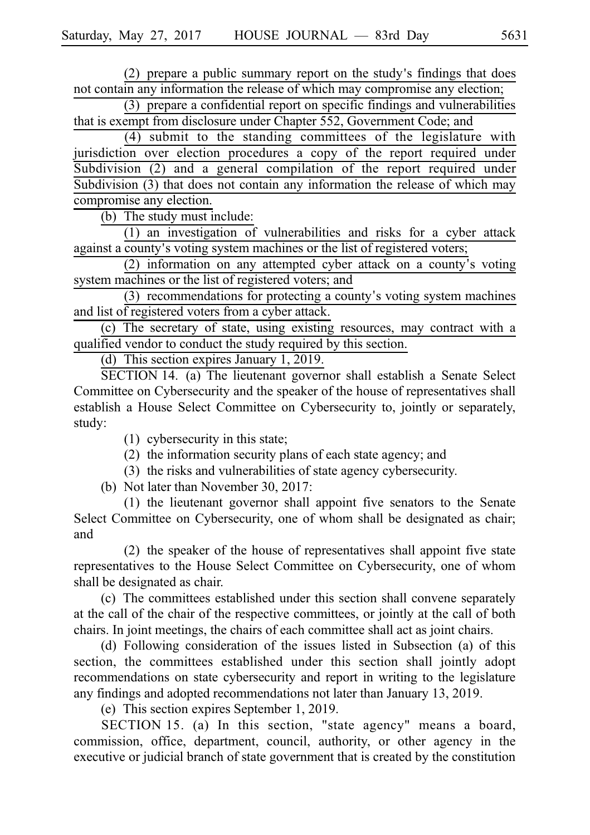$(2)$  prepare a public summary report on the study's findings that does not contain any information the release of which may compromise any election;

 $(3)$  prepare a confidential report on specific findings and vulnerabilities that is exempt from disclosure under Chapter 552, Government Code; and

 $(4)$  submit to the standing committees of the legislature with jurisdiction over election procedures a copy of the report required under Subdivision (2) and a general compilation of the report required under Subdivision (3) that does not contain any information the release of which may compromise any election.

(b) The study must include:

 $(1)$  an investigation of vulnerabilities and risks for a cyber attack against a county's voting system machines or the list of registered voters;

 $(2)$  information on any attempted cyber attack on a county's voting system machines or the list of registered voters; and

 $(3)$  recommendations for protecting a county's voting system machines and list of registered voters from a cyber attack.

 $(c)$  The secretary of state, using existing resources, may contract with a qualified vendor to conduct the study required by this section.

(d) This section expires January 1, 2019.

SECTION 14. (a) The lieutenant governor shall establish a Senate Select Committee on Cybersecurity and the speaker of the house of representatives shall establish a House Select Committee on Cybersecurity to, jointly or separately, study:

- (1) cybersecurity in this state;
- $(2)$  the information security plans of each state agency; and
- $(3)$  the risks and vulnerabilities of state agency cybersecurity.

(b) Not later than November 30, 2017:

 $(1)$  the lieutenant governor shall appoint five senators to the Senate Select Committee on Cybersecurity, one of whom shall be designated as chair; and

 $(2)$  the speaker of the house of representatives shall appoint five state representatives to the House Select Committee on Cybersecurity, one of whom shall be designated as chair.

(c) The committees established under this section shall convene separately at the call of the chair of the respective committees, or jointly at the call of both chairs. In joint meetings, the chairs of each committee shall act as joint chairs.

(d) Following consideration of the issues listed in Subsection (a) of this section, the committees established under this section shall jointly adopt recommendations on state cybersecurity and report in writing to the legislature any findings and adopted recommendations not later than January 13, 2019.

(e) This section expires September 1, 2019.

SECTION 15. (a) In this section, "state agency" means a board, commission, office, department, council, authority, or other agency in the executive or judicial branch of state government that is created by the constitution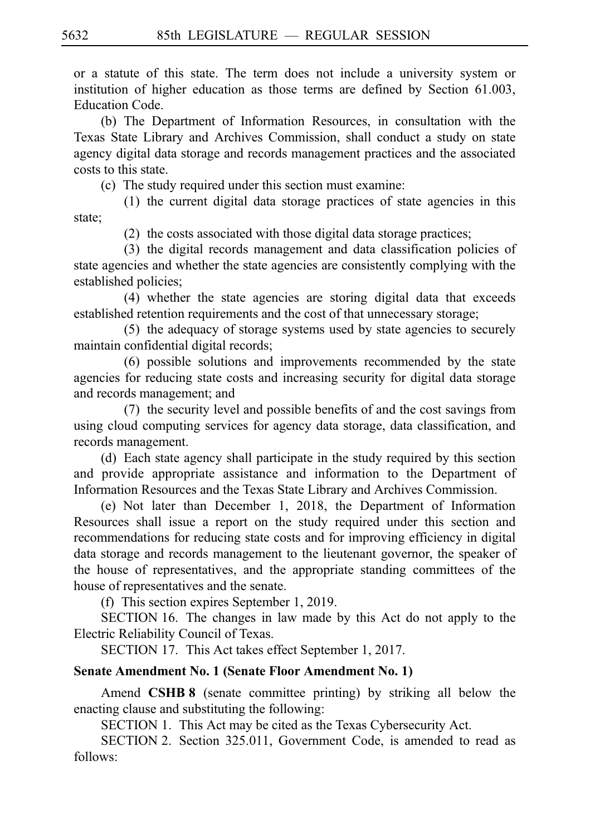or a statute of this state. The term does not include a university system or institution of higher education as those terms are defined by Section 61.003, Education Code.

(b) The Department of Information Resources, in consultation with the Texas State Library and Archives Commission, shall conduct a study on state agency digital data storage and records management practices and the associated costs to this state.

(c) The study required under this section must examine:

 $(1)$  the current digital data storage practices of state agencies in this state;

 $(2)$  the costs associated with those digital data storage practices;

(3) the digital records management and data classification policies of state agencies and whether the state agencies are consistently complying with the established policies;

(4) whether the state agencies are storing digital data that exceeds established retention requirements and the cost of that unnecessary storage;

 $(5)$  the adequacy of storage systems used by state agencies to securely maintain confidential digital records;

 $(6)$  possible solutions and improvements recommended by the state agencies for reducing state costs and increasing security for digital data storage and records management; and

(7) the security level and possible benefits of and the cost savings from using cloud computing services for agency data storage, data classification, and records management.

(d) Each state agency shall participate in the study required by this section and provide appropriate assistance and information to the Department of Information Resources and the Texas State Library and Archives Commission.

(e) Not later than December 1, 2018, the Department of Information Resources shall issue a report on the study required under this section and recommendations for reducing state costs and for improving efficiency in digital data storage and records management to the lieutenant governor, the speaker of the house of representatives, and the appropriate standing committees of the house of representatives and the senate.

(f) This section expires September 1, 2019.

SECTION 16. The changes in law made by this Act do not apply to the Electric Reliability Council of Texas.

SECTION 17. This Act takes effect September 1, 2017.

## **Senate Amendment No. 1 (Senate Floor Amendment No. 1)**

Amend **CSHB 8** (senate committee printing) by striking all below the enacting clause and substituting the following:

SECTION 1. This Act may be cited as the Texas Cybersecurity Act.

SECTION 2. Section 325.011, Government Code, is amended to read as follows: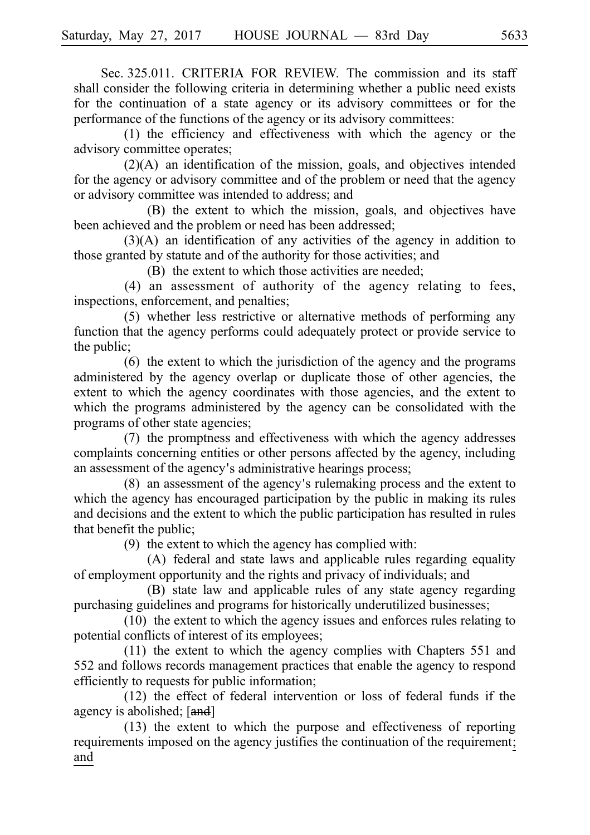Sec. 325.011. CRITERIA FOR REVIEW. The commission and its staff shall consider the following criteria in determining whether a public need exists for the continuation of a state agency or its advisory committees or for the performance of the functions of the agency or its advisory committees:

 $(1)$  the efficiency and effectiveness with which the agency or the advisory committee operates;

 $(2)(A)$  an identification of the mission, goals, and objectives intended for the agency or advisory committee and of the problem or need that the agency or advisory committee was intended to address; and

(B) the extent to which the mission, goals, and objectives have been achieved and the problem or need has been addressed;

 $(3)(A)$  an identification of any activities of the agency in addition to those granted by statute and of the authority for those activities; and

(B) the extent to which those activities are needed:

 $(4)$  an assessment of authority of the agency relating to fees, inspections, enforcement, and penalties;

 $(5)$  whether less restrictive or alternative methods of performing any function that the agency performs could adequately protect or provide service to the public;

 $(6)$  the extent to which the jurisdiction of the agency and the programs administered by the agency overlap or duplicate those of other agencies, the extent to which the agency coordinates with those agencies, and the extent to which the programs administered by the agency can be consolidated with the programs of other state agencies;

(7) the promptness and effectiveness with which the agency addresses complaints concerning entities or other persons affected by the agency, including an assessment of the agency's administrative hearings process;

 $(8)$  an assessment of the agency's rulemaking process and the extent to which the agency has encouraged participation by the public in making its rules and decisions and the extent to which the public participation has resulted in rules that benefit the public;

 $(9)$  the extent to which the agency has complied with:

(A) federal and state laws and applicable rules regarding equality of employment opportunity and the rights and privacy of individuals; and

(B) state law and applicable rules of any state agency regarding purchasing guidelines and programs for historically underutilized businesses;

 $(10)$  the extent to which the agency issues and enforces rules relating to potential conflicts of interest of its employees;

 $(11)$  the extent to which the agency complies with Chapters 551 and 552 and follows records management practices that enable the agency to respond efficiently to requests for public information;

 $(12)$  the effect of federal intervention or loss of federal funds if the agency is abolished; [and]

 $(13)$  the extent to which the purpose and effectiveness of reporting requirements imposed on the agency justifies the continuation of the requirement; and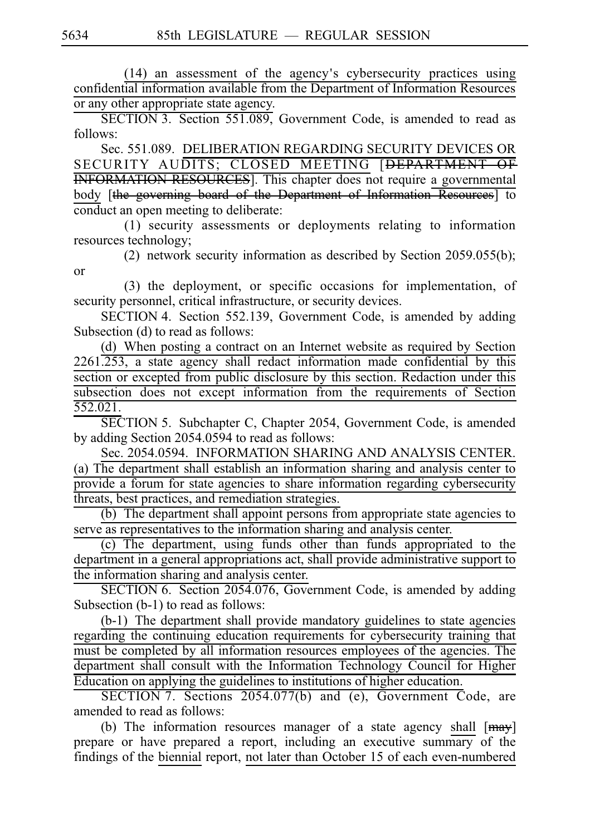(14) an assessment of the agency's cybersecurity practices using confidential information available from the Department of Information Resources or any other appropriate state agency.

 $\overline{\text{SECTION 3}}$ . Section 551.089, Government Code, is amended to read as follows:

Sec. 551.089. DELIBERATION REGARDING SECURITY DEVICES OR SECURITY AUDITS; CLOSED MEETING [DEPARTMENT OF INFORMATION RESOURCES]. This chapter does not require a governmental body [the governing board of the Department of Information Resources] to conduct an open meeting to deliberate:

 $(1)$  security assessments or deployments relating to information resources technology;

(2) network security information as described by Section 2059.055(b); or

(3) the deployment, or specific occasions for implementation, of security personnel, critical infrastructure, or security devices.

SECTION 4. Section 552.139, Government Code, is amended by adding Subsection (d) to read as follows:

(d) When posting a contract on an Internet website as required by Section 2261.253, a state agency shall redact information made confidential by this section or excepted from public disclosure by this section. Redaction under this subsection does not except information from the requirements of Section 552.021.

SECTION 5. Subchapter C, Chapter 2054, Government Code, is amended by adding Section 2054.0594 to read as follows:

Sec. 2054.0594. INFORMATION SHARING AND ANALYSIS CENTER. (a) The department shall establish an information sharing and analysis center to provide a forum for state agencies to share information regarding cybersecurity threats, best practices, and remediation strategies.

 $(b)$  The department shall appoint persons from appropriate state agencies to serve as representatives to the information sharing and analysis center.

(c) The department, using funds other than funds appropriated to the department in a general appropriations act, shall provide administrative support to the information sharing and analysis center.

SECTION 6. Section 2054.076, Government Code, is amended by adding Subsection (b-1) to read as follows:

 $(b-1)$  The department shall provide mandatory guidelines to state agencies regarding the continuing education requirements for cybersecurity training that must be completed by all information resources employees of the agencies. The department shall consult with the Information Technology Council for Higher Education on applying the guidelines to institutions of higher education.

SECTION 7. Sections 2054.077(b) and (e), Government Code, are amended to read as follows:

(b) The information resources manager of a state agency shall  $[may]$ prepare or have prepared a report, including an executive summary of the findings of the biennial report, not later than October 15 of each even-numbered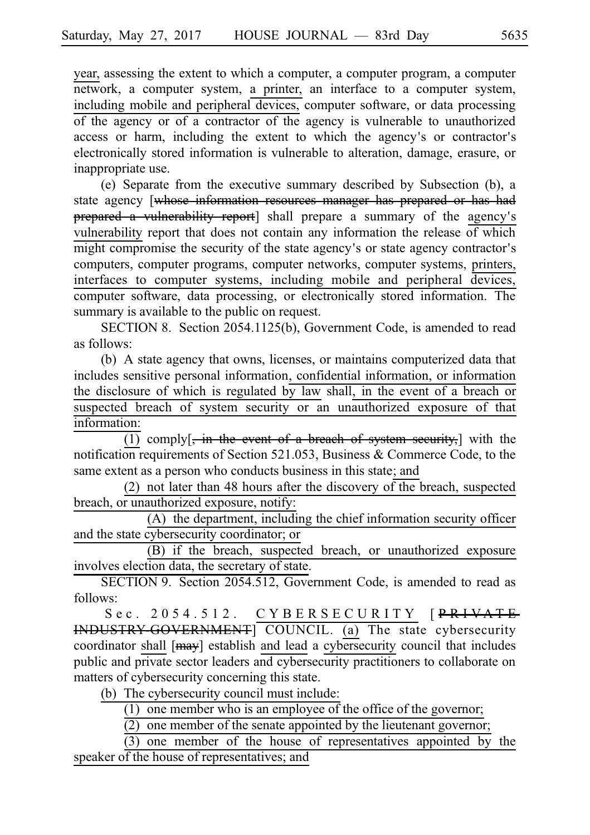year, assessing the extent to which a computer, a computer program, a computer network, a computer system, a printer, an interface to a computer system, including mobile and peripheral devices, computer software, or data processing of the agency or of a contractor of the agency is vulnerable to unauthorized access or harm, including the extent to which the agency's or contractor's electronically stored information is vulnerable to alteration, damage, erasure, or inappropriate use.

(e) Separate from the executive summary described by Subsection (b), a state agency [whose information resources manager has prepared or has had prepared a vulnerability report] shall prepare a summary of the agency's vulnerability report that does not contain any information the release of which might compromise the security of the state agency's or state agency contractor's computers, computer programs, computer networks, computer systems, printers, interfaces to computer systems, including mobile and peripheral devices, computer software, data processing, or electronically stored information. The summary is available to the public on request.

SECTION 8. Section 2054.1125(b), Government Code, is amended to read as follows:

(b) A state agency that owns, licenses, or maintains computerized data that includes sensitive personal information, confidential information, or information the disclosure of which is regulated by law shall, in the event of a breach or suspected breach of system security or an unauthorized exposure of that information:

 $\overline{(1)}$  comply[, in the event of a breach of system security,] with the notification requirements of Section 521.053, Business & Commerce Code, to the same extent as a person who conducts business in this state; and

(2) not later than 48 hours after the discovery of the breach, suspected breach, or unauthorized exposure, notify:

 $(A)$  the department, including the chief information security officer and the state cybersecurity coordinator; or

(B) if the breach, suspected breach, or unauthorized exposure involves election data, the secretary of state.

SECTION 9. Section 2054.512, Government Code, is amended to read as follows:

Sec. 2054.512. CYBERSECURITY [<del>PRIVATE</del> INDUSTRY-GOVERNMENT] COUNCIL. (a) The state cybersecurity coordinator shall [may] establish and lead a cybersecurity council that includes public and private sector leaders and cybersecurity practitioners to collaborate on matters of cybersecurity concerning this state.

(b) The cybersecurity council must include:

 $(1)$  one member who is an employee of the office of the governor;

 $(2)$  one member of the senate appointed by the lieutenant governor;

 $(3)$  one member of the house of representatives appointed by the speaker of the house of representatives; and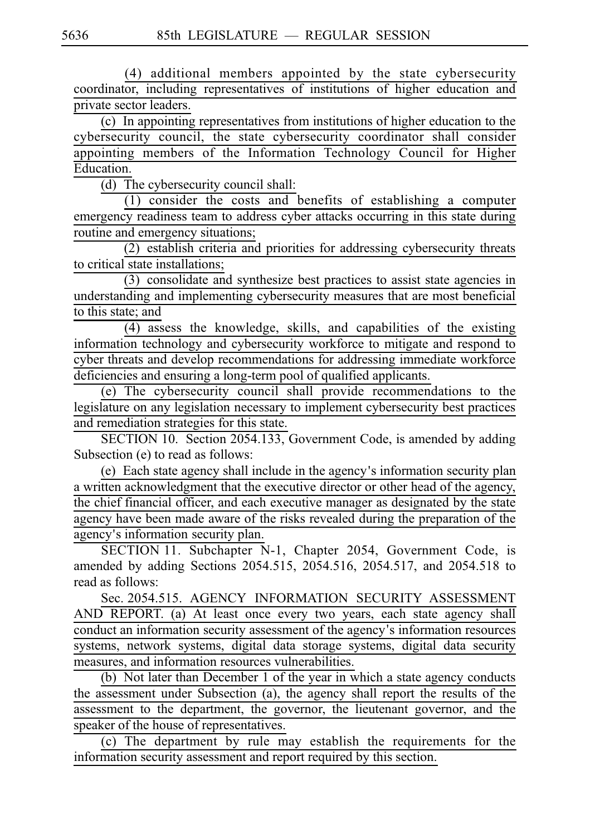(4) additional members appointed by the state cybersecurity coordinator, including representatives of institutions of higher education and private sector leaders.

 $(c)$  In appointing representatives from institutions of higher education to the cybersecurity council, the state cybersecurity coordinator shall consider appointing members of the Information Technology Council for Higher Education.

(d) The cybersecurity council shall:

 $(1)$  consider the costs and benefits of establishing a computer emergency readiness team to address cyber attacks occurring in this state during routine and emergency situations;

 $(2)$  establish criteria and priorities for addressing cybersecurity threats to critical state installations;

 $(3)$  consolidate and synthesize best practices to assist state agencies in understanding and implementing cybersecurity measures that are most beneficial to this state; and

 $(4)$  assess the knowledge, skills, and capabilities of the existing information technology and cybersecurity workforce to mitigate and respond to cyber threats and develop recommendations for addressing immediate workforce deficiencies and ensuring a long-term pool of qualified applicants.

(e) The cybersecurity council shall provide recommendations to the legislature on any legislation necessary to implement cybersecurity best practices and remediation strategies for this state.

SECTION 10. Section 2054.133, Government Code, is amended by adding Subsection (e) to read as follows:

(e) Each state agency shall include in the agency's information security plan a written acknowledgment that the executive director or other head of the agency, the chief financial officer, and each executive manager as designated by the state agency have been made aware of the risks revealed during the preparation of the agency's information security plan.

SECTION 11. Subchapter N-1, Chapter 2054, Government Code, is amended by adding Sections 2054.515, 2054.516, 2054.517, and 2054.518 to read as follows:

Sec. 2054.515. AGENCY INFORMATION SECURITY ASSESSMENT AND REPORT. (a) At least once every two years, each state agency shall conduct an information security assessment of the agency's information resources systems, network systems, digital data storage systems, digital data security measures, and information resources vulnerabilities.

(b) Not later than December 1 of the year in which a state agency conducts the assessment under Subsection (a), the agency shall report the results of the assessment to the department, the governor, the lieutenant governor, and the speaker of the house of representatives.

 $(c)$  The department by rule may establish the requirements for the information security assessment and report required by this section.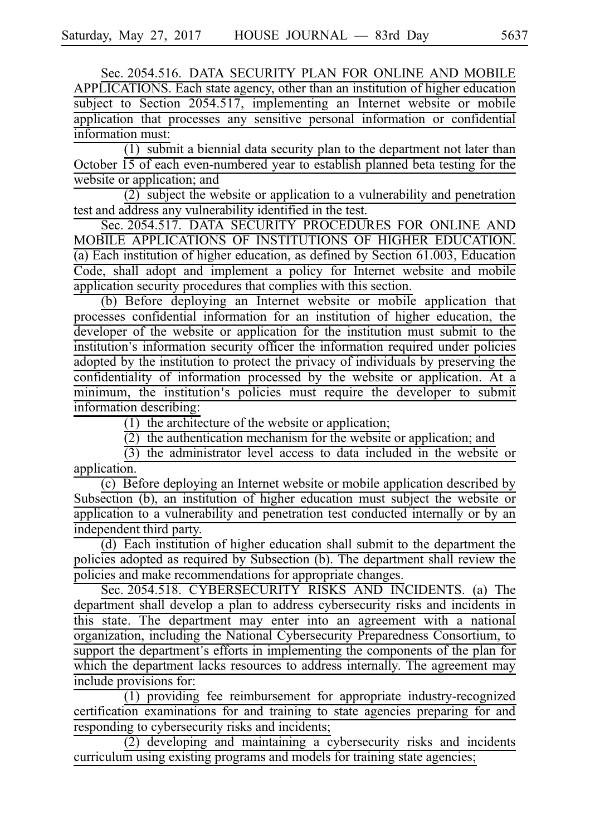Sec. 2054.516. DATA SECURITY PLAN FOR ONLINE AND MOBILE APPLICATIONS. Each state agency, other than an institution of higher education subject to Section 2054.517, implementing an Internet website or mobile application that processes any sensitive personal information or confidential information must:

 $(1)$  submit a biennial data security plan to the department not later than October 15 of each even-numbered year to establish planned beta testing for the website or application; and

 $(2)$  subject the website or application to a vulnerability and penetration test and address any vulnerability identified in the test.

Sec. 2054.517. DATA SECURITY PROCEDURES FOR ONLINE AND MOBILE APPLICATIONS OF INSTITUTIONS OF HIGHER EDUCATION. (a) Each institution of higher education, as defined by Section 61.003, Education Code, shall adopt and implement a policy for Internet website and mobile application security procedures that complies with this section.

(b) Before deploying an Internet website or mobile application that processes confidential information for an institution of higher education, the developer of the website or application for the institution must submit to the institution's information security officer the information required under policies adopted by the institution to protect the privacy of individuals by preserving the confidentiality of information processed by the website or application. At a minimum, the institution's policies must require the developer to submit information describing:

 $(1)$  the architecture of the website or application;

 $\overline{(2)}$  the authentication mechanism for the website or application; and

 $(3)$  the administrator level access to data included in the website or application.

 $(c)$  Before deploying an Internet website or mobile application described by Subsection (b), an institution of higher education must subject the website or application to a vulnerability and penetration test conducted internally or by an independent third party.

(d) Each institution of higher education shall submit to the department the policies adopted as required by Subsection (b). The department shall review the policies and make recommendations for appropriate changes.

Sec. 2054.518. CYBERSECURITY RISKS AND INCIDENTS. (a) The department shall develop a plan to address cybersecurity risks and incidents in this state. The department may enter into an agreement with a national organization, including the National Cybersecurity Preparedness Consortium, to support the department's efforts in implementing the components of the plan for which the department lacks resources to address internally. The agreement may include provisions for:

 $\overline{(1)}$  providing fee reimbursement for appropriate industry-recognized certification examinations for and training to state agencies preparing for and responding to cybersecurity risks and incidents;

 $\frac{1}{2}$  developing and maintaining a cybersecurity risks and incidents curriculum using existing programs and models for training state agencies;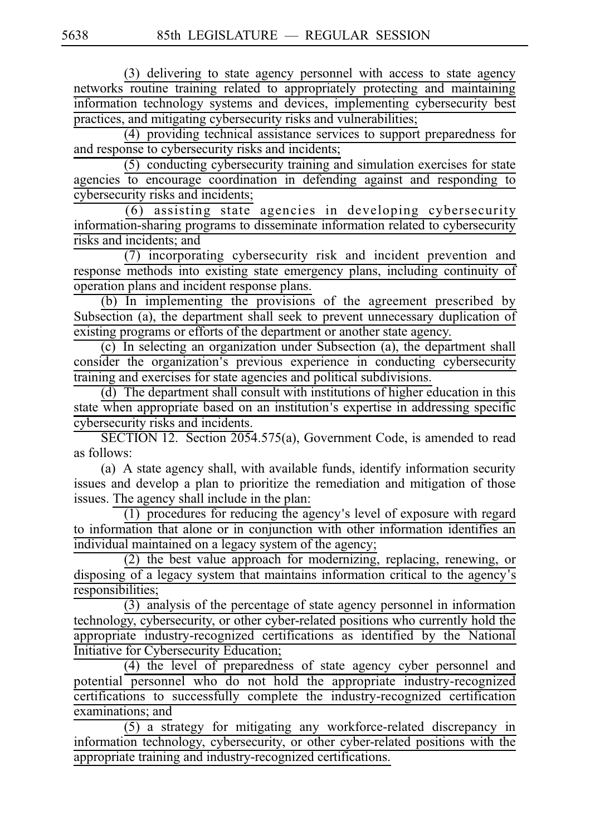(3) delivering to state agency personnel with access to state agency networks routine training related to appropriately protecting and maintaining information technology systems and devices, implementing cybersecurity best practices, and mitigating cybersecurity risks and vulnerabilities;

 $(4)$  providing technical assistance services to support preparedness for and response to cybersecurity risks and incidents;

 $(5)$  conducting cybersecurity training and simulation exercises for state agencies to encourage coordination in defending against and responding to cybersecurity risks and incidents;

 $(6)$  assisting state agencies in developing cybersecurity information-sharing programs to disseminate information related to cybersecurity risks and incidents; and

(7) incorporating cybersecurity risk and incident prevention and response methods into existing state emergency plans, including continuity of operation plans and incident response plans.

 $(b)$  In implementing the provisions of the agreement prescribed by Subsection (a), the department shall seek to prevent unnecessary duplication of existing programs or efforts of the department or another state agency.

 $(c)$  In selecting an organization under Subsection (a), the department shall consider the organization's previous experience in conducting cybersecurity training and exercises for state agencies and political subdivisions.

 $(d)$  The department shall consult with institutions of higher education in this state when appropriate based on an institution's expertise in addressing specific cybersecurity risks and incidents.

SECTION 12. Section 2054.575(a), Government Code, is amended to read as follows:

(a) A state agency shall, with available funds, identify information security issues and develop a plan to prioritize the remediation and mitigation of those issues. The agency shall include in the plan:

 $(1)$  procedures for reducing the agency's level of exposure with regard to information that alone or in conjunction with other information identifies an individual maintained on a legacy system of the agency;

 $(2)$  the best value approach for modernizing, replacing, renewing, or disposing of a legacy system that maintains information critical to the agency's responsibilities;

 $(3)$  analysis of the percentage of state agency personnel in information technology, cybersecurity, or other cyber-related positions who currently hold the appropriate industry-recognized certifications as identified by the National Initiative for Cybersecurity Education;

(4) the level of preparedness of state agency cyber personnel and potential personnel who do not hold the appropriate industry-recognized certifications to successfully complete the industry-recognized certification examinations; and

 $(5)$  a strategy for mitigating any workforce-related discrepancy in information technology, cybersecurity, or other cyber-related positions with the appropriate training and industry-recognized certifications.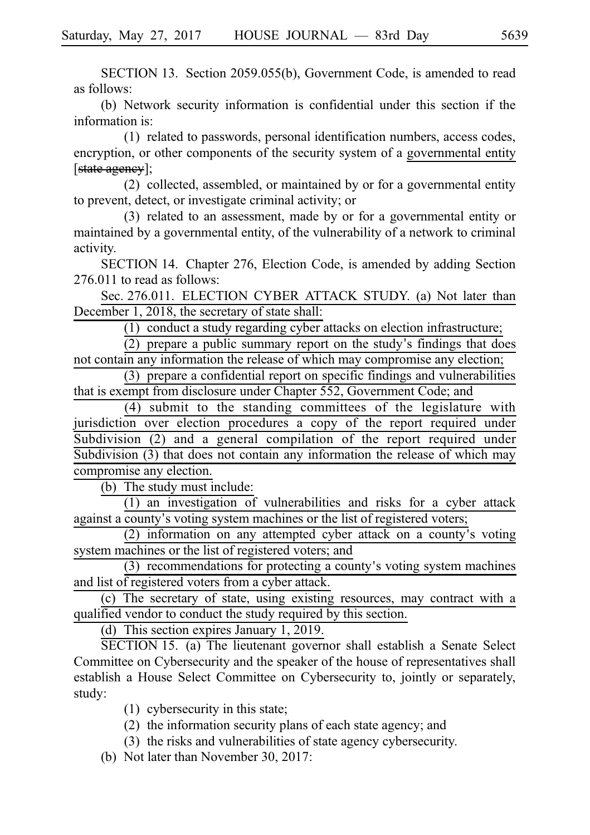SECTION 13. Section 2059.055(b), Government Code, is amended to read as follows:

(b) Network security information is confidential under this section if the information is:

(1) related to passwords, personal identification numbers, access codes, encryption, or other components of the security system of a governmental entity [state ageney];

 $(2)$  collected, assembled, or maintained by or for a governmental entity to prevent, detect, or investigate criminal activity; or

(3) related to an assessment, made by or for a governmental entity or maintained by a governmental entity, of the vulnerability of a network to criminal activity.

SECTION 14. Chapter 276, Election Code, is amended by adding Section 276.011 to read as follows:

Sec. 276.011. ELECTION CYBER ATTACK STUDY. (a) Not later than December 1, 2018, the secretary of state shall:

 $(1)$  conduct a study regarding cyber attacks on election infrastructure;

 $(2)$  prepare a public summary report on the study's findings that does not contain any information the release of which may compromise any election;

 $(3)$  prepare a confidential report on specific findings and vulnerabilities that is exempt from disclosure under Chapter 552, Government Code; and

 $(4)$  submit to the standing committees of the legislature with jurisdiction over election procedures a copy of the report required under Subdivision (2) and a general compilation of the report required under Subdivision (3) that does not contain any information the release of which may compromise any election.

(b) The study must include:

 $(1)$  an investigation of vulnerabilities and risks for a cyber attack against a county's voting system machines or the list of registered voters;

 $(2)$  information on any attempted cyber attack on a county's voting system machines or the list of registered voters; and

 $(3)$  recommendations for protecting a county's voting system machines and list of registered voters from a cyber attack.

(c) The secretary of state, using existing resources, may contract with a qualified vendor to conduct the study required by this section.

(d) This section expires January 1, 2019.

SECTION 15. (a) The lieutenant governor shall establish a Senate Select Committee on Cybersecurity and the speaker of the house of representatives shall establish a House Select Committee on Cybersecurity to, jointly or separately, study:

- $(1)$  cybersecurity in this state;
- $(2)$  the information security plans of each state agency; and
- (3) the risks and vulnerabilities of state agency cybersecurity.
- (b) Not later than November 30, 2017: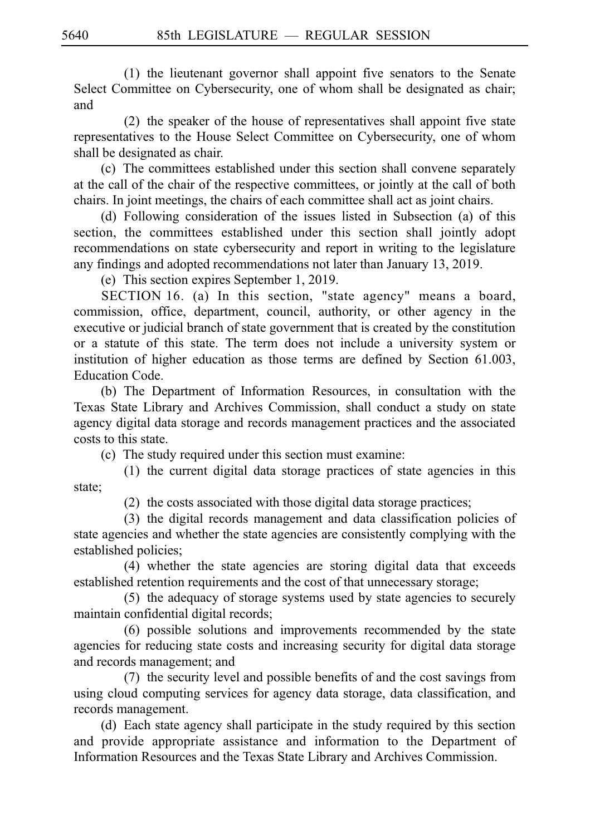$(1)$  the lieutenant governor shall appoint five senators to the Senate Select Committee on Cybersecurity, one of whom shall be designated as chair; and

 $(2)$  the speaker of the house of representatives shall appoint five state representatives to the House Select Committee on Cybersecurity, one of whom shall be designated as chair.

(c) The committees established under this section shall convene separately at the call of the chair of the respective committees, or jointly at the call of both chairs. In joint meetings, the chairs of each committee shall act as joint chairs.

(d) Following consideration of the issues listed in Subsection (a) of this section, the committees established under this section shall jointly adopt recommendations on state cybersecurity and report in writing to the legislature any findings and adopted recommendations not later than January 13, 2019.

(e) This section expires September 1, 2019.

SECTION 16. (a) In this section, "state agency" means a board, commission, office, department, council, authority, or other agency in the executive or judicial branch of state government that is created by the constitution or a statute of this state. The term does not include a university system or institution of higher education as those terms are defined by Section 61.003, Education Code.

(b) The Department of Information Resources, in consultation with the Texas State Library and Archives Commission, shall conduct a study on state agency digital data storage and records management practices and the associated costs to this state.

(c) The study required under this section must examine:

 $(1)$  the current digital data storage practices of state agencies in this state;

 $(2)$  the costs associated with those digital data storage practices;

(3) the digital records management and data classification policies of state agencies and whether the state agencies are consistently complying with the established policies;

(4) whether the state agencies are storing digital data that exceeds established retention requirements and the cost of that unnecessary storage;

 $(5)$  the adequacy of storage systems used by state agencies to securely maintain confidential digital records;

 $(6)$  possible solutions and improvements recommended by the state agencies for reducing state costs and increasing security for digital data storage and records management; and

 $(7)$  the security level and possible benefits of and the cost savings from using cloud computing services for agency data storage, data classification, and records management.

(d) Each state agency shall participate in the study required by this section and provide appropriate assistance and information to the Department of Information Resources and the Texas State Library and Archives Commission.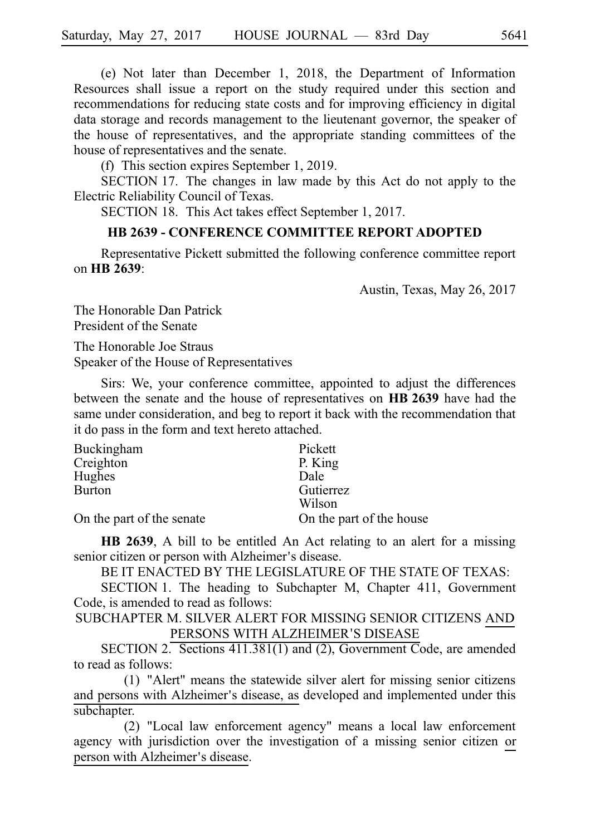(e) Not later than December 1, 2018, the Department of Information Resources shall issue a report on the study required under this section and recommendations for reducing state costs and for improving efficiency in digital data storage and records management to the lieutenant governor, the speaker of the house of representatives, and the appropriate standing committees of the house of representatives and the senate.

(f) This section expires September 1, 2019.

SECTION 17. The changes in law made by this Act do not apply to the Electric Reliability Council of Texas.

SECTION 18. This Act takes effect September 1, 2017.

## **HB 2639 - CONFERENCE COMMITTEE REPORT ADOPTED**

Representative Pickett submitted the following conference committee report on **HBi2639**:

Austin, Texas, May 26, 2017

The Honorable Dan Patrick President of the Senate

The Honorable Joe Straus Speaker of the House of Representatives

Sirs: We, your conference committee, appointed to adjust the differences between the senate and the house of representatives on **HBi2639** have had the same under consideration, and beg to report it back with the recommendation that it do pass in the form and text hereto attached.

| Buckingham                | Pickett                  |
|---------------------------|--------------------------|
| Creighton                 | P. King                  |
| Hughes                    | Dale                     |
| <b>Burton</b>             | Gutierrez                |
|                           | Wilson                   |
| On the part of the senate | On the part of the house |

**HB 2639**, A bill to be entitled An Act relating to an alert for a missing senior citizen or person with Alzheimer's disease.

BE IT ENACTED BY THE LEGISLATURE OF THE STATE OF TEXAS:

SECTION 1. The heading to Subchapter M, Chapter 411, Government Code, is amended to read as follows:

SUBCHAPTER M. SILVER ALERT FOR MISSING SENIOR CITIZENS AND PERSONS WITH ALZHEIMER'S DISEASE

SECTION 2. Sections  $411.381(1)$  and (2), Government Code, are amended to read as follows:

 $(1)$  "Alert" means the statewide silver alert for missing senior citizens and persons with Alzheimer's disease, as developed and implemented under this subchapter.

(2) "Local law enforcement agency" means a local law enforcement agency with jurisdiction over the investigation of a missing senior citizen or person with Alzheimer's disease.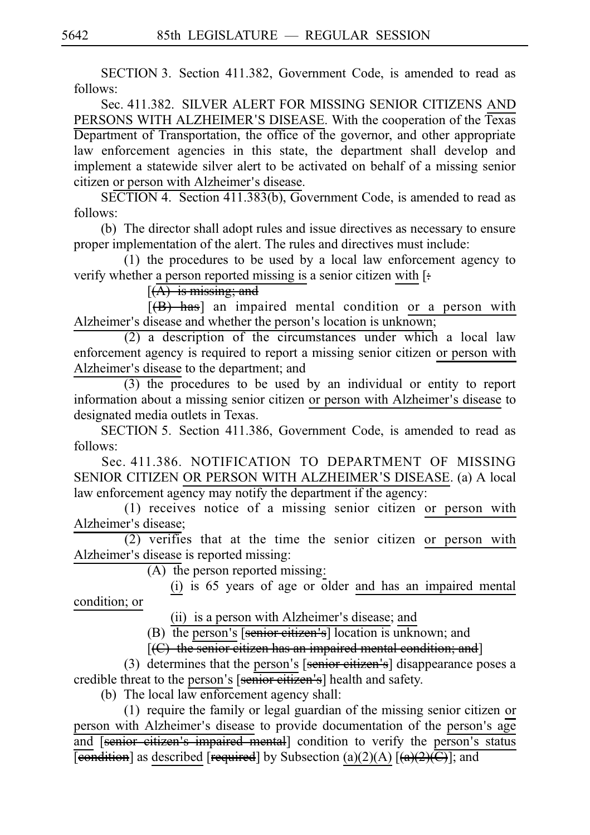SECTION 3. Section 411.382, Government Code, is amended to read as follows:

Sec. 411.382. SILVER ALERT FOR MISSING SENIOR CITIZENS AND PERSONS WITH ALZHEIMER'S DISEASE. With the cooperation of the Texas Department of Transportation, the office of the governor, and other appropriate law enforcement agencies in this state, the department shall develop and implement a statewide silver alert to be activated on behalf of a missing senior citizen or person with Alzheimer's disease.

SECTION 4. Section 411.383(b), Government Code, is amended to read as follows:

(b) The director shall adopt rules and issue directives as necessary to ensure proper implementation of the alert. The rules and directives must include:

(1) the procedures to be used by a local law enforcement agency to verify whether a person reported missing is a senior citizen with [:

 $[(A)$  is missing; and

 $[(B)$  has] an impaired mental condition or a person with Alzheimer's disease and whether the person's location is unknown;

 $(2)$  a description of the circumstances under which a local law enforcement agency is required to report a missing senior citizen or person with Alzheimer's disease to the department; and

 $(3)$  the procedures to be used by an individual or entity to report information about a missing senior citizen or person with Alzheimer's disease to designated media outlets in Texas.

SECTION 5. Section 411.386, Government Code, is amended to read as follows:

Sec. 411.386. NOTIFICATION TO DEPARTMENT OF MISSING SENIOR CITIZEN OR PERSON WITH ALZHEIMER'S DISEASE. (a) A local law enforcement agency may notify the department if the agency:

 $(1)$  receives notice of a missing senior citizen or person with Alzheimer's disease;

 $(2)$  verifies that at the time the senior citizen or person with Alzheimer's disease is reported missing:

 $(A)$  the person reported missing:

(i) is 65 years of age or older and has an impaired mental condition; or

(ii) is a person with Alzheimer's disease; and

 $(B)$  the person's [senior citizen's] location is unknown; and

 $[ (C)$  the senior citizen has an impaired mental condition; and]

(3) determines that the person's  $[$ senior citizen's $]$  disappearance poses a credible threat to the person's [senior citizen's] health and safety.

(b) The local law enforcement agency shall:

 $(1)$  require the family or legal guardian of the missing senior citizen or person with Alzheimer's disease to provide documentation of the person's age and [senior citizen's impaired mental] condition to verify the person's status **[condition]** as described [required] by Subsection (a)(2)(A)  $[(a)(2)(C)]$ ; and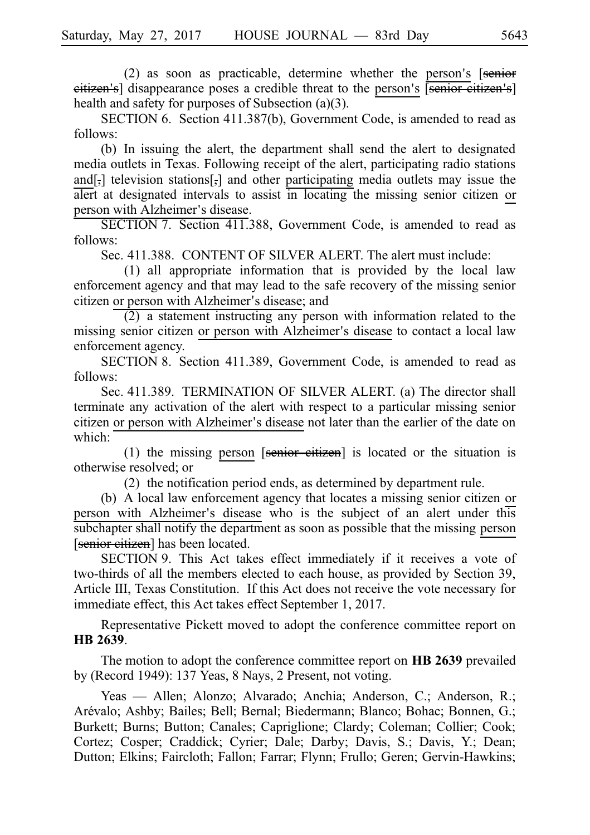$(2)$  as soon as practicable, determine whether the person's [senior eitizen's] disappearance poses a credible threat to the person's [senior citizen's] health and safety for purposes of Subsection (a)(3).

SECTION 6. Section 411.387(b), Government Code, is amended to read as follows:

(b) In issuing the alert, the department shall send the alert to designated media outlets in Texas. Following receipt of the alert, participating radio stations and[,] television stations[,] and other participating media outlets may issue the alert at designated intervals to assist in locating the missing senior citizen or person with Alzheimer's disease.

SECTION 7. Section 411.388, Government Code, is amended to read as follows:

Sec. 411.388. CONTENT OF SILVER ALERT. The alert must include:

 $(1)$  all appropriate information that is provided by the local law enforcement agency and that may lead to the safe recovery of the missing senior citizen or person with Alzheimer's disease; and

 $(2)$  a statement instructing any person with information related to the missing senior citizen or person with Alzheimer's disease to contact a local law enforcement agency.

SECTION 8. Section 411.389, Government Code, is amended to read as follows:

Sec. 411.389. TERMINATION OF SILVER ALERT. (a) The director shall terminate any activation of the alert with respect to a particular missing senior citizen or person with Alzheimer's disease not later than the earlier of the date on which:

(1) the missing person [senior citizen] is located or the situation is otherwise resolved; or

 $(2)$  the notification period ends, as determined by department rule.

(b) A local law enforcement agency that locates a missing senior citizen or person with Alzheimer's disease who is the subject of an alert under this subchapter shall notify the department as soon as possible that the missing person [senior citizen] has been located.

SECTION 9. This Act takes effect immediately if it receives a vote of two-thirds of all the members elected to each house, as provided by Section 39, Article III, Texas Constitution. If this Act does not receive the vote necessary for immediate effect, this Act takes effect September 1, 2017.

Representative Pickett moved to adopt the conference committee report on **HBi2639**.

The motion to adopt the conference committee report on **HB 2639** prevailed by (Record 1949): 137 Yeas, 8 Nays, 2 Present, not voting.

Yeas — Allen; Alonzo; Alvarado; Anchia; Anderson, C.; Anderson, R.; Arévalo; Ashby; Bailes; Bell; Bernal; Biedermann; Blanco; Bohac; Bonnen, G.; Burkett; Burns; Button; Canales; Capriglione; Clardy; Coleman; Collier; Cook; Cortez; Cosper; Craddick; Cyrier; Dale; Darby; Davis, S.; Davis, Y.; Dean; Dutton; Elkins; Faircloth; Fallon; Farrar; Flynn; Frullo; Geren; Gervin-Hawkins;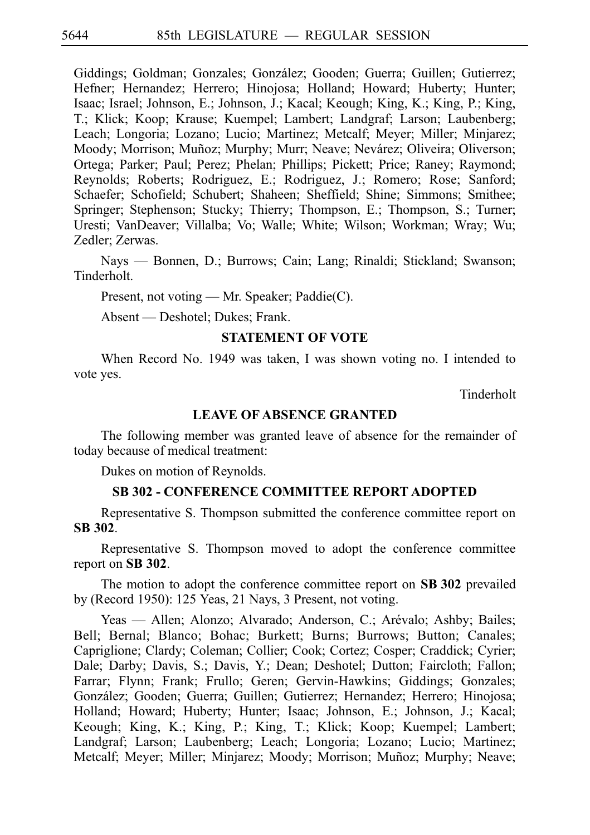Giddings; Goldman; Gonzales; González; Gooden; Guerra; Guillen; Gutierrez; Hefner; Hernandez; Herrero; Hinojosa; Holland; Howard; Huberty; Hunter; Isaac; Israel; Johnson, E.; Johnson, J.; Kacal; Keough; King, K.; King, P.; King, T.; Klick; Koop; Krause; Kuempel; Lambert; Landgraf; Larson; Laubenberg; Leach; Longoria; Lozano; Lucio; Martinez; Metcalf; Meyer; Miller; Minjarez; Moody; Morrison; Muñoz; Murphy; Murr; Neave; Nevárez; Oliveira; Oliverson; Ortega; Parker; Paul; Perez; Phelan; Phillips; Pickett; Price; Raney; Raymond; Reynolds; Roberts; Rodriguez, E.; Rodriguez, J.; Romero; Rose; Sanford; Schaefer; Schofield; Schubert; Shaheen; Sheffield; Shine; Simmons; Smithee; Springer; Stephenson; Stucky; Thierry; Thompson, E.; Thompson, S.; Turner; Uresti; VanDeaver; Villalba; Vo; Walle; White; Wilson; Workman; Wray; Wu; Zedler; Zerwas.

Nays — Bonnen, D.; Burrows; Cain; Lang; Rinaldi; Stickland; Swanson; Tinderholt.

Present, not voting — Mr. Speaker; Paddie(C).

Absent — Deshotel; Dukes; Frank.

### **STATEMENT OF VOTE**

When Record No. 1949 was taken, I was shown voting no. I intended to vote yes.

Tinderholt

## **LEAVE OF ABSENCE GRANTED**

The following member was granted leave of absence for the remainder of today because of medical treatment:

Dukes on motion of Reynolds.

#### **SB 302 - CONFERENCE COMMITTEE REPORT ADOPTED**

Representative S. Thompson submitted the conference committee report on **SBi302**.

Representative S. Thompson moved to adopt the conference committee report on **SB** 302.

The motion to adopt the conference committee report on **SB 302** prevailed by (Record 1950): 125 Yeas, 21 Nays, 3 Present, not voting.

Yeas — Allen; Alonzo; Alvarado; Anderson, C.; Arévalo; Ashby; Bailes; Bell; Bernal; Blanco; Bohac; Burkett; Burns; Burrows; Button; Canales; Capriglione; Clardy; Coleman; Collier; Cook; Cortez; Cosper; Craddick; Cyrier; Dale; Darby; Davis, S.; Davis, Y.; Dean; Deshotel; Dutton; Faircloth; Fallon; Farrar; Flynn; Frank; Frullo; Geren; Gervin-Hawkins; Giddings; Gonzales; González; Gooden; Guerra; Guillen; Gutierrez; Hernandez; Herrero; Hinojosa; Holland; Howard; Huberty; Hunter; Isaac; Johnson, E.; Johnson, J.; Kacal; Keough; King, K.; King, P.; King, T.; Klick; Koop; Kuempel; Lambert; Landgraf; Larson; Laubenberg; Leach; Longoria; Lozano; Lucio; Martinez; Metcalf; Meyer; Miller; Minjarez; Moody; Morrison; Muñoz; Murphy; Neave;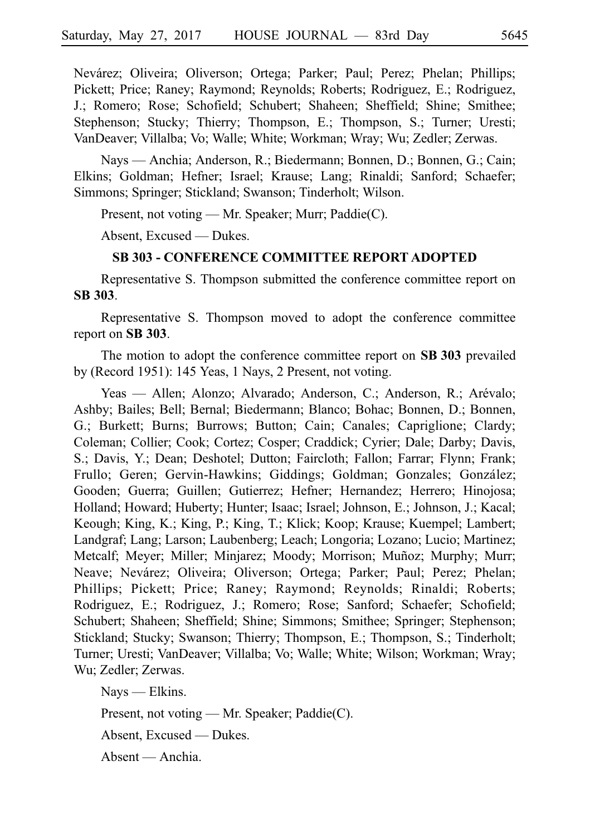Nevárez; Oliveira; Oliverson; Ortega; Parker; Paul; Perez; Phelan; Phillips; Pickett; Price; Raney; Raymond; Reynolds; Roberts; Rodriguez, E.; Rodriguez, J.; Romero; Rose; Schofield; Schubert; Shaheen; Sheffield; Shine; Smithee; Stephenson; Stucky; Thierry; Thompson, E.; Thompson, S.; Turner; Uresti; VanDeaver; Villalba; Vo; Walle; White; Workman; Wray; Wu; Zedler; Zerwas.

Nays — Anchia; Anderson, R.; Biedermann; Bonnen, D.; Bonnen, G.; Cain; Elkins; Goldman; Hefner; Israel; Krause; Lang; Rinaldi; Sanford; Schaefer; Simmons; Springer; Stickland; Swanson; Tinderholt; Wilson.

Present, not voting — Mr. Speaker; Murr; Paddie(C).

Absent, Excused — Dukes.

### **SB 303 - CONFERENCE COMMITTEE REPORT ADOPTED**

Representative S. Thompson submitted the conference committee report on **SBi303**.

Representative S. Thompson moved to adopt the conference committee report on SB 303.

The motion to adopt the conference committee report on **SB 303** prevailed by (Record 1951): 145 Yeas, 1 Nays, 2 Present, not voting.

Yeas — Allen; Alonzo; Alvarado; Anderson, C.; Anderson, R.; Arévalo; Ashby; Bailes; Bell; Bernal; Biedermann; Blanco; Bohac; Bonnen, D.; Bonnen, G.; Burkett; Burns; Burrows; Button; Cain; Canales; Capriglione; Clardy; Coleman; Collier; Cook; Cortez; Cosper; Craddick; Cyrier; Dale; Darby; Davis, S.; Davis, Y.; Dean; Deshotel; Dutton; Faircloth; Fallon; Farrar; Flynn; Frank; Frullo; Geren; Gervin-Hawkins; Giddings; Goldman; Gonzales; González; Gooden; Guerra; Guillen; Gutierrez; Hefner; Hernandez; Herrero; Hinojosa; Holland; Howard; Huberty; Hunter; Isaac; Israel; Johnson, E.; Johnson, J.; Kacal; Keough; King, K.; King, P.; King, T.; Klick; Koop; Krause; Kuempel; Lambert; Landgraf; Lang; Larson; Laubenberg; Leach; Longoria; Lozano; Lucio; Martinez; Metcalf; Meyer; Miller; Minjarez; Moody; Morrison; Muñoz; Murphy; Murr; Neave; Nevárez; Oliveira; Oliverson; Ortega; Parker; Paul; Perez; Phelan; Phillips; Pickett; Price; Raney; Raymond; Reynolds; Rinaldi; Roberts; Rodriguez, E.; Rodriguez, J.; Romero; Rose; Sanford; Schaefer; Schofield; Schubert; Shaheen; Sheffield; Shine; Simmons; Smithee; Springer; Stephenson; Stickland; Stucky; Swanson; Thierry; Thompson, E.; Thompson, S.; Tinderholt; Turner; Uresti; VanDeaver; Villalba; Vo; Walle; White; Wilson; Workman; Wray; Wu; Zedler; Zerwas.

Nays — Elkins. Present, not voting — Mr. Speaker; Paddie(C). Absent, Excused — Dukes. Absent — Anchia.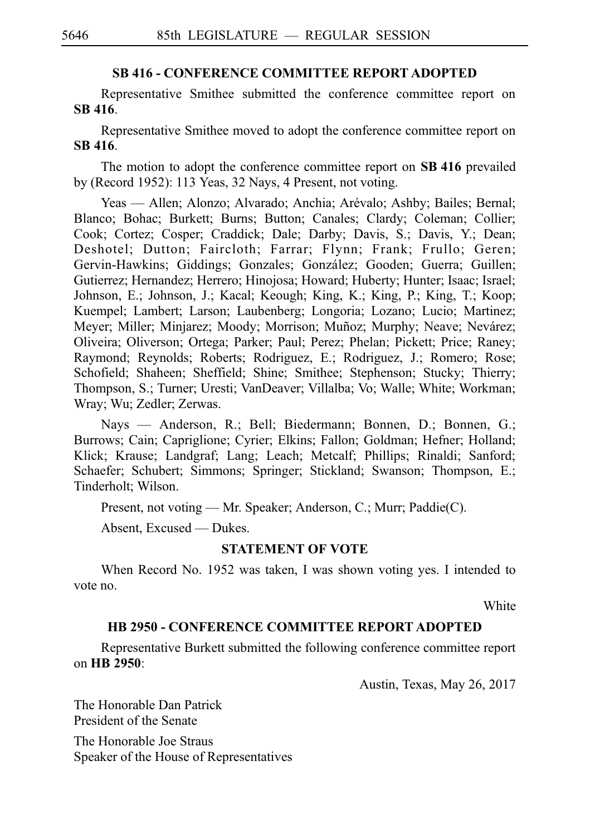### **SB 416 - CONFERENCE COMMITTEE REPORT ADOPTED**

Representative Smithee submitted the conference committee report on **SBi416**.

Representative Smithee moved to adopt the conference committee report on **SBi416**.

The motion to adopt the conference committee report on SB 416 prevailed by (Record 1952): 113 Yeas, 32 Nays, 4 Present, not voting.

Yeas — Allen; Alonzo; Alvarado; Anchia; Arévalo; Ashby; Bailes; Bernal; Blanco; Bohac; Burkett; Burns; Button; Canales; Clardy; Coleman; Collier; Cook; Cortez; Cosper; Craddick; Dale; Darby; Davis, S.; Davis, Y.; Dean; Deshotel; Dutton; Faircloth; Farrar; Flynn; Frank; Frullo; Geren; Gervin-Hawkins; Giddings; Gonzales; González; Gooden; Guerra; Guillen; Gutierrez; Hernandez; Herrero; Hinojosa; Howard; Huberty; Hunter; Isaac; Israel; Johnson, E.; Johnson, J.; Kacal; Keough; King, K.; King, P.; King, T.; Koop; Kuempel; Lambert; Larson; Laubenberg; Longoria; Lozano; Lucio; Martinez; Meyer; Miller; Minjarez; Moody; Morrison; Muñoz; Murphy; Neave; Nevárez; Oliveira; Oliverson; Ortega; Parker; Paul; Perez; Phelan; Pickett; Price; Raney; Raymond; Reynolds; Roberts; Rodriguez, E.; Rodriguez, J.; Romero; Rose; Schofield; Shaheen; Sheffield; Shine; Smithee; Stephenson; Stucky; Thierry; Thompson, S.; Turner; Uresti; VanDeaver; Villalba; Vo; Walle; White; Workman; Wray; Wu; Zedler; Zerwas.

Nays — Anderson, R.; Bell; Biedermann; Bonnen, D.; Bonnen, G.; Burrows; Cain; Capriglione; Cyrier; Elkins; Fallon; Goldman; Hefner; Holland; Klick; Krause; Landgraf; Lang; Leach; Metcalf; Phillips; Rinaldi; Sanford; Schaefer; Schubert; Simmons; Springer; Stickland; Swanson; Thompson, E.; Tinderholt; Wilson.

Present, not voting — Mr. Speaker; Anderson, C.; Murr; Paddie(C).

Absent, Excused — Dukes.

## **STATEMENT OF VOTE**

When Record No. 1952 was taken, I was shown voting yes. I intended to vote no.

White

### **HB 2950 - CONFERENCE COMMITTEE REPORT ADOPTED**

Representative Burkett submitted the following conference committee report on **HBi2950**:

Austin, Texas, May 26, 2017

The Honorable Dan Patrick President of the Senate

The Honorable Joe Straus Speaker of the House of Representatives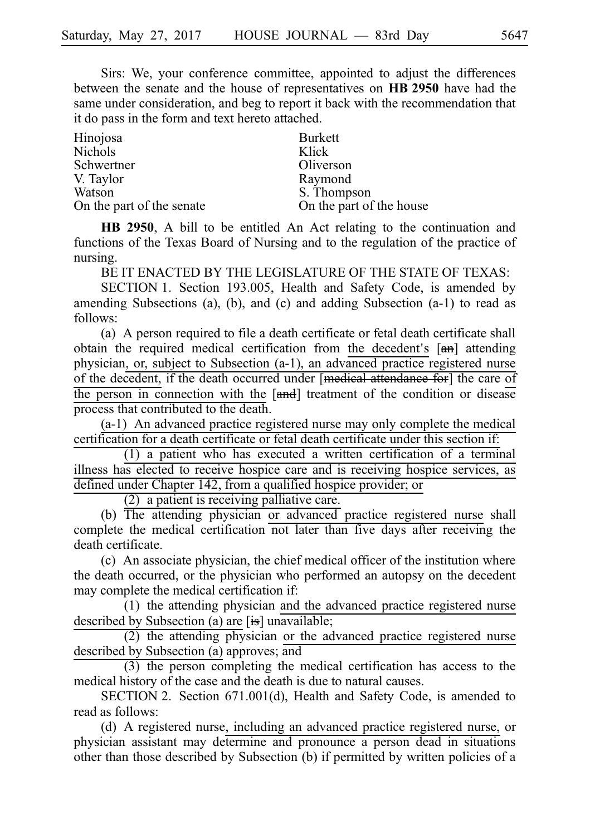Sirs: We, your conference committee, appointed to adjust the differences between the senate and the house of representatives on **HBi2950** have had the same under consideration, and beg to report it back with the recommendation that it do pass in the form and text hereto attached.

| Hinojosa                  | <b>Burkett</b>           |
|---------------------------|--------------------------|
| Nichols                   | Klick                    |
| Schwertner                | Oliverson                |
| V. Taylor                 | Raymond                  |
| Watson                    | S. Thompson              |
| On the part of the senate | On the part of the house |

**HB 2950**, A bill to be entitled An Act relating to the continuation and functions of the Texas Board of Nursing and to the regulation of the practice of nursing.

BE IT ENACTED BY THE LEGISLATURE OF THE STATE OF TEXAS:

SECTION 1. Section 193.005, Health and Safety Code, is amended by amending Subsections (a), (b), and (c) and adding Subsection (a-1) to read as follows:

(a) A person required to file a death certificate or fetal death certificate shall obtain the required medical certification from the decedent's  $[\theta_{\text{m}}]$  attending physician, or, subject to Subsection (a-1), an advanced practice registered nurse of the decedent, if the death occurred under [medical attendance for] the care of the person in connection with the [and] treatment of the condition or disease process that contributed to the death.

 $(a-1)$  An advanced practice registered nurse may only complete the medical certification for a death certificate or fetal death certificate under this section if:

 $(1)$  a patient who has executed a written certification of a terminal illness has elected to receive hospice care and is receiving hospice services, as defined under Chapter 142, from a qualified hospice provider; or

 $(2)$  a patient is receiving palliative care.

 $(b)$  The attending physician or advanced practice registered nurse shall complete the medical certification not later than five days after receiving the death certificate.

(c) An associate physician, the chief medical officer of the institution where the death occurred, or the physician who performed an autopsy on the decedent may complete the medical certification if:

(1) the attending physician and the advanced practice registered nurse described by Subsection (a) are [is] unavailable;

 $(2)$  the attending physician or the advanced practice registered nurse described by Subsection (a) approves; and

 $(3)$  the person completing the medical certification has access to the medical history of the case and the death is due to natural causes.

SECTION 2. Section 671.001(d), Health and Safety Code, is amended to read as follows:

(d) A registered nurse, including an advanced practice registered nurse, or physician assistant may determine and pronounce a person dead in situations other than those described by Subsection (b) if permitted by written policies of a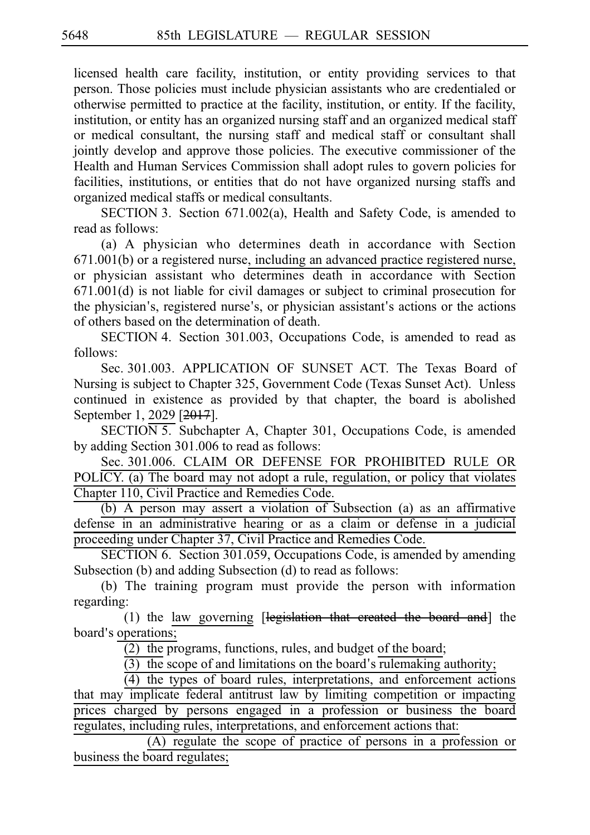licensed health care facility, institution, or entity providing services to that person. Those policies must include physician assistants who are credentialed or otherwise permitted to practice at the facility, institution, or entity. If the facility, institution, or entity has an organized nursing staff and an organized medical staff or medical consultant, the nursing staff and medical staff or consultant shall jointly develop and approve those policies. The executive commissioner of the Health and Human Services Commission shall adopt rules to govern policies for facilities, institutions, or entities that do not have organized nursing staffs and organized medical staffs or medical consultants.

SECTION 3. Section 671.002(a), Health and Safety Code, is amended to read as follows:

(a) A physician who determines death in accordance with Section 671.001(b) or a registered nurse, including an advanced practice registered nurse, or physician assistant who determines death in accordance with Section 671.001(d) is not liable for civil damages or subject to criminal prosecution for the physician's, registered nurse's, or physician assistant's actions or the actions of others based on the determination of death.

SECTION 4. Section 301.003, Occupations Code, is amended to read as follows:

Sec. 301.003. APPLICATION OF SUNSET ACT. The Texas Board of Nursing is subject to Chapter 325, Government Code (Texas Sunset Act). Unless continued in existence as provided by that chapter, the board is abolished September 1, 2029 [2017].

 $SECTION 5.$  Subchapter A, Chapter 301, Occupations Code, is amended by adding Section 301.006 to read as follows:

Sec. 301.006. CLAIM OR DEFENSE FOR PROHIBITED RULE OR POLICY. (a) The board may not adopt a rule, regulation, or policy that violates Chapter 110, Civil Practice and Remedies Code.

(b) A person may assert a violation of Subsection (a) as an affirmative defense in an administrative hearing or as a claim or defense in a judicial proceeding under Chapter 37, Civil Practice and Remedies Code.

SECTION 6. Section 301.059, Occupations Code, is amended by amending Subsection (b) and adding Subsection (d) to read as follows:

(b) The training program must provide the person with information regarding:

(1) the law governing  $[legi<sub>s</sub>lation that created the board and] the$ board's operations;

 $(2)$  the programs, functions, rules, and budget of the board;

 $\overline{(3)}$  the scope of and limitations on the board's rulemaking authority;

 $(4)$  the types of board rules, interpretations, and enforcement actions that may implicate federal antitrust law by limiting competition or impacting prices charged by persons engaged in a profession or business the board regulates, including rules, interpretations, and enforcement actions that:

 $(A)$  regulate the scope of practice of persons in a profession or business the board regulates;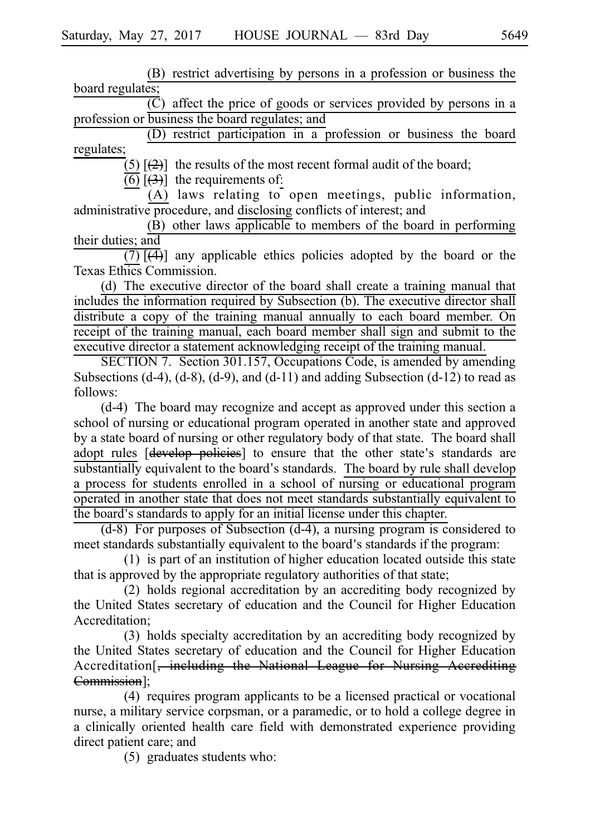(B) restrict advertising by persons in a profession or business the board regulates;

 $\overline{C}$ ) affect the price of goods or services provided by persons in a profession or business the board regulates; and

(D) restrict participation in a profession or business the board regulates;

(5)  $\left[\frac{2}{2}\right]$  the results of the most recent formal audit of the board;

 $\overline{(6)}$   $\overline{(3)}$ ] the requirements of:

(A) laws relating to open meetings, public information, administrative procedure, and disclosing conflicts of interest; and

(B) other laws applicable to members of the board in performing their duties; and

 $\overline{(7)}$   $\overline{(4)}$ ] any applicable ethics policies adopted by the board or the Texas Ethics Commission.

(d) The executive director of the board shall create a training manual that includes the information required by Subsection (b). The executive director shall distribute a copy of the training manual annually to each board member. On receipt of the training manual, each board member shall sign and submit to the executive director a statement acknowledging receipt of the training manual.

SECTION 7. Section 301.157, Occupations Code, is amended by amending Subsections  $(d-4)$ ,  $(d-8)$ ,  $(d-9)$ , and  $(d-11)$  and adding Subsection  $(d-12)$  to read as follows:

 $(d-4)$  The board may recognize and accept as approved under this section a school of nursing or educational program operated in another state and approved by a state board of nursing or other regulatory body of that state. The board shall adopt rules [develop policies] to ensure that the other state's standards are substantially equivalent to the board's standards. The board by rule shall develop a process for students enrolled in a school of nursing or educational program operated in another state that does not meet standards substantially equivalent to the board's standards to apply for an initial license under this chapter.

 $(d-8)$  For purposes of Subsection  $(d-4)$ , a nursing program is considered to meet standards substantially equivalent to the board's standards if the program:

 $(1)$  is part of an institution of higher education located outside this state that is approved by the appropriate regulatory authorities of that state;

(2) holds regional accreditation by an accrediting body recognized by the United States secretary of education and the Council for Higher Education Accreditation;

(3) holds specialty accreditation by an accrediting body recognized by the United States secretary of education and the Council for Higher Education Accreditation[, including the National League for Nursing Accrediting Commission];

 $(4)$  requires program applicants to be a licensed practical or vocational nurse, a military service corpsman, or a paramedic, or to hold a college degree in a clinically oriented health care field with demonstrated experience providing direct patient care; and

 $(5)$  graduates students who: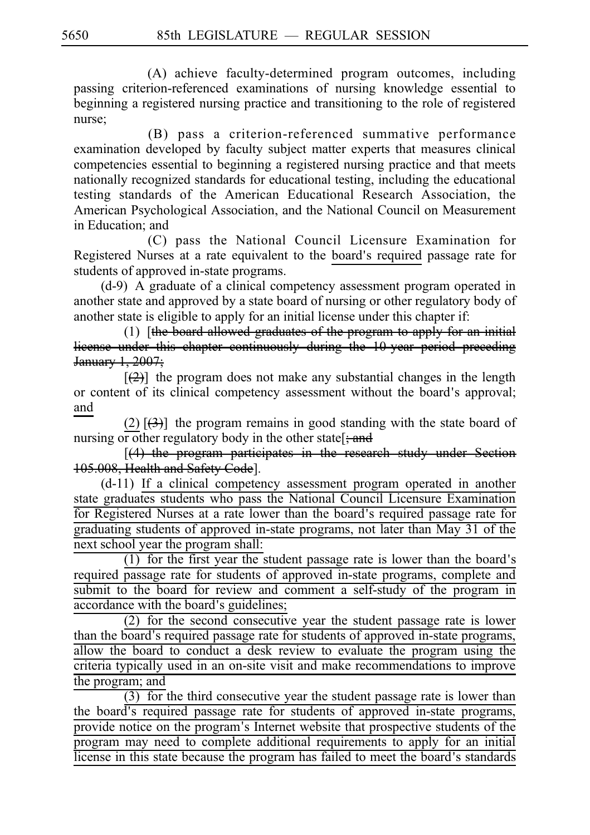(A) achieve faculty-determined program outcomes, including passing criterion-referenced examinations of nursing knowledge essential to beginning a registered nursing practice and transitioning to the role of registered nurse;

(B) pass a criterion-referenced summative performance examination developed by faculty subject matter experts that measures clinical competencies essential to beginning a registered nursing practice and that meets nationally recognized standards for educational testing, including the educational testing standards of the American Educational Research Association, the American Psychological Association, and the National Council on Measurement in Education; and

(C) pass the National Council Licensure Examination for Registered Nurses at a rate equivalent to the board's required passage rate for students of approved in-state programs.

 $(d-9)$  A graduate of a clinical competency assessment program operated in another state and approved by a state board of nursing or other regulatory body of another state is eligible to apply for an initial license under this chapter if:

 $(1)$  [the board allowed graduates of the program to apply for an initial license under this chapter continuously during the 10-year period preceding January 1, 2007;

 $[\frac{1}{2}]$  the program does not make any substantial changes in the length or content of its clinical competency assessment without the board's approval; and

(2)  $\left[\frac{1}{2}\right]$  the program remains in good standing with the state board of nursing or other regulatory body in the other state  $\frac{1}{2}$  and

 $[(4)$  the program participates in the research study under Section 105.008, Health and Safety Code].

(d-11) If a clinical competency assessment program operated in another state graduates students who pass the National Council Licensure Examination for Registered Nurses at a rate lower than the board's required passage rate for graduating students of approved in-state programs, not later than May 31 of the next school year the program shall:

 $(1)$  for the first year the student passage rate is lower than the board's required passage rate for students of approved in-state programs, complete and submit to the board for review and comment a self-study of the program in accordance with the board's guidelines;

 $(2)$  for the second consecutive year the student passage rate is lower than the board's required passage rate for students of approved in-state programs, allow the board to conduct a desk review to evaluate the program using the criteria typically used in an on-site visit and make recommendations to improve the program; and

 $\overline{(3)}$  for the third consecutive year the student passage rate is lower than the board's required passage rate for students of approved in-state programs, provide notice on the program's Internet website that prospective students of the program may need to complete additional requirements to apply for an initial license in this state because the program has failed to meet the board's standards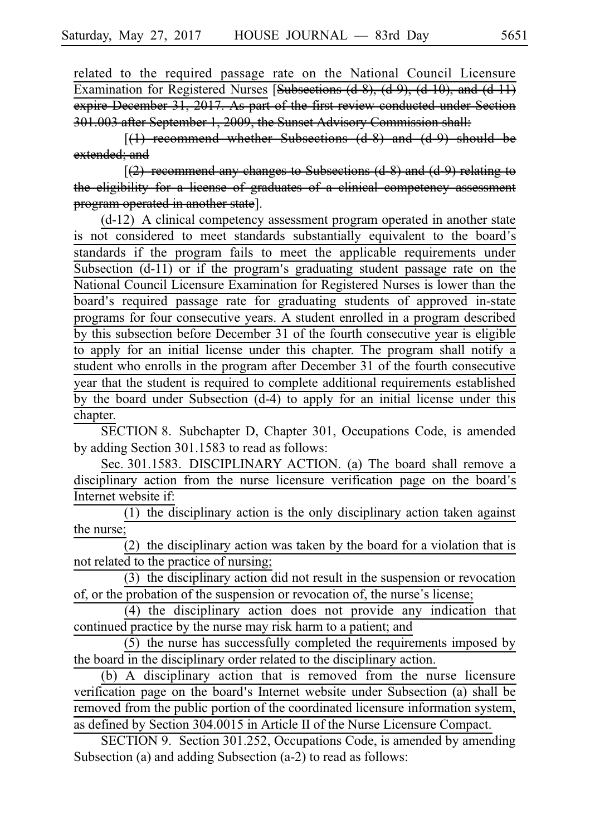related to the required passage rate on the National Council Licensure Examination for Registered Nurses [Subsections (d-8), (d-9), (d-10), and (d-11) expire December 31, 2017. As part of the first review conducted under Section 301.003 after September 1, 2009, the Sunset Advisory Commission shall:

 $[(1)$  recommend whether Subsections  $(d-8)$  and  $(d-9)$  should be extended; and

 $(2)$  recommend any changes to Subsections (d-8) and (d-9) relating to the eligibility for a license of graduates of a clinical competency assessm program operated in another state].

 $(d-12)$  A clinical competency assessment program operated in another state is not considered to meet standards substantially equivalent to the board's standards if the program fails to meet the applicable requirements under Subsection  $(d-11)$  or if the program's graduating student passage rate on the National Council Licensure Examination for Registered Nurses is lower than the board's required passage rate for graduating students of approved in-state programs for four consecutive years. A student enrolled in a program described by this subsection before December 31 of the fourth consecutive year is eligible to apply for an initial license under this chapter. The program shall notify a student who enrolls in the program after December 31 of the fourth consecutive year that the student is required to complete additional requirements established by the board under Subsection (d-4) to apply for an initial license under this chapter.

SECTION 8. Subchapter D, Chapter 301, Occupations Code, is amended by adding Section 301.1583 to read as follows:

Sec. 301.1583. DISCIPLINARY ACTION. (a) The board shall remove a disciplinary action from the nurse licensure verification page on the board's Internet website if:

 $(1)$  the disciplinary action is the only disciplinary action taken against the nurse;

(2) the disciplinary action was taken by the board for a violation that is not related to the practice of nursing;

 $(3)$  the disciplinary action did not result in the suspension or revocation of, or the probation of the suspension or revocation of, the nurse's license;

(4) the disciplinary action does not provide any indication that continued practice by the nurse may risk harm to a patient; and

 $(5)$  the nurse has successfully completed the requirements imposed by the board in the disciplinary order related to the disciplinary action.

 $(b)$  A disciplinary action that is removed from the nurse licensure verification page on the board's Internet website under Subsection (a) shall be removed from the public portion of the coordinated licensure information system, as defined by Section 304.0015 in Article II of the Nurse Licensure Compact.

SECTION 9. Section 301.252, Occupations Code, is amended by amending Subsection (a) and adding Subsection (a-2) to read as follows: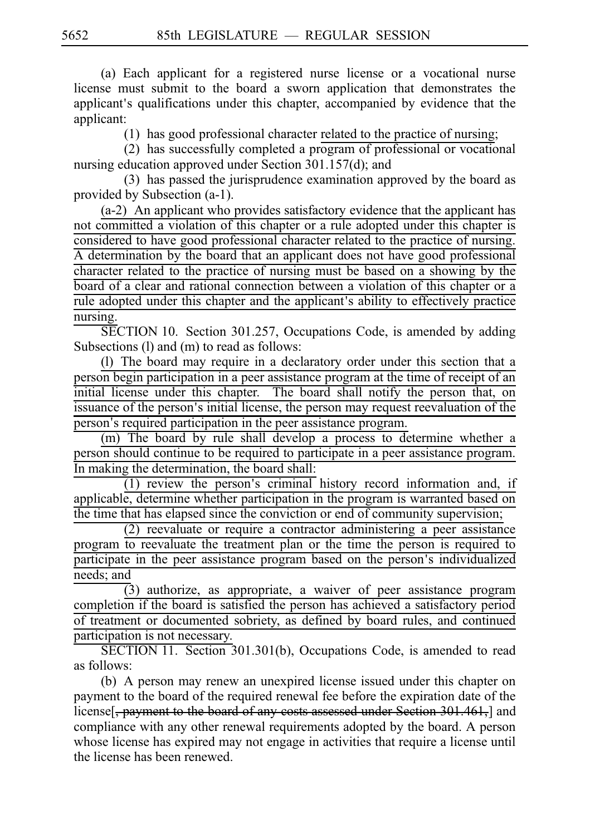(a) Each applicant for a registered nurse license or a vocational nurse license must submit to the board a sworn application that demonstrates the applicant's qualifications under this chapter, accompanied by evidence that the applicant:

 $(1)$  has good professional character related to the practice of nursing;

 $(2)$  has successfully completed a program of professional or vocational nursing education approved under Section 301.157(d); and

(3) has passed the jurisprudence examination approved by the board as provided by Subsection (a-1).

 $(a-2)$  An applicant who provides satisfactory evidence that the applicant has not committed a violation of this chapter or a rule adopted under this chapter is considered to have good professional character related to the practice of nursing. A determination by the board that an applicant does not have good professional character related to the practice of nursing must be based on a showing by the board of a clear and rational connection between a violation of this chapter or a rule adopted under this chapter and the applicant's ability to effectively practice nursing.

SECTION 10. Section 301.257, Occupations Code, is amended by adding Subsections (I) and (m) to read as follows:

(l) The board may require in a declaratory order under this section that a person begin participation in a peer assistance program at the time of receipt of an initial license under this chapter. The board shall notify the person that, on issuance of the person's initial license, the person may request reevaluation of the person's required participation in the peer assistance program.

(m) The board by rule shall develop a process to determine whether a person should continue to be required to participate in a peer assistance program. In making the determination, the board shall:

 $(1)$  review the person's criminal history record information and, if applicable, determine whether participation in the program is warranted based on  $\frac{1}{10}$  the time that has elapsed since the conviction or end of community supervision;

 $(2)$  reevaluate or require a contractor administering a peer assistance program to reevaluate the treatment plan or the time the person is required to participate in the peer assistance program based on the person's individualized needs; and

 $\overline{(3)}$  authorize, as appropriate, a waiver of peer assistance program completion if the board is satisfied the person has achieved a satisfactory period of treatment or documented sobriety, as defined by board rules, and continued participation is not necessary.

SECTION 11. Section 301.301(b), Occupations Code, is amended to read as follows:

(b) A person may renew an unexpired license issued under this chapter on payment to the board of the required renewal fee before the expiration date of the license<sup>[</sup>, payment to the board of any costs assessed under Section 301.461,] and compliance with any other renewal requirements adopted by the board. A person whose license has expired may not engage in activities that require a license until the license has been renewed.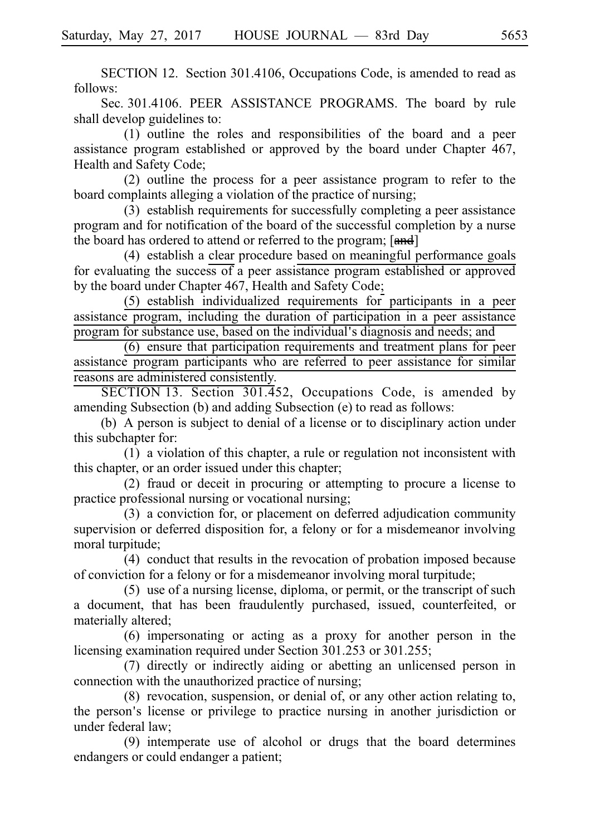SECTION 12. Section 301.4106, Occupations Code, is amended to read as follows:

Sec. 301.4106. PEER ASSISTANCE PROGRAMS. The board by rule shall develop guidelines to:

 $(1)$  outline the roles and responsibilities of the board and a peer assistance program established or approved by the board under Chapter 467, Health and Safety Code;

 $(2)$  outline the process for a peer assistance program to refer to the board complaints alleging a violation of the practice of nursing;

 $(3)$  establish requirements for successfully completing a peer assistance program and for notification of the board of the successful completion by a nurse the board has ordered to attend or referred to the program; [and]

(4) establish a clear procedure based on meaningful performance goals for evaluating the success of a peer assistance program established or approved by the board under Chapter 467, Health and Safety Code;

 $(5)$  establish individualized requirements for participants in a peer assistance program, including the duration of participation in a peer assistance program for substance use, based on the individual's diagnosis and needs; and

 $(6)$  ensure that participation requirements and treatment plans for peer assistance program participants who are referred to peer assistance for similar reasons are administered consistently.

SECTION 13. Section  $301.452$ , Occupations Code, is amended by amending Subsection (b) and adding Subsection (e) to read as follows:

(b) A person is subject to denial of a license or to disciplinary action under this subchapter for:

 $(1)$  a violation of this chapter, a rule or regulation not inconsistent with this chapter, or an order issued under this chapter;

 $(2)$  fraud or deceit in procuring or attempting to procure a license to practice professional nursing or vocational nursing;

(3) a conviction for, or placement on deferred adjudication community supervision or deferred disposition for, a felony or for a misdemeanor involving moral turpitude;

(4) conduct that results in the revocation of probation imposed because of conviction for a felony or for a misdemeanor involving moral turpitude;

 $(5)$  use of a nursing license, diploma, or permit, or the transcript of such a document, that has been fraudulently purchased, issued, counterfeited, or materially altered;

 $(6)$  impersonating or acting as a proxy for another person in the licensing examination required under Section 301.253 or 301.255;

(7) directly or indirectly aiding or abetting an unlicensed person in connection with the unauthorized practice of nursing;

 $(8)$  revocation, suspension, or denial of, or any other action relating to, the person's license or privilege to practice nursing in another jurisdiction or under federal law;

(9) intemperate use of alcohol or drugs that the board determines endangers or could endanger a patient;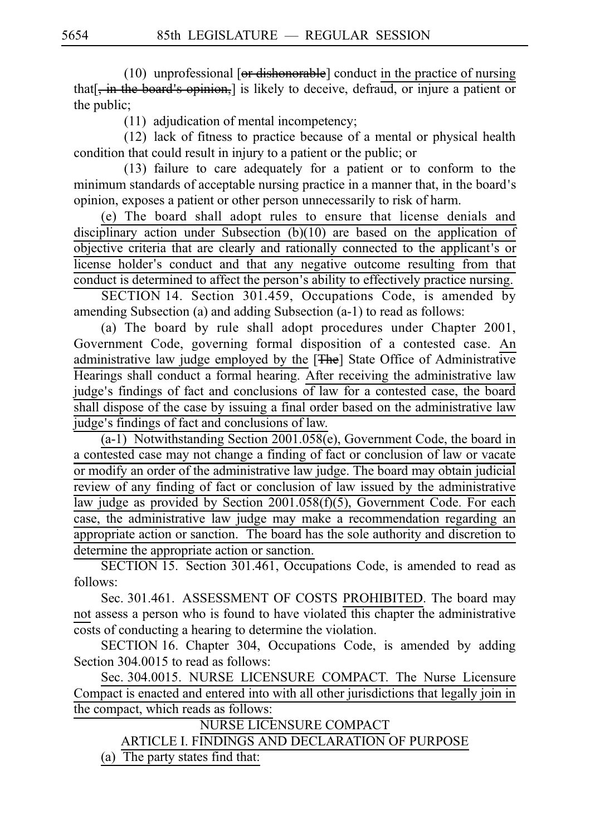$(10)$  unprofessional [or dishonorable] conduct in the practice of nursing that  $\frac{1}{2}$ , in the board's opinion, is likely to deceive, defraud, or injure a patient or the public;

 $(11)$  adjudication of mental incompetency;

 $(12)$  lack of fitness to practice because of a mental or physical health condition that could result in injury to a patient or the public; or

 $(13)$  failure to care adequately for a patient or to conform to the minimum standards of acceptable nursing practice in a manner that, in the board's opinion, exposes a patient or other person unnecessarily to risk of harm.

(e) The board shall adopt rules to ensure that license denials and disciplinary action under Subsection (b)(10) are based on the application of objective criteria that are clearly and rationally connected to the applicant's or license holder's conduct and that any negative outcome resulting from that conduct is determined to affect the person's ability to effectively practice nursing.

SECTION 14. Section 301.459, Occupations Code, is amended by amending Subsection (a) and adding Subsection (a-1) to read as follows:

(a) The board by rule shall adopt procedures under Chapter 2001, Government Code, governing formal disposition of a contested case. An administrative law judge employed by the [The] State Office of Administrative Hearings shall conduct a formal hearing. After receiving the administrative law judge's findings of fact and conclusions of law for a contested case, the board shall dispose of the case by issuing a final order based on the administrative law judge's findings of fact and conclusions of law.

(a-1) Notwithstanding Section 2001.058(e), Government Code, the board in a contested case may not change a finding of fact or conclusion of law or vacate or modify an order of the administrative law judge. The board may obtain judicial review of any finding of fact or conclusion of law issued by the administrative law judge as provided by Section 2001.058(f)(5), Government Code. For each case, the administrative law judge may make a recommendation regarding an appropriate action or sanction. The board has the sole authority and discretion to determine the appropriate action or sanction.

SECTION 15. Section 301.461, Occupations Code, is amended to read as follows:

Sec. 301.461. ASSESSMENT OF COSTS PROHIBITED. The board may not assess a person who is found to have violated this chapter the administrative costs of conducting a hearing to determine the violation.

SECTION 16. Chapter 304, Occupations Code, is amended by adding Section 304.0015 to read as follows:

Sec. 304.0015. NURSE LICENSURE COMPACT. The Nurse Licensure Compact is enacted and entered into with all other jurisdictions that legally join in the compact, which reads as follows:

NURSE LICENSURE COMPACT ARTICLE I. FINDINGS AND DECLARATION OF PURPOSE (a) The party states find that: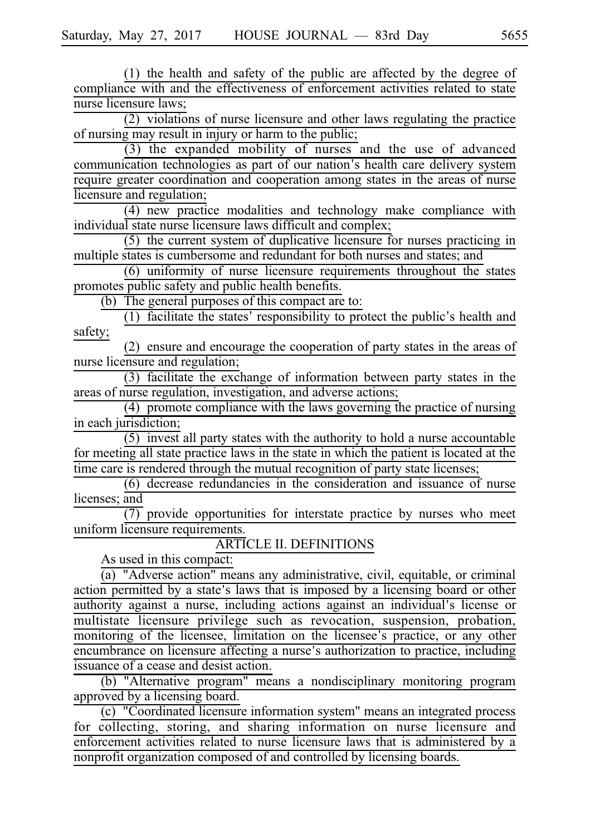$(1)$  the health and safety of the public are affected by the degree of compliance with and the effectiveness of enforcement activities related to state nurse licensure laws;

 $(2)$  violations of nurse licensure and other laws regulating the practice of nursing may result in injury or harm to the public;

 $(3)$  the expanded mobility of nurses and the use of advanced communication technologies as part of our nation's health care delivery system require greater coordination and cooperation among states in the areas of nurse licensure and regulation;

 $(4)$  new practice modalities and technology make compliance with individual state nurse licensure laws difficult and complex;

 $(5)$  the current system of duplicative licensure for nurses practicing in multiple states is cumbersome and redundant for both nurses and states; and

 $(6)$  uniformity of nurse licensure requirements throughout the states promotes public safety and public health benefits.

 $(b)$  The general purposes of this compact are to:

 $(1)$  facilitate the states' responsibility to protect the public's health and safety;

(2) ensure and encourage the cooperation of party states in the areas of nurse licensure and regulation;

 $(3)$  facilitate the exchange of information between party states in the areas of nurse regulation, investigation, and adverse actions;

 $\overline{(4)}$  promote compliance with the laws governing the practice of nursing in each jurisdiction;

 $(5)$  invest all party states with the authority to hold a nurse accountable for meeting all state practice laws in the state in which the patient is located at the time care is rendered through the mutual recognition of party state licenses;

 $(6)$  decrease redundancies in the consideration and issuance of nurse licenses; and

 $\overline{(7)}$  provide opportunities for interstate practice by nurses who meet uniform licensure requirements.

## ARTICLE II. DEFINITIONS

As used in this compact:

(a) "Adverse action" means any administrative, civil, equitable, or criminal action permitted by a state's laws that is imposed by a licensing board or other authority against a nurse, including actions against an individual's license or multistate licensure privilege such as revocation, suspension, probation, monitoring of the licensee, limitation on the licensee's practice, or any other encumbrance on licensure affecting a nurse's authorization to practice, including issuance of a cease and desist action.

(b) "Alternative program" means a nondisciplinary monitoring program approved by a licensing board.

(c) "Coordinated licensure information system" means an integrated process for collecting, storing, and sharing information on nurse licensure and enforcement activities related to nurse licensure laws that is administered by a nonprofit organization composed of and controlled by licensing boards.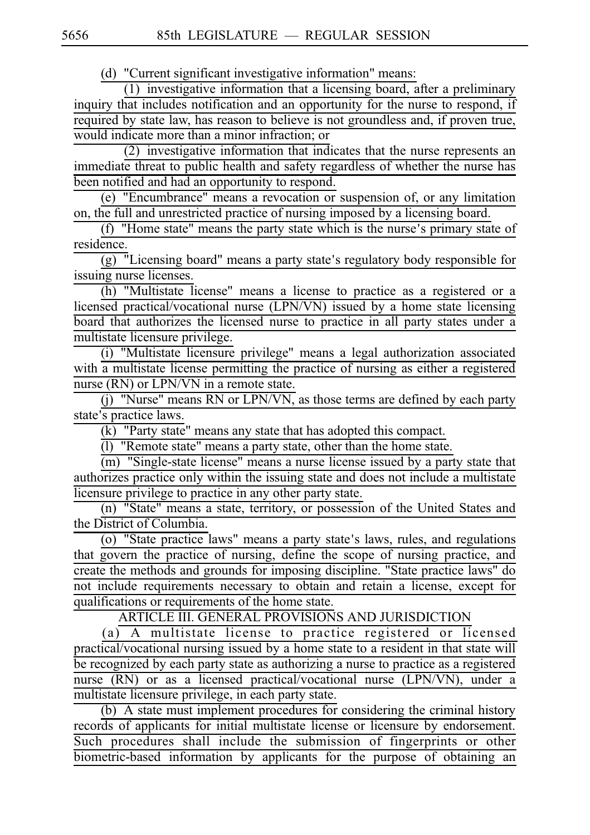(d) "Current significant investigative information" means:

(1) investigative information that a licensing board, after a preliminary inquiry that includes notification and an opportunity for the nurse to respond, if required by state law, has reason to believe is not groundless and, if proven true, would indicate more than a minor infraction; or

 $(2)$  investigative information that indicates that the nurse represents an immediate threat to public health and safety regardless of whether the nurse has been notified and had an opportunity to respond.

(e) "Encumbrance" means a revocation or suspension of, or any limitation on, the full and unrestricted practice of nursing imposed by a licensing board.

 $(f)$  "Home state" means the party state which is the nurse's primary state of residence.

 $\overline{(g)}$  "Licensing board" means a party state's regulatory body responsible for issuing nurse licenses.

(h) "Multistate license" means a license to practice as a registered or a licensed practical/vocational nurse (LPN/VN) issued by a home state licensing board that authorizes the licensed nurse to practice in all party states under a multistate licensure privilege.

(i) "Multistate licensure privilege" means a legal authorization associated with a multistate license permitting the practice of nursing as either a registered nurse (RN) or LPN/VN in a remote state.

 $(j)$  "Nurse" means RN or LPN/VN, as those terms are defined by each party state's practice laws.

 $(k)$  "Party state" means any state that has adopted this compact.

(l) "Remote state" means a party state, other than the home state.

(m) "Single-state license" means a nurse license issued by a party state that authorizes practice only within the issuing state and does not include a multistate licensure privilege to practice in any other party state.

(n) "State" means a state, territory, or possession of the United States and the District of Columbia.

(o) "State practice laws" means a party state's laws, rules, and regulations that govern the practice of nursing, define the scope of nursing practice, and create the methods and grounds for imposing discipline. "State practice laws" do not include requirements necessary to obtain and retain a license, except for qualifications or requirements of the home state.

ARTICLE III. GENERAL PROVISIONS AND JURISDICTION

(a) A multistate license to practice registered or licensed practical/vocational nursing issued by a home state to a resident in that state will be recognized by each party state as authorizing a nurse to practice as a registered nurse (RN) or as a licensed practical/vocational nurse (LPN/VN), under a multistate licensure privilege, in each party state.

(b) A state must implement procedures for considering the criminal history records of applicants for initial multistate license or licensure by endorsement. Such procedures shall include the submission of fingerprints or other biometric-based information by applicants for the purpose of obtaining an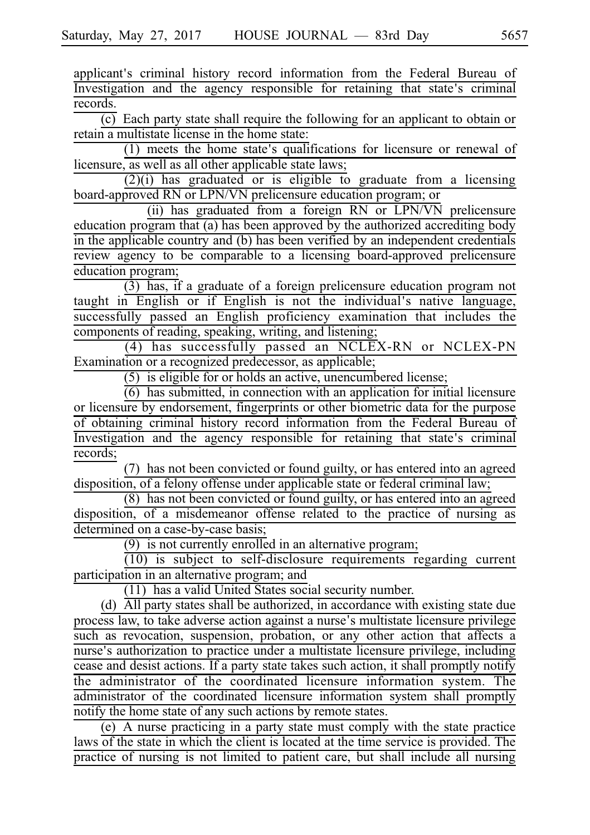applicant's criminal history record information from the Federal Bureau of Investigation and the agency responsible for retaining that state's criminal records.

 $(c)$  Each party state shall require the following for an applicant to obtain or retain a multistate license in the home state:

 $(1)$  meets the home state's qualifications for licensure or renewal of licensure, as well as all other applicable state laws;

 $(2)(i)$  has graduated or is eligible to graduate from a licensing board-approved RN or LPN/VN prelicensure education program; or

 $(iii)$  has graduated from a foreign RN or LPN/VN prelicensure education program that (a) has been approved by the authorized accrediting body in the applicable country and (b) has been verified by an independent credentials review agency to be comparable to a licensing board-approved prelicensure education program;

 $(3)$  has, if a graduate of a foreign prelicensure education program not taught in English or if English is not the individual's native language, successfully passed an English proficiency examination that includes the components of reading, speaking, writing, and listening;

 $(4)$  has successfully passed an NCLEX-RN or NCLEX-PN Examination or a recognized predecessor, as applicable;

 $(5)$  is eligible for or holds an active, unencumbered license;

 $(6)$  has submitted, in connection with an application for initial licensure or licensure by endorsement, fingerprints or other biometric data for the purpose of obtaining criminal history record information from the Federal Bureau of Investigation and the agency responsible for retaining that state's criminal records;

(7) has not been convicted or found guilty, or has entered into an agreed disposition, of a felony offense under applicable state or federal criminal law;

 $(8)$  has not been convicted or found guilty, or has entered into an agreed disposition, of a misdemeanor offense related to the practice of nursing as determined on a case-by-case basis;

 $(9)$  is not currently enrolled in an alternative program;

 $(10)$  is subject to self-disclosure requirements regarding current participation in an alternative program; and

 $(11)$  has a valid United States social security number.

(d)  $\overline{All}$  party states shall be authorized, in accordance with existing state due process law, to take adverse action against a nurse's multistate licensure privilege such as revocation, suspension, probation, or any other action that affects a nurse's authorization to practice under a multistate licensure privilege, including cease and desist actions. If a party state takes such action, it shall promptly notify the administrator of the coordinated licensure information system. The administrator of the coordinated licensure information system shall promptly notify the home state of any such actions by remote states.

 $\epsilon$  (e) A nurse practicing in a party state must comply with the state practice laws of the state in which the client is located at the time service is provided. The practice of nursing is not limited to patient care, but shall include all nursing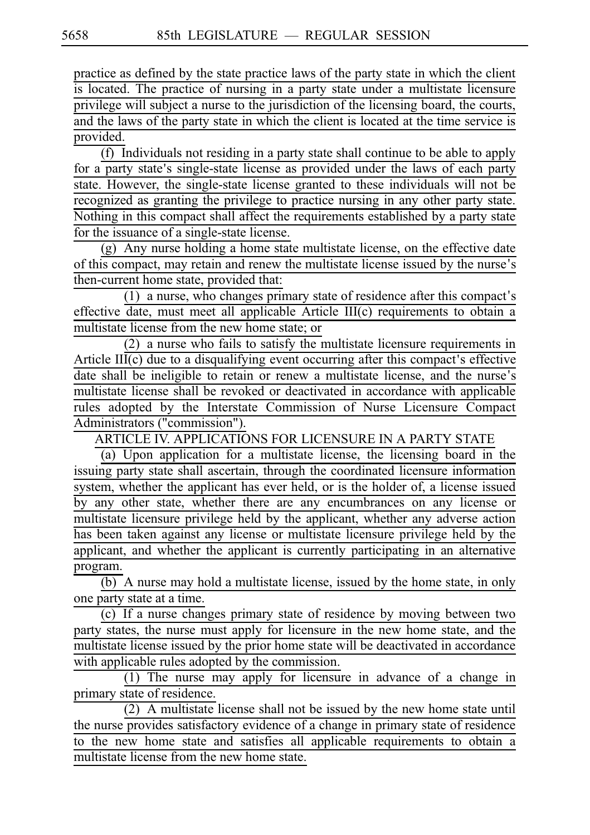practice as defined by the state practice laws of the party state in which the client is located. The practice of nursing in a party state under a multistate licensure privilege will subject a nurse to the jurisdiction of the licensing board, the courts, and the laws of the party state in which the client is located at the time service is provided.

 $(f)$  Individuals not residing in a party state shall continue to be able to apply for a party state's single-state license as provided under the laws of each party state. However, the single-state license granted to these individuals will not be recognized as granting the privilege to practice nursing in any other party state. Nothing in this compact shall affect the requirements established by a party state for the issuance of a single-state license.

 $(g)$  Any nurse holding a home state multistate license, on the effective date of this compact, may retain and renew the multistate license issued by the nurse's then-current home state, provided that:

 $(1)$  a nurse, who changes primary state of residence after this compact's effective date, must meet all applicable Article III(c) requirements to obtain a multistate license from the new home state; or

 $(2)$  a nurse who fails to satisfy the multistate licensure requirements in Article  $III(c)$  due to a disqualifying event occurring after this compact's effective date shall be ineligible to retain or renew a multistate license, and the nurse's multistate license shall be revoked or deactivated in accordance with applicable rules adopted by the Interstate Commission of Nurse Licensure Compact Administrators ("commission").

ARTICLE IV. APPLICATIONS FOR LICENSURE IN A PARTY STATE

(a) Upon application for a multistate license, the licensing board in the issuing party state shall ascertain, through the coordinated licensure information system, whether the applicant has ever held, or is the holder of, a license issued by any other state, whether there are any encumbrances on any license or multistate licensure privilege held by the applicant, whether any adverse action has been taken against any license or multistate licensure privilege held by the applicant, and whether the applicant is currently participating in an alternative program.

(b) A nurse may hold a multistate license, issued by the home state, in only one party state at a time.

(c) If a nurse changes primary state of residence by moving between two party states, the nurse must apply for licensure in the new home state, and the multistate license issued by the prior home state will be deactivated in accordance with applicable rules adopted by the commission.

 $(1)$  The nurse may apply for licensure in advance of a change in primary state of residence.

 $(2)$  A multistate license shall not be issued by the new home state until the nurse provides satisfactory evidence of a change in primary state of residence to the new home state and satisfies all applicable requirements to obtain a multistate license from the new home state.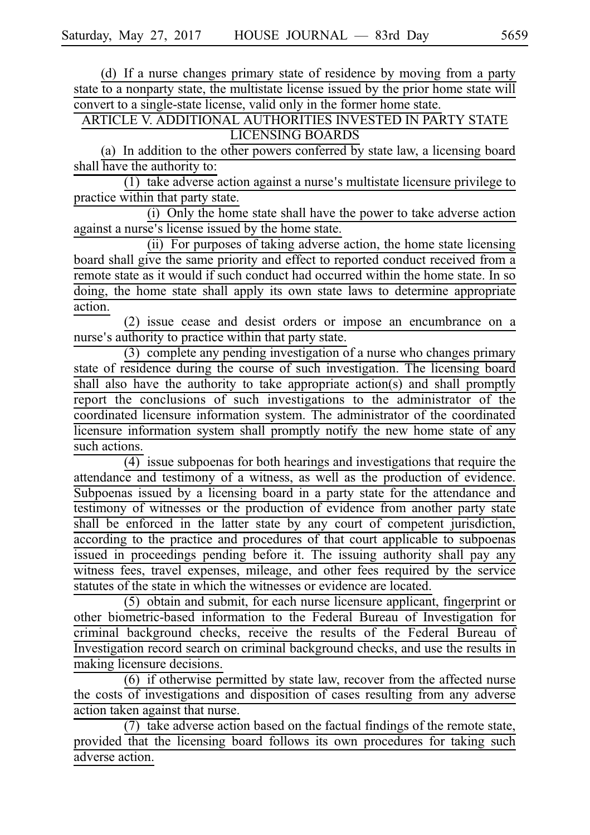(d) If a nurse changes primary state of residence by moving from a party state to a nonparty state, the multistate license issued by the prior home state will convert to a single-state license, valid only in the former home state.

ARTICLE V. ADDITIONAL AUTHORITIES INVESTED IN PARTY STATE LICENSING BOARDS

(a) In addition to the other powers conferred by state law, a licensing board shall have the authority to:

 $(1)$  take adverse action against a nurse's multistate licensure privilege to practice within that party state.

 $(i)$  Only the home state shall have the power to take adverse action against a nurse's license issued by the home state.

(ii) For purposes of taking adverse action, the home state licensing board shall give the same priority and effect to reported conduct received from a remote state as it would if such conduct had occurred within the home state. In so doing, the home state shall apply its own state laws to determine appropriate action.

(2) issue cease and desist orders or impose an encumbrance on a nurse's authority to practice within that party state.

 $(3)$  complete any pending investigation of a nurse who changes primary state of residence during the course of such investigation. The licensing board shall also have the authority to take appropriate action(s) and shall promptly report the conclusions of such investigations to the administrator of the coordinated licensure information system. The administrator of the coordinated licensure information system shall promptly notify the new home state of any such actions.

(4) issue subpoenas for both hearings and investigations that require the attendance and testimony of a witness, as well as the production of evidence. Subpoenas issued by a licensing board in a party state for the attendance and testimony of witnesses or the production of evidence from another party state shall be enforced in the latter state by any court of competent jurisdiction, according to the practice and procedures of that court applicable to subpoenas issued in proceedings pending before it. The issuing authority shall pay any witness fees, travel expenses, mileage, and other fees required by the service statutes of the state in which the witnesses or evidence are located.

(5) obtain and submit, for each nurse licensure applicant, fingerprint or other biometric-based information to the Federal Bureau of Investigation for criminal background checks, receive the results of the Federal Bureau of Investigation record search on criminal background checks, and use the results in making licensure decisions.

 $(6)$  if otherwise permitted by state law, recover from the affected nurse the costs of investigations and disposition of cases resulting from any adverse action taken against that nurse.

 $(7)$  take adverse action based on the factual findings of the remote state, provided that the licensing board follows its own procedures for taking such adverse action.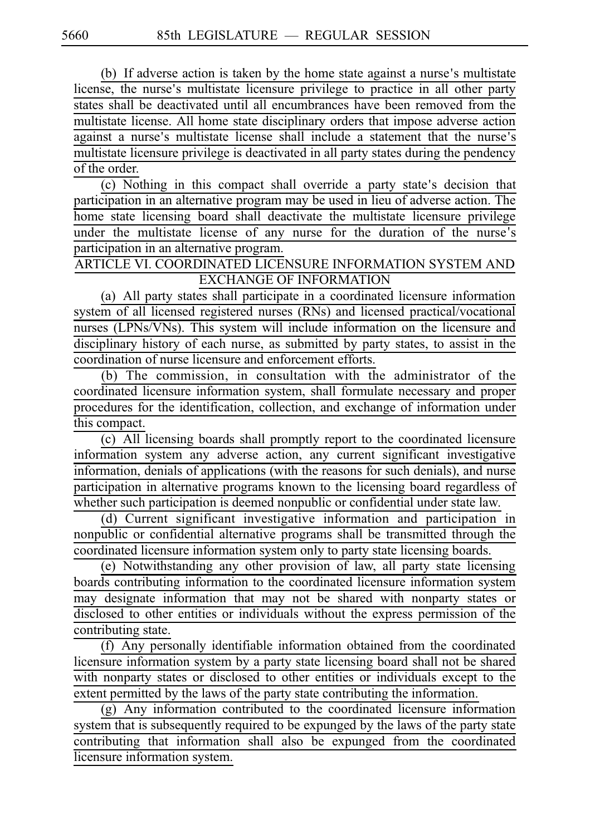(b) If adverse action is taken by the home state against a nurse's multistate license, the nurse's multistate licensure privilege to practice in all other party states shall be deactivated until all encumbrances have been removed from the multistate license. All home state disciplinary orders that impose adverse action against a nurse's multistate license shall include a statement that the nurse's multistate licensure privilege is deactivated in all party states during the pendency of the order.

(c) Nothing in this compact shall override a party state's decision that participation in an alternative program may be used in lieu of adverse action. The home state licensing board shall deactivate the multistate licensure privilege under the multistate license of any nurse for the duration of the nurse's participation in an alternative program.

ARTICLE VI. COORDINATED LICENSURE INFORMATION SYSTEM AND EXCHANGE OF INFORMATION

(a) All party states shall participate in a coordinated licensure information system of all licensed registered nurses (RNs) and licensed practical/vocational nurses (LPNs/VNs). This system will include information on the licensure and disciplinary history of each nurse, as submitted by party states, to assist in the coordination of nurse licensure and enforcement efforts.

 $(b)$  The commission, in consultation with the administrator of the coordinated licensure information system, shall formulate necessary and proper procedures for the identification, collection, and exchange of information under this compact.

 $(c)$  All licensing boards shall promptly report to the coordinated licensure information system any adverse action, any current significant investigative information, denials of applications (with the reasons for such denials), and nurse participation in alternative programs known to the licensing board regardless of whether such participation is deemed nonpublic or confidential under state law.

(d) Current significant investigative information and participation in nonpublic or confidential alternative programs shall be transmitted through the coordinated licensure information system only to party state licensing boards.

(e) Notwithstanding any other provision of law, all party state licensing boards contributing information to the coordinated licensure information system may designate information that may not be shared with nonparty states or disclosed to other entities or individuals without the express permission of the contributing state.

 $(f)$  Any personally identifiable information obtained from the coordinated licensure information system by a party state licensing board shall not be shared with nonparty states or disclosed to other entities or individuals except to the extent permitted by the laws of the party state contributing the information.

 $\frac{1}{(g)}$  Any information contributed to the coordinated licensure information system that is subsequently required to be expunged by the laws of the party state contributing that information shall also be expunged from the coordinated licensure information system.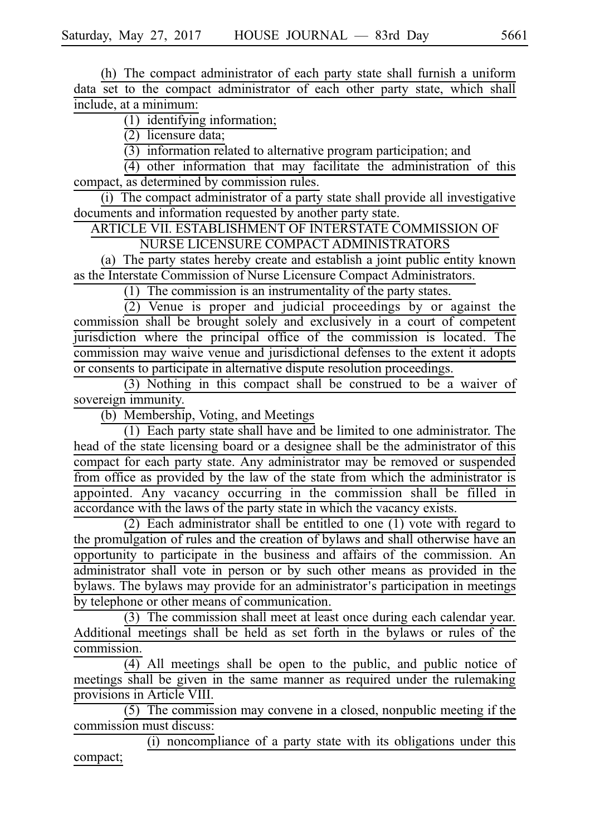(h) The compact administrator of each party state shall furnish a uniform data set to the compact administrator of each other party state, which shall include, at a minimum:

 $(1)$  identifying information;

 $(2)$  licensure data;

 $(3)$  information related to alternative program participation; and

 $(4)$  other information that may facilitate the administration of this compact, as determined by commission rules.

 $(i)$  The compact administrator of a party state shall provide all investigative documents and information requested by another party state.

ARTICLE VII. ESTABLISHMENT OF INTERSTATE COMMISSION OF NURSE LICENSURE COMPACT ADMINISTRATORS

(a) The party states hereby create and establish a joint public entity known as the Interstate Commission of Nurse Licensure Compact Administrators.

(1) The commission is an instrumentality of the party states.

 $(2)$  Venue is proper and judicial proceedings by or against the commission shall be brought solely and exclusively in a court of competent jurisdiction where the principal office of the commission is located. The commission may waive venue and jurisdictional defenses to the extent it adopts or consents to participate in alternative dispute resolution proceedings.

 $(3)$  Nothing in this compact shall be construed to be a waiver of sovereign immunity.

(b) Membership, Voting, and Meetings

 $\overline{(1)}$  Each party state shall have and be limited to one administrator. The head of the state licensing board or a designee shall be the administrator of this compact for each party state. Any administrator may be removed or suspended from office as provided by the law of the state from which the administrator is appointed. Any vacancy occurring in the commission shall be filled in accordance with the laws of the party state in which the vacancy exists.

(2) Each administrator shall be entitled to one  $(1)$  vote with regard to the promulgation of rules and the creation of bylaws and shall otherwise have an opportunity to participate in the business and affairs of the commission. An administrator shall vote in person or by such other means as provided in the bylaws. The bylaws may provide for an administrator's participation in meetings by telephone or other means of communication.

(3) The commission shall meet at least once during each calendar year. Additional meetings shall be held as set forth in the bylaws or rules of the commission.

 $\overline{(4)}$  All meetings shall be open to the public, and public notice of meetings shall be given in the same manner as required under the rulemaking provisions in Article VIII.

 $(5)$  The commission may convene in a closed, nonpublic meeting if the commission must discuss:

 $(i)$  noncompliance of a party state with its obligations under this compact;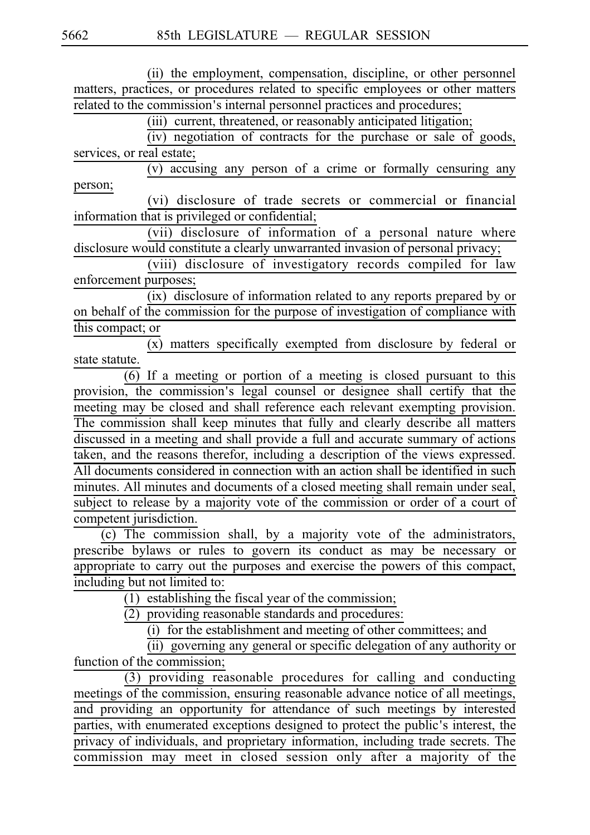(ii) the employment, compensation, discipline, or other personnel matters, practices, or procedures related to specific employees or other matters related to the commission's internal personnel practices and procedures;

 $(iii)$  current, threatened, or reasonably anticipated litigation;

 $(iv)$  negotiation of contracts for the purchase or sale of goods, services, or real estate;

 $(v)$  accusing any person of a crime or formally censuring any person;

(vi) disclosure of trade secrets or commercial or financial information that is privileged or confidential;

(vii) disclosure of information of a personal nature where disclosure would constitute a clearly unwarranted invasion of personal privacy;

(viii) disclosure of investigatory records compiled for law enforcement purposes;

(ix) disclosure of information related to any reports prepared by or on behalf of the commission for the purpose of investigation of compliance with this compact; or

 $\overline{(x)}$  matters specifically exempted from disclosure by federal or state statute.

 $(6)$  If a meeting or portion of a meeting is closed pursuant to this provision, the commission's legal counsel or designee shall certify that the meeting may be closed and shall reference each relevant exempting provision. The commission shall keep minutes that fully and clearly describe all matters discussed in a meeting and shall provide a full and accurate summary of actions taken, and the reasons therefor, including a description of the views expressed. All documents considered in connection with an action shall be identified in such minutes. All minutes and documents of a closed meeting shall remain under seal, subject to release by a majority vote of the commission or order of a court of competent jurisdiction.

 $(c)$  The commission shall, by a majority vote of the administrators, prescribe bylaws or rules to govern its conduct as may be necessary or appropriate to carry out the purposes and exercise the powers of this compact, including but not limited to:

 $(1)$  establishing the fiscal year of the commission;

 $\overline{(2)}$  providing reasonable standards and procedures:

(i) for the establishment and meeting of other committees; and

(ii) governing any general or specific delegation of any authority or function of the commission;

 $(3)$  providing reasonable procedures for calling and conducting meetings of the commission, ensuring reasonable advance notice of all meetings, and providing an opportunity for attendance of such meetings by interested parties, with enumerated exceptions designed to protect the public's interest, the privacy of individuals, and proprietary information, including trade secrets. The commission may meet in closed session only after a majority of the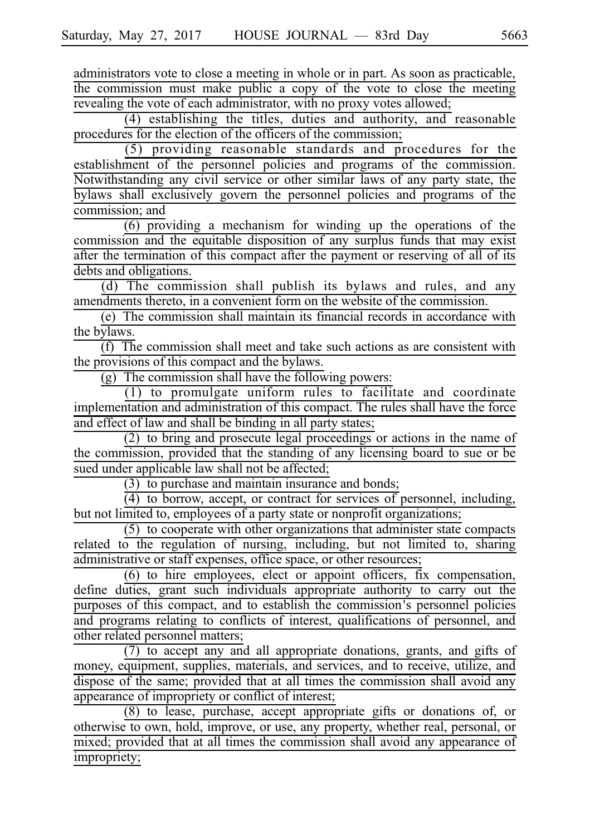administrators vote to close a meeting in whole or in part. As soon as practicable, the commission must make public a copy of the vote to close the meeting revealing the vote of each administrator, with no proxy votes allowed;

 $(4)$  establishing the titles, duties and authority, and reasonable procedures for the election of the officers of the commission;

 $(5)$  providing reasonable standards and procedures for the establishment of the personnel policies and programs of the commission. Notwithstanding any civil service or other similar laws of any party state, the bylaws shall exclusively govern the personnel policies and programs of the commission; and

 $(6)$  providing a mechanism for winding up the operations of the commission and the equitable disposition of any surplus funds that may exist after the termination of this compact after the payment or reserving of all of its debts and obligations.

(d) The commission shall publish its bylaws and rules, and any amendments thereto, in a convenient form on the website of the commission.

 $(e)$  The commission shall maintain its financial records in accordance with the bylaws.

 $(f)$  The commission shall meet and take such actions as are consistent with the provisions of this compact and the bylaws.

 $(g)$  The commission shall have the following powers:

(1) to promulgate uniform rules to facilitate and coordinate implementation and administration of this compact. The rules shall have the force and effect of law and shall be binding in all party states;

 $\overline{(2)}$  to bring and prosecute legal proceedings or actions in the name of the commission, provided that the standing of any licensing board to sue or be sued under applicable law shall not be affected;

 $(3)$  to purchase and maintain insurance and bonds;

 $(4)$  to borrow, accept, or contract for services of personnel, including, but not limited to, employees of a party state or nonprofit organizations;

 $(5)$  to cooperate with other organizations that administer state compacts related to the regulation of nursing, including, but not limited to, sharing administrative or staff expenses, office space, or other resources;

 $(6)$  to hire employees, elect or appoint officers, fix compensation, define duties, grant such individuals appropriate authority to carry out the purposes of this compact, and to establish the commission's personnel policies and programs relating to conflicts of interest, qualifications of personnel, and other related personnel matters;

(7) to accept any and all appropriate donations, grants, and gifts of money, equipment, supplies, materials, and services, and to receive, utilize, and dispose of the same; provided that at all times the commission shall avoid any appearance of impropriety or conflict of interest;

(8) to lease, purchase, accept appropriate gifts or donations of, or otherwise to own, hold, improve, or use, any property, whether real, personal, or mixed; provided that at all times the commission shall avoid any appearance of impropriety;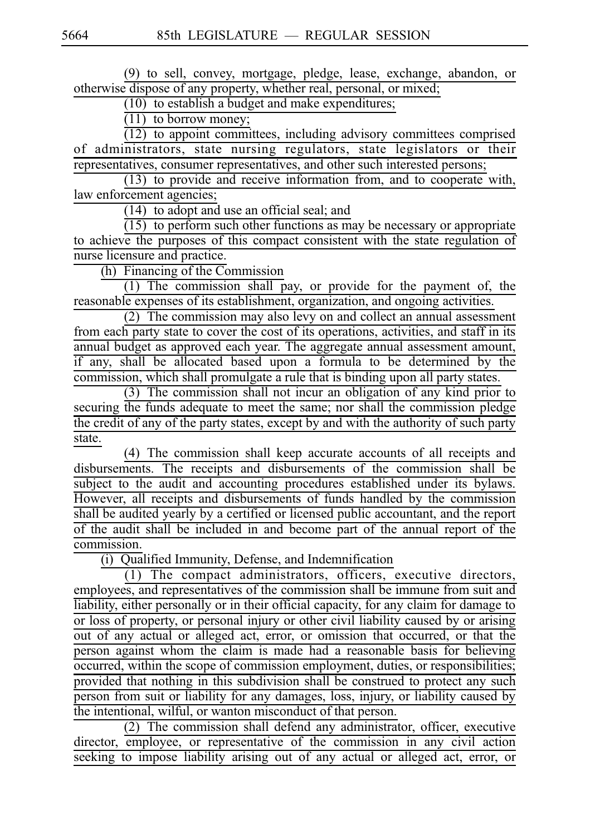(9) to sell, convey, mortgage, pledge, lease, exchange, abandon, or otherwise dispose of any property, whether real, personal, or mixed;

 $\overline{(10)}$  to establish a budget and make expenditures;

 $\overline{(11)}$  to borrow money;

 $(12)$  to appoint committees, including advisory committees comprised of administrators, state nursing regulators, state legislators or their representatives, consumer representatives, and other such interested persons;

 $(13)$  to provide and receive information from, and to cooperate with, law enforcement agencies;

 $(14)$  to adopt and use an official seal; and

 $(15)$  to perform such other functions as may be necessary or appropriate to achieve the purposes of this compact consistent with the state regulation of nurse licensure and practice.

 $(h)$  Financing of the Commission

 $(1)$  The commission shall pay, or provide for the payment of, the reasonable expenses of its establishment, organization, and ongoing activities.

 $\overline{(2)}$  The commission may also levy on and collect an annual assessment from each party state to cover the cost of its operations, activities, and staff in its annual budget as approved each year. The aggregate annual assessment amount, if any, shall be allocated based upon a formula to be determined by the commission, which shall promulgate a rule that is binding upon all party states.

 $(3)$  The commission shall not incur an obligation of any kind prior to securing the funds adequate to meet the same; nor shall the commission pledge the credit of any of the party states, except by and with the authority of such party state.

(4) The commission shall keep accurate accounts of all receipts and disbursements. The receipts and disbursements of the commission shall be subject to the audit and accounting procedures established under its bylaws. However, all receipts and disbursements of funds handled by the commission shall be audited yearly by a certified or licensed public accountant, and the report of the audit shall be included in and become part of the annual report of the commission.

 $(i)$  Qualified Immunity, Defense, and Indemnification

 $\overline{(1)}$  The compact administrators, officers, executive directors, employees, and representatives of the commission shall be immune from suit and liability, either personally or in their official capacity, for any claim for damage to or loss of property, or personal injury or other civil liability caused by or arising out of any actual or alleged act, error, or omission that occurred, or that the person against whom the claim is made had a reasonable basis for believing occurred, within the scope of commission employment, duties, or responsibilities; provided that nothing in this subdivision shall be construed to protect any such person from suit or liability for any damages, loss, injury, or liability caused by the intentional, wilful, or wanton misconduct of that person.

 $(2)$  The commission shall defend any administrator, officer, executive director, employee, or representative of the commission in any civil action seeking to impose liability arising out of any actual or alleged act, error, or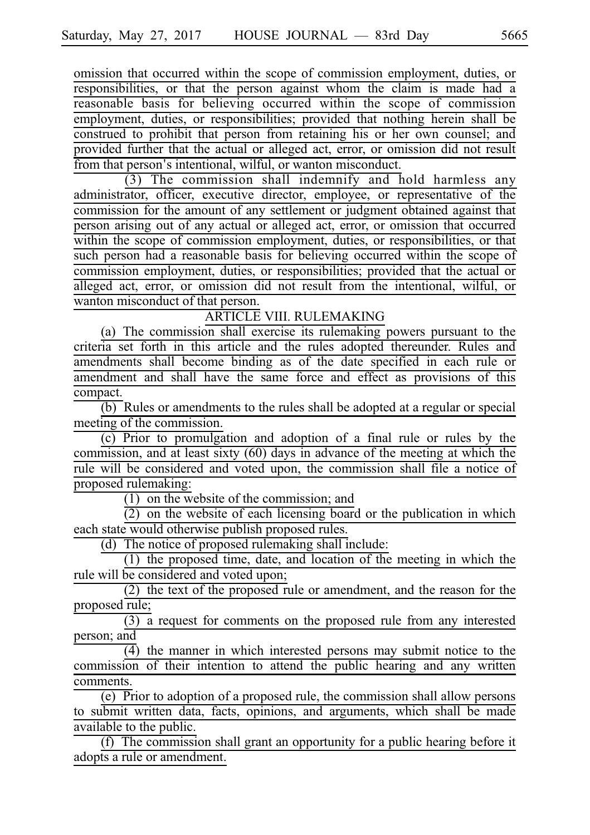omission that occurred within the scope of commission employment, duties, or responsibilities, or that the person against whom the claim is made had a reasonable basis for believing occurred within the scope of commission employment, duties, or responsibilities; provided that nothing herein shall be construed to prohibit that person from retaining his or her own counsel; and provided further that the actual or alleged act, error, or omission did not result from that person's intentional, wilful, or wanton misconduct.

 $(3)$  The commission shall indemnify and hold harmless any administrator, officer, executive director, employee, or representative of the commission for the amount of any settlement or judgment obtained against that person arising out of any actual or alleged act, error, or omission that occurred within the scope of commission employment, duties, or responsibilities, or that such person had a reasonable basis for believing occurred within the scope of commission employment, duties, or responsibilities; provided that the actual or alleged act, error, or omission did not result from the intentional, wilful, or wanton misconduct of that person.

ARTICLE VIII. RULEMAKING

(a) The commission shall exercise its rulemaking powers pursuant to the criteria set forth in this article and the rules adopted thereunder. Rules and amendments shall become binding as of the date specified in each rule or amendment and shall have the same force and effect as provisions of this compact.

 $\overline{(b)}$  Rules or amendments to the rules shall be adopted at a regular or special meeting of the commission.

 $(c)$  Prior to promulgation and adoption of a final rule or rules by the commission, and at least sixty (60) days in advance of the meeting at which the rule will be considered and voted upon, the commission shall file a notice of proposed rulemaking:

 $(1)$  on the website of the commission; and

 $\overline{(2)}$  on the website of each licensing board or the publication in which each state would otherwise publish proposed rules.

(d) The notice of proposed rulemaking shall include:

 $(1)$  the proposed time, date, and location of the meeting in which the rule will be considered and voted upon;

 $(2)$  the text of the proposed rule or amendment, and the reason for the proposed rule;

 $\overline{(3)}$  a request for comments on the proposed rule from any interested person; and

(4) the manner in which interested persons may submit notice to the commission of their intention to attend the public hearing and any written comments.

 $(e)$  Prior to adoption of a proposed rule, the commission shall allow persons to submit written data, facts, opinions, and arguments, which shall be made available to the public.

 $(f)$  The commission shall grant an opportunity for a public hearing before it adopts a rule or amendment.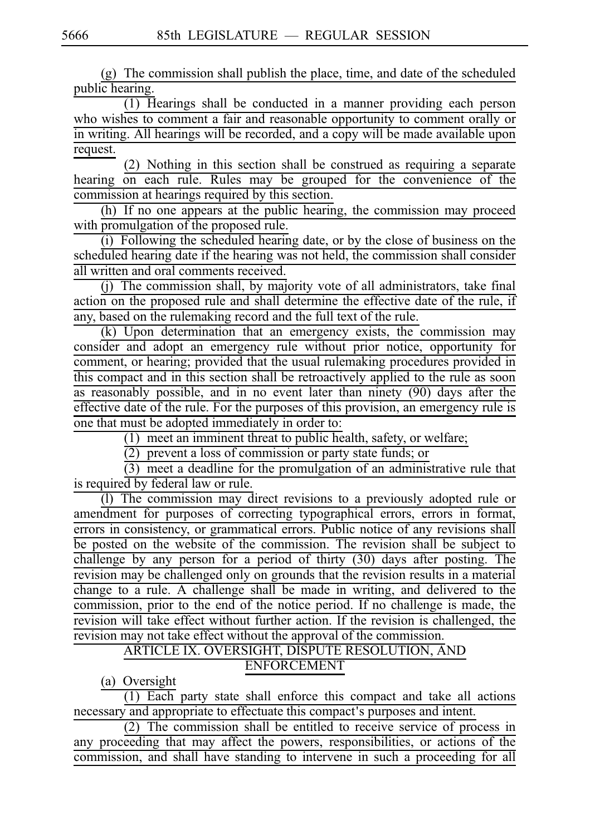$(g)$  The commission shall publish the place, time, and date of the scheduled public hearing.

 $(1)$  Hearings shall be conducted in a manner providing each person who wishes to comment a fair and reasonable opportunity to comment orally or in writing. All hearings will be recorded, and a copy will be made available upon request.

 $(2)$  Nothing in this section shall be construed as requiring a separate hearing on each rule. Rules may be grouped for the convenience of the commission at hearings required by this section.

 $(h)$  If no one appears at the public hearing, the commission may proceed with promulgation of the proposed rule.

 $(i)$  Following the scheduled hearing date, or by the close of business on the scheduled hearing date if the hearing was not held, the commission shall consider all written and oral comments received.

 $(j)$  The commission shall, by majority vote of all administrators, take final action on the proposed rule and shall determine the effective date of the rule, if any, based on the rulemaking record and the full text of the rule.

 $(k)$  Upon determination that an emergency exists, the commission may consider and adopt an emergency rule without prior notice, opportunity for comment, or hearing; provided that the usual rulemaking procedures provided in this compact and in this section shall be retroactively applied to the rule as soon as reasonably possible, and in no event later than ninety (90) days after the effective date of the rule. For the purposes of this provision, an emergency rule is one that must be adopted immediately in order to:

 $(1)$  meet an imminent threat to public health, safety, or welfare;

 $(2)$  prevent a loss of commission or party state funds; or

 $(3)$  meet a deadline for the promulgation of an administrative rule that is required by federal law or rule.

(1) The commission may direct revisions to a previously adopted rule or amendment for purposes of correcting typographical errors, errors in format, errors in consistency, or grammatical errors. Public notice of any revisions shall be posted on the website of the commission. The revision shall be subject to challenge by any person for a period of thirty (30) days after posting. The revision may be challenged only on grounds that the revision results in a material change to a rule. A challenge shall be made in writing, and delivered to the commission, prior to the end of the notice period. If no challenge is made, the revision will take effect without further action. If the revision is challenged, the revision may not take effect without the approval of the commission.

# ARTICLE IX. OVERSIGHT, DISPUTE RESOLUTION, AND ENFORCEMENT

(a) Oversight

 $(1)$  Each party state shall enforce this compact and take all actions necessary and appropriate to effectuate this compact's purposes and intent.

 $(2)$  The commission shall be entitled to receive service of process in any proceeding that may affect the powers, responsibilities, or actions of the commission, and shall have standing to intervene in such a proceeding for all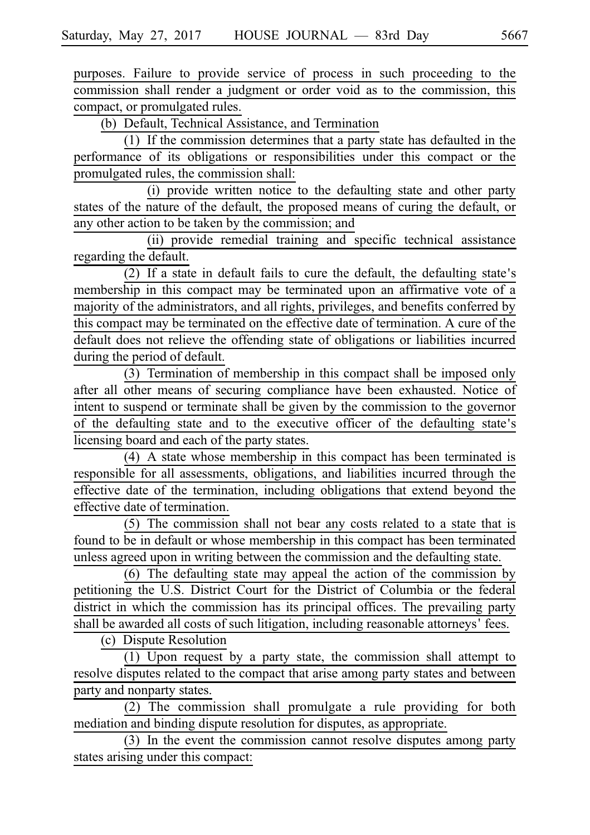purposes. Failure to provide service of process in such proceeding to the commission shall render a judgment or order void as to the commission, this compact, or promulgated rules.

(b) Default, Technical Assistance, and Termination

 $(1)$  If the commission determines that a party state has defaulted in the performance of its obligations or responsibilities under this compact or the promulgated rules, the commission shall:

(i) provide written notice to the defaulting state and other party states of the nature of the default, the proposed means of curing the default, or any other action to be taken by the commission; and

(ii) provide remedial training and specific technical assistance regarding the default.

 $(2)$  If a state in default fails to cure the default, the defaulting state's membership in this compact may be terminated upon an affirmative vote of a majority of the administrators, and all rights, privileges, and benefits conferred by this compact may be terminated on the effective date of termination. A cure of the default does not relieve the offending state of obligations or liabilities incurred during the period of default.

 $(3)$  Termination of membership in this compact shall be imposed only after all other means of securing compliance have been exhausted. Notice of intent to suspend or terminate shall be given by the commission to the governor of the defaulting state and to the executive officer of the defaulting state's licensing board and each of the party states.

 $(4)$  A state whose membership in this compact has been terminated is responsible for all assessments, obligations, and liabilities incurred through the effective date of the termination, including obligations that extend beyond the effective date of termination.

 $(5)$  The commission shall not bear any costs related to a state that is found to be in default or whose membership in this compact has been terminated unless agreed upon in writing between the commission and the defaulting state.

 $(6)$  The defaulting state may appeal the action of the commission by petitioning the U.S. District Court for the District of Columbia or the federal district in which the commission has its principal offices. The prevailing party shall be awarded all costs of such litigation, including reasonable attorneys' fees.

(c) Dispute Resolution

(1) Upon request by a party state, the commission shall attempt to resolve disputes related to the compact that arise among party states and between party and nonparty states.

 $(2)$  The commission shall promulgate a rule providing for both mediation and binding dispute resolution for disputes, as appropriate.

 $(3)$  In the event the commission cannot resolve disputes among party states arising under this compact: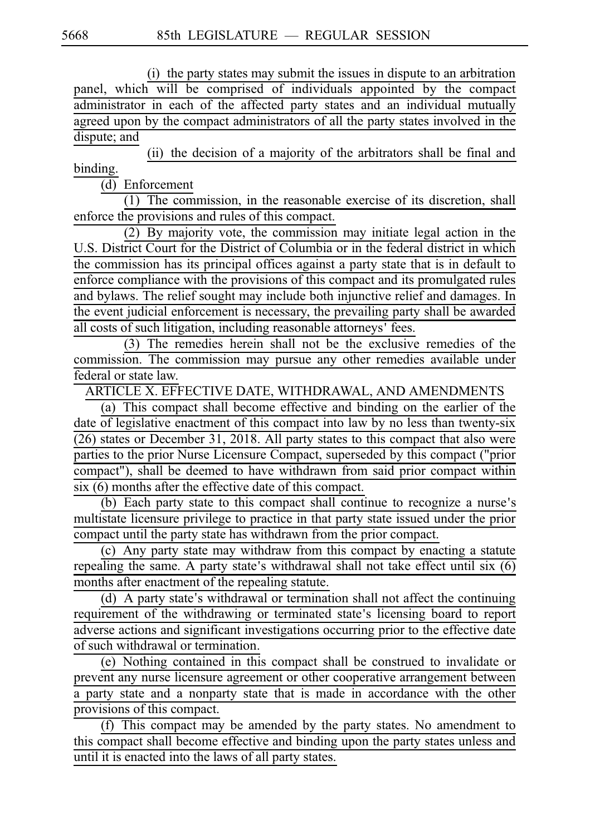(i) the party states may submit the issues in dispute to an arbitration panel, which will be comprised of individuals appointed by the compact administrator in each of the affected party states and an individual mutually agreed upon by the compact administrators of all the party states involved in the dispute; and

(ii) the decision of a majority of the arbitrators shall be final and binding.

(d) Enforcement

 $(1)$  The commission, in the reasonable exercise of its discretion, shall enforce the provisions and rules of this compact.

(2) By majority vote, the commission may initiate legal action in the U.S. District Court for the District of Columbia or in the federal district in which the commission has its principal offices against a party state that is in default to enforce compliance with the provisions of this compact and its promulgated rules and bylaws. The relief sought may include both injunctive relief and damages. In the event judicial enforcement is necessary, the prevailing party shall be awarded all costs of such litigation, including reasonable attorneys' fees.

 $(3)$  The remedies herein shall not be the exclusive remedies of the commission. The commission may pursue any other remedies available under federal or state law.

ARTICLE X. EFFECTIVE DATE, WITHDRAWAL, AND AMENDMENTS

(a) This compact shall become effective and binding on the earlier of the date of legislative enactment of this compact into law by no less than twenty-six (26) states or December 31, 2018. All party states to this compact that also were parties to the prior Nurse Licensure Compact, superseded by this compact ("prior compact"), shall be deemed to have withdrawn from said prior compact within six (6) months after the effective date of this compact.

 $(b)$  Each party state to this compact shall continue to recognize a nurse's multistate licensure privilege to practice in that party state issued under the prior compact until the party state has withdrawn from the prior compact.

(c) Any party state may withdraw from this compact by enacting a statute repealing the same. A party state's withdrawal shall not take effect until six  $(6)$ months after enactment of the repealing statute.

(d) A party state's withdrawal or termination shall not affect the continuing requirement of the withdrawing or terminated state's licensing board to report adverse actions and significant investigations occurring prior to the effective date of such withdrawal or termination.

(e) Nothing contained in this compact shall be construed to invalidate or prevent any nurse licensure agreement or other cooperative arrangement between a party state and a nonparty state that is made in accordance with the other provisions of this compact.

(f) This compact may be amended by the party states. No amendment to this compact shall become effective and binding upon the party states unless and until it is enacted into the laws of all party states.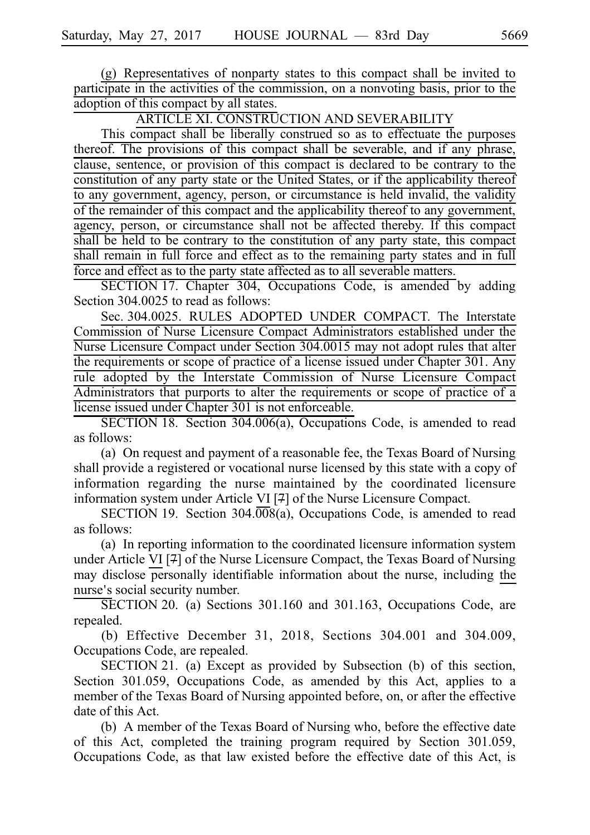$(g)$  Representatives of nonparty states to this compact shall be invited to participate in the activities of the commission, on a nonvoting basis, prior to the adoption of this compact by all states.

ARTICLE XI. CONSTRUCTION AND SEVERABILITY

This compact shall be liberally construed so as to effectuate the purposes thereof. The provisions of this compact shall be severable, and if any phrase, clause, sentence, or provision of this compact is declared to be contrary to the constitution of any party state or the United States, or if the applicability thereof to any government, agency, person, or circumstance is held invalid, the validity of the remainder of this compact and the applicability thereof to any government, agency, person, or circumstance shall not be affected thereby. If this compact shall be held to be contrary to the constitution of any party state, this compact shall remain in full force and effect as to the remaining party states and in full force and effect as to the party state affected as to all severable matters.

SECTION 17. Chapter 304, Occupations Code, is amended by adding Section 304.0025 to read as follows:

Sec. 304.0025. RULES ADOPTED UNDER COMPACT. The Interstate Commission of Nurse Licensure Compact Administrators established under the Nurse Licensure Compact under Section 304.0015 may not adopt rules that alter the requirements or scope of practice of a license issued under Chapter 301. Any rule adopted by the Interstate Commission of Nurse Licensure Compact Administrators that purports to alter the requirements or scope of practice of a license issued under Chapter 301 is not enforceable.

SECTION 18. Section  $304.006(a)$ , Occupations Code, is amended to read as follows:

(a) On request and payment of a reasonable fee, the Texas Board of Nursing shall provide a registered or vocational nurse licensed by this state with a copy of information regarding the nurse maintained by the coordinated licensure information system under Article VI [7] of the Nurse Licensure Compact.

SECTION 19. Section  $304.\overline{008}(a)$ , Occupations Code, is amended to read as follows:

(a) In reporting information to the coordinated licensure information system under Article VI [7] of the Nurse Licensure Compact, the Texas Board of Nursing may disclose personally identifiable information about the nurse, including the nurse's social security number.

 $\overline{\text{SECTION 20}}$ . (a) Sections 301.160 and 301.163, Occupations Code, are repealed.

(b) Effective December 31, 2018, Sections 304.001 and 304.009, Occupations Code, are repealed.

SECTION 21. (a) Except as provided by Subsection (b) of this section, Section 301.059, Occupations Code, as amended by this Act, applies to a member of the Texas Board of Nursing appointed before, on, or after the effective date of this Act.

(b) A member of the Texas Board of Nursing who, before the effective date of this Act, completed the training program required by Section 301.059, Occupations Code, as that law existed before the effective date of this Act, is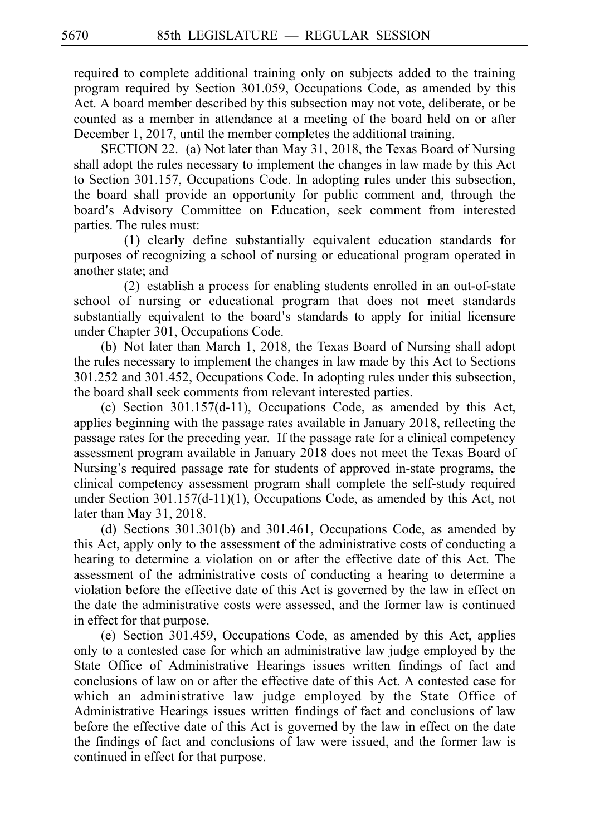required to complete additional training only on subjects added to the training program required by Section 301.059, Occupations Code, as amended by this Act. A board member described by this subsection may not vote, deliberate, or be counted as a member in attendance at a meeting of the board held on or after December 1, 2017, until the member completes the additional training.

SECTION 22. (a) Not later than May 31, 2018, the Texas Board of Nursing shall adopt the rules necessary to implement the changes in law made by this Act to Section 301.157, Occupations Code. In adopting rules under this subsection, the board shall provide an opportunity for public comment and, through the board's Advisory Committee on Education, seek comment from interested parties. The rules must:

(1) clearly define substantially equivalent education standards for purposes of recognizing a school of nursing or educational program operated in another state; and

 $(2)$  establish a process for enabling students enrolled in an out-of-state school of nursing or educational program that does not meet standards substantially equivalent to the board's standards to apply for initial licensure under Chapter 301, Occupations Code.

(b) Not later than March 1, 2018, the Texas Board of Nursing shall adopt the rules necessary to implement the changes in law made by this Act to Sections 301.252 and 301.452, Occupations Code. In adopting rules under this subsection, the board shall seek comments from relevant interested parties.

(c) Section  $301.157(d-11)$ , Occupations Code, as amended by this Act, applies beginning with the passage rates available in January 2018, reflecting the passage rates for the preceding year. If the passage rate for a clinical competency assessment program available in January 2018 does not meet the Texas Board of Nursing's required passage rate for students of approved in-state programs, the clinical competency assessment program shall complete the self-study required under Section 301.157(d-11)(1), Occupations Code, as amended by this Act, not later than May 31, 2018.

(d) Sections  $301.301(b)$  and  $301.461$ , Occupations Code, as amended by this Act, apply only to the assessment of the administrative costs of conducting a hearing to determine a violation on or after the effective date of this Act. The assessment of the administrative costs of conducting a hearing to determine a violation before the effective date of this Act is governed by the law in effect on the date the administrative costs were assessed, and the former law is continued in effect for that purpose.

(e) Section 301.459, Occupations Code, as amended by this Act, applies only to a contested case for which an administrative law judge employed by the State Office of Administrative Hearings issues written findings of fact and conclusions of law on or after the effective date of this Act. A contested case for which an administrative law judge employed by the State Office of Administrative Hearings issues written findings of fact and conclusions of law before the effective date of this Act is governed by the law in effect on the date the findings of fact and conclusions of law were issued, and the former law is continued in effect for that purpose.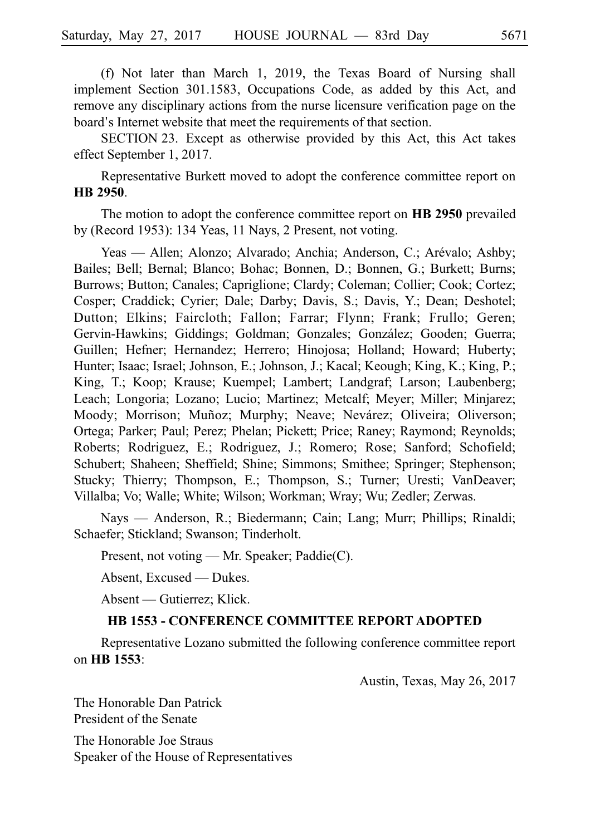(f) Not later than March 1, 2019, the Texas Board of Nursing shall implement Section 301.1583, Occupations Code, as added by this Act, and remove any disciplinary actions from the nurse licensure verification page on the board's Internet website that meet the requirements of that section.

SECTION 23. Except as otherwise provided by this Act, this Act takes effect September 1, 2017.

Representative Burkett moved to adopt the conference committee report on **HBi2950**.

The motion to adopt the conference committee report on **HB** 2950 prevailed by (Record 1953): 134 Yeas, 11 Nays, 2 Present, not voting.

Yeas — Allen; Alonzo; Alvarado; Anchia; Anderson, C.; Arévalo; Ashby; Bailes; Bell; Bernal; Blanco; Bohac; Bonnen, D.; Bonnen, G.; Burkett; Burns; Burrows; Button; Canales; Capriglione; Clardy; Coleman; Collier; Cook; Cortez; Cosper; Craddick; Cyrier; Dale; Darby; Davis, S.; Davis, Y.; Dean; Deshotel; Dutton; Elkins; Faircloth; Fallon; Farrar; Flynn; Frank; Frullo; Geren; Gervin-Hawkins; Giddings; Goldman; Gonzales; González; Gooden; Guerra; Guillen; Hefner; Hernandez; Herrero; Hinojosa; Holland; Howard; Huberty; Hunter; Isaac; Israel; Johnson, E.; Johnson, J.; Kacal; Keough; King, K.; King, P.; King, T.; Koop; Krause; Kuempel; Lambert; Landgraf; Larson; Laubenberg; Leach; Longoria; Lozano; Lucio; Martinez; Metcalf; Meyer; Miller; Minjarez; Moody; Morrison; Muñoz; Murphy; Neave; Nevárez; Oliveira; Oliverson; Ortega; Parker; Paul; Perez; Phelan; Pickett; Price; Raney; Raymond; Reynolds; Roberts; Rodriguez, E.; Rodriguez, J.; Romero; Rose; Sanford; Schofield; Schubert; Shaheen; Sheffield; Shine; Simmons; Smithee; Springer; Stephenson; Stucky; Thierry; Thompson, E.; Thompson, S.; Turner; Uresti; VanDeaver; Villalba; Vo; Walle; White; Wilson; Workman; Wray; Wu; Zedler; Zerwas.

Nays — Anderson, R.; Biedermann; Cain; Lang; Murr; Phillips; Rinaldi; Schaefer; Stickland; Swanson; Tinderholt.

Present, not voting — Mr. Speaker; Paddie(C).

Absent, Excused — Dukes.

Absent — Gutierrez; Klick.

### **HB 1553 - CONFERENCE COMMITTEE REPORT ADOPTED**

Representative Lozano submitted the following conference committee report on **HBi1553**:

Austin, Texas, May 26, 2017

The Honorable Dan Patrick President of the Senate

The Honorable Joe Straus Speaker of the House of Representatives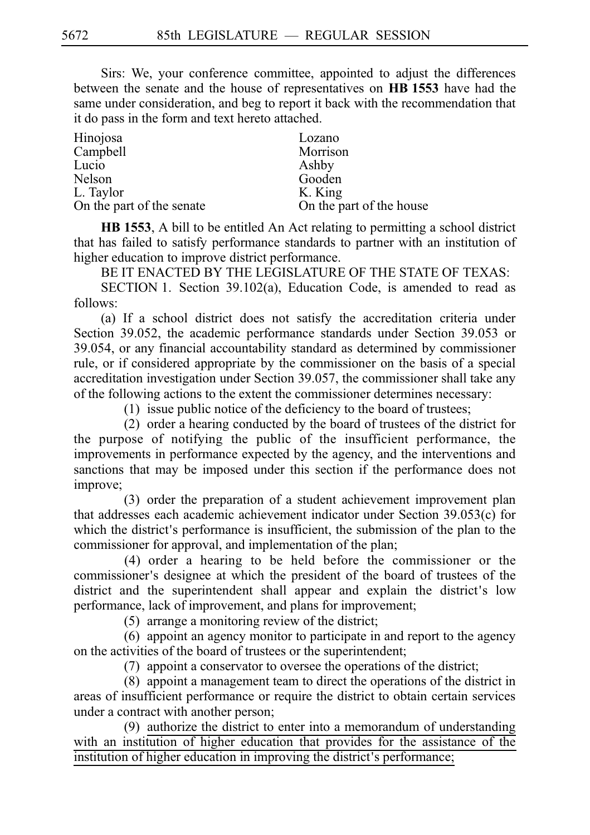Sirs: We, your conference committee, appointed to adjust the differences between the senate and the house of representatives on HB 1553 have had the same under consideration, and beg to report it back with the recommendation that it do pass in the form and text hereto attached.

| Lozano                   |
|--------------------------|
| Morrison                 |
| Ashby                    |
| Gooden                   |
| K. King                  |
| On the part of the house |
|                          |

**HB 1553**, A bill to be entitled An Act relating to permitting a school district that has failed to satisfy performance standards to partner with an institution of higher education to improve district performance.

BE IT ENACTED BY THE LEGISLATURE OF THE STATE OF TEXAS:

SECTION 1. Section 39.102(a), Education Code, is amended to read as follows:

(a) If a school district does not satisfy the accreditation criteria under Section 39.052, the academic performance standards under Section 39.053 or 39.054, or any financial accountability standard as determined by commissioner rule, or if considered appropriate by the commissioner on the basis of a special accreditation investigation under Section 39.057, the commissioner shall take any of the following actions to the extent the commissioner determines necessary:

 $(1)$  issue public notice of the deficiency to the board of trustees;

(2) order a hearing conducted by the board of trustees of the district for the purpose of notifying the public of the insufficient performance, the improvements in performance expected by the agency, and the interventions and sanctions that may be imposed under this section if the performance does not improve;

(3) order the preparation of a student achievement improvement plan that addresses each academic achievement indicator under Section 39.053(c) for which the district's performance is insufficient, the submission of the plan to the commissioner for approval, and implementation of the plan;

 $(4)$  order a hearing to be held before the commissioner or the commissioner's designee at which the president of the board of trustees of the district and the superintendent shall appear and explain the district's low performance, lack of improvement, and plans for improvement;

 $(5)$  arrange a monitoring review of the district;

 $(6)$  appoint an agency monitor to participate in and report to the agency on the activities of the board of trustees or the superintendent;

 $(7)$  appoint a conservator to oversee the operations of the district;

 $(8)$  appoint a management team to direct the operations of the district in areas of insufficient performance or require the district to obtain certain services under a contract with another person;

(9) authorize the district to enter into a memorandum of understanding with an institution of higher education that provides for the assistance of the institution of higher education in improving the district's performance;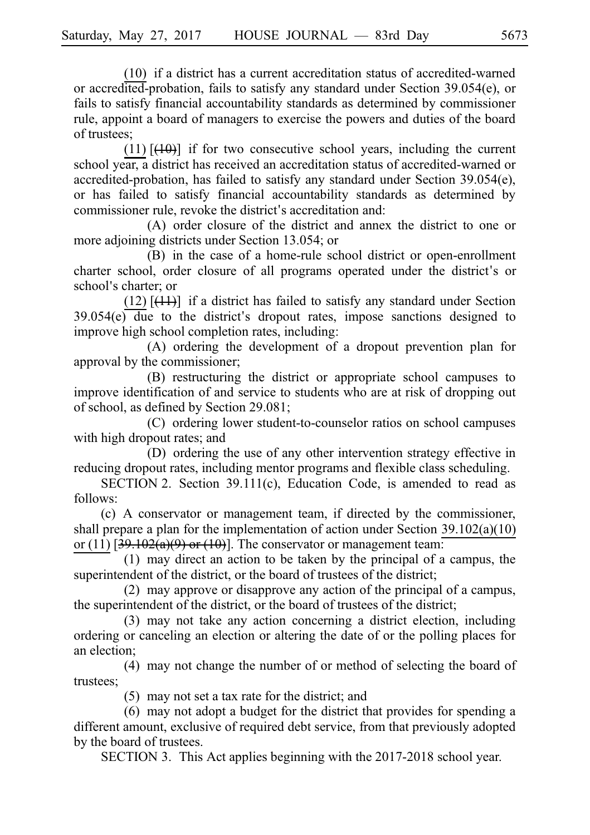$(10)$  if a district has a current accreditation status of accredited-warned or accredited-probation, fails to satisfy any standard under Section 39.054(e), or fails to satisfy financial accountability standards as determined by commissioner rule, appoint a board of managers to exercise the powers and duties of the board of trustees;

 $(11)$  [ $(10)$ ] if for two consecutive school years, including the current school year, a district has received an accreditation status of accredited-warned or accredited-probation, has failed to satisfy any standard under Section 39.054(e), or has failed to satisfy financial accountability standards as determined by commissioner rule, revoke the district's accreditation and:

(A) order closure of the district and annex the district to one or more adjoining districts under Section 13.054; or

(B) in the case of a home-rule school district or open-enrollment charter school, order closure of all programs operated under the district's or school's charter; or

 $(12)$  [ $(11)$ ] if a district has failed to satisfy any standard under Section  $39.054(e)$  due to the district's dropout rates, impose sanctions designed to improve high school completion rates, including:

(A) ordering the development of a dropout prevention plan for approval by the commissioner;

(B) restructuring the district or appropriate school campuses to improve identification of and service to students who are at risk of dropping out of school, as defined by Section 29.081;

(C) ordering lower student-to-counselor ratios on school campuses with high dropout rates; and

(D) ordering the use of any other intervention strategy effective in reducing dropout rates, including mentor programs and flexible class scheduling.

SECTION 2. Section 39.111(c), Education Code, is amended to read as follows:

 $(c)$  A conservator or management team, if directed by the commissioner, shall prepare a plan for the implementation of action under Section 39.102(a)(10) or (11)  $\left[39.102(a)(9)$  or (10). The conservator or management team:

 $(1)$  may direct an action to be taken by the principal of a campus, the superintendent of the district, or the board of trustees of the district;

 $(2)$  may approve or disapprove any action of the principal of a campus, the superintendent of the district, or the board of trustees of the district;

 $(3)$  may not take any action concerning a district election, including ordering or canceling an election or altering the date of or the polling places for an election;

(4) may not change the number of or method of selecting the board of trustees;

 $(5)$  may not set a tax rate for the district; and

 $(6)$  may not adopt a budget for the district that provides for spending a different amount, exclusive of required debt service, from that previously adopted by the board of trustees.

SECTION 3. This Act applies beginning with the 2017-2018 school year.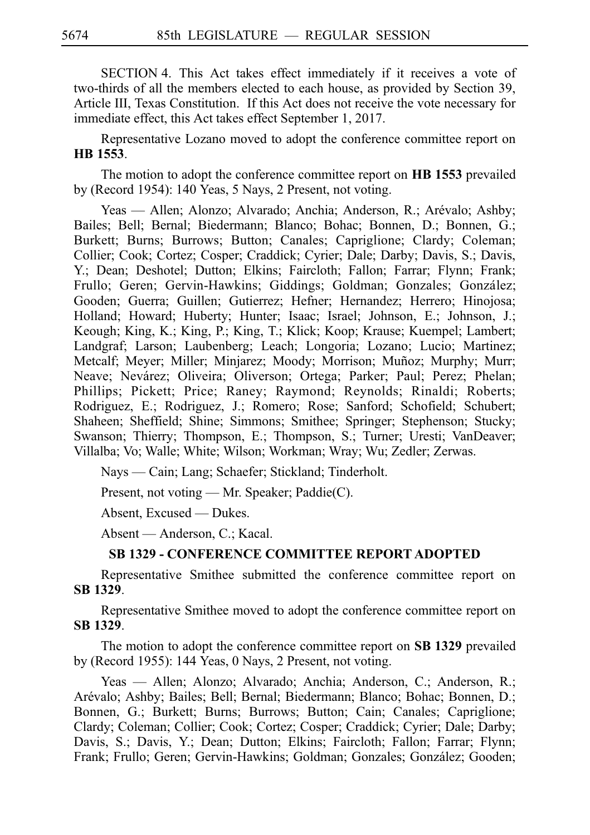SECTION 4. This Act takes effect immediately if it receives a vote of two-thirds of all the members elected to each house, as provided by Section 39, Article III, Texas Constitution. If this Act does not receive the vote necessary for immediate effect, this Act takes effect September 1, 2017.

Representative Lozano moved to adopt the conference committee report on **HBi1553**.

The motion to adopt the conference committee report on **HB 1553** prevailed by (Record 1954): 140 Yeas, 5 Nays, 2 Present, not voting.

Yeas — Allen; Alonzo; Alvarado; Anchia; Anderson, R.; Arévalo; Ashby; Bailes; Bell; Bernal; Biedermann; Blanco; Bohac; Bonnen, D.; Bonnen, G.; Burkett; Burns; Burrows; Button; Canales; Capriglione; Clardy; Coleman; Collier; Cook; Cortez; Cosper; Craddick; Cyrier; Dale; Darby; Davis, S.; Davis, Y.; Dean; Deshotel; Dutton; Elkins; Faircloth; Fallon; Farrar; Flynn; Frank; Frullo; Geren; Gervin-Hawkins; Giddings; Goldman; Gonzales; González; Gooden; Guerra; Guillen; Gutierrez; Hefner; Hernandez; Herrero; Hinojosa; Holland; Howard; Huberty; Hunter; Isaac; Israel; Johnson, E.; Johnson, J.; Keough; King, K.; King, P.; King, T.; Klick; Koop; Krause; Kuempel; Lambert; Landgraf; Larson; Laubenberg; Leach; Longoria; Lozano; Lucio; Martinez; Metcalf; Meyer; Miller; Minjarez; Moody; Morrison; Muñoz; Murphy; Murr; Neave; Nevárez; Oliveira; Oliverson; Ortega; Parker; Paul; Perez; Phelan; Phillips; Pickett; Price; Raney; Raymond; Reynolds; Rinaldi; Roberts; Rodriguez, E.; Rodriguez, J.; Romero; Rose; Sanford; Schofield; Schubert; Shaheen; Sheffield; Shine; Simmons; Smithee; Springer; Stephenson; Stucky; Swanson; Thierry; Thompson, E.; Thompson, S.; Turner; Uresti; VanDeaver; Villalba; Vo; Walle; White; Wilson; Workman; Wray; Wu; Zedler; Zerwas.

Nays — Cain; Lang; Schaefer; Stickland; Tinderholt.

Present, not voting — Mr. Speaker; Paddie(C).

Absent, Excused — Dukes.

Absent — Anderson, C.; Kacal.

## **SB 1329 - CONFERENCE COMMITTEE REPORT ADOPTED**

Representative Smithee submitted the conference committee report on **SBi1329**.

Representative Smithee moved to adopt the conference committee report on **SBi1329**.

The motion to adopt the conference committee report on SB 1329 prevailed by (Record 1955): 144 Yeas, 0 Nays, 2 Present, not voting.

Yeas — Allen; Alonzo; Alvarado; Anchia; Anderson, C.; Anderson, R.; Arévalo; Ashby; Bailes; Bell; Bernal; Biedermann; Blanco; Bohac; Bonnen, D.; Bonnen, G.; Burkett; Burns; Burrows; Button; Cain; Canales; Capriglione; Clardy; Coleman; Collier; Cook; Cortez; Cosper; Craddick; Cyrier; Dale; Darby; Davis, S.; Davis, Y.; Dean; Dutton; Elkins; Faircloth; Fallon; Farrar; Flynn; Frank; Frullo; Geren; Gervin-Hawkins; Goldman; Gonzales; González; Gooden;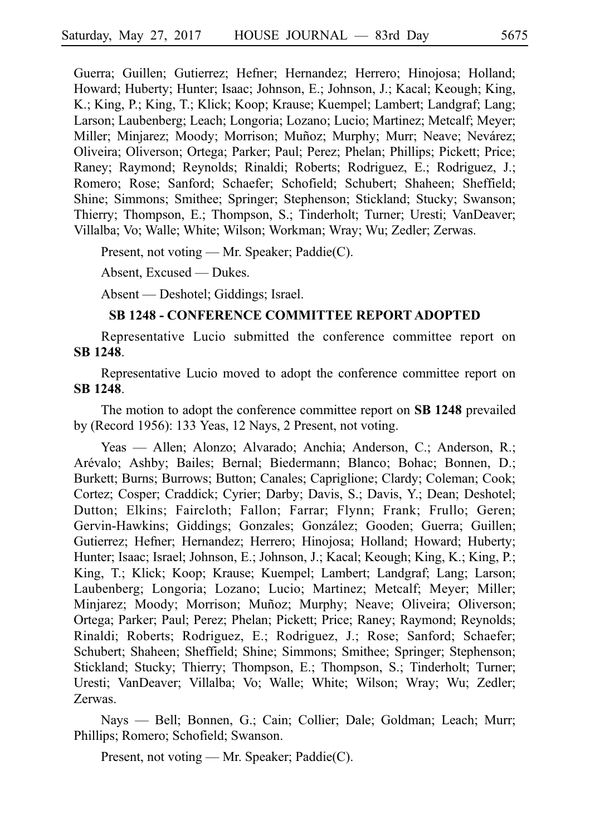Guerra; Guillen; Gutierrez; Hefner; Hernandez; Herrero; Hinojosa; Holland; Howard; Huberty; Hunter; Isaac; Johnson, E.; Johnson, J.; Kacal; Keough; King, K.; King, P.; King, T.; Klick; Koop; Krause; Kuempel; Lambert; Landgraf; Lang; Larson; Laubenberg; Leach; Longoria; Lozano; Lucio; Martinez; Metcalf; Meyer; Miller; Minjarez; Moody; Morrison; Muñoz; Murphy; Murr; Neave; Nevárez; Oliveira; Oliverson; Ortega; Parker; Paul; Perez; Phelan; Phillips; Pickett; Price; Raney; Raymond; Reynolds; Rinaldi; Roberts; Rodriguez, E.; Rodriguez, J.; Romero; Rose; Sanford; Schaefer; Schofield; Schubert; Shaheen; Sheffield; Shine; Simmons; Smithee; Springer; Stephenson; Stickland; Stucky; Swanson; Thierry; Thompson, E.; Thompson, S.; Tinderholt; Turner; Uresti; VanDeaver; Villalba; Vo; Walle; White; Wilson; Workman; Wray; Wu; Zedler; Zerwas.

Present, not voting — Mr. Speaker; Paddie(C).

Absent, Excused — Dukes.

Absent — Deshotel; Giddings; Israel.

#### **SB 1248 - CONFERENCE COMMITTEE REPORT ADOPTED**

Representative Lucio submitted the conference committee report on **SBi1248**.

Representative Lucio moved to adopt the conference committee report on **SBi1248**.

The motion to adopt the conference committee report on **SB 1248** prevailed by (Record 1956): 133 Yeas, 12 Nays, 2 Present, not voting.

Yeas — Allen; Alonzo; Alvarado; Anchia; Anderson, C.; Anderson, R.; Arévalo; Ashby; Bailes; Bernal; Biedermann; Blanco; Bohac; Bonnen, D.; Burkett; Burns; Burrows; Button; Canales; Capriglione; Clardy; Coleman; Cook; Cortez; Cosper; Craddick; Cyrier; Darby; Davis, S.; Davis, Y.; Dean; Deshotel; Dutton; Elkins; Faircloth; Fallon; Farrar; Flynn; Frank; Frullo; Geren; Gervin-Hawkins; Giddings; Gonzales; González; Gooden; Guerra; Guillen; Gutierrez; Hefner; Hernandez; Herrero; Hinojosa; Holland; Howard; Huberty; Hunter; Isaac; Israel; Johnson, E.; Johnson, J.; Kacal; Keough; King, K.; King, P.; King, T.; Klick; Koop; Krause; Kuempel; Lambert; Landgraf; Lang; Larson; Laubenberg; Longoria; Lozano; Lucio; Martinez; Metcalf; Meyer; Miller; Minjarez; Moody; Morrison; Muñoz; Murphy; Neave; Oliveira; Oliverson; Ortega; Parker; Paul; Perez; Phelan; Pickett; Price; Raney; Raymond; Reynolds; Rinaldi; Roberts; Rodriguez, E.; Rodriguez, J.; Rose; Sanford; Schaefer; Schubert; Shaheen; Sheffield; Shine; Simmons; Smithee; Springer; Stephenson; Stickland; Stucky; Thierry; Thompson, E.; Thompson, S.; Tinderholt; Turner; Uresti; VanDeaver; Villalba; Vo; Walle; White; Wilson; Wray; Wu; Zedler; Zerwas.

Nays — Bell; Bonnen, G.; Cain; Collier; Dale; Goldman; Leach; Murr; Phillips; Romero; Schofield; Swanson.

Present, not voting — Mr. Speaker; Paddie(C).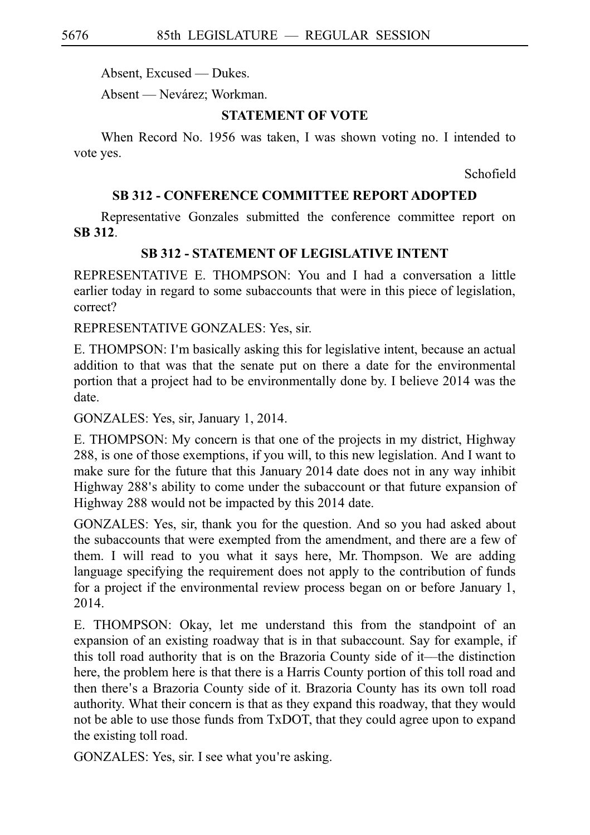Absent, Excused — Dukes.

Absent — Nevárez; Workman.

## **STATEMENT OF VOTE**

When Record No. 1956 was taken, I was shown voting no. I intended to vote yes.

Schofield

## **SB 312 - CONFERENCE COMMITTEE REPORT ADOPTED**

Representative Gonzales submitted the conference committee report on **SBi312**.

## **SB 312 - STATEMENT OF LEGISLATIVE INTENT**

REPRESENTATIVE E. THOMPSON: You and I had a conversation a little earlier today in regard to some subaccounts that were in this piece of legislation, correct?

REPRESENTATIVE GONZALES: Yes, sir.

E. THOMPSON: I'm basically asking this for legislative intent, because an actual addition to that was that the senate put on there a date for the environmental portion that a project had to be environmentally done by. I believe 2014 was the date.

GONZALES: Yes, sir, January 1, 2014.

E. THOMPSON: My concern is that one of the projects in my district, Highway 288, is one of those exemptions, if you will, to this new legislation. And I want to make sure for the future that this January 2014 date does not in any way inhibit Highway 288's ability to come under the subaccount or that future expansion of Highway 288 would not be impacted by this 2014 date.

GONZALES: Yes, sir, thank you for the question. And so you had asked about the subaccounts that were exempted from the amendment, and there are a few of them. I will read to you what it says here, Mr. Thompson. We are adding language specifying the requirement does not apply to the contribution of funds for a project if the environmental review process began on or before January 1, 2014.

E. THOMPSON: Okay, let me understand this from the standpoint of an expansion of an existing roadway that is in that subaccount. Say for example, if this toll road authority that is on the Brazoria County side of it––the distinction here, the problem here is that there is a Harris County portion of this toll road and then there's a Brazoria County side of it. Brazoria County has its own toll road authority. What their concern is that as they expand this roadway, that they would not be able to use those funds from TxDOT, that they could agree upon to expand the existing toll road.

GONZALES: Yes, sir. I see what you're asking.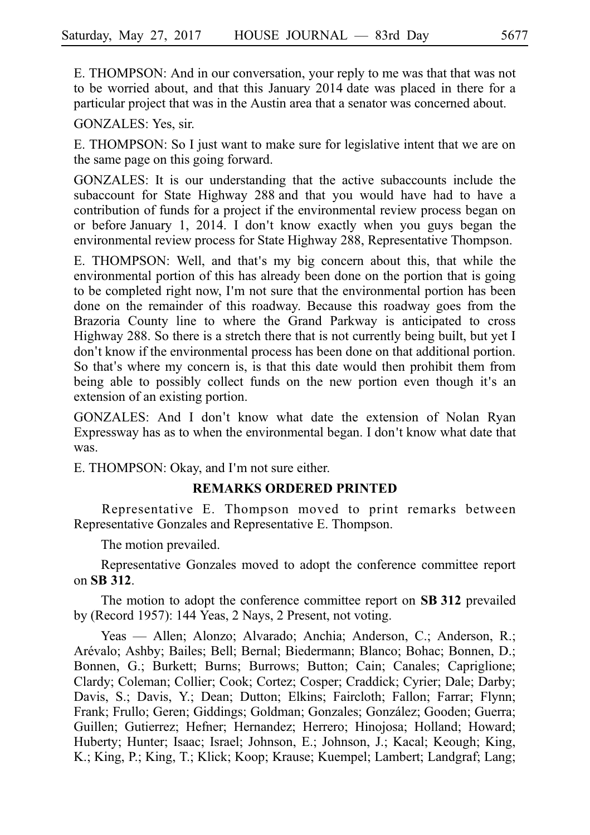E. THOMPSON: And in our conversation, your reply to me was that that was not to be worried about, and that this January 2014 date was placed in there for a particular project that was in the Austin area that a senator was concerned about.

GONZALES: Yes, sir.

E. THOMPSON: So I just want to make sure for legislative intent that we are on the same page on this going forward.

GONZALES: It is our understanding that the active subaccounts include the subaccount for State Highway 288 and that you would have had to have a contribution of funds for a project if the environmental review process began on or before January 1, 2014. I don't know exactly when you guys began the environmental review process for State Highway 288, Representative Thompson.

E. THOMPSON: Well, and that's my big concern about this, that while the environmental portion of this has already been done on the portion that is going to be completed right now, I'm not sure that the environmental portion has been done on the remainder of this roadway. Because this roadway goes from the Brazoria County line to where the Grand Parkway is anticipated to cross Highway 288. So there is a stretch there that is not currently being built, but yet I don't know if the environmental process has been done on that additional portion. So that's where my concern is, is that this date would then prohibit them from being able to possibly collect funds on the new portion even though it's an extension of an existing portion.

GONZALES: And I don't know what date the extension of Nolan Ryan Expressway has as to when the environmental began. I don't know what date that was.

E. THOMPSON: Okay, and I'm not sure either.

### **REMARKS ORDERED PRINTED**

Representative E. Thompson moved to print remarks between Representative Gonzales and Representative E. Thompson.

The motion prevailed.

Representative Gonzales moved to adopt the conference committee report on **SBi312**.

The motion to adopt the conference committee report on **SB 312** prevailed by (Record 1957): 144 Yeas, 2 Nays, 2 Present, not voting.

Yeas — Allen; Alonzo; Alvarado; Anchia; Anderson, C.; Anderson, R.; Arévalo; Ashby; Bailes; Bell; Bernal; Biedermann; Blanco; Bohac; Bonnen, D.; Bonnen, G.; Burkett; Burns; Burrows; Button; Cain; Canales; Capriglione; Clardy; Coleman; Collier; Cook; Cortez; Cosper; Craddick; Cyrier; Dale; Darby; Davis, S.; Davis, Y.; Dean; Dutton; Elkins; Faircloth; Fallon; Farrar; Flynn; Frank; Frullo; Geren; Giddings; Goldman; Gonzales; González; Gooden; Guerra; Guillen; Gutierrez; Hefner; Hernandez; Herrero; Hinojosa; Holland; Howard; Huberty; Hunter; Isaac; Israel; Johnson, E.; Johnson, J.; Kacal; Keough; King, K.; King, P.; King, T.; Klick; Koop; Krause; Kuempel; Lambert; Landgraf; Lang;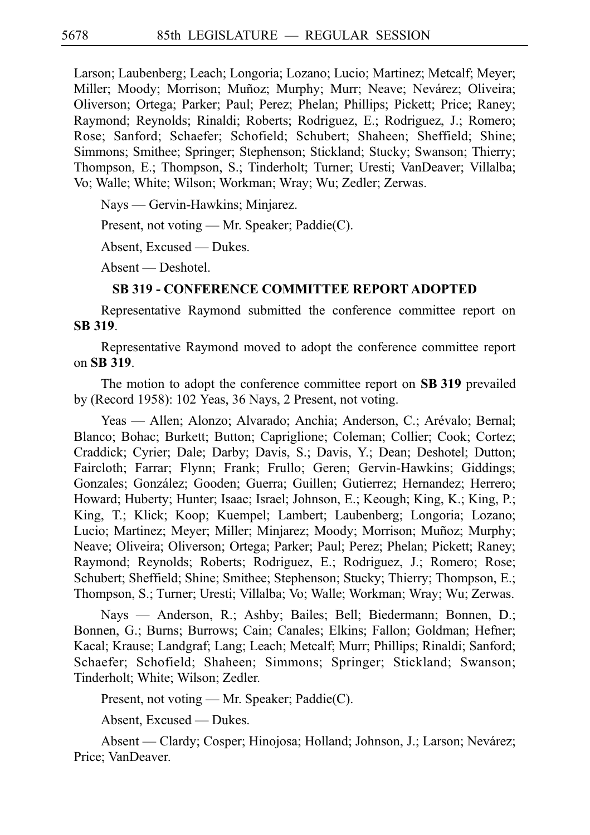Larson; Laubenberg; Leach; Longoria; Lozano; Lucio; Martinez; Metcalf; Meyer; Miller; Moody; Morrison; Muñoz; Murphy; Murr; Neave; Nevárez; Oliveira; Oliverson; Ortega; Parker; Paul; Perez; Phelan; Phillips; Pickett; Price; Raney; Raymond; Reynolds; Rinaldi; Roberts; Rodriguez, E.; Rodriguez, J.; Romero; Rose; Sanford; Schaefer; Schofield; Schubert; Shaheen; Sheffield; Shine; Simmons; Smithee; Springer; Stephenson; Stickland; Stucky; Swanson; Thierry; Thompson, E.; Thompson, S.; Tinderholt; Turner; Uresti; VanDeaver; Villalba; Vo; Walle; White; Wilson; Workman; Wray; Wu; Zedler; Zerwas.

Nays — Gervin-Hawkins; Minjarez.

Present, not voting — Mr. Speaker; Paddie(C).

Absent, Excused — Dukes.

Absent — Deshotel.

## **SB 319 - CONFERENCE COMMITTEE REPORT ADOPTED**

Representative Raymond submitted the conference committee report on **SBi319**.

Representative Raymond moved to adopt the conference committee report on **SBi319**.

The motion to adopt the conference committee report on **SB 319** prevailed by (Record 1958): 102 Yeas, 36 Nays, 2 Present, not voting.

Yeas — Allen; Alonzo; Alvarado; Anchia; Anderson, C.; Arévalo; Bernal; Blanco; Bohac; Burkett; Button; Capriglione; Coleman; Collier; Cook; Cortez; Craddick; Cyrier; Dale; Darby; Davis, S.; Davis, Y.; Dean; Deshotel; Dutton; Faircloth; Farrar; Flynn; Frank; Frullo; Geren; Gervin-Hawkins; Giddings; Gonzales; González; Gooden; Guerra; Guillen; Gutierrez; Hernandez; Herrero; Howard; Huberty; Hunter; Isaac; Israel; Johnson, E.; Keough; King, K.; King, P.; King, T.; Klick; Koop; Kuempel; Lambert; Laubenberg; Longoria; Lozano; Lucio; Martinez; Meyer; Miller; Minjarez; Moody; Morrison; Muñoz; Murphy; Neave; Oliveira; Oliverson; Ortega; Parker; Paul; Perez; Phelan; Pickett; Raney; Raymond; Reynolds; Roberts; Rodriguez, E.; Rodriguez, J.; Romero; Rose; Schubert; Sheffield; Shine; Smithee; Stephenson; Stucky; Thierry; Thompson, E.; Thompson, S.; Turner; Uresti; Villalba; Vo; Walle; Workman; Wray; Wu; Zerwas.

Nays — Anderson, R.; Ashby; Bailes; Bell; Biedermann; Bonnen, D.; Bonnen, G.; Burns; Burrows; Cain; Canales; Elkins; Fallon; Goldman; Hefner; Kacal; Krause; Landgraf; Lang; Leach; Metcalf; Murr; Phillips; Rinaldi; Sanford; Schaefer; Schofield; Shaheen; Simmons; Springer; Stickland; Swanson; Tinderholt; White; Wilson; Zedler.

Present, not voting — Mr. Speaker; Paddie(C).

Absent, Excused — Dukes.

Absent — Clardy; Cosper; Hinojosa; Holland; Johnson, J.; Larson; Nevárez; Price; VanDeaver.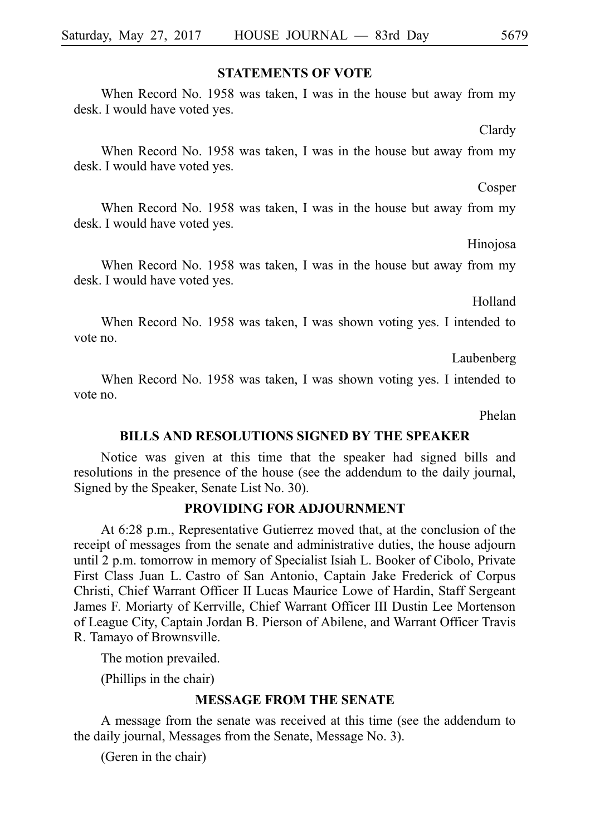### **STATEMENTS OF VOTE**

When Record No. 1958 was taken, I was in the house but away from my desk. I would have voted yes.

Clardy

When Record No. 1958 was taken, I was in the house but away from my desk. I would have voted yes.

Cosper

When Record No. 1958 was taken, I was in the house but away from my desk. I would have voted yes.

Hinojosa

When Record No. 1958 was taken, I was in the house but away from my desk. I would have voted yes.

Holland

When Record No. 1958 was taken, I was shown voting yes. I intended to vote no.

Laubenberg

When Record No. 1958 was taken, I was shown voting yes. I intended to vote no.

Phelan

#### **BILLS AND RESOLUTIONS SIGNED BY THE SPEAKER**

Notice was given at this time that the speaker had signed bills and resolutions in the presence of the house (see the addendum to the daily journal, Signed by the Speaker, Senate List No. 30).

### **PROVIDING FOR ADJOURNMENT**

At 6:28 p.m., Representative Gutierrez moved that, at the conclusion of the receipt of messages from the senate and administrative duties, the house adjourn until 2 p.m. tomorrow in memory of Specialist Isiah L. Booker of Cibolo, Private First Class Juan L. Castro of San Antonio, Captain Jake Frederick of Corpus Christi, Chief Warrant Officer II Lucas Maurice Lowe of Hardin, Staff Sergeant James F. Moriarty of Kerrville, Chief Warrant Officer III Dustin Lee Mortenson of League City, Captain Jordan B. Pierson of Abilene, and Warrant Officer Travis R. Tamayo of Brownsville.

The motion prevailed.

(Phillips in the chair)

### **MESSAGE FROM THE SENATE**

A message from the senate was received at this time (see the addendum to the daily journal, Messages from the Senate, Message No. 3).

(Geren in the chair)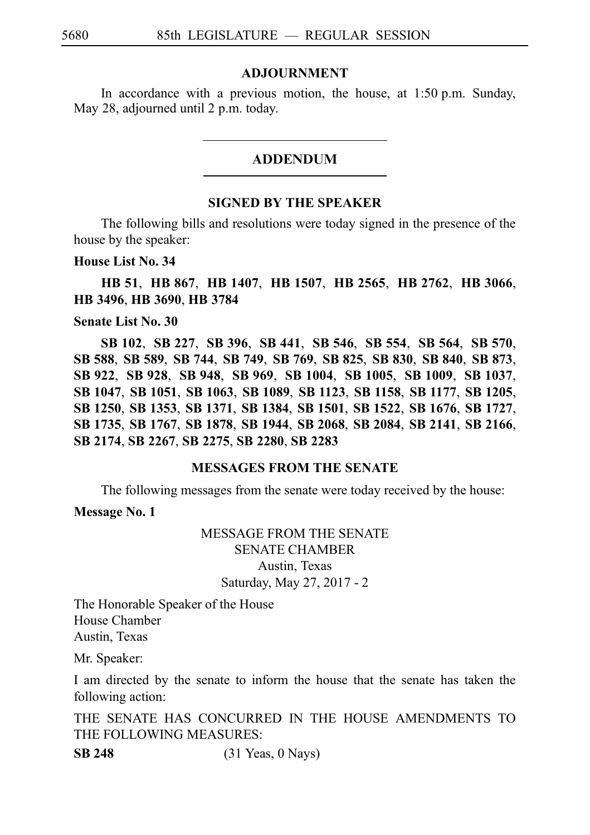### **ADJOURNMENT**

In accordance with a previous motion, the house, at  $1:50$  p.m. Sunday, May 28, adjourned until 2 p.m. today.

### ADDENDUM

#### **SIGNED BY THE SPEAKER**

The following bills and resolutions were today signed in the presence of the house by the speaker:

#### **House List No. 34**

**HB**i**51**, **HB**i**867**, **HB**i**1407**, **HB**i**1507**, **HB**i**2565**, **HB**i**2762**, **HB**i**3066**, **HB**i**3496**, **HB**i**3690**, **HB**i**3784**

### **Senate List No. 30**

**SB**i**102**, **SB**i**227**, **SB**i**396**, **SB**i**441**, **SB**i**546**, **SB**i**554**, **SB**i**564**, **SB**i**570**, **SB**i**588**, **SB**i**589**, **SB**i**744**, **SB**i**749**, **SB**i**769**, **SB**i**825**, **SB**i**830**, **SB**i**840**, **SB**i**873**, **SB**i**922**, **SB**i**928**, **SB**i**948**, **SB**i**969**, **SB**i**1004**, **SB**i**1005**, **SB**i**1009**, **SB**i**1037**, **SB**i**1047**, **SB**i**1051**, **SB**i**1063**, **SB**i**1089**, **SB**i**1123**, **SB**i**1158**, **SB**i**1177**, **SB**i**1205**, **SB**i**1250**, **SB**i**1353**, **SB**i**1371**, **SB**i**1384**, **SB**i**1501**, **SB**i**1522**, **SB**i**1676**, **SB**i**1727**, **SB**i**1735**, **SB**i**1767**, **SB**i**1878**, **SB**i**1944**, **SB**i**2068**, **SB**i**2084**, **SB**i**2141**, **SB**i**2166**, **SB**i**2174**, **SB**i**2267**, **SB**i**2275**, **SB**i**2280**, **SB**i**2283**

### **MESSAGES FROM THE SENATE**

The following messages from the senate were today received by the house:

**Message No. 1**

## MESSAGE FROM THE SENATE SENATE CHAMBER Austin, Texas Saturday, May 27, 2017 - 2

The Honorable Speaker of the House House Chamber Austin, Texas

Mr. Speaker:

I am directed by the senate to inform the house that the senate has taken the following action:

THE SENATE HAS CONCURRED IN THE HOUSE AMENDMENTS TO THE FOLLOWING MEASURES:

**SB 248** (31 Yeas, 0 Nays)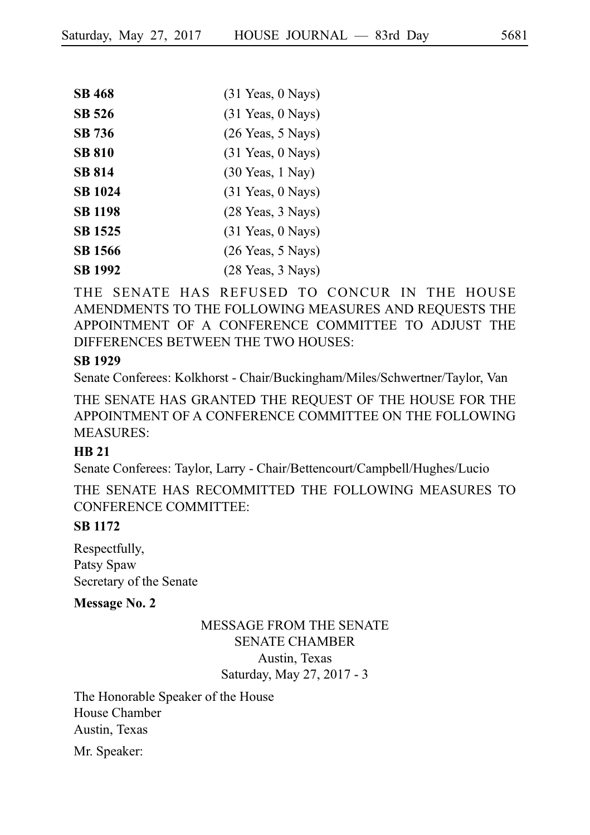| <b>SB 468</b>  | $(31$ Yeas, 0 Nays)                  |
|----------------|--------------------------------------|
| SB 526         | $(31$ Yeas, 0 Nays)                  |
| SB 736         | $(26$ Yeas, 5 Nays)                  |
| <b>SB 810</b>  | $(31$ Yeas, 0 Nays)                  |
| <b>SB 814</b>  | $(30 \text{ Years}, 1 \text{ Navy})$ |
| <b>SB 1024</b> | $(31 \text{ Years}, 0 \text{ Nays})$ |
| <b>SB 1198</b> | (28 Yeas, 3 Nays)                    |
| <b>SB 1525</b> | $(31$ Yeas, 0 Nays)                  |
| <b>SB 1566</b> | $(26$ Yeas, 5 Nays)                  |
| SB 1992        | $(28 \text{ Years}, 3 \text{ Nays})$ |

THE SENATE HAS REFUSED TO CONCUR IN THE HOUSE AMENDMENTS TO THE FOLLOWING MEASURES AND REQUESTS THE APPOINTMENT OF A CONFERENCE COMMITTEE TO ADJUST THE DIFFERENCES BETWEEN THE TWO HOUSES:

#### **SB 1929**

Senate Conferees: Kolkhorst - Chair/Buckingham/Miles/Schwertner/Taylor, Van

THE SENATE HAS GRANTED THE REQUEST OF THE HOUSE FOR THE APPOINTMENT OF A CONFERENCE COMMITTEE ON THE FOLLOWING MEASURES:

## **HB 21**

Senate Conferees: Taylor, Larry - Chair/Bettencourt/Campbell/Hughes/Lucio

THE SENATE HAS RECOMMITTED THE FOLLOWING MEASURES TO CONFERENCE COMMITTEE:

## **SB 1172**

Respectfully, Patsy Spaw Secretary of the Senate

#### **Message No. 2**

# MESSAGE FROM THE SENATE SENATE CHAMBER Austin, Texas Saturday, May 27, 2017 - 3

The Honorable Speaker of the House House Chamber Austin, Texas

Mr. Speaker: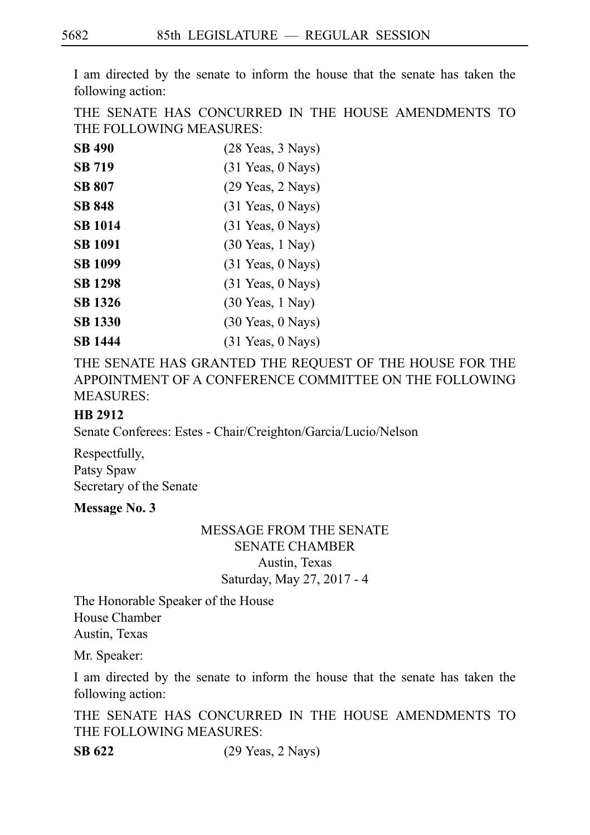I am directed by the senate to inform the house that the senate has taken the following action:

THE SENATE HAS CONCURRED IN THE HOUSE AMENDMENTS TO THE FOLLOWING MEASURES:

| <b>SB 490</b>  | (28 Yeas, 3 Nays)                  |
|----------------|------------------------------------|
| <b>SB 719</b>  | $(31$ Yeas, 0 Nays)                |
| <b>SB 807</b>  | $(29$ Yeas, $2$ Nays)              |
| <b>SB 848</b>  | $(31$ Yeas, 0 Nays)                |
| <b>SB 1014</b> | $(31$ Yeas, 0 Nays)                |
| <b>SB 1091</b> | $(30 \text{ Years}, 1 \text{May})$ |
| <b>SB 1099</b> | $(31$ Yeas, 0 Nays)                |
| <b>SB</b> 1298 | $(31$ Yeas, 0 Nays)                |
| <b>SB</b> 1326 | $(30 \text{ Years}, 1 \text{May})$ |
| <b>SB 1330</b> | $(30$ Yeas, $0$ Nays)              |
| SB 1444        | $(31$ Yeas, 0 Nays)                |

THE SENATE HAS GRANTED THE REQUEST OF THE HOUSE FOR THE APPOINTMENT OF A CONFERENCE COMMITTEE ON THE FOLLOWING MEASURES:

## **HB 2912**

Senate Conferees: Estes - Chair/Creighton/Garcia/Lucio/Nelson

Respectfully, Patsy Spaw Secretary of the Senate

## **Message No. 3**

## MESSAGE FROM THE SENATE SENATE CHAMBER Austin, Texas

Saturday, May 27, 2017 - 4

The Honorable Speaker of the House House Chamber Austin, Texas

Mr. Speaker:

I am directed by the senate to inform the house that the senate has taken the following action:

THE SENATE HAS CONCURRED IN THE HOUSE AMENDMENTS TO THE FOLLOWING MEASURES:

**SB 622** (29 Yeas, 2 Nays)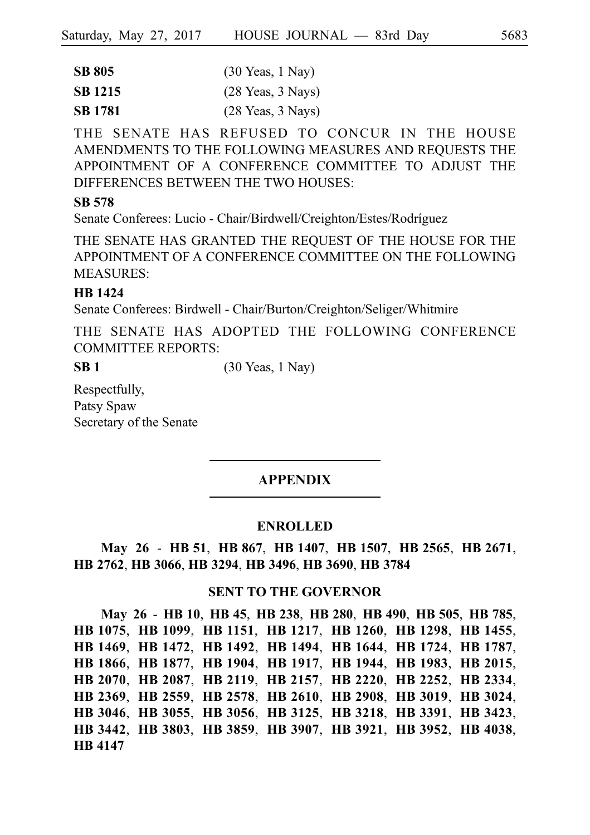| <b>SB 805</b>  | $(30 \text{ Years}, 1 \text{ Navy})$ |
|----------------|--------------------------------------|
| <b>SB</b> 1215 | $(28 \text{ Years}, 3 \text{ Nays})$ |
| <b>SB</b> 1781 | $(28 \text{ Years}, 3 \text{ Nays})$ |

THE SENATE HAS REFUSED TO CONCUR IN THE HOUSE AMENDMENTS TO THE FOLLOWING MEASURES AND REQUESTS THE APPOINTMENT OF A CONFERENCE COMMITTEE TO ADJUST THE DIFFERENCES BETWEEN THE TWO HOUSES:

# **SB 578**

Senate Conferees: Lucio - Chair/Birdwell/Creighton/Estes/Rodríguez

THE SENATE HAS GRANTED THE REQUEST OF THE HOUSE FOR THE APPOINTMENT OF A CONFERENCE COMMITTEE ON THE FOLLOWING MEASURES:

# **HB 1424**

Senate Conferees: Birdwell - Chair/Burton/Creighton/Seliger/Whitmire

THE SENATE HAS ADOPTED THE FOLLOWING CONFERENCE COMMITTEE REPORTS:

**SB 1** (30 Yeas, 1 Nay)

Respectfully, Patsy Spaw Secretary of the Senate

# APPENDIX

## **ENROLLED**

**May 26** - **HB**i**51**, **HB**i**867**, **HB**i**1407**, **HB**i**1507**, **HB**i**2565**, **HB**i**2671**, **HB**i**2762**, **HB**i**3066**, **HB**i**3294**, **HB**i**3496**, **HB**i**3690**, **HB**i**3784**

## **SENT TO THE GOVERNOR**

**May 26** - **HB**i**10**, **HB**i**45**, **HB**i**238**, **HB**i**280**, **HB**i**490**, **HB**i**505**, **HB**i**785**, **HB**i**1075**, **HB**i**1099**, **HB**i**1151**, **HB**i**1217**, **HB**i**1260**, **HB**i**1298**, **HB**i**1455**, **HB**i**1469**, **HB**i**1472**, **HB**i**1492**, **HB**i**1494**, **HB**i**1644**, **HB**i**1724**, **HB**i**1787**, **HB**i**1866**, **HB**i**1877**, **HB**i**1904**, **HB**i**1917**, **HB**i**1944**, **HB**i**1983**, **HB**i**2015**, **HB**i**2070**, **HB**i**2087**, **HB**i**2119**, **HB**i**2157**, **HB**i**2220**, **HB**i**2252**, **HB**i**2334**, **HB**i**2369**, **HB**i**2559**, **HB**i**2578**, **HB**i**2610**, **HB**i**2908**, **HB**i**3019**, **HB**i**3024**, **HB**i**3046**, **HB**i**3055**, **HB**i**3056**, **HB**i**3125**, **HB**i**3218**, **HB**i**3391**, **HB**i**3423**, **HB**i**3442**, **HB**i**3803**, **HB**i**3859**, **HB**i**3907**, **HB**i**3921**, **HB**i**3952**, **HB**i**4038**, **HB**i**4147**